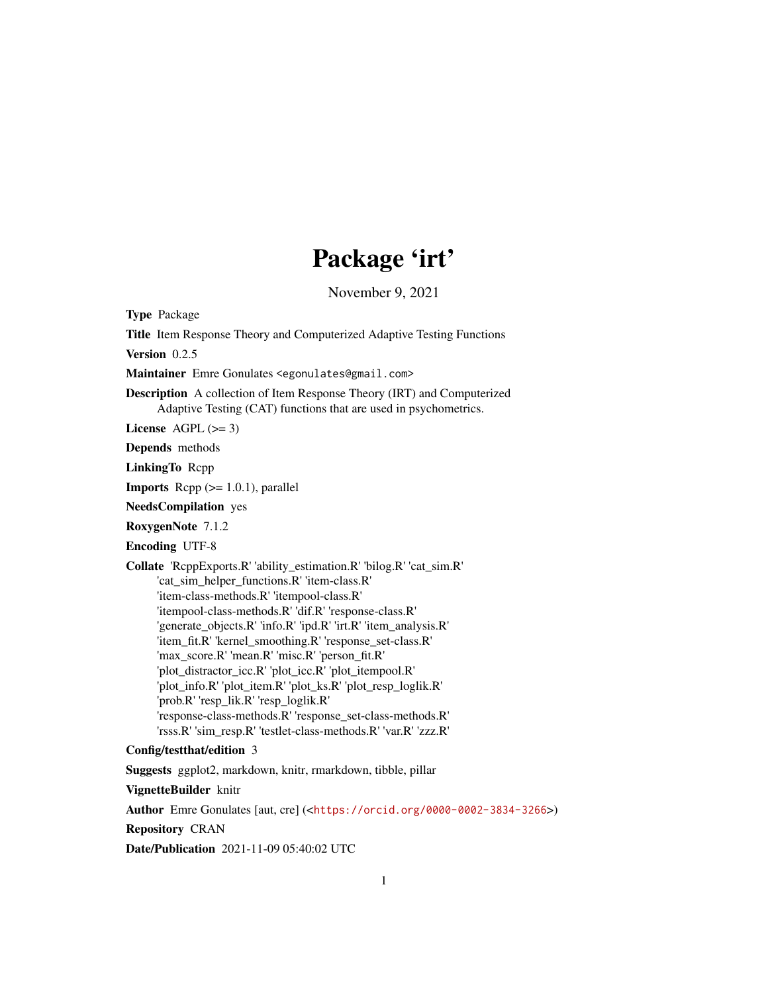# Package 'irt'

November 9, 2021

Type Package

Title Item Response Theory and Computerized Adaptive Testing Functions Version 0.2.5 Maintainer Emre Gonulates <egonulates@gmail.com> Description A collection of Item Response Theory (IRT) and Computerized Adaptive Testing (CAT) functions that are used in psychometrics. License AGPL  $(>= 3)$ Depends methods LinkingTo Rcpp **Imports** Rcpp  $(>= 1.0.1)$ , parallel NeedsCompilation yes RoxygenNote 7.1.2 Encoding UTF-8 Collate 'RcppExports.R' 'ability\_estimation.R' 'bilog.R' 'cat\_sim.R' 'cat\_sim\_helper\_functions.R' 'item-class.R' 'item-class-methods.R' 'itempool-class.R' 'itempool-class-methods.R' 'dif.R' 'response-class.R' 'generate\_objects.R' 'info.R' 'ipd.R' 'irt.R' 'item\_analysis.R' 'item\_fit.R' 'kernel\_smoothing.R' 'response\_set-class.R' 'max\_score.R' 'mean.R' 'misc.R' 'person\_fit.R' 'plot\_distractor\_icc.R' 'plot\_icc.R' 'plot\_itempool.R' 'plot\_info.R' 'plot\_item.R' 'plot\_ks.R' 'plot\_resp\_loglik.R' 'prob.R' 'resp\_lik.R' 'resp\_loglik.R' 'response-class-methods.R' 'response\_set-class-methods.R' 'rsss.R' 'sim\_resp.R' 'testlet-class-methods.R' 'var.R' 'zzz.R' Config/testthat/edition 3

Suggests ggplot2, markdown, knitr, rmarkdown, tibble, pillar

VignetteBuilder knitr

Author Emre Gonulates [aut, cre] (<<https://orcid.org/0000-0002-3834-3266>>)

Repository CRAN

Date/Publication 2021-11-09 05:40:02 UTC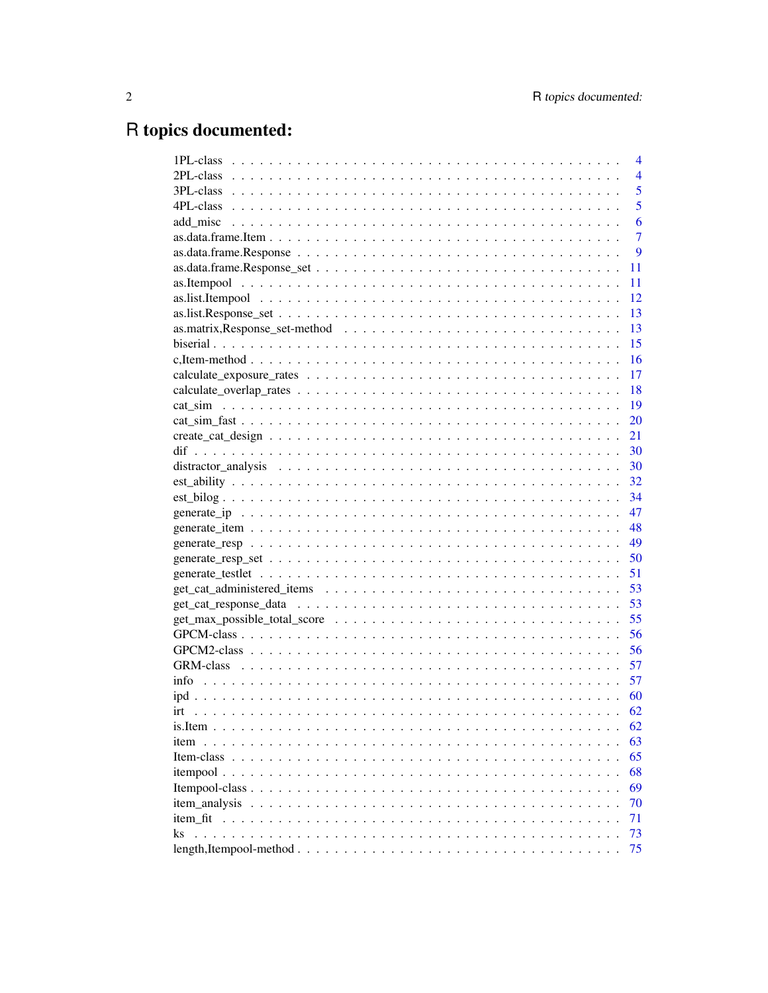# R topics documented:

| 4                                                                                                            |
|--------------------------------------------------------------------------------------------------------------|
| $\overline{4}$                                                                                               |
| 5                                                                                                            |
| 5                                                                                                            |
| 6                                                                                                            |
| 7                                                                                                            |
| 9                                                                                                            |
| 11                                                                                                           |
| 11                                                                                                           |
| 12                                                                                                           |
| 13                                                                                                           |
| 13                                                                                                           |
| 15                                                                                                           |
| 16                                                                                                           |
| 17                                                                                                           |
| 18                                                                                                           |
| 19                                                                                                           |
| 20                                                                                                           |
| 21                                                                                                           |
| 30                                                                                                           |
| 30                                                                                                           |
| 32                                                                                                           |
| 34                                                                                                           |
| 47                                                                                                           |
| 48                                                                                                           |
| 49                                                                                                           |
| 50                                                                                                           |
| 51                                                                                                           |
| 53                                                                                                           |
| 53                                                                                                           |
| 55                                                                                                           |
| 56                                                                                                           |
| 56                                                                                                           |
| 57                                                                                                           |
| 57                                                                                                           |
|                                                                                                              |
| 60                                                                                                           |
| 62                                                                                                           |
| 62                                                                                                           |
| 63<br>item<br>$\cdot$ $\cdot$                                                                                |
| 65                                                                                                           |
| 68<br>$itempool \dots \dots \dots \dots \dots \dots \dots \dots \dots \dots \dots \dots \dots \dots \dots$   |
| 69                                                                                                           |
| 70<br>item analysis<br>$\sim$                                                                                |
| 71                                                                                                           |
| 73<br>ks                                                                                                     |
| 75<br>$length, Itempool-method \ldots \ldots \ldots \ldots \ldots \ldots \ldots \ldots \ldots \ldots \ldots$ |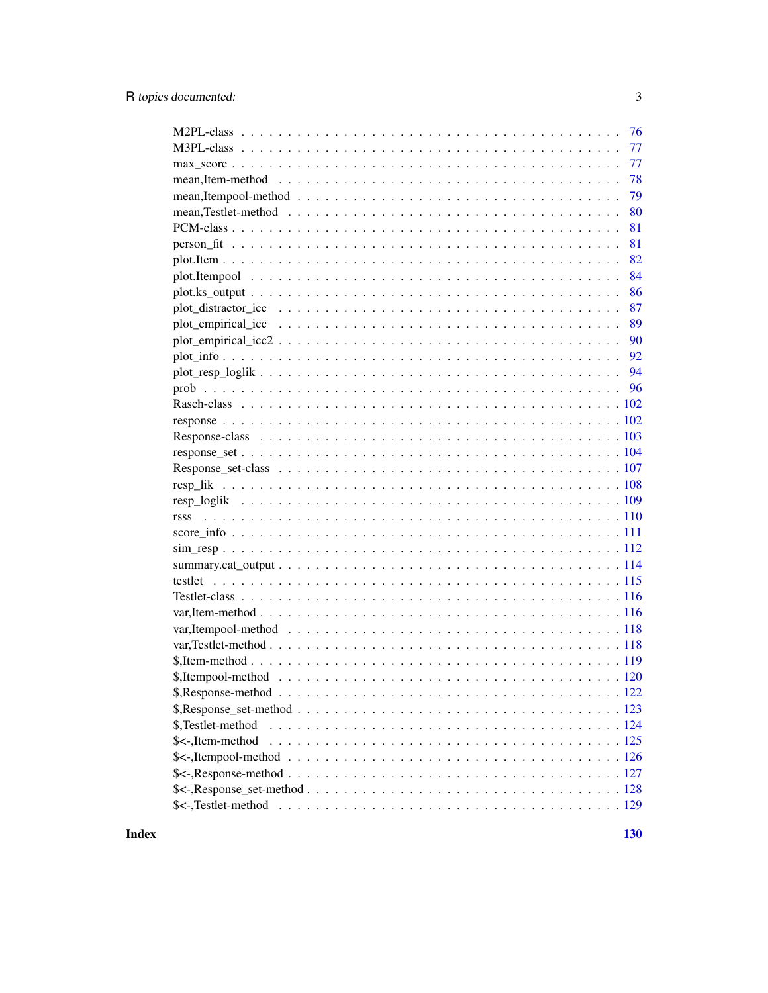| 76<br>77          |
|-------------------|
| 77                |
| 78                |
| 79                |
| 80                |
| 81                |
| 81                |
| 82                |
| 84                |
| 86                |
| 87                |
| 89                |
| 90                |
| 92                |
| 94                |
|                   |
|                   |
|                   |
|                   |
|                   |
|                   |
|                   |
|                   |
|                   |
|                   |
|                   |
|                   |
|                   |
|                   |
|                   |
|                   |
|                   |
|                   |
|                   |
|                   |
|                   |
| \$,Testlet-method |
| \$<-,Item-method  |
|                   |
|                   |
|                   |
|                   |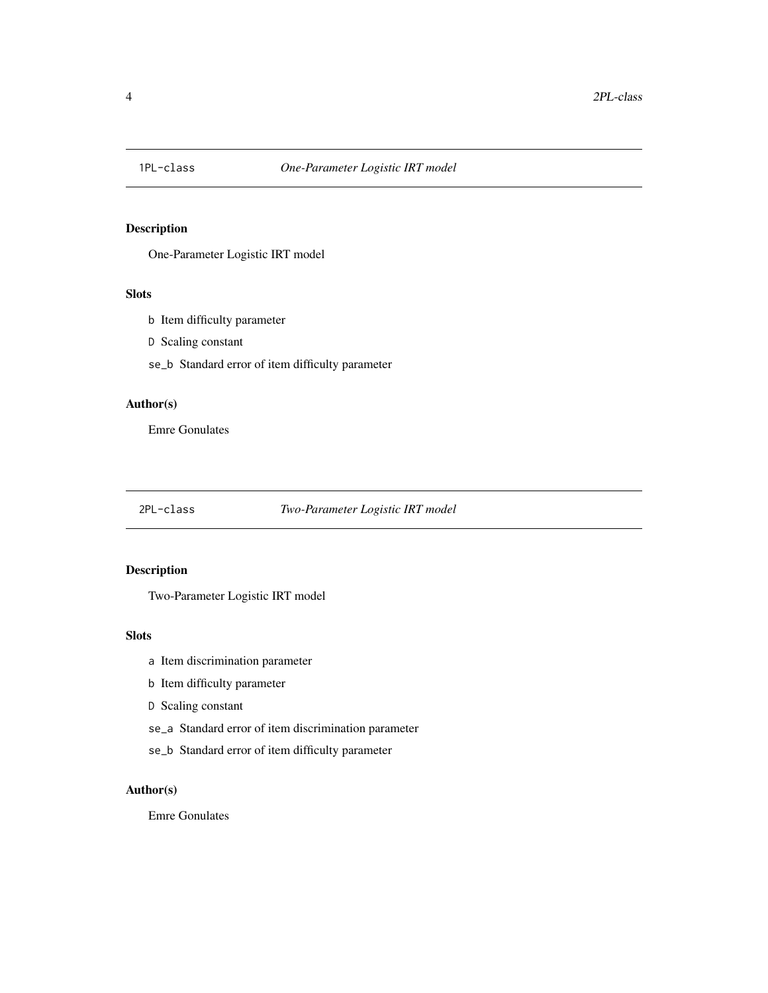<span id="page-3-0"></span>

One-Parameter Logistic IRT model

#### Slots

- b Item difficulty parameter
- D Scaling constant
- se\_b Standard error of item difficulty parameter

# Author(s)

Emre Gonulates

# 2PL-class *Two-Parameter Logistic IRT model*

# Description

Two-Parameter Logistic IRT model

#### Slots

- a Item discrimination parameter
- b Item difficulty parameter
- D Scaling constant
- se\_a Standard error of item discrimination parameter
- se\_b Standard error of item difficulty parameter

# Author(s)

Emre Gonulates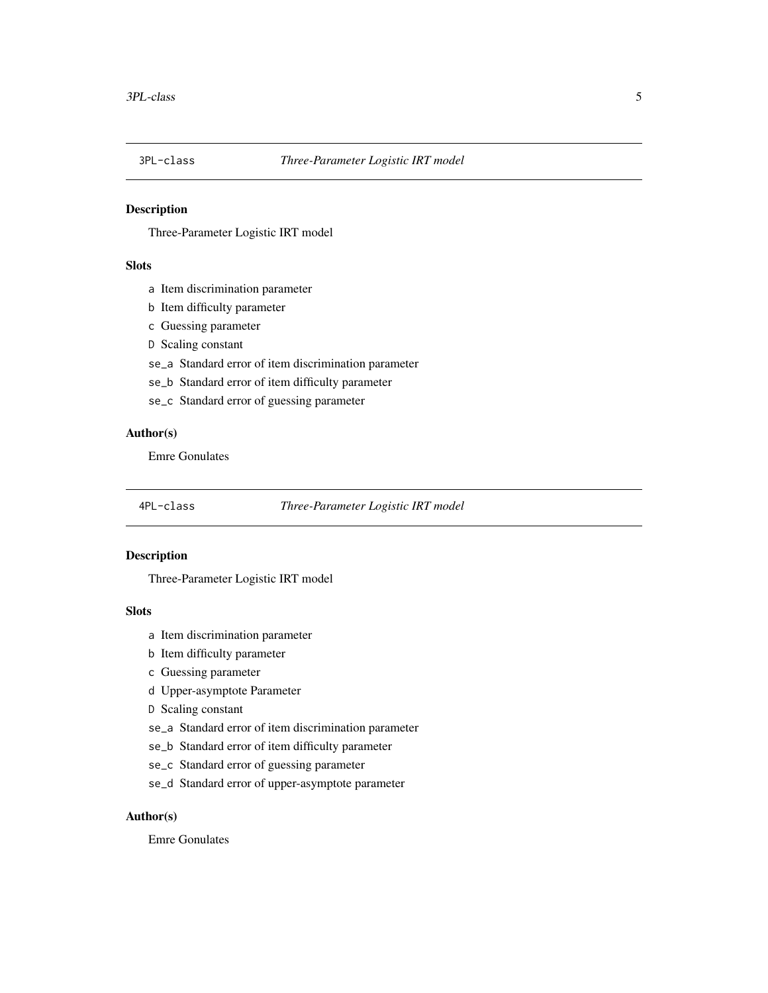<span id="page-4-0"></span>

Three-Parameter Logistic IRT model

# Slots

- a Item discrimination parameter
- b Item difficulty parameter
- c Guessing parameter
- D Scaling constant
- se\_a Standard error of item discrimination parameter
- se\_b Standard error of item difficulty parameter
- se\_c Standard error of guessing parameter

# Author(s)

Emre Gonulates

#### 4PL-class *Three-Parameter Logistic IRT model*

#### Description

Three-Parameter Logistic IRT model

#### Slots

- a Item discrimination parameter
- b Item difficulty parameter
- c Guessing parameter
- d Upper-asymptote Parameter
- D Scaling constant
- se\_a Standard error of item discrimination parameter
- se\_b Standard error of item difficulty parameter
- se\_c Standard error of guessing parameter
- se\_d Standard error of upper-asymptote parameter

# Author(s)

Emre Gonulates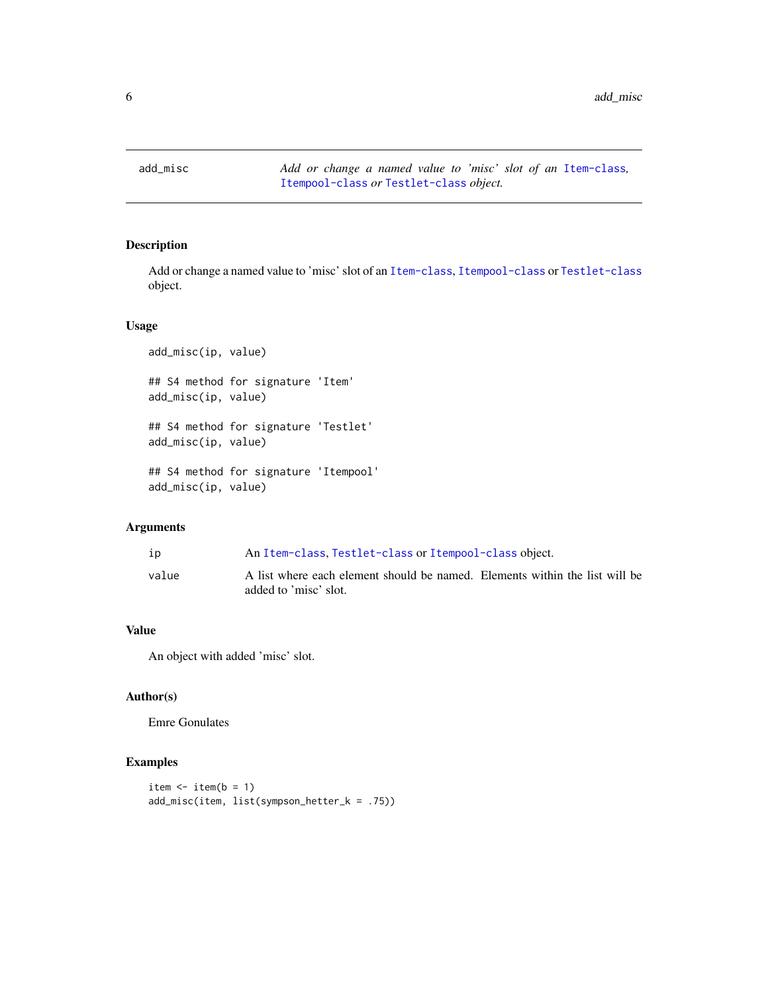<span id="page-5-0"></span>

Add or change a named value to 'misc' slot of an [Item-class](#page-64-1), [Itempool-class](#page-68-1) or [Testlet-class](#page-115-1) object.

# Usage

```
add_misc(ip, value)
## S4 method for signature 'Item'
add_misc(ip, value)
## S4 method for signature 'Testlet'
add_misc(ip, value)
## S4 method for signature 'Itempool'
add_misc(ip, value)
```
# Arguments

| ıp    | An Item-class, Testlet-class or Itempool-class object.                                               |
|-------|------------------------------------------------------------------------------------------------------|
| value | A list where each element should be named. Elements within the list will be<br>added to 'misc' slot. |

# Value

An object with added 'misc' slot.

# Author(s)

Emre Gonulates

# Examples

```
item \leftarrow item(b = 1)
add_misc(item, list(sympson_hetter_k = .75))
```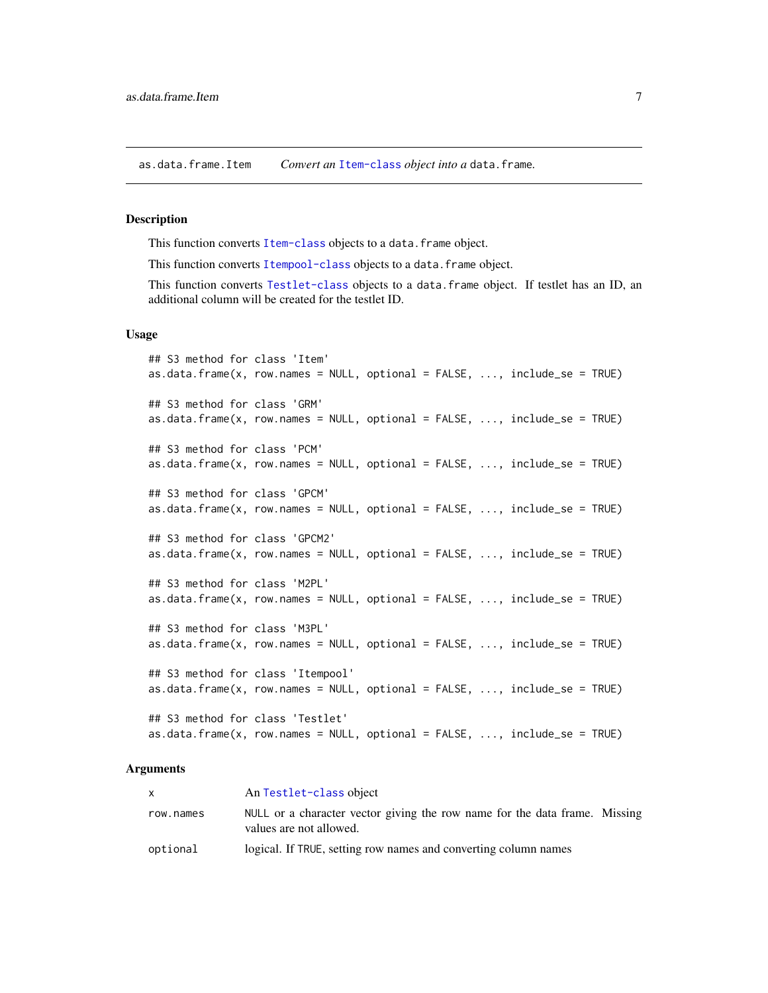<span id="page-6-0"></span>as.data.frame.Item *Convert an* [Item-class](#page-64-1) *object into a* data.frame*.*

## **Description**

This function converts [Item-class](#page-64-1) objects to a data. frame object.

This function converts [Itempool-class](#page-68-1) objects to a data.frame object.

This function converts [Testlet-class](#page-115-1) objects to a data.frame object. If testlet has an ID, an additional column will be created for the testlet ID.

#### Usage

```
## S3 method for class 'Item'
as.data.frame(x, row.names = NULL, optional = FALSE, ..., include_se = TRUE)
## S3 method for class 'GRM'
as.data.frame(x, row.names = NULL, optional = FALSE, ..., include_se = TRUE)
## S3 method for class 'PCM'
as.data.frame(x, row.names = NULL, optional = FALSE, ..., include_se = TRUE)
## S3 method for class 'GPCM'
as.data.frame(x, row.names = NULL, optional = FALSE, ..., include_se = TRUE)
## S3 method for class 'GPCM2'
as.data.frame(x, row.names = NULL, optional = FALSE, ..., include_se = TRUE)
## S3 method for class 'M2PL'
as.data.frame(x, row.names = NULL, optional = FALSE, ..., include_se = TRUE)
## S3 method for class 'M3PL'
as.data.frame(x, row.names = NULL, optional = FALSE, ..., include_se = TRUE)
## S3 method for class 'Itempool'
as.data frame(x, row.name = NULL, optional = FALSE, ..., include_se = TRUE)## S3 method for class 'Testlet'
as.data frame(x, row.name = NULL, optional = FALSE, ..., include_se = TRUE)
```
#### Arguments

|           | An Testlet-class object                                                                               |
|-----------|-------------------------------------------------------------------------------------------------------|
| row.names | NULL or a character vector giving the row name for the data frame. Missing<br>values are not allowed. |
| optional  | logical. If TRUE, setting row names and converting column names                                       |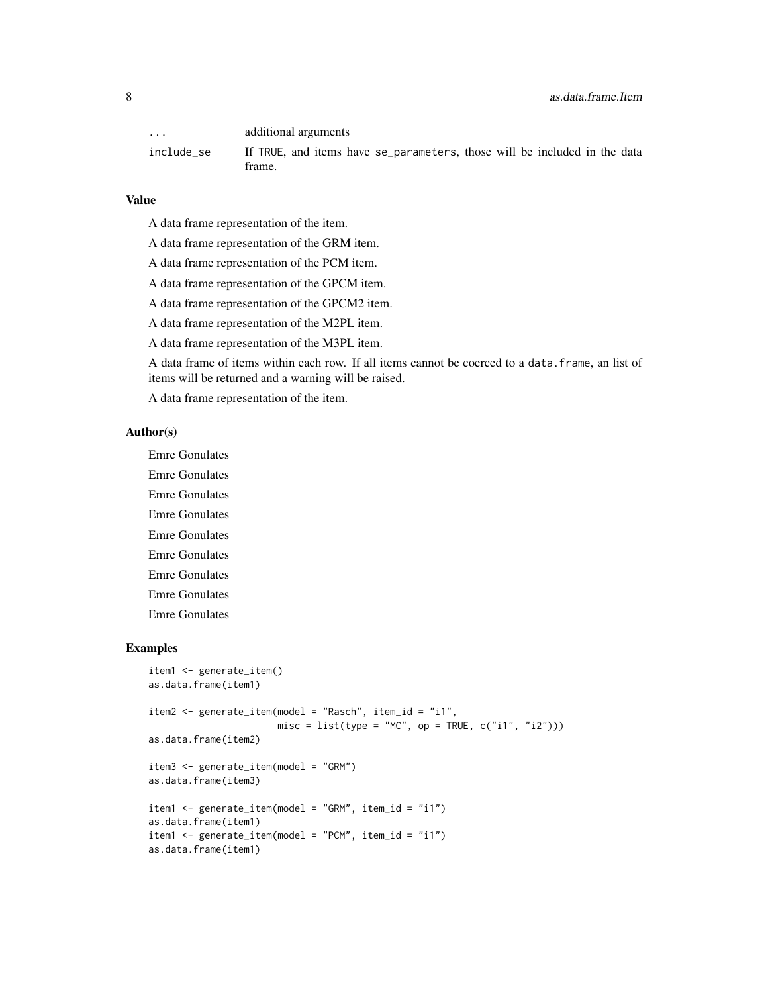| $\cdot$ $\cdot$ $\cdot$ | additional arguments                                                                |
|-------------------------|-------------------------------------------------------------------------------------|
| include se              | If TRUE, and items have se_parameters, those will be included in the data<br>frame. |

# Value

- A data frame representation of the item.
- A data frame representation of the GRM item.
- A data frame representation of the PCM item.
- A data frame representation of the GPCM item.
- A data frame representation of the GPCM2 item.
- A data frame representation of the M2PL item.
- A data frame representation of the M3PL item.

A data frame of items within each row. If all items cannot be coerced to a data.frame, an list of items will be returned and a warning will be raised.

A data frame representation of the item.

#### Author(s)

Emre Gonulates

- Emre Gonulates
- Emre Gonulates
- Emre Gonulates
- Emre Gonulates
- Emre Gonulates
- Emre Gonulates
- Emre Gonulates
- Emre Gonulates

# Examples

```
item1 <- generate_item()
as.data.frame(item1)
item2 <- generate_item(model = "Rasch", item_id = "i1",
                      misc = list(type = "MC", op = TRUE, c("i1", "i2"))as.data.frame(item2)
item3 <- generate_item(model = "GRM")
as.data.frame(item3)
item1 <- generate_item(model = "GRM", item_id = "i1")
as.data.frame(item1)
item1 <- generate_item(model = "PCM", item_id = "i1")
as.data.frame(item1)
```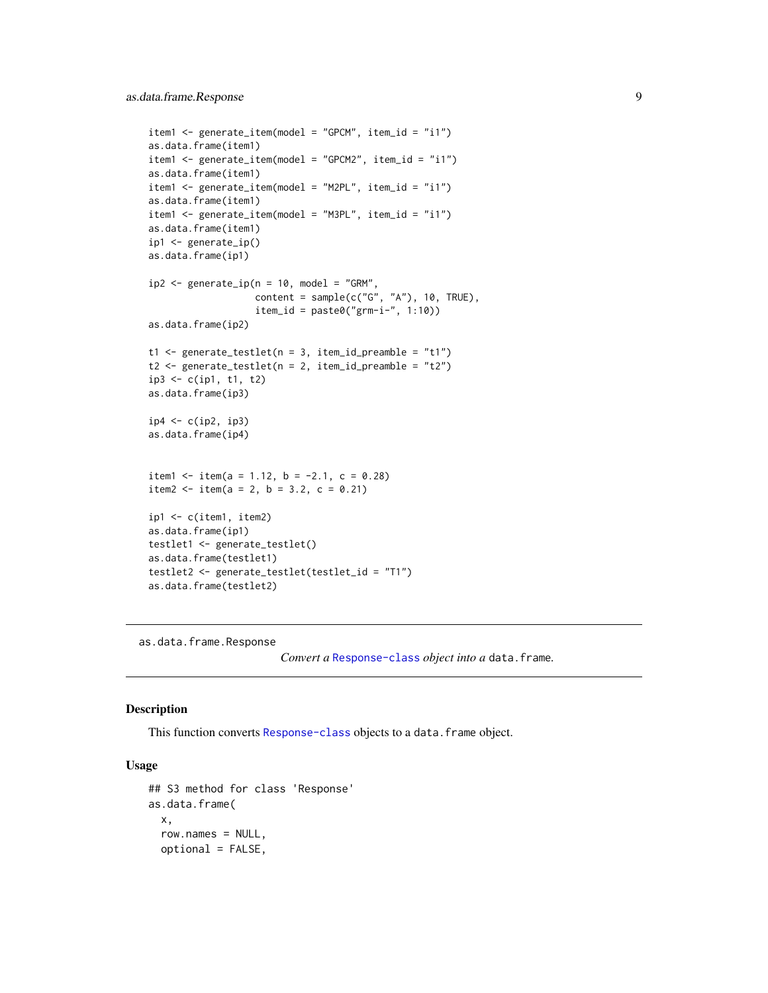```
item1 <- generate_item(model = "GPCM", item_id = "i1")
as.data.frame(item1)
item1 <- generate_item(model = "GPCM2", item_id = "i1")
as.data.frame(item1)
item1 <- generate_item(model = "M2PL", item_id = "i1")
as.data.frame(item1)
item1 <- generate_item(model = "M3PL", item_id = "i1")
as.data.frame(item1)
ip1 <- generate_ip()
as.data.frame(ip1)
ip2 < - generate_ip(n = 10, \text{ model} = "GRM",content = sample(c("G", "A"), 10, TRUE),item_id = paste0("grm-i-", 1:10))
as.data.frame(ip2)
t1 <- generate_testlet(n = 3, item_id_preamble = "t1")
t2 <- generate_testlet(n = 2, item_id_preamble = "t2")
ip3 <- c(ip1, t1, t2)
as.data.frame(ip3)
ip4 < -c(ip2, ip3)as.data.frame(ip4)
item1 <- item(a = 1.12, b = -2.1, c = 0.28)
item2 <- item(a = 2, b = 3.2, c = 0.21)
ip1 <- c(item1, item2)
as.data.frame(ip1)
testlet1 <- generate_testlet()
as.data.frame(testlet1)
testlet2 <- generate_testlet(testlet_id = "T1")
as.data.frame(testlet2)
```
as.data.frame.Response

*Convert a* [Response-class](#page-102-1) *object into a* data.frame*.*

#### Description

This function converts [Response-class](#page-102-1) objects to a data. frame object.

#### Usage

```
## S3 method for class 'Response'
as.data.frame(
  x,
  row.names = NULL,
  optional = FALSE,
```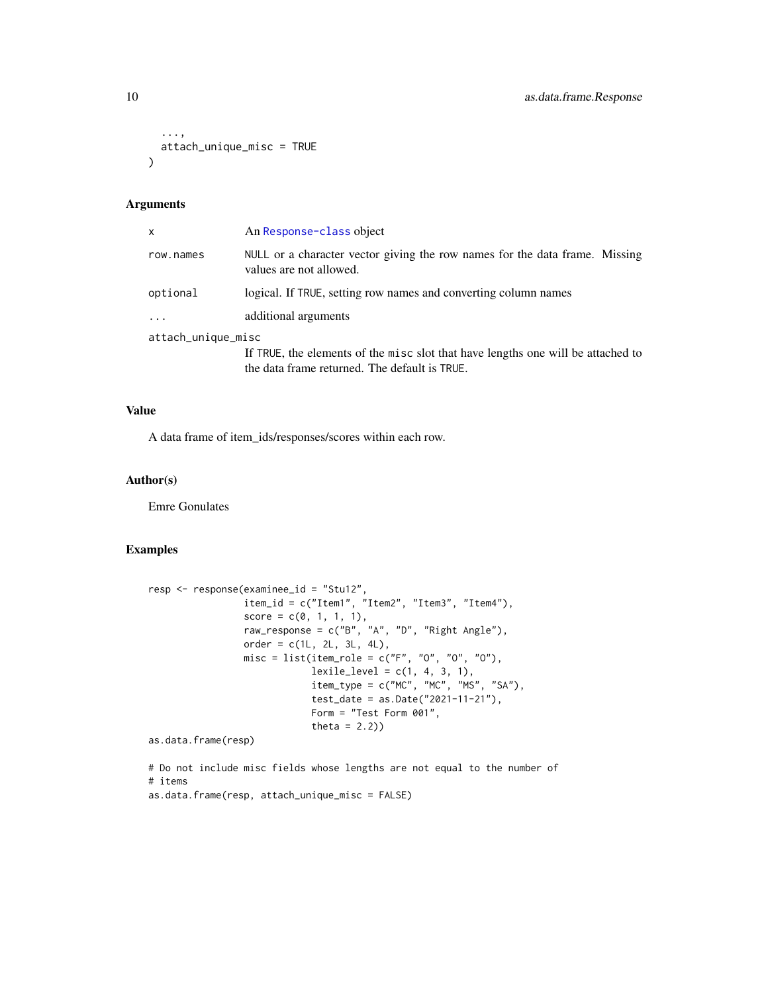```
...,
  attach_unique_misc = TRUE
\lambda
```
#### Arguments

| x                  | An Response-class object                                                                               |
|--------------------|--------------------------------------------------------------------------------------------------------|
| row.names          | NULL or a character vector giving the row names for the data frame. Missing<br>values are not allowed. |
| optional           | logical. If TRUE, setting row names and converting column names                                        |
| $\cdots$           | additional arguments                                                                                   |
| attach_unique_misc |                                                                                                        |
|                    | If TRUE, the elements of the misc slot that have lengths one will be attached to                       |

the data frame returned. The default is TRUE.

#### Value

A data frame of item\_ids/responses/scores within each row.

#### Author(s)

Emre Gonulates

### Examples

```
resp <- response(examinee_id = "Stu12",
                item_id = c("Item1", "Item2", "Item3", "Item4"),
                 score = c(0, 1, 1, 1),raw_response = c("B", "A", "D", "Right Angle"),
                 order = c(1L, 2L, 3L, 4L),misc = list(item_role = c("F", "0", "0", "0"),
                            lexile\_level = c(1, 4, 3, 1),item_type = c("MC", "MC", "MS", "SA"),
                            test_date = as.Date("2021-11-21"),
                            Form = "Test Form 001",
                            theta = 2.2)
```
as.data.frame(resp)

# Do not include misc fields whose lengths are not equal to the number of # items as.data.frame(resp, attach\_unique\_misc = FALSE)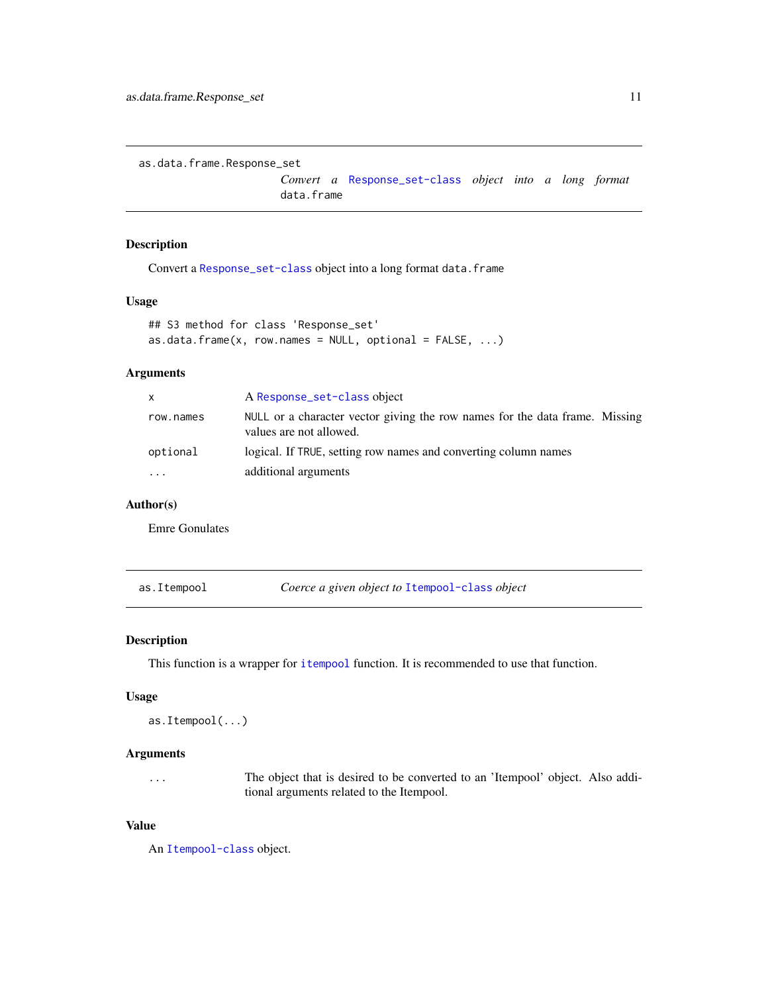<span id="page-10-0"></span>as.data.frame.Response\_set

*Convert a* [Response\\_set-class](#page-106-1) *object into a long format* data.frame

### Description

Convert a [Response\\_set-class](#page-106-1) object into a long format data.frame

#### Usage

```
## S3 method for class 'Response_set'
as.data.frame(x, row.names = NULL, optional = FALSE, ...)
```
# Arguments

| X         | A Response_set-class object                                                                            |
|-----------|--------------------------------------------------------------------------------------------------------|
| row.names | NULL or a character vector giving the row names for the data frame. Missing<br>values are not allowed. |
| optional  | logical. If TRUE, setting row names and converting column names                                        |
| $\cdot$   | additional arguments                                                                                   |

## Author(s)

Emre Gonulates

as.Itempool *Coerce a given object to* [Itempool-class](#page-68-1) *object*

# Description

This function is a wrapper for [itempool](#page-67-1) function. It is recommended to use that function.

## Usage

```
as.Itempool(...)
```
#### Arguments

... The object that is desired to be converted to an 'Itempool' object. Also additional arguments related to the Itempool.

## Value

An [Itempool-class](#page-68-1) object.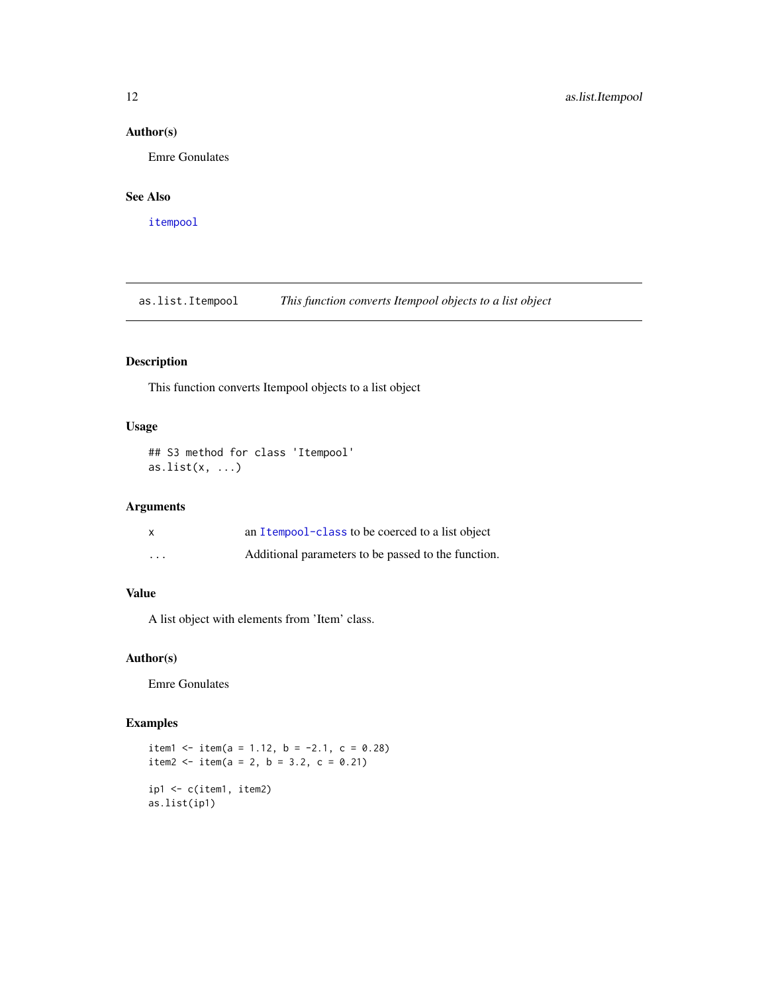## <span id="page-11-0"></span>Author(s)

Emre Gonulates

# See Also

[itempool](#page-67-1)

as.list.Itempool *This function converts Itempool objects to a list object*

# Description

This function converts Itempool objects to a list object

# Usage

## S3 method for class 'Itempool' as.list $(x, \ldots)$ 

# Arguments

| X                       | an Itempool-class to be coerced to a list object    |
|-------------------------|-----------------------------------------------------|
| $\cdot$ $\cdot$ $\cdot$ | Additional parameters to be passed to the function. |

# Value

A list object with elements from 'Item' class.

# Author(s)

Emre Gonulates

# Examples

```
item1 <- item(a = 1.12, b = -2.1, c = 0.28)
item2 <- item(a = 2, b = 3.2, c = 0.21)
ip1 <- c(item1, item2)
as.list(ip1)
```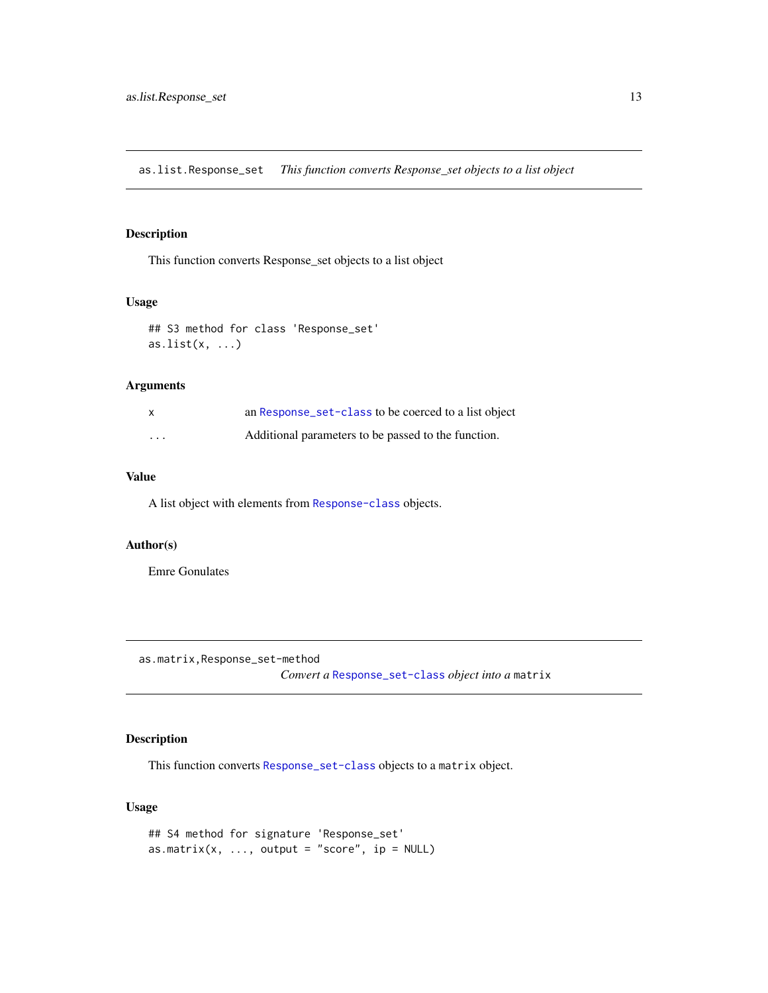<span id="page-12-0"></span>as.list.Response\_set *This function converts Response\_set objects to a list object*

# Description

This function converts Response\_set objects to a list object

# Usage

```
## S3 method for class 'Response_set'
as.list(x, \ldots)
```
# Arguments

| x        | an Response_set-class to be coerced to a list object |
|----------|------------------------------------------------------|
| $\cdots$ | Additional parameters to be passed to the function.  |

# Value

A list object with elements from [Response-class](#page-102-1) objects.

# Author(s)

Emre Gonulates

as.matrix,Response\_set-method

*Convert a* [Response\\_set-class](#page-106-1) *object into a* matrix

# Description

This function converts [Response\\_set-class](#page-106-1) objects to a matrix object.

# Usage

```
## S4 method for signature 'Response_set'
as.matrix(x, \dots, output = "score", ip = NULL)
```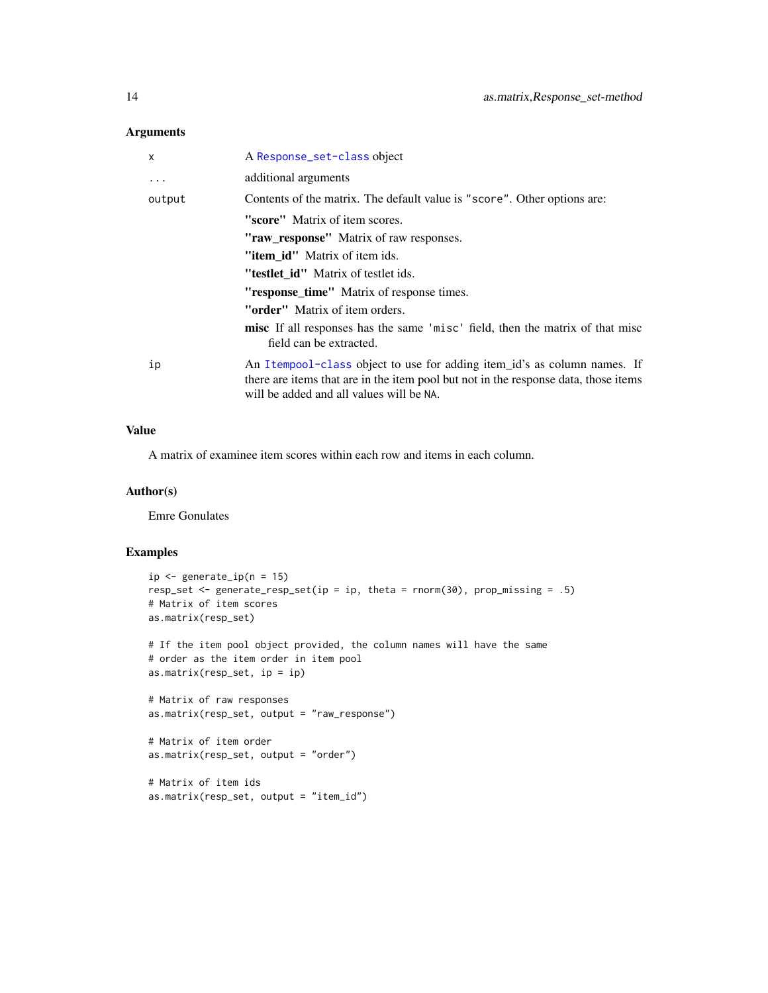## Arguments

| X         | A Response_set-class object                                                                                                                                                                                 |
|-----------|-------------------------------------------------------------------------------------------------------------------------------------------------------------------------------------------------------------|
| $\ddotsc$ | additional arguments                                                                                                                                                                                        |
| output    | Contents of the matrix. The default value is "score". Other options are:                                                                                                                                    |
|           | "score" Matrix of item scores.                                                                                                                                                                              |
|           | "raw_response" Matrix of raw responses.                                                                                                                                                                     |
|           | " <b>item id</b> " Matrix of item ids.                                                                                                                                                                      |
|           | "testlet id" Matrix of testlet ids.                                                                                                                                                                         |
|           | "response_time" Matrix of response times.                                                                                                                                                                   |
|           | " <b>order</b> " Matrix of item orders.                                                                                                                                                                     |
|           | <b>misc</b> If all responses has the same 'misc' field, then the matrix of that misc<br>field can be extracted.                                                                                             |
| ip        | An Itempool-class object to use for adding item_id's as column names. If<br>there are items that are in the item pool but not in the response data, those items<br>will be added and all values will be NA. |

## Value

A matrix of examinee item scores within each row and items in each column.

### Author(s)

Emre Gonulates

## Examples

```
ip \leftarrow generate_ip(n = 15)
resp_set <- generate_resp_set(ip = ip, theta = rnorm(30), prop_missing = .5)
# Matrix of item scores
as.matrix(resp_set)
# If the item pool object provided, the column names will have the same
# order as the item order in item pool
as.matrix(resp_set, ip = ip)
# Matrix of raw responses
as.matrix(resp_set, output = "raw_response")
# Matrix of item order
as.matrix(resp_set, output = "order")
```

```
# Matrix of item ids
as.matrix(resp_set, output = "item_id")
```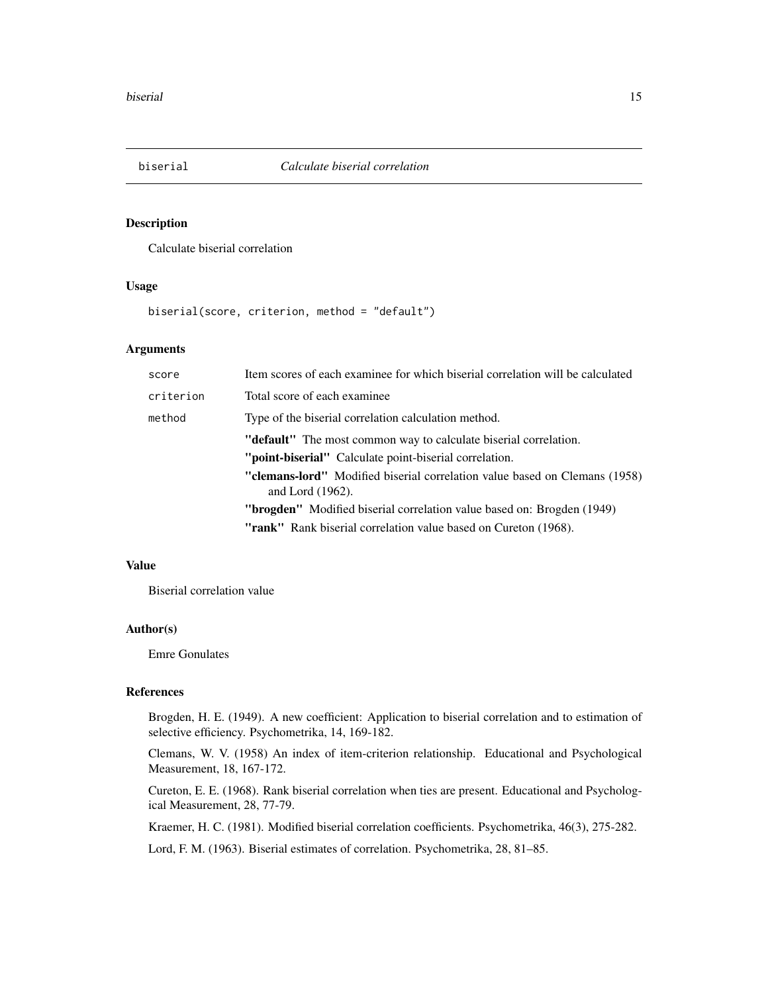<span id="page-14-0"></span>

Calculate biserial correlation

#### Usage

biserial(score, criterion, method = "default")

### Arguments

| score     | Item scores of each examinee for which biserial correlation will be calculated                           |
|-----------|----------------------------------------------------------------------------------------------------------|
| criterion | Total score of each examinee.                                                                            |
| method    | Type of the biserial correlation calculation method.                                                     |
|           | " <b>default</b> " The most common way to calculate biserial correlation.                                |
|           | " <b>point-biserial</b> " Calculate point-biserial correlation.                                          |
|           | <b>"clemans-lord"</b> Modified biserial correlation value based on Clemans (1958)<br>and Lord $(1962)$ . |
|           | <b>"brogden"</b> Modified biserial correlation value based on: Brogden (1949)                            |
|           | "rank" Rank biserial correlation value based on Cureton (1968).                                          |

## Value

Biserial correlation value

#### Author(s)

Emre Gonulates

## References

Brogden, H. E. (1949). A new coefficient: Application to biserial correlation and to estimation of selective efficiency. Psychometrika, 14, 169-182.

Clemans, W. V. (1958) An index of item-criterion relationship. Educational and Psychological Measurement, 18, 167-172.

Cureton, E. E. (1968). Rank biserial correlation when ties are present. Educational and Psychological Measurement, 28, 77-79.

Kraemer, H. C. (1981). Modified biserial correlation coefficients. Psychometrika, 46(3), 275-282.

Lord, F. M. (1963). Biserial estimates of correlation. Psychometrika, 28, 81–85.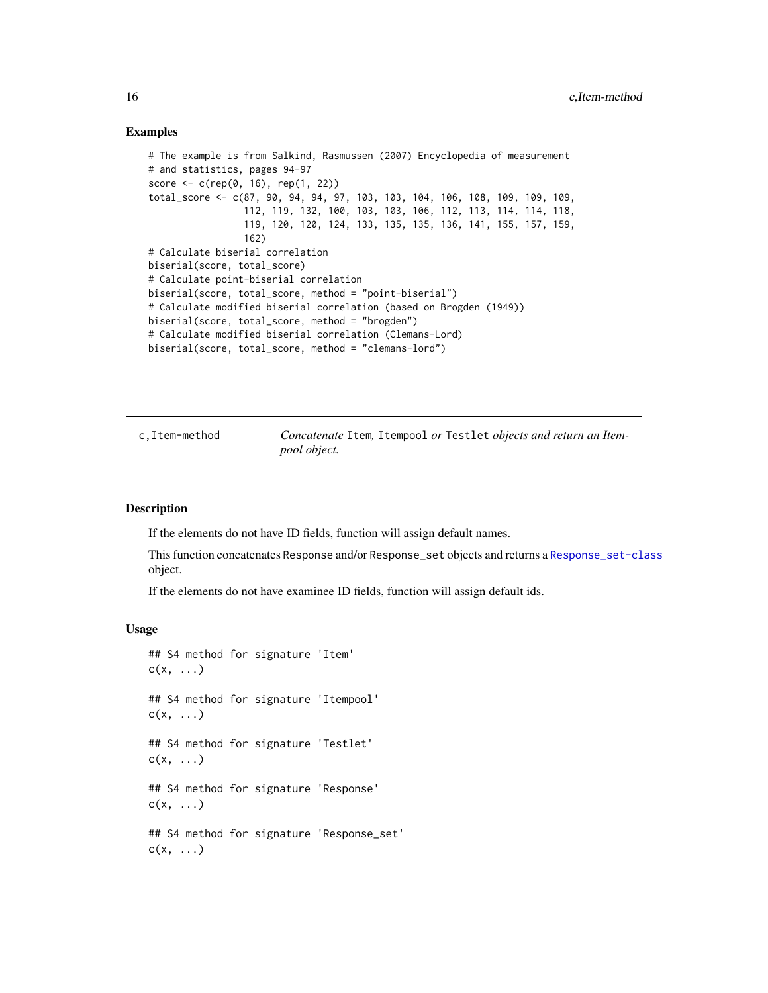#### Examples

```
# The example is from Salkind, Rasmussen (2007) Encyclopedia of measurement
# and statistics, pages 94-97
score <- c(rep(0, 16), rep(1, 22))
total_score <- c(87, 90, 94, 94, 97, 103, 103, 104, 106, 108, 109, 109, 109,
                 112, 119, 132, 100, 103, 103, 106, 112, 113, 114, 114, 118,
                 119, 120, 120, 124, 133, 135, 135, 136, 141, 155, 157, 159,
                 162)
# Calculate biserial correlation
biserial(score, total_score)
# Calculate point-biserial correlation
biserial(score, total_score, method = "point-biserial")
# Calculate modified biserial correlation (based on Brogden (1949))
biserial(score, total_score, method = "brogden")
# Calculate modified biserial correlation (Clemans-Lord)
biserial(score, total_score, method = "clemans-lord")
```
c,Item-method *Concatenate* Item*,* Itempool *or* Testlet *objects and return an Itempool object.*

#### **Description**

If the elements do not have ID fields, function will assign default names.

This function concatenates Response and/or Response\_set objects and returns a [Response\\_set-class](#page-106-1) object.

If the elements do not have examinee ID fields, function will assign default ids.

#### Usage

```
## S4 method for signature 'Item'
c(x, \ldots)## S4 method for signature 'Itempool'
c(x, \ldots)## S4 method for signature 'Testlet'
c(x, \ldots)## S4 method for signature 'Response'
c(x, \ldots)## S4 method for signature 'Response_set'
c(x, \ldots)
```
<span id="page-15-0"></span>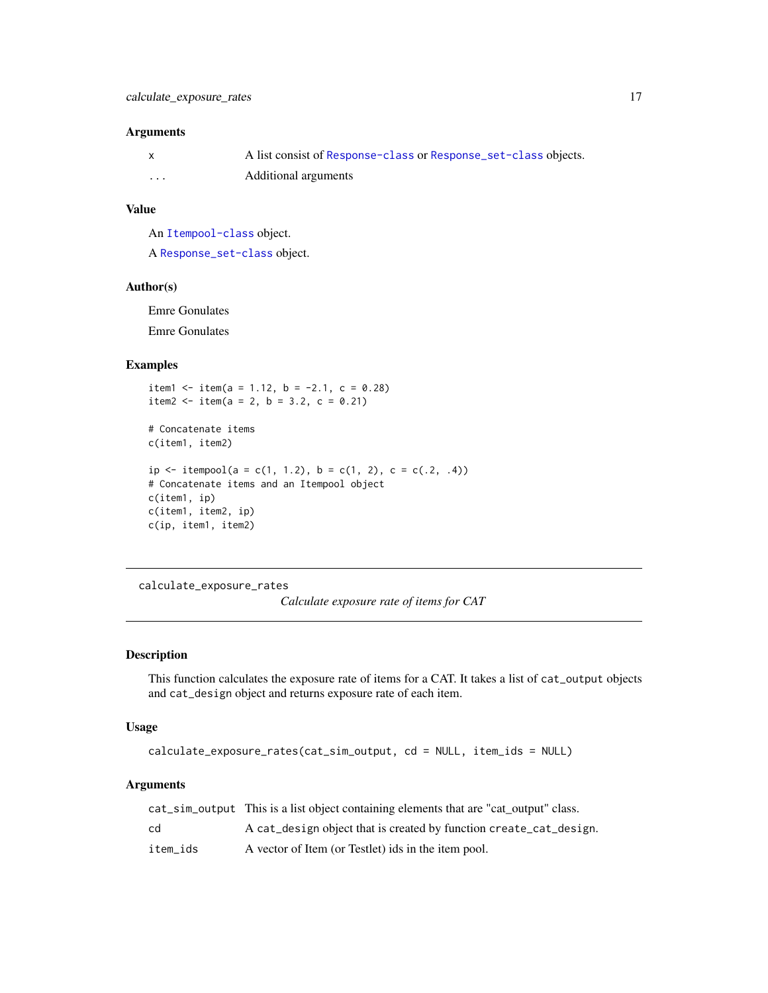#### <span id="page-16-0"></span>Arguments

|          | A list consist of Response-class or Response_set-class objects. |
|----------|-----------------------------------------------------------------|
| $\cdots$ | Additional arguments                                            |

## Value

An [Itempool-class](#page-68-1) object.

A [Response\\_set-class](#page-106-1) object.

### Author(s)

Emre Gonulates Emre Gonulates

## Examples

item1 <- item(a = 1.12, b = -2.1, c = 0.28) item2 <- item(a = 2, b = 3.2, c = 0.21)

```
# Concatenate items
c(item1, item2)
ip \le itempool(a = c(1, 1.2), b = c(1, 2), c = c(.2, .4))
# Concatenate items and an Itempool object
c(item1, ip)
c(item1, item2, ip)
c(ip, item1, item2)
```
calculate\_exposure\_rates *Calculate exposure rate of items for CAT*

### Description

This function calculates the exposure rate of items for a CAT. It takes a list of cat\_output objects and cat\_design object and returns exposure rate of each item.

#### Usage

calculate\_exposure\_rates(cat\_sim\_output, cd = NULL, item\_ids = NULL)

# Arguments

|          | cat_sim_output This is a list object containing elements that are "cat output" class. |
|----------|---------------------------------------------------------------------------------------|
| cd       | A cat_design object that is created by function create_cat_design.                    |
| item ids | A vector of Item (or Testlet) ids in the item pool.                                   |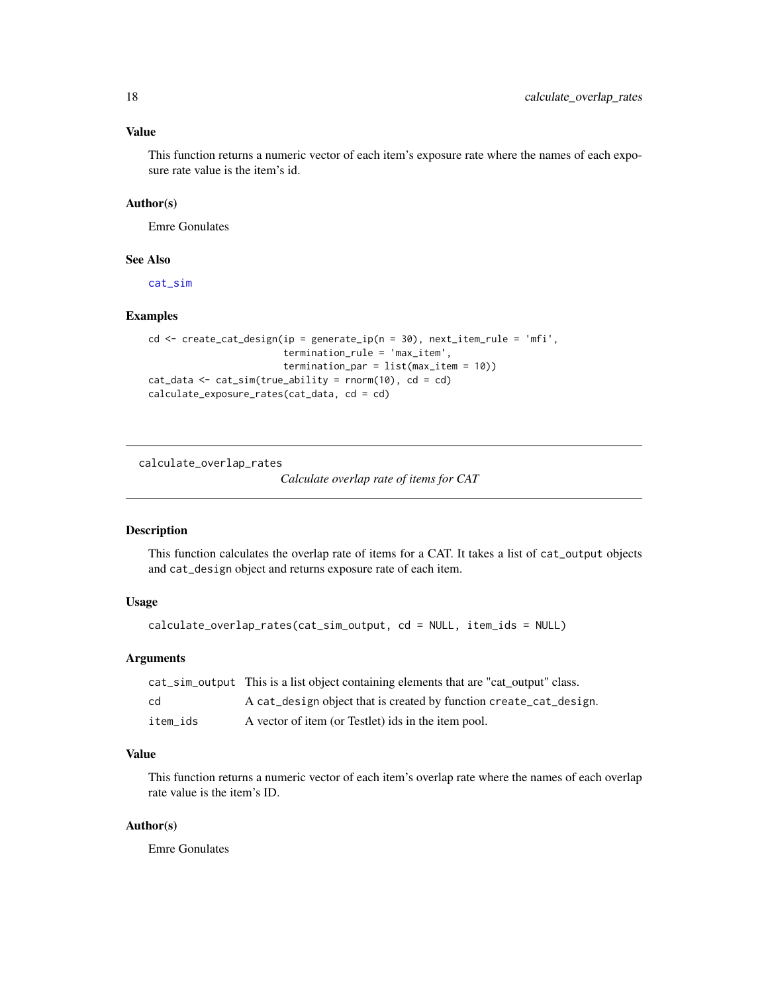## <span id="page-17-0"></span>Value

This function returns a numeric vector of each item's exposure rate where the names of each exposure rate value is the item's id.

## Author(s)

Emre Gonulates

## See Also

[cat\\_sim](#page-18-1)

## Examples

```
cd <- create_cat_design(ip = generate_ip(n = 30), next_item_rule = 'mfi',
                        termination_rule = 'max_item',
                        termination_par = list(max_item = 10))
cat_data \leq cat\_sim(true\_ability = rnorm(10), cd = cd)calculate_exposure_rates(cat_data, cd = cd)
```
calculate\_overlap\_rates

*Calculate overlap rate of items for CAT*

# Description

This function calculates the overlap rate of items for a CAT. It takes a list of cat\_output objects and cat\_design object and returns exposure rate of each item.

## Usage

calculate\_overlap\_rates(cat\_sim\_output, cd = NULL, item\_ids = NULL)

## Arguments

|          | cat_sim_output This is a list object containing elements that are "cat output" class. |
|----------|---------------------------------------------------------------------------------------|
| cd       | A cat_design object that is created by function create_cat_design.                    |
| item ids | A vector of item (or Testlet) ids in the item pool.                                   |

# Value

This function returns a numeric vector of each item's overlap rate where the names of each overlap rate value is the item's ID.

#### Author(s)

Emre Gonulates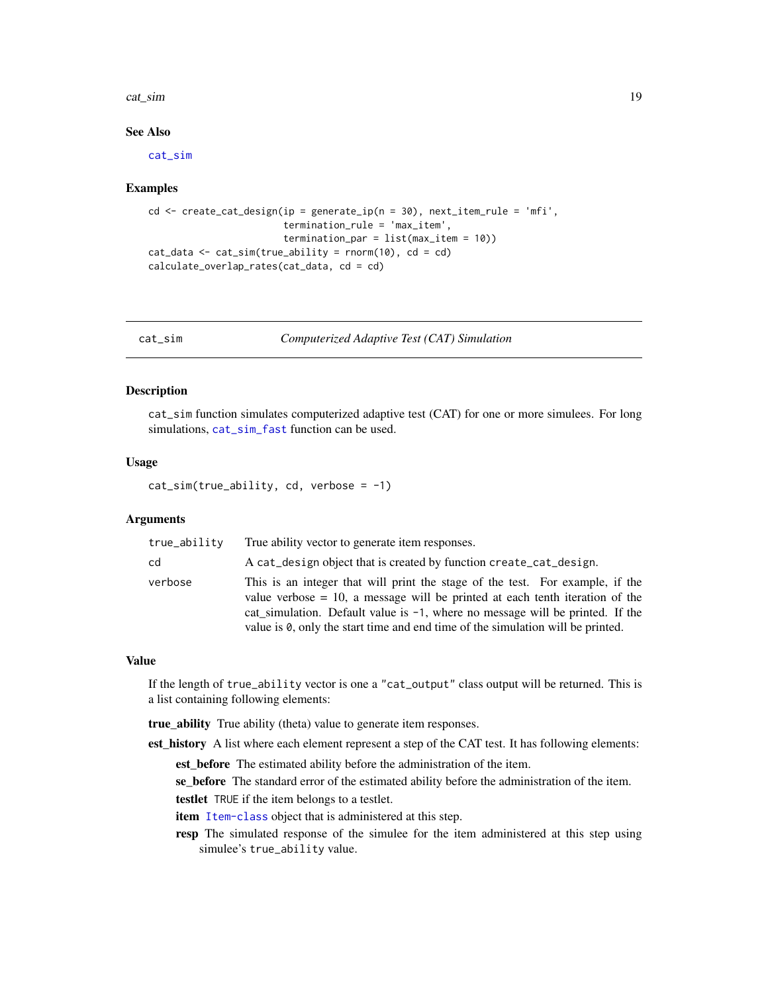#### <span id="page-18-0"></span>cat\_sim 19

## See Also

[cat\\_sim](#page-18-1)

#### Examples

```
cd \le create_cat_design(ip = generate_ip(n = 30), next_item_rule = 'mfi',
                        termination_rule = 'max_item',
                        termination_par = list(max_item = 10))
cat_data \leq cat\_sim(true\_ability = rnorm(10), cd = cd)calculate_overlap_rates(cat_data, cd = cd)
```
<span id="page-18-1"></span>cat\_sim *Computerized Adaptive Test (CAT) Simulation*

## Description

cat\_sim function simulates computerized adaptive test (CAT) for one or more simulees. For long simulations, [cat\\_sim\\_fast](#page-19-1) function can be used.

## Usage

 $cat\_sim(true\_ability, cd, verbose = -1)$ 

#### Arguments

| true_ability | True ability vector to generate item responses.                                                                                                                                                                                                                                                                                                    |
|--------------|----------------------------------------------------------------------------------------------------------------------------------------------------------------------------------------------------------------------------------------------------------------------------------------------------------------------------------------------------|
| cd           | A cat design object that is created by function create cat design.                                                                                                                                                                                                                                                                                 |
| verbose      | This is an integer that will print the stage of the test. For example, if the<br>value verbose $= 10$ , a message will be printed at each tenth iteration of the<br>cat simulation. Default value is $-1$ , where no message will be printed. If the<br>value is $\emptyset$ , only the start time and end time of the simulation will be printed. |

### Value

If the length of true\_ability vector is one a "cat\_output" class output will be returned. This is a list containing following elements:

true\_ability True ability (theta) value to generate item responses.

est\_history A list where each element represent a step of the CAT test. It has following elements:

est\_before The estimated ability before the administration of the item.

se\_before The standard error of the estimated ability before the administration of the item. testlet TRUE if the item belongs to a testlet.

item [Item-class](#page-64-1) object that is administered at this step.

resp The simulated response of the simulee for the item administered at this step using simulee's true\_ability value.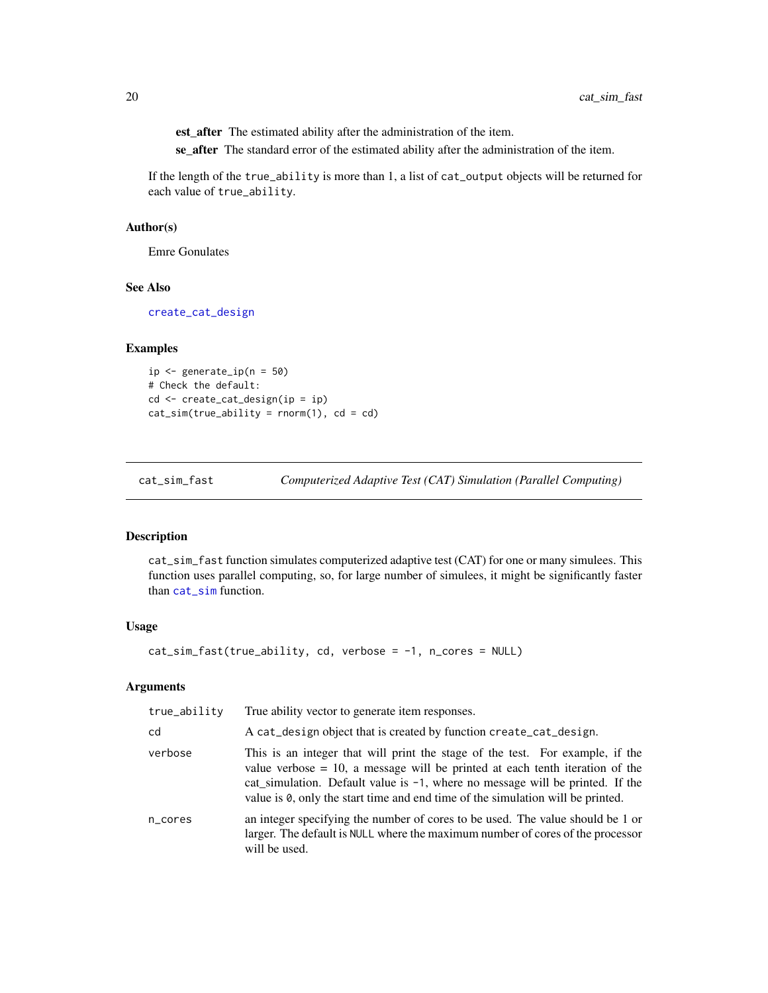<span id="page-19-0"></span>est\_after The estimated ability after the administration of the item.

se\_after The standard error of the estimated ability after the administration of the item.

If the length of the true\_ability is more than 1, a list of cat\_output objects will be returned for each value of true\_ability.

## Author(s)

Emre Gonulates

### See Also

[create\\_cat\\_design](#page-20-1)

# Examples

```
ip <- generate_ip(n = 50)
# Check the default:
cd <- create_cat_design(ip = ip)
cat\_sim(true\_ability = rnorm(1), cd = cd)
```
<span id="page-19-1"></span>cat\_sim\_fast *Computerized Adaptive Test (CAT) Simulation (Parallel Computing)*

# Description

cat\_sim\_fast function simulates computerized adaptive test (CAT) for one or many simulees. This function uses parallel computing, so, for large number of simulees, it might be significantly faster than [cat\\_sim](#page-18-1) function.

## Usage

```
cat\_sim\_fast(true\_ability, cd, verbose = -1, n\_cores = NULL)
```
#### Arguments

| true_ability | True ability vector to generate item responses.                                                                                                                                                                                                                                                                                                 |
|--------------|-------------------------------------------------------------------------------------------------------------------------------------------------------------------------------------------------------------------------------------------------------------------------------------------------------------------------------------------------|
| cd           | A cat_design object that is created by function create_cat_design.                                                                                                                                                                                                                                                                              |
| verbose      | This is an integer that will print the stage of the test. For example, if the<br>value verbose $= 10$ , a message will be printed at each tenth iteration of the<br>cat_simulation. Default value is $-1$ , where no message will be printed. If the<br>value is $\theta$ , only the start time and end time of the simulation will be printed. |
| n_cores      | an integer specifying the number of cores to be used. The value should be 1 or<br>larger. The default is NULL where the maximum number of cores of the processor<br>will be used.                                                                                                                                                               |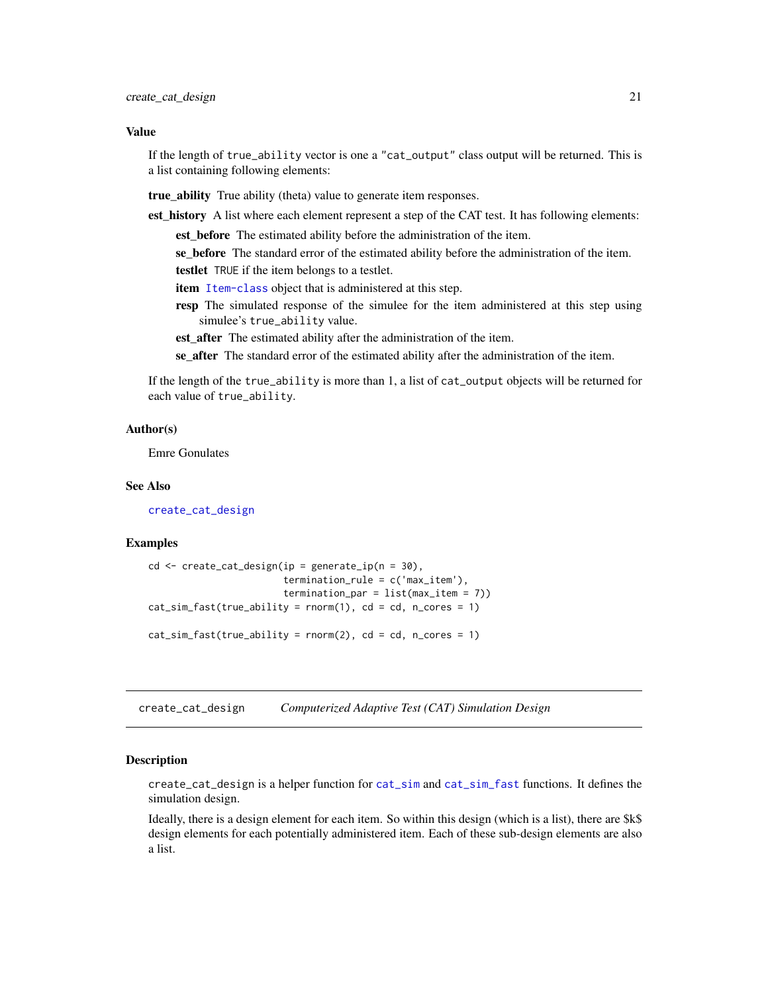#### <span id="page-20-0"></span>Value

If the length of true\_ability vector is one a "cat\_output" class output will be returned. This is a list containing following elements:

true\_ability True ability (theta) value to generate item responses.

est history A list where each element represent a step of the CAT test. It has following elements:

est before The estimated ability before the administration of the item.

se\_before The standard error of the estimated ability before the administration of the item. testlet TRUE if the item belongs to a testlet.

item [Item-class](#page-64-1) object that is administered at this step.

resp The simulated response of the simulee for the item administered at this step using simulee's true\_ability value.

est\_after The estimated ability after the administration of the item.

se\_after The standard error of the estimated ability after the administration of the item.

If the length of the true\_ability is more than 1, a list of cat\_output objects will be returned for each value of true\_ability.

#### Author(s)

Emre Gonulates

#### See Also

[create\\_cat\\_design](#page-20-1)

#### Examples

```
cd \leftarrow create\_cat\_design(ip = generate\_ip(n = 30),termination_rule = c('max_iitem'),termination_par = list(max_item = 7))
cat\_sim\_fast(true\_ability = rnorm(1), cd = cd, n\_cores = 1)cat\_sim\_fast(true\_ability = rnorm(2), cd = cd, n\_cores = 1)
```
<span id="page-20-1"></span>create\_cat\_design *Computerized Adaptive Test (CAT) Simulation Design*

#### **Description**

create\_cat\_design is a helper function for [cat\\_sim](#page-18-1) and [cat\\_sim\\_fast](#page-19-1) functions. It defines the simulation design.

Ideally, there is a design element for each item. So within this design (which is a list), there are \$k\$ design elements for each potentially administered item. Each of these sub-design elements are also a list.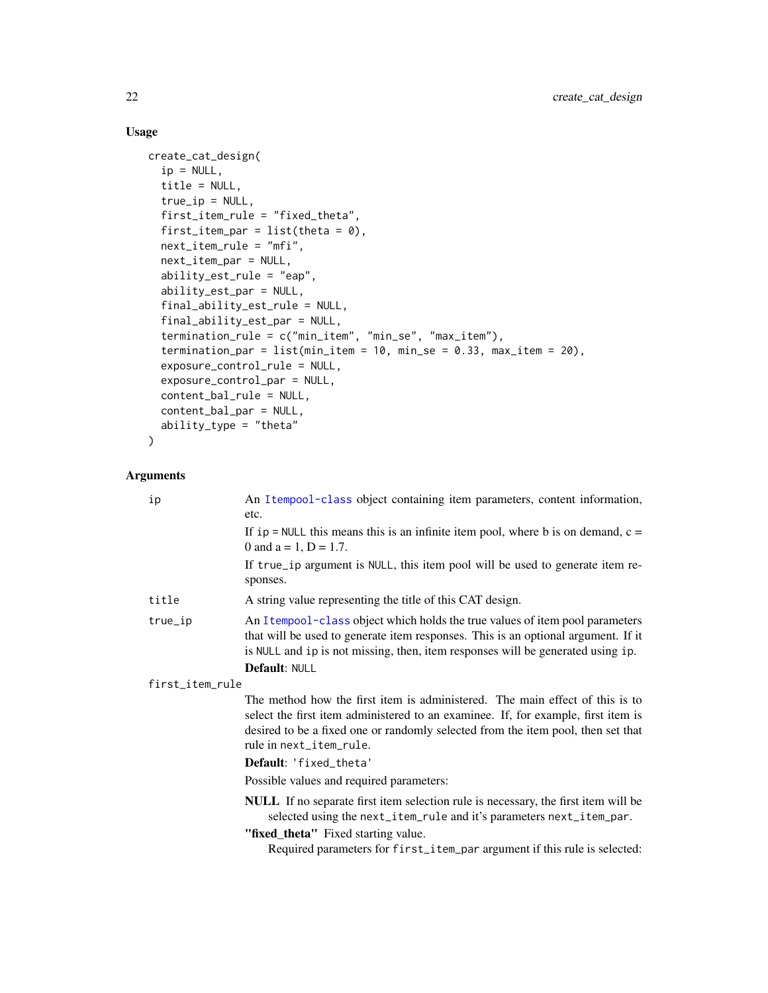# Usage

```
create_cat_design(
  ip = NULL,title = NULL,
  true<sub>-ip</sub> = NULL,
  first_item_rule = "fixed_theta",
  first_item_par = list(theta = \emptyset),
 next_item_rule = "mfi",
 next_item_par = NULL,
  ability_est_rule = "eap",
  ability_est_par = NULL,
  final_ability_est_rule = NULL,
  final_ability_est_par = NULL,
  termination_rule = c("min_item", "min_se", "max_item"),
  termination_par = list(min_item = 10, min_se = 0.33, max_item = 20),
  exposure_control_rule = NULL,
  exposure_control_par = NULL,
  content_bal_rule = NULL,
  content_bal_par = NULL,
  ability_type = "theta"
\mathcal{L}
```
# Arguments

| ip              | An Itempool-class object containing item parameters, content information,<br>etc.                                                                                                                                                                                                |  |
|-----------------|----------------------------------------------------------------------------------------------------------------------------------------------------------------------------------------------------------------------------------------------------------------------------------|--|
|                 | If ip = NULL this means this is an infinite item pool, where b is on demand, $c =$<br>0 and $a = 1$ , $D = 1.7$ .                                                                                                                                                                |  |
|                 | If true_ip argument is NULL, this item pool will be used to generate item re-<br>sponses.                                                                                                                                                                                        |  |
| title           | A string value representing the title of this CAT design.                                                                                                                                                                                                                        |  |
| true_ip         | An Itempool-class object which holds the true values of item pool parameters<br>that will be used to generate item responses. This is an optional argument. If it<br>is NULL and ip is not missing, then, item responses will be generated using ip.                             |  |
|                 | <b>Default: NULL</b>                                                                                                                                                                                                                                                             |  |
| first_item_rule |                                                                                                                                                                                                                                                                                  |  |
|                 | The method how the first item is administered. The main effect of this is to<br>select the first item administered to an examinee. If, for example, first item is<br>desired to be a fixed one or randomly selected from the item pool, then set that<br>rule in next_item_rule. |  |
|                 | Default: 'fixed_theta'                                                                                                                                                                                                                                                           |  |
|                 | Possible values and required parameters:                                                                                                                                                                                                                                         |  |
|                 | NULL If no separate first item selection rule is necessary, the first item will be<br>selected using the next_item_rule and it's parameters next_item_par.<br>"fixed_theta" Fixed starting value.                                                                                |  |
|                 | Required parameters for first_item_par argument if this rule is selected:                                                                                                                                                                                                        |  |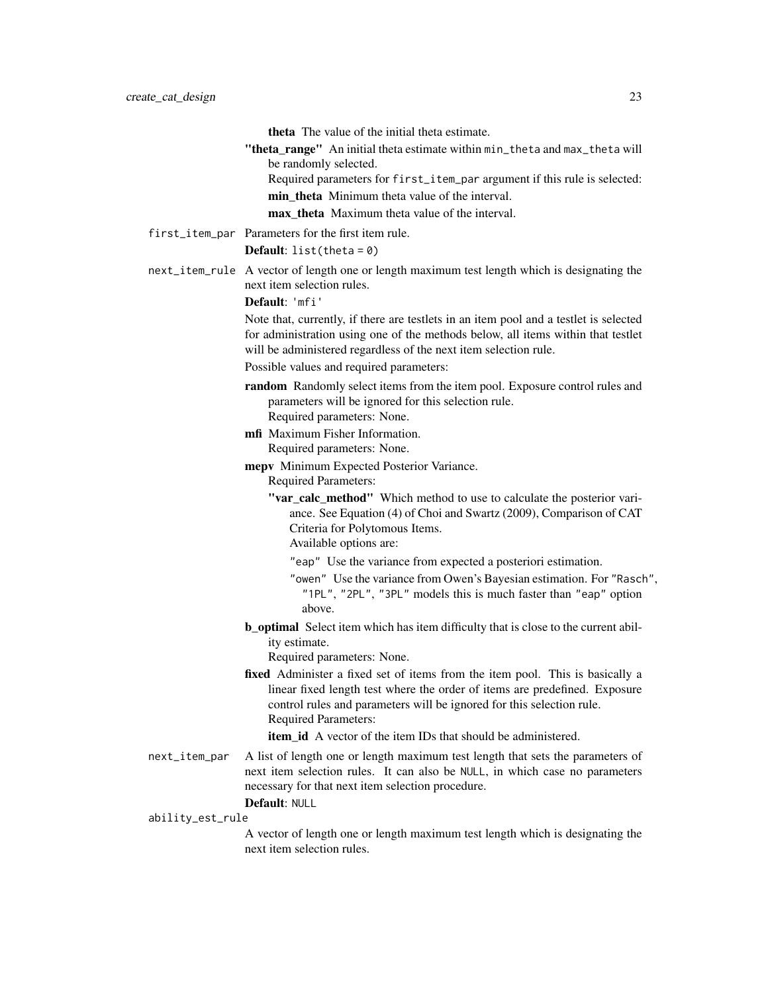|                  | <b>theta</b> The value of the initial theta estimate.                                                                                                                                                                                                        |
|------------------|--------------------------------------------------------------------------------------------------------------------------------------------------------------------------------------------------------------------------------------------------------------|
|                  | "theta_range" An initial theta estimate within min_theta and max_theta will                                                                                                                                                                                  |
|                  | be randomly selected.                                                                                                                                                                                                                                        |
|                  | Required parameters for first_item_par argument if this rule is selected:<br>min theta Minimum theta value of the interval.                                                                                                                                  |
|                  | max theta Maximum theta value of the interval.                                                                                                                                                                                                               |
|                  |                                                                                                                                                                                                                                                              |
|                  | first_item_par Parameters for the first item rule.                                                                                                                                                                                                           |
|                  | <b>Default:</b> list(theta = $0$ )                                                                                                                                                                                                                           |
|                  | next_item_rule A vector of length one or length maximum test length which is designating the<br>next item selection rules.                                                                                                                                   |
|                  | Default: 'mfi'                                                                                                                                                                                                                                               |
|                  | Note that, currently, if there are testlets in an item pool and a testlet is selected<br>for administration using one of the methods below, all items within that testlet<br>will be administered regardless of the next item selection rule.                |
|                  | Possible values and required parameters:                                                                                                                                                                                                                     |
|                  | random Randomly select items from the item pool. Exposure control rules and<br>parameters will be ignored for this selection rule.<br>Required parameters: None.                                                                                             |
|                  | mfi Maximum Fisher Information.<br>Required parameters: None.                                                                                                                                                                                                |
|                  | mepv Minimum Expected Posterior Variance.<br><b>Required Parameters:</b>                                                                                                                                                                                     |
|                  | "var_calc_method" Which method to use to calculate the posterior vari-<br>ance. See Equation (4) of Choi and Swartz (2009), Comparison of CAT<br>Criteria for Polytomous Items.                                                                              |
|                  | Available options are:                                                                                                                                                                                                                                       |
|                  | "eap" Use the variance from expected a posteriori estimation.                                                                                                                                                                                                |
|                  | "owen" Use the variance from Owen's Bayesian estimation. For "Rasch",<br>"1PL", "2PL", "3PL" models this is much faster than "eap" option<br>above.                                                                                                          |
|                  | <b>b_optimal</b> Select item which has item difficulty that is close to the current abil-<br>ity estimate.                                                                                                                                                   |
|                  | Required parameters: None.                                                                                                                                                                                                                                   |
|                  | fixed Administer a fixed set of items from the item pool. This is basically a<br>linear fixed length test where the order of items are predefined. Exposure<br>control rules and parameters will be ignored for this selection rule.<br>Required Parameters: |
|                  | <b>item id</b> A vector of the item IDs that should be administered.                                                                                                                                                                                         |
| next_item_par    | A list of length one or length maximum test length that sets the parameters of<br>next item selection rules. It can also be NULL, in which case no parameters<br>necessary for that next item selection procedure.                                           |
| ability_est_rule | Default: NULL                                                                                                                                                                                                                                                |
|                  | A vector of length one or length maximum test length which is designating the<br>next item selection rules.                                                                                                                                                  |
|                  |                                                                                                                                                                                                                                                              |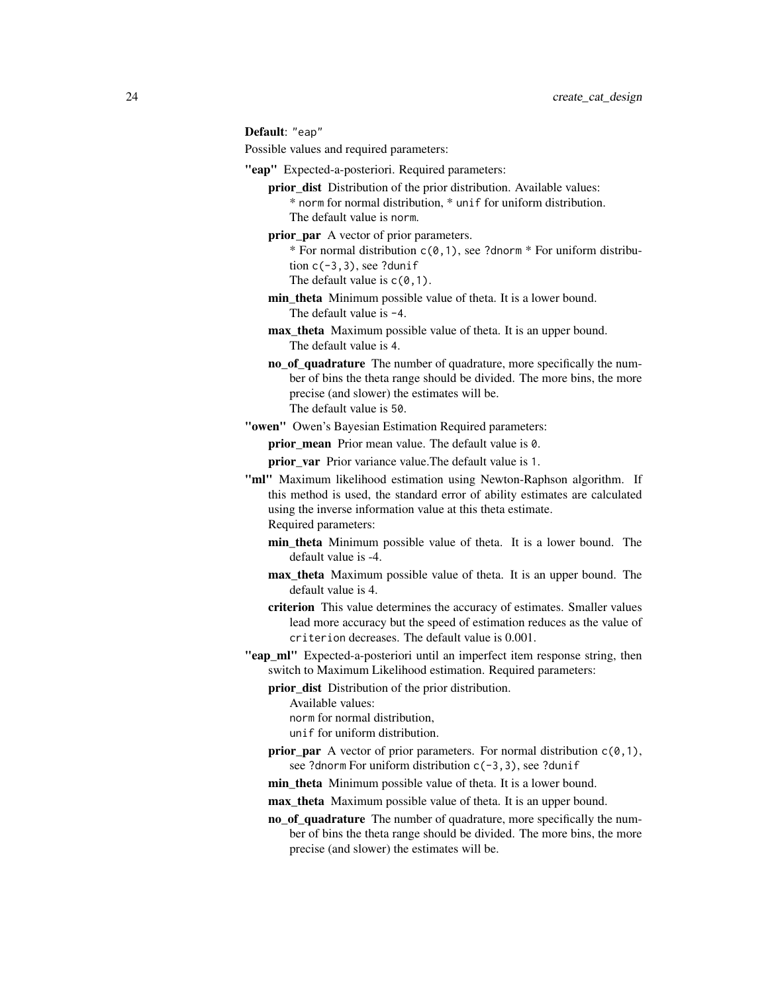Default: "eap"

Possible values and required parameters:

- "eap" Expected-a-posteriori. Required parameters:
	- prior dist Distribution of the prior distribution. Available values: \* norm for normal distribution, \* unif for uniform distribution. The default value is norm.
	- prior\_par A vector of prior parameters.
		- \* For normal distribution  $c(0,1)$ , see ?dnorm \* For uniform distribution  $c(-3,3)$ , see ?dunif
		- The default value is  $c(0,1)$ .
	- min theta Minimum possible value of theta. It is a lower bound. The default value is -4.
	- max theta Maximum possible value of theta. It is an upper bound. The default value is 4.
	- no of quadrature The number of quadrature, more specifically the number of bins the theta range should be divided. The more bins, the more precise (and slower) the estimates will be. The default value is 50.
- "owen" Owen's Bayesian Estimation Required parameters:

prior mean Prior mean value. The default value is 0.

- prior\_var Prior variance value.The default value is 1.
- "ml" Maximum likelihood estimation using Newton-Raphson algorithm. If this method is used, the standard error of ability estimates are calculated using the inverse information value at this theta estimate. Required parameters:
	- min theta Minimum possible value of theta. It is a lower bound. The default value is -4.
	- max\_theta Maximum possible value of theta. It is an upper bound. The default value is 4.
	- criterion This value determines the accuracy of estimates. Smaller values lead more accuracy but the speed of estimation reduces as the value of criterion decreases. The default value is 0.001.
- "eap\_ml" Expected-a-posteriori until an imperfect item response string, then switch to Maximum Likelihood estimation. Required parameters:
	- prior dist Distribution of the prior distribution.

Available values:

- norm for normal distribution,
- unif for uniform distribution.
- **prior\_par** A vector of prior parameters. For normal distribution  $c(0,1)$ , see ?dnorm For uniform distribution c(-3,3), see ?dunif
- min theta Minimum possible value of theta. It is a lower bound.
- max\_theta Maximum possible value of theta. It is an upper bound.
- no\_of\_quadrature The number of quadrature, more specifically the number of bins the theta range should be divided. The more bins, the more precise (and slower) the estimates will be.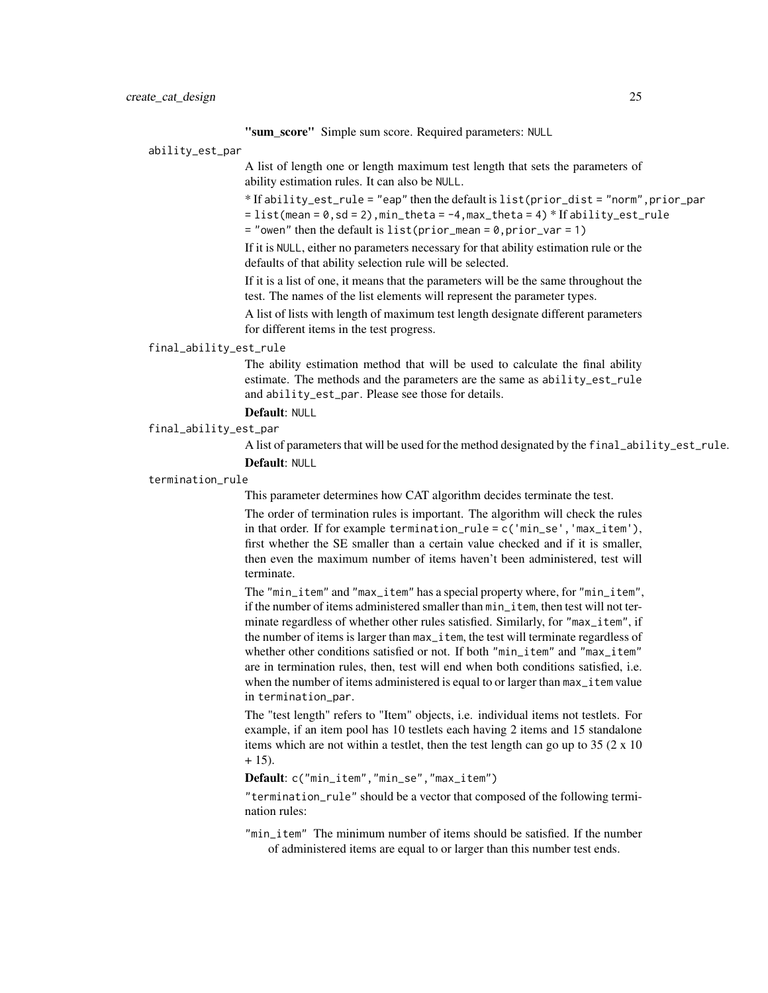"sum\_score" Simple sum score. Required parameters: NULL

ability\_est\_par

A list of length one or length maximum test length that sets the parameters of ability estimation rules. It can also be NULL.

\* If ability\_est\_rule = "eap" then the default is list(prior\_dist = "norm",prior\_par

 $=$  list(mean =  $0$ , sd =  $2$ ), min\_theta =  $-4$ , max\_theta =  $4$ )  $*$  If ability\_est\_rule

 $=$  "owen" then the default is list(prior\_mean = 0,prior\_var = 1)

If it is NULL, either no parameters necessary for that ability estimation rule or the defaults of that ability selection rule will be selected.

If it is a list of one, it means that the parameters will be the same throughout the test. The names of the list elements will represent the parameter types.

A list of lists with length of maximum test length designate different parameters for different items in the test progress.

#### final\_ability\_est\_rule

The ability estimation method that will be used to calculate the final ability estimate. The methods and the parameters are the same as ability\_est\_rule and ability\_est\_par. Please see those for details.

# Default: NULL

final\_ability\_est\_par

A list of parameters that will be used for the method designated by the final\_ability\_est\_rule. Default: NULL

#### termination\_rule

This parameter determines how CAT algorithm decides terminate the test.

The order of termination rules is important. The algorithm will check the rules in that order. If for example termination\_rule = c('min\_se','max\_item'), first whether the SE smaller than a certain value checked and if it is smaller, then even the maximum number of items haven't been administered, test will terminate.

The "min\_item" and "max\_item" has a special property where, for "min\_item", if the number of items administered smaller than min\_item, then test will not terminate regardless of whether other rules satisfied. Similarly, for "max\_item", if the number of items is larger than max\_item, the test will terminate regardless of whether other conditions satisfied or not. If both "min\_item" and "max\_item" are in termination rules, then, test will end when both conditions satisfied, i.e. when the number of items administered is equal to or larger than  $max$ <sub>item</sub> value in termination\_par.

The "test length" refers to "Item" objects, i.e. individual items not testlets. For example, if an item pool has 10 testlets each having 2 items and 15 standalone items which are not within a testlet, then the test length can go up to 35 (2 x 10  $+ 15$ ).

Default: c("min\_item","min\_se","max\_item")

"termination\_rule" should be a vector that composed of the following termination rules:

"min\_item" The minimum number of items should be satisfied. If the number of administered items are equal to or larger than this number test ends.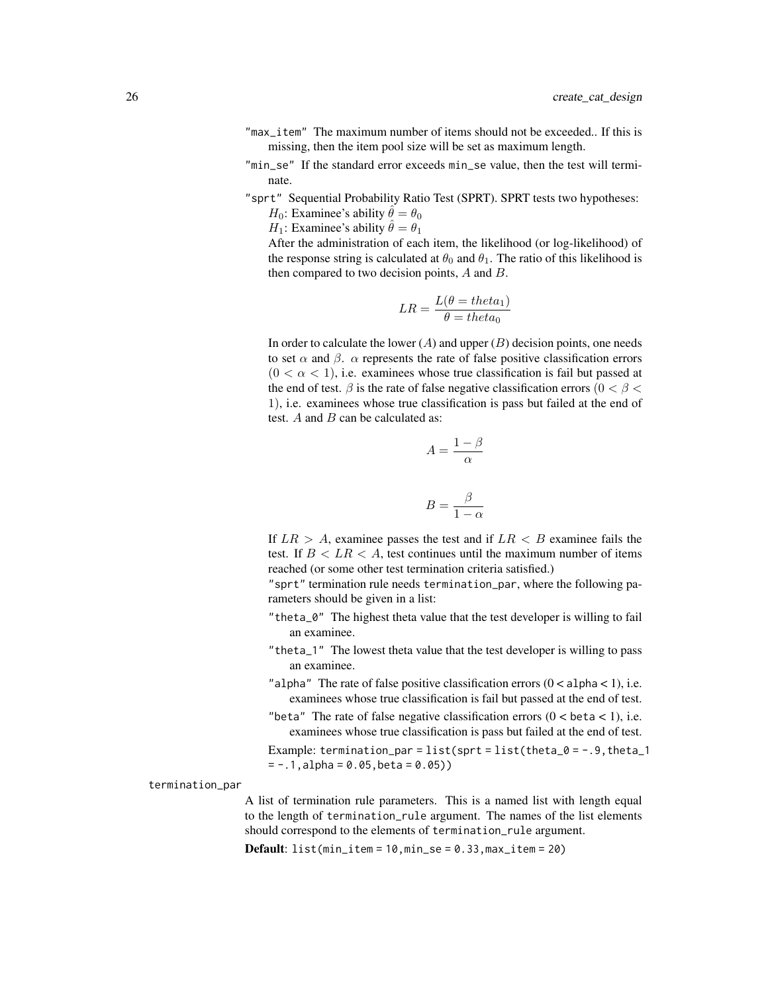- "max\_item" The maximum number of items should not be exceeded.. If this is missing, then the item pool size will be set as maximum length.
- "min\_se" If the standard error exceeds min\_se value, then the test will terminate.
- "sprt" Sequential Probability Ratio Test (SPRT). SPRT tests two hypotheses:

 $H_0$ : Examinee's ability  $\hat{\theta} = \theta_0$ 

 $H_1$ : Examinee's ability  $\hat{\theta} = \theta_1$ 

After the administration of each item, the likelihood (or log-likelihood) of the response string is calculated at  $\theta_0$  and  $\theta_1$ . The ratio of this likelihood is then compared to two decision points, A and B.

$$
LR = \frac{L(\theta = theta_1)}{\theta = theta_0}
$$

In order to calculate the lower  $(A)$  and upper  $(B)$  decision points, one needs to set  $\alpha$  and  $\beta$ .  $\alpha$  represents the rate of false positive classification errors  $(0 < \alpha < 1)$ , i.e. examinees whose true classification is fail but passed at the end of test.  $\beta$  is the rate of false negative classification errors ( $0 < \beta <$ 1), i.e. examinees whose true classification is pass but failed at the end of test.  $A$  and  $B$  can be calculated as:

$$
A = \frac{1 - \beta}{\alpha}
$$

$$
B = \frac{\beta}{1 - \alpha}
$$

If  $LR > A$ , examinee passes the test and if  $LR < B$  examinee fails the test. If  $B < LR < A$ , test continues until the maximum number of items reached (or some other test termination criteria satisfied.)

"sprt" termination rule needs termination\_par, where the following parameters should be given in a list:

- "theta\_0" The highest theta value that the test developer is willing to fail an examinee.
- "theta\_1" The lowest theta value that the test developer is willing to pass an examinee.
- "alpha" The rate of false positive classification errors  $(0 < a$ lpha $< 1$ ), i.e. examinees whose true classification is fail but passed at the end of test.
- "beta" The rate of false negative classification errors  $(0 < \beta < 1)$ , i.e. examinees whose true classification is pass but failed at the end of test.

Example: termination\_par = list(sprt = list(theta\_0 =  $-$ .9, theta\_1  $= -.1$ , alpha = 0.05, beta = 0.05))

termination\_par

A list of termination rule parameters. This is a named list with length equal to the length of termination\_rule argument. The names of the list elements should correspond to the elements of termination\_rule argument.

 $Default: list(min_time = 10, min\_se = 0.33, max\_item = 20)$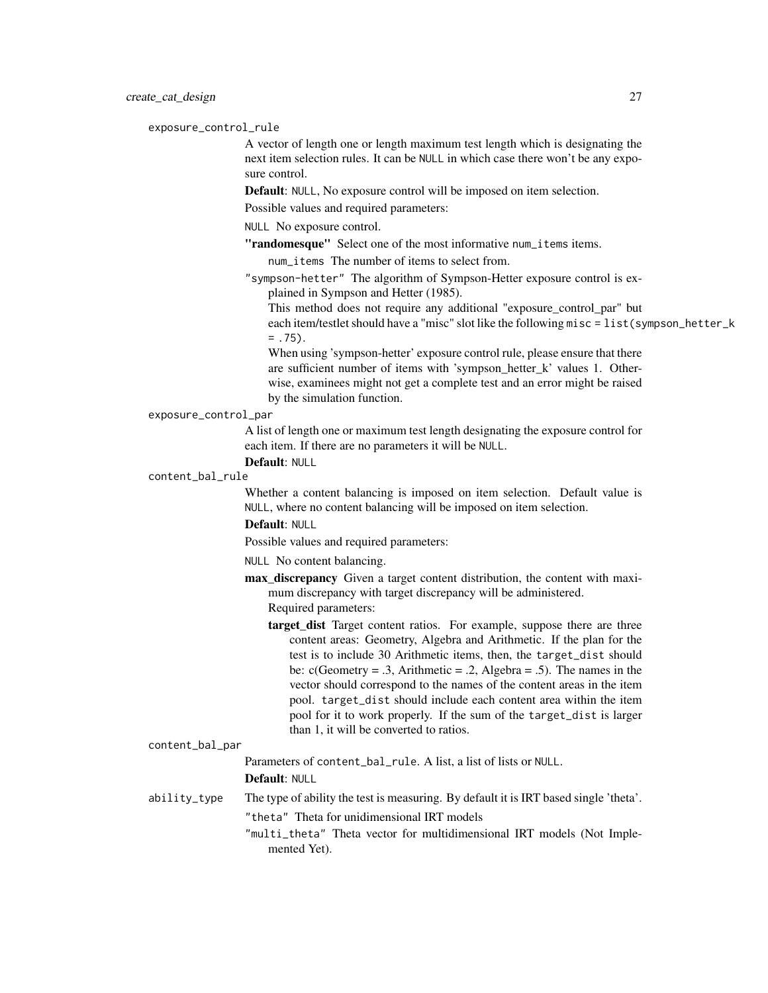#### exposure\_control\_rule

A vector of length one or length maximum test length which is designating the next item selection rules. It can be NULL in which case there won't be any exposure control.

Default: NULL, No exposure control will be imposed on item selection.

Possible values and required parameters:

NULL No exposure control.

"randomesque" Select one of the most informative num\_items items.

num\_items The number of items to select from.

"sympson-hetter" The algorithm of Sympson-Hetter exposure control is explained in Sympson and Hetter (1985).

This method does not require any additional "exposure\_control\_par" but each item/testlet should have a "misc" slot like the following misc = list(sympson\_hetter\_k  $= .75$ ).

When using 'sympson-hetter' exposure control rule, please ensure that there are sufficient number of items with 'sympson\_hetter\_k' values 1. Otherwise, examinees might not get a complete test and an error might be raised by the simulation function.

#### exposure\_control\_par

A list of length one or maximum test length designating the exposure control for each item. If there are no parameters it will be NULL.

# Default: NULL

# content\_bal\_rule

Whether a content balancing is imposed on item selection. Default value is NULL, where no content balancing will be imposed on item selection.

## Default: NULL

Possible values and required parameters:

NULL No content balancing.

- max\_discrepancy Given a target content distribution, the content with maximum discrepancy with target discrepancy will be administered. Required parameters:
	- **target dist** Target content ratios. For example, suppose there are three content areas: Geometry, Algebra and Arithmetic. If the plan for the test is to include 30 Arithmetic items, then, the target\_dist should be:  $c(Geometry = .3, Arithmetic = .2, Algebra = .5)$ . The names in the vector should correspond to the names of the content areas in the item pool. target\_dist should include each content area within the item pool for it to work properly. If the sum of the target\_dist is larger than 1, it will be converted to ratios.

#### content\_bal\_par

Parameters of content bal rule. A list, a list of lists or NULL. Default: NULL

ability\_type The type of ability the test is measuring. By default it is IRT based single 'theta'. "theta" Theta for unidimensional IRT models

> "multi\_theta" Theta vector for multidimensional IRT models (Not Implemented Yet).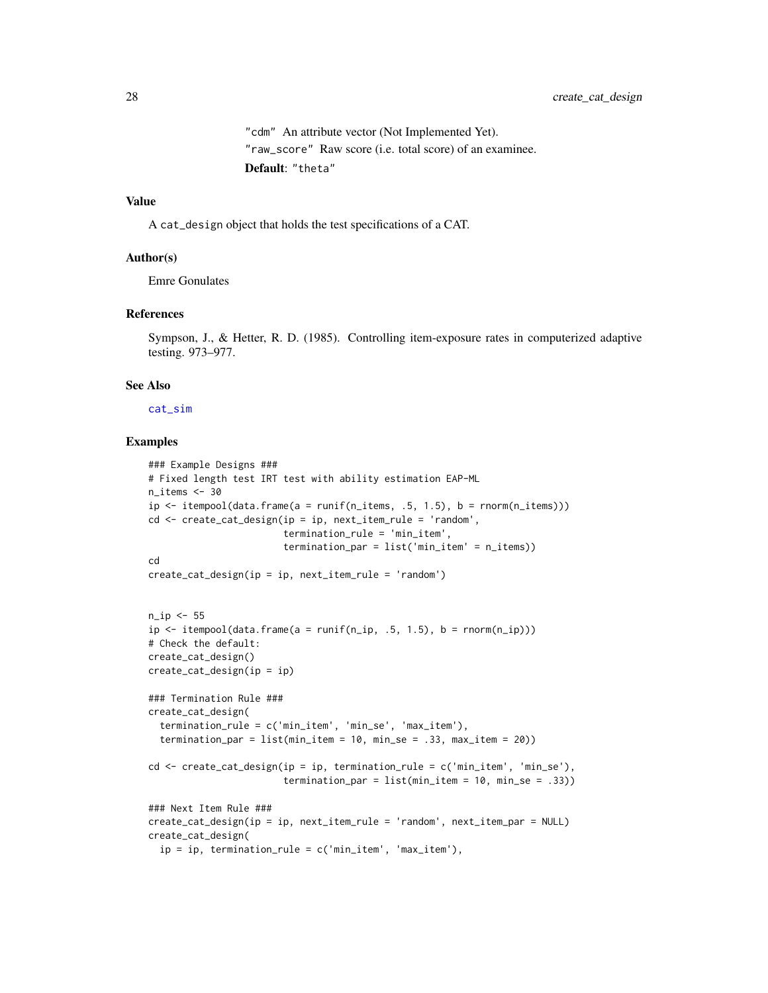"cdm" An attribute vector (Not Implemented Yet). "raw\_score" Raw score (i.e. total score) of an examinee. Default: "theta"

# Value

A cat\_design object that holds the test specifications of a CAT.

#### Author(s)

Emre Gonulates

#### References

Sympson, J., & Hetter, R. D. (1985). Controlling item-exposure rates in computerized adaptive testing. 973–977.

## See Also

[cat\\_sim](#page-18-1)

## Examples

```
### Example Designs ###
# Fixed length test IRT test with ability estimation EAP-ML
n_items \leq -30ip \le itempool(data.frame(a = runif(n_items, .5, 1.5), b = rnorm(n_items)))
cd \leftarrow \text{create\_cat\_design}(ip = ip, next\_item\_rule = 'random',termination_rule = 'min_item',
                         termination_par = list('min_item' = n_items))
cd
create_cat_design(ip = ip, next_item_rule = 'random')
n_ip <- 55
ip \le itempool(data.frame(a = runif(n_ip, .5, 1.5), b = rnorm(n_ip)))
# Check the default:
create_cat_design()
create_cat_design(ip = ip)
### Termination Rule ###
create_cat_design(
  termination_rule = c('min_item', 'min_se', 'max_item'),
  termination_par = list(min_time = 10, min_se = .33, max_time = 20))cd \le create_cat_design(ip = ip, termination_rule = c('min_item', 'min_se'),
                         termination\_par = list(min\_item = 10, min\_se = .33))### Next Item Rule ###
create_cat_design(ip = ip, next_item_rule = 'random', next_item_par = NULL)
create_cat_design(
  ip = ip, termination_rule = c('min\_item', 'max\_item'),
```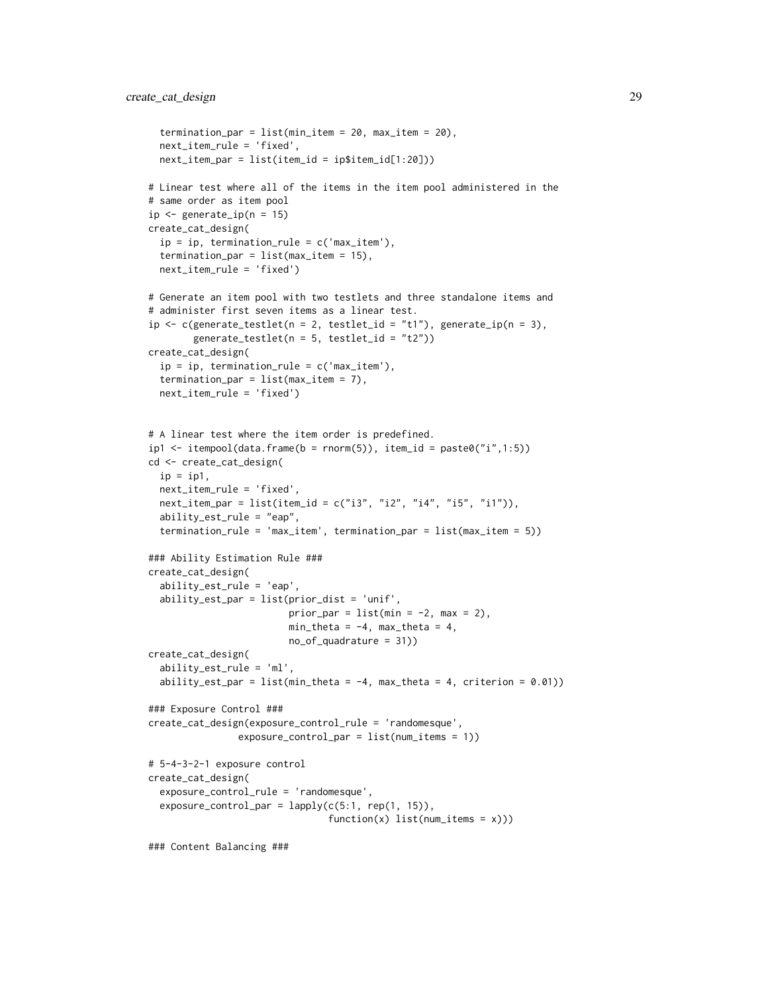```
termination_par = list(min_item = 20, max_item = 20),
  next_item_rule = 'fixed',
  next_item_par = list(item_id = ip$item_id[1:20]))
# Linear test where all of the items in the item pool administered in the
# same order as item pool
ip \leq generate_ip(n = 15)
create_cat_design(
  ip = ip, termination_rule = c('max_i.1em'),termination_par = list(max_item = 15),
  next_item_rule = 'fixed')
# Generate an item pool with two testlets and three standalone items and
# administer first seven items as a linear test.
ip \leq c(generate_testlet(n = 2, testlet_id = "t1"), generate_ip(n = 3),
        generate_testlet(n = 5, testlet_id = "t2"))
create_cat_design(
  ip = ip, termination_rule = c('max_item'),termination_par = list(max_item = 7),
  next_item_rule = 'fixed')
# A linear test where the item order is predefined.
ip1 \le itempool(data.frame(b = rnorm(5)), item_id = paste0("i",1:5))
cd <- create_cat_design(
  ip = ip1,
  next_item_rule = 'fixed',
  next\_item\_par = list(item\_id = c("i3", "i2", "i4", "i5", "i1")),
  ability_est_rule = "eap",
  termination_rule = 'max_item', termination_par = list(max_item = 5))
### Ability Estimation Rule ###
create_cat_design(
  ability_est_rule = 'eap',
  ability_est_par = list(prior_dist = 'unif',
                         prior_par = list(min = -2, max = 2),
                         min_{\text{th}} = -4, max_{\text{th}} = 4,
                         no_of_quadrature = 31))
create_cat_design(
  ability_est_rule = 'ml',
  ability_est_par = list(min_theta = -4, max_theta = 4, criterion = 0.01))
### Exposure Control ###
create_cat_design(exposure_control_rule = 'randomesque',
                exposure_control_par = list(num_items = 1))
# 5-4-3-2-1 exposure control
create_cat_design(
  exposure_control_rule = 'randomesque',
  exposure_countrol-par = lapply(c(5:1, rep(1, 15)),function(x) list(num\_items = x))### Content Balancing ###
```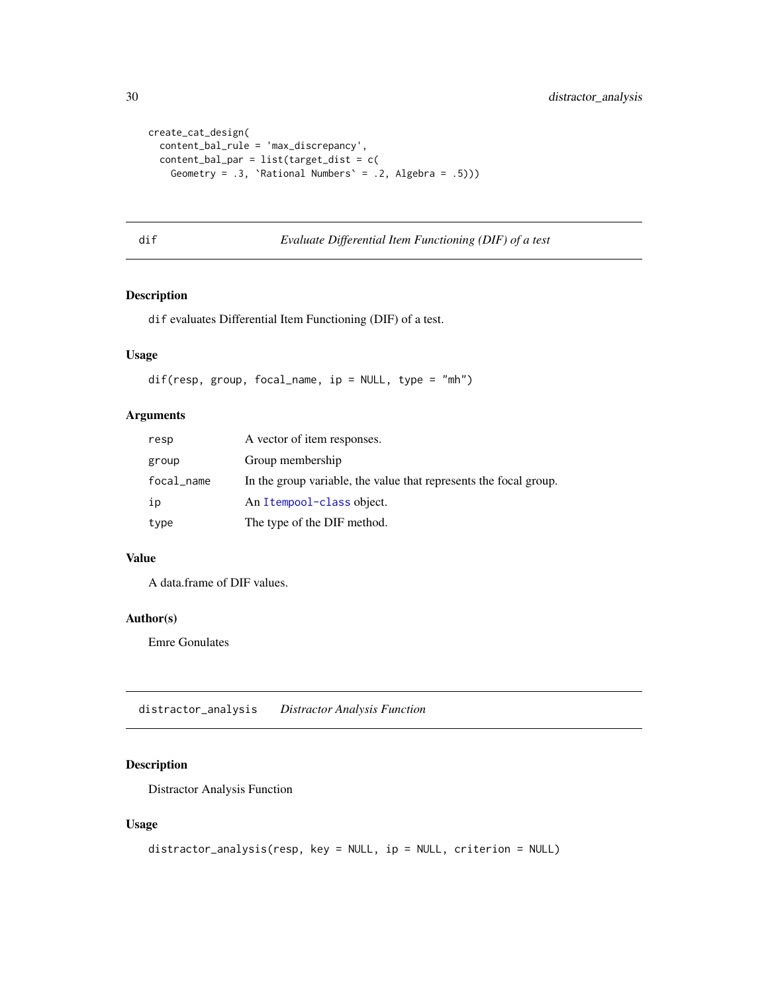```
create_cat_design(
  content_bal_rule = 'max_discrepancy',
  content_bal_par = list(target_dist = c(
   Geometry = .3, 'Rational Numbers' = .2, Algebra = .5)))
```
# dif *Evaluate Differential Item Functioning (DIF) of a test*

# Description

dif evaluates Differential Item Functioning (DIF) of a test.

# Usage

dif(resp, group, focal\_name, ip = NULL, type = "mh")

## Arguments

| resp       | A vector of item responses.                                       |
|------------|-------------------------------------------------------------------|
| group      | Group membership                                                  |
| focal_name | In the group variable, the value that represents the focal group. |
| ip         | An Itempool-class object.                                         |
| type       | The type of the DIF method.                                       |

# Value

A data.frame of DIF values.

#### Author(s)

Emre Gonulates

distractor\_analysis *Distractor Analysis Function*

# Description

Distractor Analysis Function

#### Usage

```
distractor_analysis(resp, key = NULL, ip = NULL, criterion = NULL)
```
<span id="page-29-0"></span>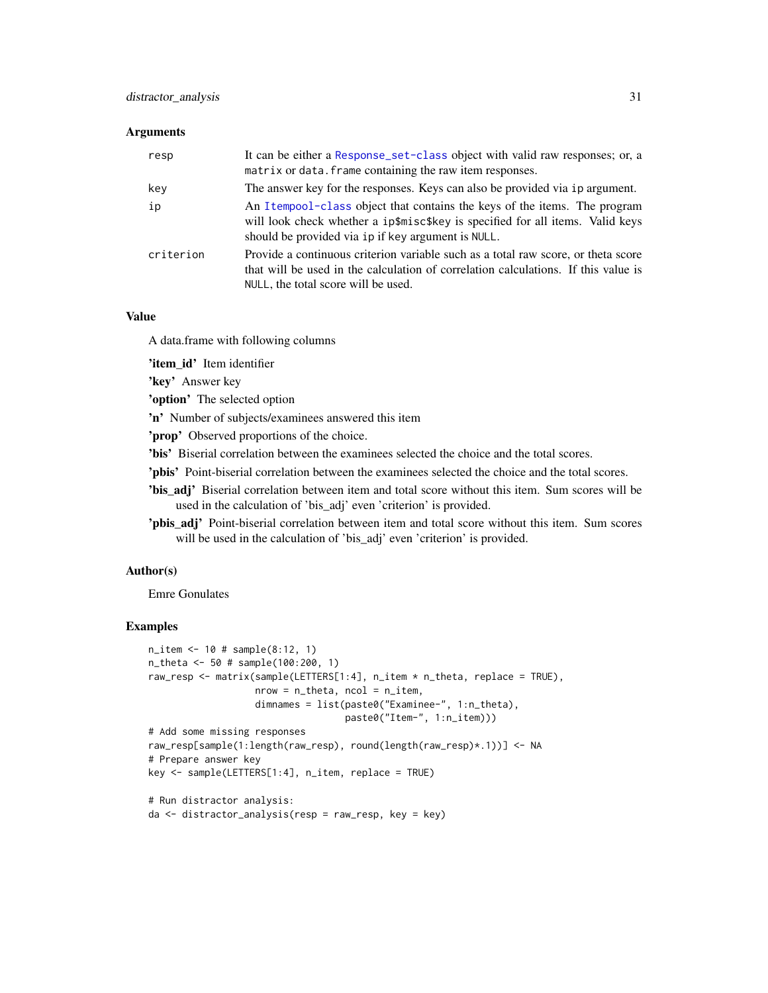#### **Arguments**

| resp      | It can be either a Response_set-class object with valid raw responses; or, a<br>matrix or data. frame containing the raw item responses.                                                                          |
|-----------|-------------------------------------------------------------------------------------------------------------------------------------------------------------------------------------------------------------------|
| key       | The answer key for the responses. Keys can also be provided via ip argument.                                                                                                                                      |
| ip        | An Itempool-class object that contains the keys of the items. The program<br>will look check whether a ip\$misc\$key is specified for all items. Valid keys<br>should be provided via ip if key argument is NULL. |
| criterion | Provide a continuous criterion variable such as a total raw score, or theta score<br>that will be used in the calculation of correlation calculations. If this value is<br>NULL, the total score will be used.    |

## Value

A data.frame with following columns

'item\_id' Item identifier

'key' Answer key

'option' The selected option

'n' Number of subjects/examinees answered this item

'prop' Observed proportions of the choice.

'bis' Biserial correlation between the examinees selected the choice and the total scores.

- 'pbis' Point-biserial correlation between the examinees selected the choice and the total scores.
- 'bis\_adj' Biserial correlation between item and total score without this item. Sum scores will be used in the calculation of 'bis\_adj' even 'criterion' is provided.
- 'pbis\_adj' Point-biserial correlation between item and total score without this item. Sum scores will be used in the calculation of 'bis\_adj' even 'criterion' is provided.

## Author(s)

Emre Gonulates

## Examples

```
n_item <- 10 # sample(8:12, 1)
n_theta <- 50 # sample(100:200, 1)
raw_resp <- matrix(sample(LETTERS[1:4], n_item * n_theta, replace = TRUE),
                   nrow = n_{theta}, ncol = n_{th}dimnames = list(paste0("Examinee-", 1:n_theta),
                                   paste0("Item-", 1:n_item)))
# Add some missing responses
raw_resp[sample(1:length(raw_resp), round(length(raw_resp)*.1))] <- NA
# Prepare answer key
key <- sample(LETTERS[1:4], n_item, replace = TRUE)
# Run distractor analysis:
da <- distractor_analysis(resp = raw_resp, key = key)
```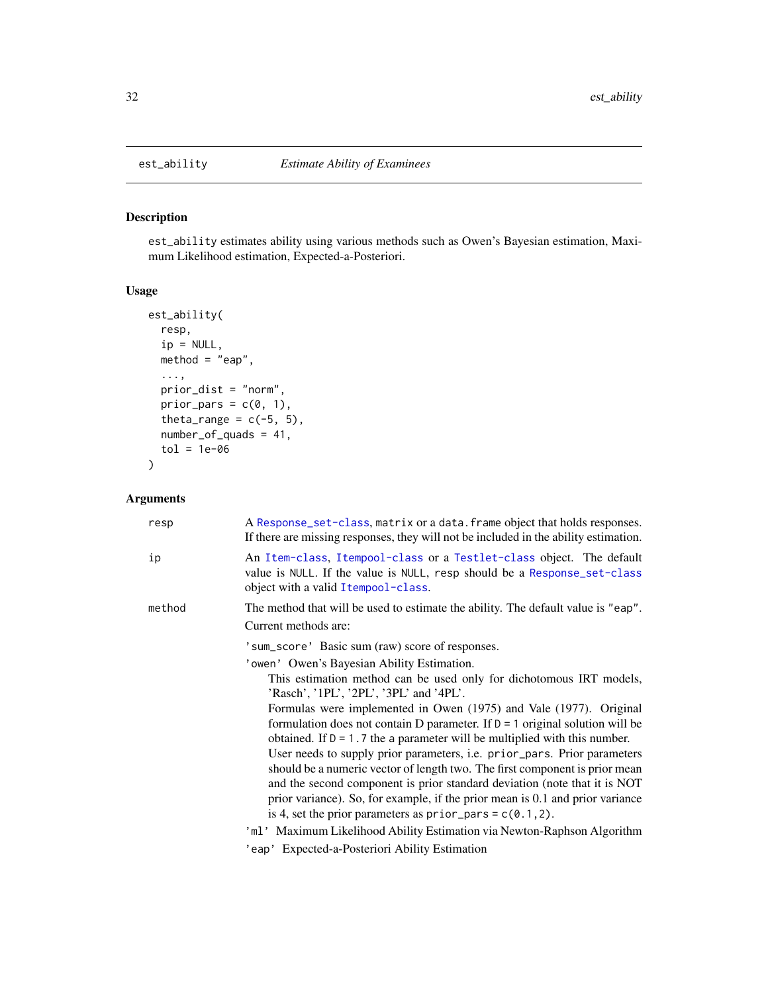est\_ability estimates ability using various methods such as Owen's Bayesian estimation, Maximum Likelihood estimation, Expected-a-Posteriori.

# Usage

```
est_ability(
  resp,
  ip = NULL,method = "eap",...,
  prior_dist = "norm",
  prior_pars = c(\emptyset, 1),
  theta_range = c(-5, 5),
  number_of_quads = 41,
  tol = 1e-06)
```
# Arguments

| resp   | A Response_set-class, matrix or a data. frame object that holds responses.<br>If there are missing responses, they will not be included in the ability estimation.                       |
|--------|------------------------------------------------------------------------------------------------------------------------------------------------------------------------------------------|
| ip     | An Item-class, Itempool-class or a Testlet-class object. The default<br>value is NULL. If the value is NULL, resp should be a Response_set-class<br>object with a valid I tempool-class. |
| method | The method that will be used to estimate the ability. The default value is "eap".                                                                                                        |
|        | Current methods are:                                                                                                                                                                     |
|        | 'sum_score' Basic sum (raw) score of responses.                                                                                                                                          |
|        | 'owen' Owen's Bayesian Ability Estimation.                                                                                                                                               |
|        | This estimation method can be used only for dichotomous IRT models,<br>'Rasch', '1PL', '2PL', '3PL' and '4PL'.                                                                           |
|        | Formulas were implemented in Owen (1975) and Vale (1977). Original                                                                                                                       |
|        | formulation does not contain D parameter. If $D = 1$ original solution will be                                                                                                           |
|        | obtained. If $D = 1.7$ the a parameter will be multiplied with this number.                                                                                                              |
|        | User needs to supply prior parameters, <i>i.e.</i> prior_pars. Prior parameters                                                                                                          |
|        | should be a numeric vector of length two. The first component is prior mean<br>and the second component is prior standard deviation (note that it is NOT                                 |
|        | prior variance). So, for example, if the prior mean is 0.1 and prior variance                                                                                                            |
|        | is 4, set the prior parameters as $prior\_pars = c(0.1, 2)$ .                                                                                                                            |
|        | 'ml' Maximum Likelihood Ability Estimation via Newton-Raphson Algorithm                                                                                                                  |
|        | 'eap' Expected-a-Posteriori Ability Estimation                                                                                                                                           |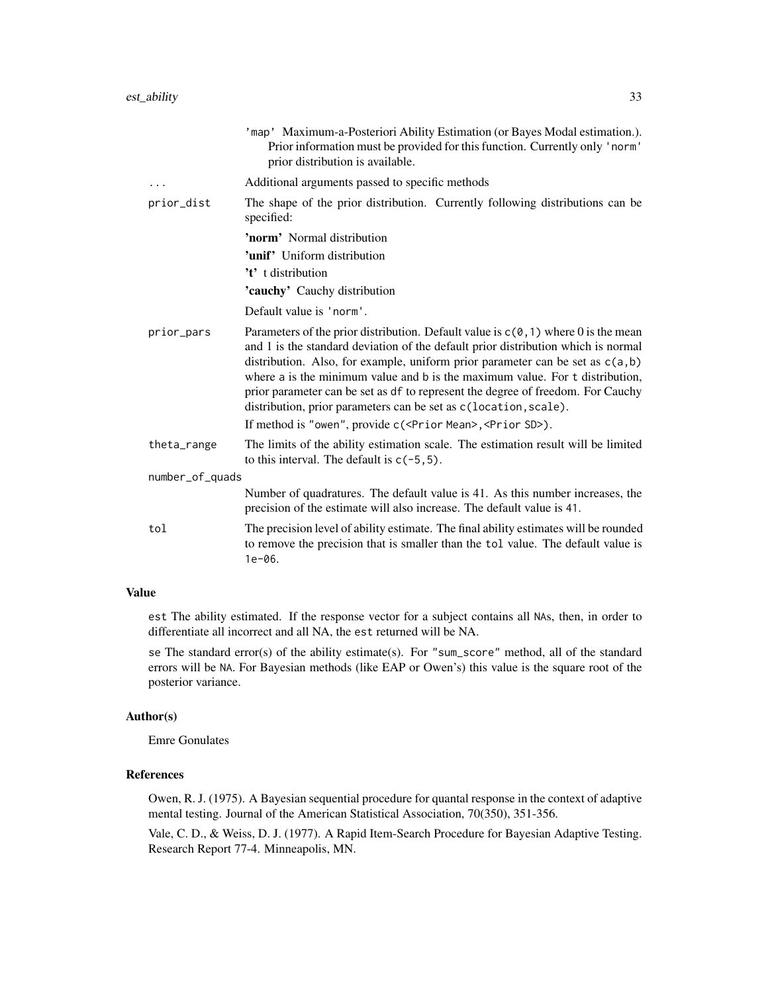|                 | 'map' Maximum-a-Posteriori Ability Estimation (or Bayes Modal estimation.).<br>Prior information must be provided for this function. Currently only 'norm'<br>prior distribution is available.                                                                                                                                                                                                                                                                                                                                                                                               |
|-----------------|----------------------------------------------------------------------------------------------------------------------------------------------------------------------------------------------------------------------------------------------------------------------------------------------------------------------------------------------------------------------------------------------------------------------------------------------------------------------------------------------------------------------------------------------------------------------------------------------|
| .               | Additional arguments passed to specific methods                                                                                                                                                                                                                                                                                                                                                                                                                                                                                                                                              |
| prior_dist      | The shape of the prior distribution. Currently following distributions can be<br>specified:                                                                                                                                                                                                                                                                                                                                                                                                                                                                                                  |
|                 | 'norm' Normal distribution                                                                                                                                                                                                                                                                                                                                                                                                                                                                                                                                                                   |
|                 | <b>'unif'</b> Uniform distribution                                                                                                                                                                                                                                                                                                                                                                                                                                                                                                                                                           |
|                 | 't' t distribution                                                                                                                                                                                                                                                                                                                                                                                                                                                                                                                                                                           |
|                 | <b>'cauchy'</b> Cauchy distribution                                                                                                                                                                                                                                                                                                                                                                                                                                                                                                                                                          |
|                 | Default value is 'norm'.                                                                                                                                                                                                                                                                                                                                                                                                                                                                                                                                                                     |
| prior_pars      | Parameters of the prior distribution. Default value is $c(\theta, 1)$ where 0 is the mean<br>and 1 is the standard deviation of the default prior distribution which is normal<br>distribution. Also, for example, uniform prior parameter can be set as $c(a,b)$<br>where a is the minimum value and b is the maximum value. For t distribution,<br>prior parameter can be set as df to represent the degree of freedom. For Cauchy<br>distribution, prior parameters can be set as c(location, scale).<br>If method is "owen", provide c( <prior mean="">, <prior sd="">).</prior></prior> |
| theta_range     | The limits of the ability estimation scale. The estimation result will be limited<br>to this interval. The default is $c(-5, 5)$ .                                                                                                                                                                                                                                                                                                                                                                                                                                                           |
| number_of_quads |                                                                                                                                                                                                                                                                                                                                                                                                                                                                                                                                                                                              |
|                 | Number of quadratures. The default value is 41. As this number increases, the<br>precision of the estimate will also increase. The default value is 41.                                                                                                                                                                                                                                                                                                                                                                                                                                      |
| tol             | The precision level of ability estimate. The final ability estimates will be rounded<br>to remove the precision that is smaller than the tol value. The default value is<br>$1e-06.$                                                                                                                                                                                                                                                                                                                                                                                                         |

# Value

est The ability estimated. If the response vector for a subject contains all NAs, then, in order to differentiate all incorrect and all NA, the est returned will be NA.

se The standard error(s) of the ability estimate(s). For "sum\_score" method, all of the standard errors will be NA. For Bayesian methods (like EAP or Owen's) this value is the square root of the posterior variance.

# Author(s)

Emre Gonulates

# References

Owen, R. J. (1975). A Bayesian sequential procedure for quantal response in the context of adaptive mental testing. Journal of the American Statistical Association, 70(350), 351-356.

Vale, C. D., & Weiss, D. J. (1977). A Rapid Item-Search Procedure for Bayesian Adaptive Testing. Research Report 77-4. Minneapolis, MN.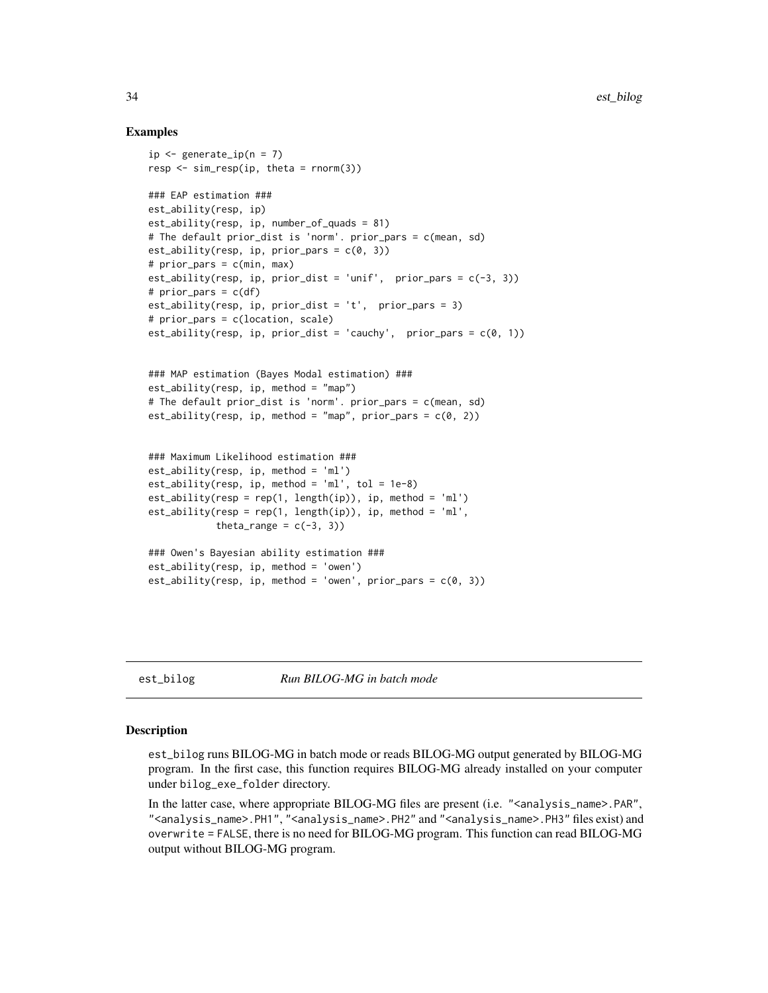#### Examples

```
ip \leq generate_ip(n = 7)
resp \leq sim_resp(ip, theta = rnorm(3))
### EAP estimation ###
est_ability(resp, ip)
est_ability(resp, ip, number_of_quads = 81)
# The default prior_dist is 'norm'. prior_pars = c(mean, sd)
est_ability(resp, ip, prior_pars = c(\theta, 3))
# prior_pars = c(min, max)
est_ability(resp, ip, prior_dist = 'unif', prior_pars = c(-3, 3))
# prior\_pars = c(df)est_ability(resp, ip, prior_dist = 't', prior_pars = 3)
# prior_pars = c(location, scale)
est_ability(resp, ip, prior_dist = 'cauchy', prior_pars = c(0, 1))
### MAP estimation (Bayes Modal estimation) ###
est\_ability(resp, ip, method = "map")# The default prior_dist is 'norm'. prior_pars = c(mean, sd)
est\_ability(resp, ip, method = "map", prior\_pars = c(0, 2))### Maximum Likelihood estimation ###
est_ability(resp, ip, method = 'ml')
est\_ability(resp, ip, method = 'ml', tol = 1e-8)est\_ability(resp = rep(1, length(ip)), ip, method = 'ml')est\_ability(resp = rep(1, length(ip)), ip, method = 'ml',theta_range = c(-3, 3))
### Owen's Bayesian ability estimation ###
est_ability(resp, ip, method = 'owen')
est\_ability(resp, ip, method = 'own', prior\_pars = c(0, 3))
```
est\_bilog *Run BILOG-MG in batch mode*

#### **Description**

est\_bilog runs BILOG-MG in batch mode or reads BILOG-MG output generated by BILOG-MG program. In the first case, this function requires BILOG-MG already installed on your computer under bilog\_exe\_folder directory.

In the latter case, where appropriate BILOG-MG files are present (i.e. "<analysis\_name>.PAR", "<analysis\_name>.PH1", "<analysis\_name>.PH2" and "<analysis\_name>.PH3" files exist) and overwrite = FALSE, there is no need for BILOG-MG program. This function can read BILOG-MG output without BILOG-MG program.

<span id="page-33-0"></span>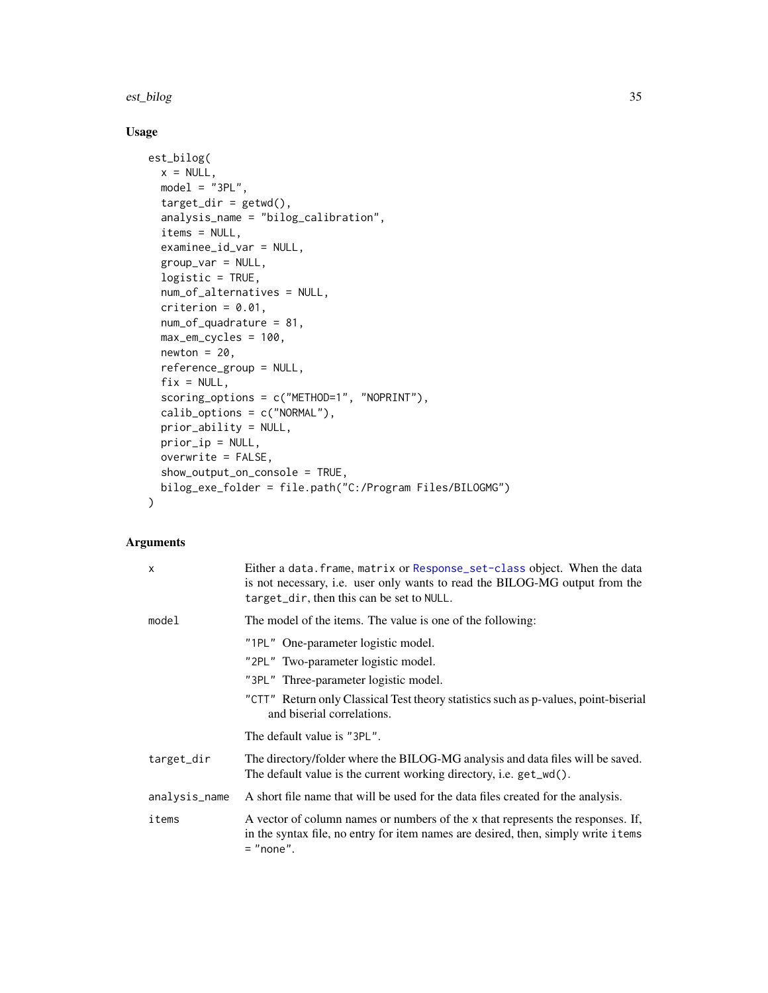#### est\_bilog 35

# Usage

```
est_bilog(
 x = NULL,model = "3PL",target_dir = getwd(),
  analysis_name = "bilog_calibration",
  items = NULL,
  examinee_id_var = NULL,
  group_var = NULL,
  logistic = TRUE,
 num_of_alternatives = NULL,
 criterion = 0.01,
 num_of_quadrature = 81,
 max_em_cycles = 100,
 newton = 20,reference_group = NULL,
  fix = NULL,scoring_options = c("METHOD=1", "NOPRINT"),
  calib_options = c("NORMAL"),
 prior_ability = NULL,
 prior_ip = NULL,
 overwrite = FALSE,
  show_output_on_console = TRUE,
 bilog_exe_folder = file.path("C:/Program Files/BILOGMG")
\mathcal{L}
```
#### Arguments

| $\mathsf{x}$  | Either a data. frame, matrix or Response_set-class object. When the data<br>is not necessary, i.e. user only wants to read the BILOG-MG output from the<br>target_dir, then this can be set to NULL. |
|---------------|------------------------------------------------------------------------------------------------------------------------------------------------------------------------------------------------------|
| model         | The model of the items. The value is one of the following:                                                                                                                                           |
|               | "1PL" One-parameter logistic model.                                                                                                                                                                  |
|               | "2PL" Two-parameter logistic model.                                                                                                                                                                  |
|               | "3PL" Three-parameter logistic model.                                                                                                                                                                |
|               | "CTT" Return only Classical Test theory statistics such as p-values, point-biserial<br>and biserial correlations.                                                                                    |
|               | The default value is "3PL".                                                                                                                                                                          |
| target_dir    | The directory/folder where the BILOG-MG analysis and data files will be saved.<br>The default value is the current working directory, i.e. get_wd().                                                 |
| analysis_name | A short file name that will be used for the data files created for the analysis.                                                                                                                     |
| items         | A vector of column names or numbers of the x that represents the responses. If,<br>in the syntax file, no entry for item names are desired, then, simply write i tems<br>$=$ "none".                 |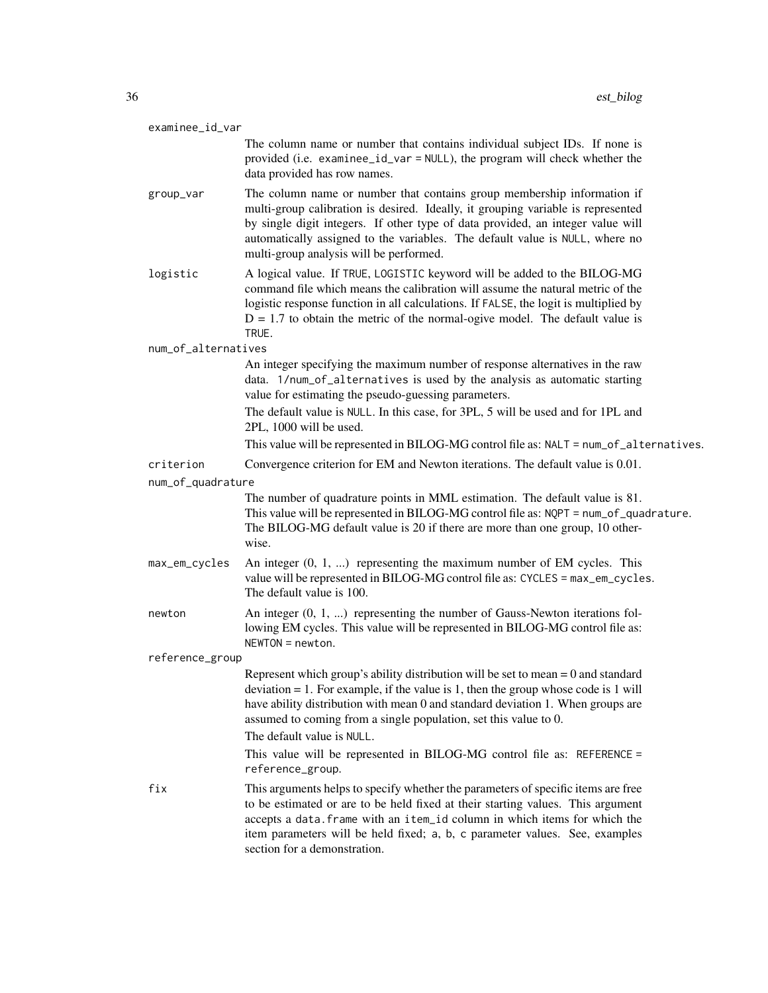| examinee_id_var     |                                                                                                                                                                                                                                                                                                                                                                                                                                              |
|---------------------|----------------------------------------------------------------------------------------------------------------------------------------------------------------------------------------------------------------------------------------------------------------------------------------------------------------------------------------------------------------------------------------------------------------------------------------------|
|                     | The column name or number that contains individual subject IDs. If none is<br>provided (i.e. examinee_id_var = NULL), the program will check whether the<br>data provided has row names.                                                                                                                                                                                                                                                     |
| group_var           | The column name or number that contains group membership information if<br>multi-group calibration is desired. Ideally, it grouping variable is represented<br>by single digit integers. If other type of data provided, an integer value will<br>automatically assigned to the variables. The default value is NULL, where no<br>multi-group analysis will be performed.                                                                    |
| logistic            | A logical value. If TRUE, LOGISTIC keyword will be added to the BILOG-MG<br>command file which means the calibration will assume the natural metric of the<br>logistic response function in all calculations. If FALSE, the logit is multiplied by<br>$D = 1.7$ to obtain the metric of the normal-ogive model. The default value is<br>TRUE.                                                                                                |
| num_of_alternatives |                                                                                                                                                                                                                                                                                                                                                                                                                                              |
|                     | An integer specifying the maximum number of response alternatives in the raw<br>data. 1/num_of_alternatives is used by the analysis as automatic starting<br>value for estimating the pseudo-guessing parameters.                                                                                                                                                                                                                            |
|                     | The default value is NULL. In this case, for 3PL, 5 will be used and for 1PL and<br>2PL, 1000 will be used.                                                                                                                                                                                                                                                                                                                                  |
|                     | This value will be represented in BILOG-MG control file as: NALT = num_of_alternatives.                                                                                                                                                                                                                                                                                                                                                      |
| criterion           | Convergence criterion for EM and Newton iterations. The default value is 0.01.                                                                                                                                                                                                                                                                                                                                                               |
| num_of_quadrature   |                                                                                                                                                                                                                                                                                                                                                                                                                                              |
|                     | The number of quadrature points in MML estimation. The default value is 81.<br>This value will be represented in BILOG-MG control file as: NQPT = num_of_quadrature.<br>The BILOG-MG default value is 20 if there are more than one group, 10 other-<br>wise.                                                                                                                                                                                |
| max_em_cycles       | An integer $(0, 1, )$ representing the maximum number of EM cycles. This<br>value will be represented in BILOG-MG control file as: CYCLES = max_em_cycles.<br>The default value is 100.                                                                                                                                                                                                                                                      |
| newton              | An integer $(0, 1, )$ representing the number of Gauss-Newton iterations fol-<br>lowing EM cycles. This value will be represented in BILOG-MG control file as:<br>$NEWTON = newton.$                                                                                                                                                                                                                                                         |
| reference_group     |                                                                                                                                                                                                                                                                                                                                                                                                                                              |
|                     | Represent which group's ability distribution will be set to mean $= 0$ and standard<br>$deviation = 1$ . For example, if the value is 1, then the group whose code is 1 will<br>have ability distribution with mean 0 and standard deviation 1. When groups are<br>assumed to coming from a single population, set this value to 0.<br>The default value is NULL.<br>This value will be represented in BILOG-MG control file as: REFERENCE = |
|                     | reference_group.                                                                                                                                                                                                                                                                                                                                                                                                                             |
| fix                 | This arguments helps to specify whether the parameters of specific items are free<br>to be estimated or are to be held fixed at their starting values. This argument<br>accepts a data. frame with an item_id column in which items for which the<br>item parameters will be held fixed; a, b, c parameter values. See, examples<br>section for a demonstration.                                                                             |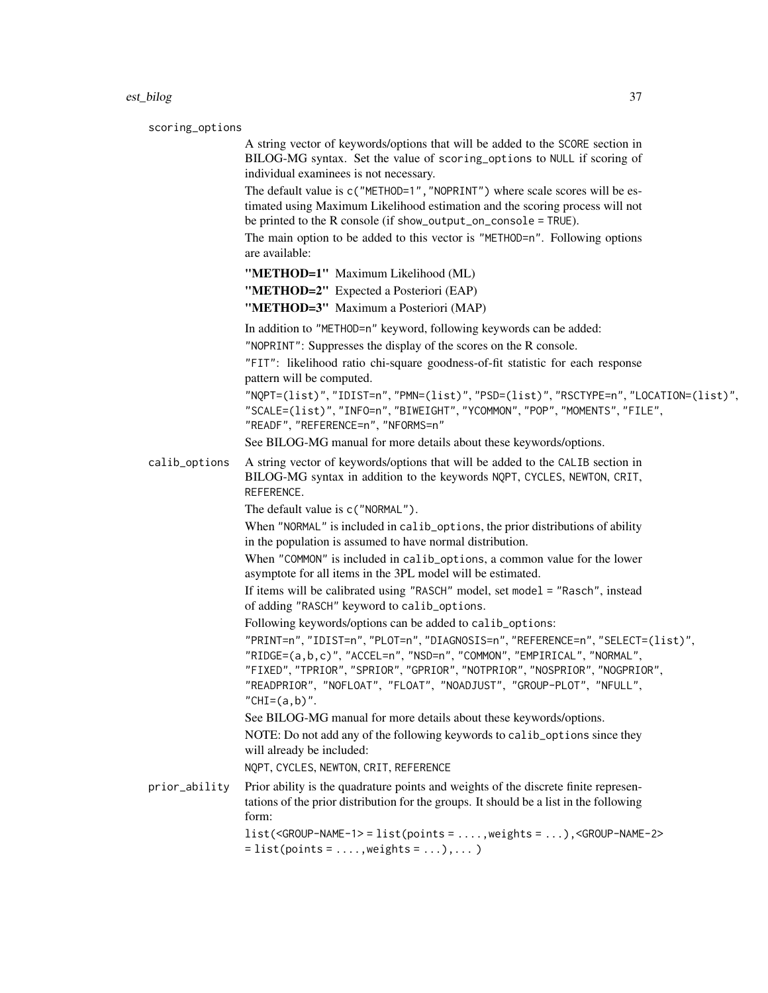scoring\_options

A string vector of keywords/options that will be added to the SCORE section in BILOG-MG syntax. Set the value of scoring\_options to NULL if scoring of individual examinees is not necessary.

The default value is c("METHOD=1", "NOPRINT") where scale scores will be estimated using Maximum Likelihood estimation and the scoring process will not be printed to the R console (if show\_output\_on\_console = TRUE).

The main option to be added to this vector is "METHOD=n". Following options are available:

"METHOD=1" Maximum Likelihood (ML)

"METHOD=2" Expected a Posteriori (EAP)

"METHOD=3" Maximum a Posteriori (MAP)

In addition to "METHOD=n" keyword, following keywords can be added:

"NOPRINT": Suppresses the display of the scores on the R console.

"FIT": likelihood ratio chi-square goodness-of-fit statistic for each response pattern will be computed.

"NQPT=(list)", "IDIST=n", "PMN=(list)", "PSD=(list)", "RSCTYPE=n", "LOCATION=(list)", "SCALE=(list)", "INFO=n", "BIWEIGHT", "YCOMMON", "POP", "MOMENTS", "FILE", "READF", "REFERENCE=n", "NFORMS=n"

See BILOG-MG manual for more details about these keywords/options.

calib\_options A string vector of keywords/options that will be added to the CALIB section in BILOG-MG syntax in addition to the keywords NQPT, CYCLES, NEWTON, CRIT, REFERENCE.

The default value is c("NORMAL").

When "NORMAL" is included in calib\_options, the prior distributions of ability in the population is assumed to have normal distribution.

When "COMMON" is included in calib\_options, a common value for the lower asymptote for all items in the 3PL model will be estimated.

If items will be calibrated using "RASCH" model, set model = "Rasch", instead of adding "RASCH" keyword to calib\_options.

Following keywords/options can be added to calib\_options:

"PRINT=n", "IDIST=n", "PLOT=n", "DIAGNOSIS=n", "REFERENCE=n", "SELECT=(list)", "RIDGE=(a,b,c)", "ACCEL=n", "NSD=n", "COMMON", "EMPIRICAL", "NORMAL", "FIXED", "TPRIOR", "SPRIOR", "GPRIOR", "NOTPRIOR", "NOSPRIOR", "NOGPRIOR", "READPRIOR", "NOFLOAT", "FLOAT", "NOADJUST", "GROUP-PLOT", "NFULL",  $"CHI=(a,b)"$ .

See BILOG-MG manual for more details about these keywords/options. NOTE: Do not add any of the following keywords to calib\_options since they will already be included:

NQPT, CYCLES, NEWTON, CRIT, REFERENCE

prior\_ability Prior ability is the quadrature points and weights of the discrete finite representations of the prior distribution for the groups. It should be a list in the following form: list(<GROUP-NAME-1> = list(points = ....,weights = ...),<GROUP-NAME-2>

 $=$  list(points = ..., weights = ...),...)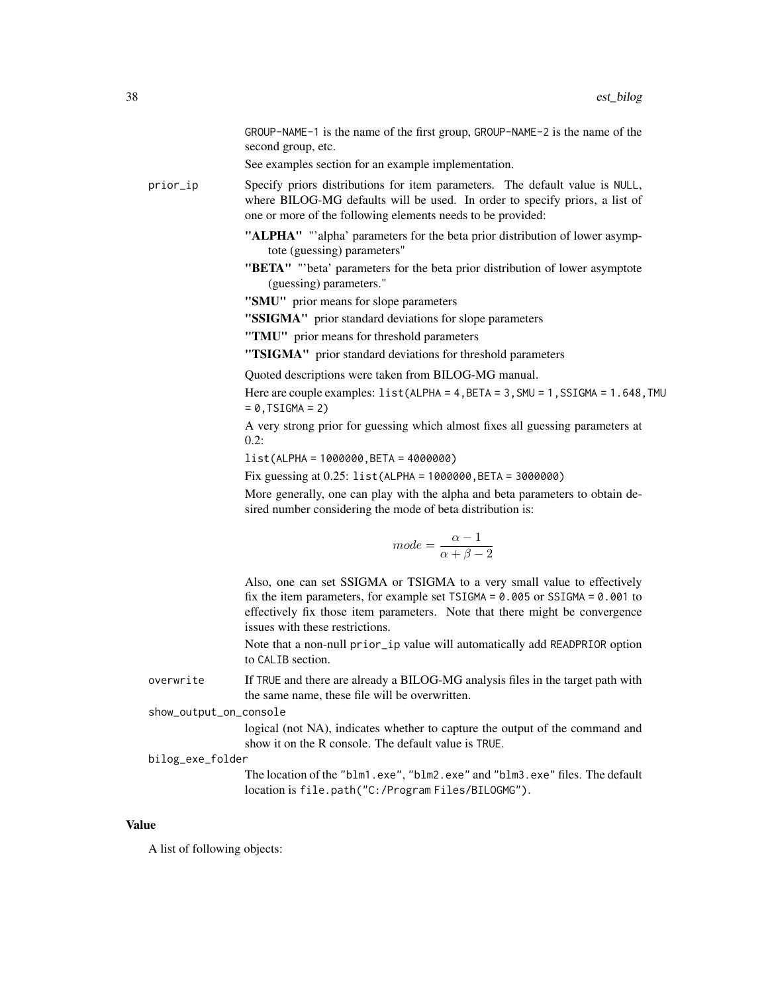GROUP-NAME-1 is the name of the first group, GROUP-NAME-2 is the name of the second group, etc.

See examples section for an example implementation.

prior\_ip Specify priors distributions for item parameters. The default value is NULL, where BILOG-MG defaults will be used. In order to specify priors, a list of one or more of the following elements needs to be provided:

- "ALPHA" "'alpha' parameters for the beta prior distribution of lower asymptote (guessing) parameters"
- "BETA" "'beta' parameters for the beta prior distribution of lower asymptote (guessing) parameters."
- "SMU" prior means for slope parameters
- "SSIGMA" prior standard deviations for slope parameters

"TMU" prior means for threshold parameters

"TSIGMA" prior standard deviations for threshold parameters

Quoted descriptions were taken from BILOG-MG manual.

Here are couple examples: list(ALPHA = 4, BETA = 3, SMU = 1, SSIGMA = 1.648, TMU  $= 0$ , TSIGMA = 2)

A very strong prior for guessing which almost fixes all guessing parameters at  $0.2$ :

list(ALPHA = 1000000,BETA = 4000000)

Fix guessing at 0.25: list(ALPHA = 1000000,BETA = 3000000)

More generally, one can play with the alpha and beta parameters to obtain desired number considering the mode of beta distribution is:

$$
mode = \frac{\alpha - 1}{\alpha + \beta - 2}
$$

Also, one can set SSIGMA or TSIGMA to a very small value to effectively fix the item parameters, for example set  $TSIGMA = 0.005$  or  $SSIGMA = 0.001$  to effectively fix those item parameters. Note that there might be convergence issues with these restrictions.

Note that a non-null prior\_ip value will automatically add READPRIOR option to CALIB section.

overwrite If TRUE and there are already a BILOG-MG analysis files in the target path with the same name, these file will be overwritten.

## show\_output\_on\_console

logical (not NA), indicates whether to capture the output of the command and show it on the R console. The default value is TRUE.

#### bilog\_exe\_folder

The location of the "blm1.exe", "blm2.exe" and "blm3.exe" files. The default location is file.path("C:/Program Files/BILOGMG").

#### Value

A list of following objects: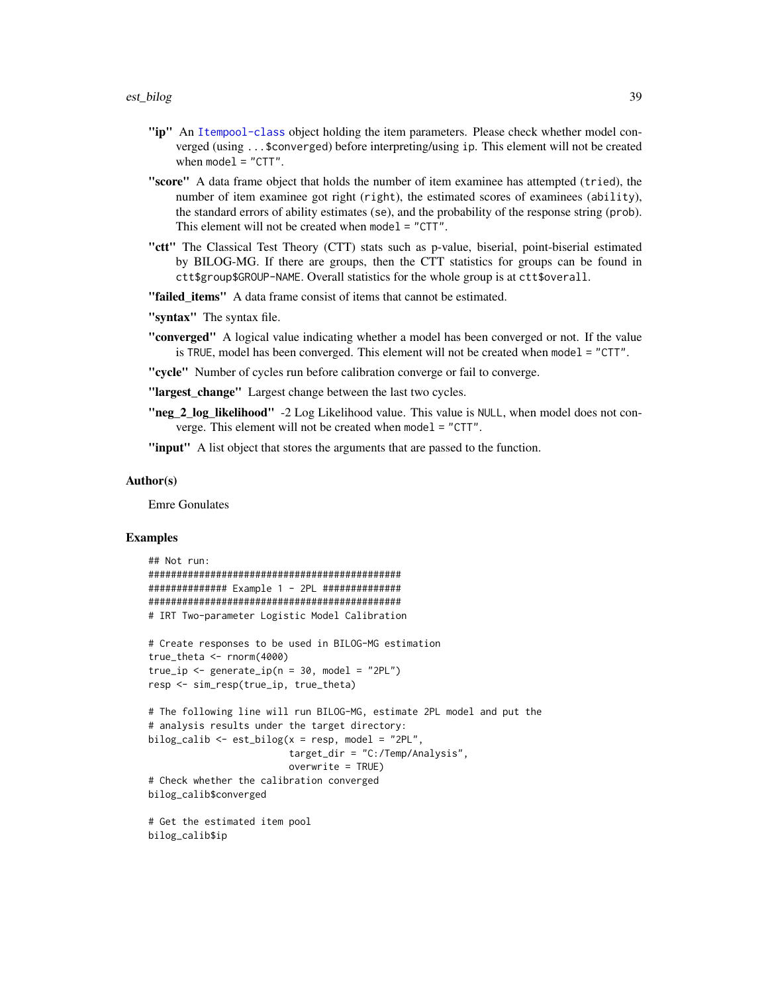- "ip" An [Itempool-class](#page-68-0) object holding the item parameters. Please check whether model converged (using ...\$converged) before interpreting/using ip. This element will not be created when  $model = "CTT".$
- "score" A data frame object that holds the number of item examinee has attempted (tried), the number of item examinee got right (right), the estimated scores of examinees (ability), the standard errors of ability estimates (se), and the probability of the response string (prob). This element will not be created when model = "CTT".
- "ctt" The Classical Test Theory (CTT) stats such as p-value, biserial, point-biserial estimated by BILOG-MG. If there are groups, then the CTT statistics for groups can be found in ctt\$group\$GROUP-NAME. Overall statistics for the whole group is at ctt\$overall.
- "failed\_items" A data frame consist of items that cannot be estimated.
- "syntax" The syntax file.
- "converged" A logical value indicating whether a model has been converged or not. If the value is TRUE, model has been converged. This element will not be created when model = "CTT".
- "cycle" Number of cycles run before calibration converge or fail to converge.
- "largest\_change" Largest change between the last two cycles.
- "neg\_2\_log\_likelihood" -2 Log Likelihood value. This value is NULL, when model does not converge. This element will not be created when model = "CTT".
- "input" A list object that stores the arguments that are passed to the function.

#### Author(s)

Emre Gonulates

```
## Not run:
#############################################
############## Example 1 - 2PL ##############
#############################################
# IRT Two-parameter Logistic Model Calibration
# Create responses to be used in BILOG-MG estimation
true_theta <- rnorm(4000)
true_ip \leftarrow generate_ip(n = 30, model = "2PL")resp <- sim_resp(true_ip, true_theta)
# The following line will run BILOG-MG, estimate 2PL model and put the
# analysis results under the target directory:
bilog_calib <- est_bilog(x = resp, model = "2PL",
                         target_dir = "C:/Temp/Analysis",
                         overwrite = TRUE)
# Check whether the calibration converged
bilog_calib$converged
# Get the estimated item pool
bilog_calib$ip
```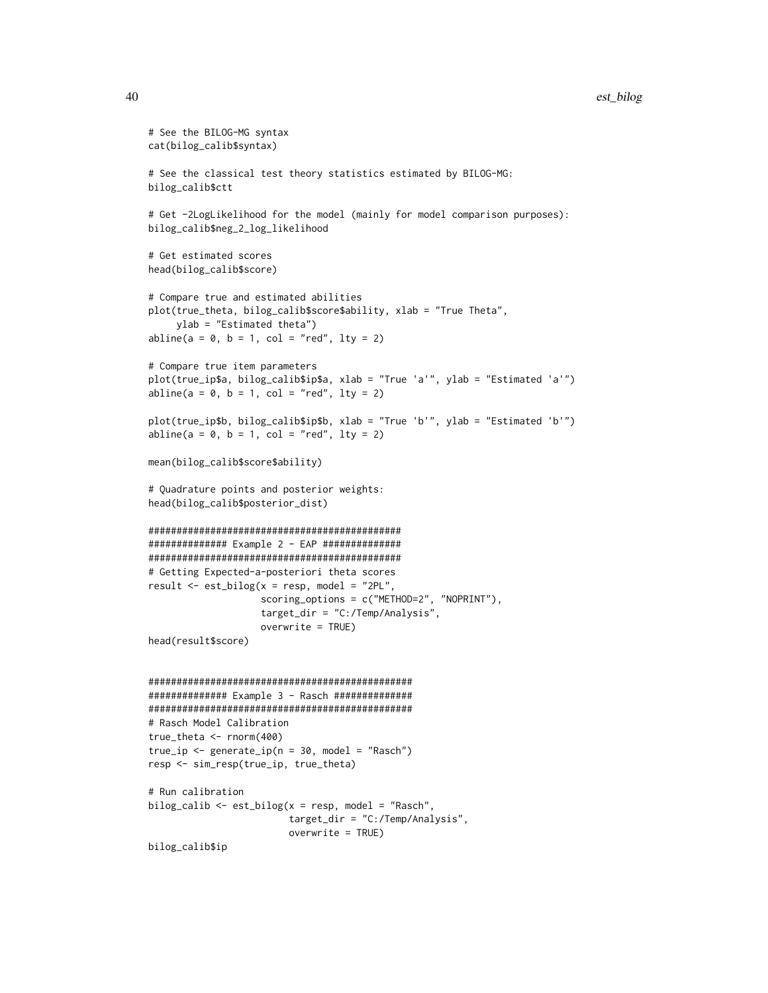```
# See the BILOG-MG syntax
cat(bilog_calib$syntax)
# See the classical test theory statistics estimated by BILOG-MG:
bilog_calib$ctt
# Get -2LogLikelihood for the model (mainly for model comparison purposes):
bilog_calib$neg_2_log_likelihood
# Get estimated scores
head(bilog_calib$score)
# Compare true and estimated abilities
plot(true_theta, bilog_calib$score$ability, xlab = "True Theta",
     ylab = "Estimated theta")
abline(a = 0, b = 1, col = "red", lty = 2)# Compare true item parameters
plot(true_ip$a, bilog_calib$ip$a, xlab = "True 'a'", ylab = "Estimated 'a'")
abline(a = 0, b = 1, col = "red", lty = 2)plot(true_ip$b, bilog_calib$ip$b, xlab = "True 'b'", ylab = "Estimated 'b'")
abline(a = 0, b = 1, col = "red", lty = 2)mean(bilog_calib$score$ability)
# Quadrature points and posterior weights:
head(bilog_calib$posterior_dist)
#############################################
############## Example 2 - EAP ##############
#############################################
# Getting Expected-a-posteriori theta scores
result <- est_bilog(x = resp, model = "2PL",
                    scoring_options = c("METHOD=2", "NOPRINT"),
                    target_dir = "C:/Temp/Analysis",
                    overwrite = TRUE)
head(result$score)
###############################################
############## Example 3 - Rasch ##############
###############################################
# Rasch Model Calibration
true_theta <- rnorm(400)
true_i <- generate_ip(n = 30, model = "Rasch")
resp <- sim_resp(true_ip, true_theta)
# Run calibration
bilog_calib <- est_bilog(x = resp, model = "Rasch",
                         target_dir = "C:/Temp/Analysis",
                         overwrite = TRUE)
bilog_calib$ip
```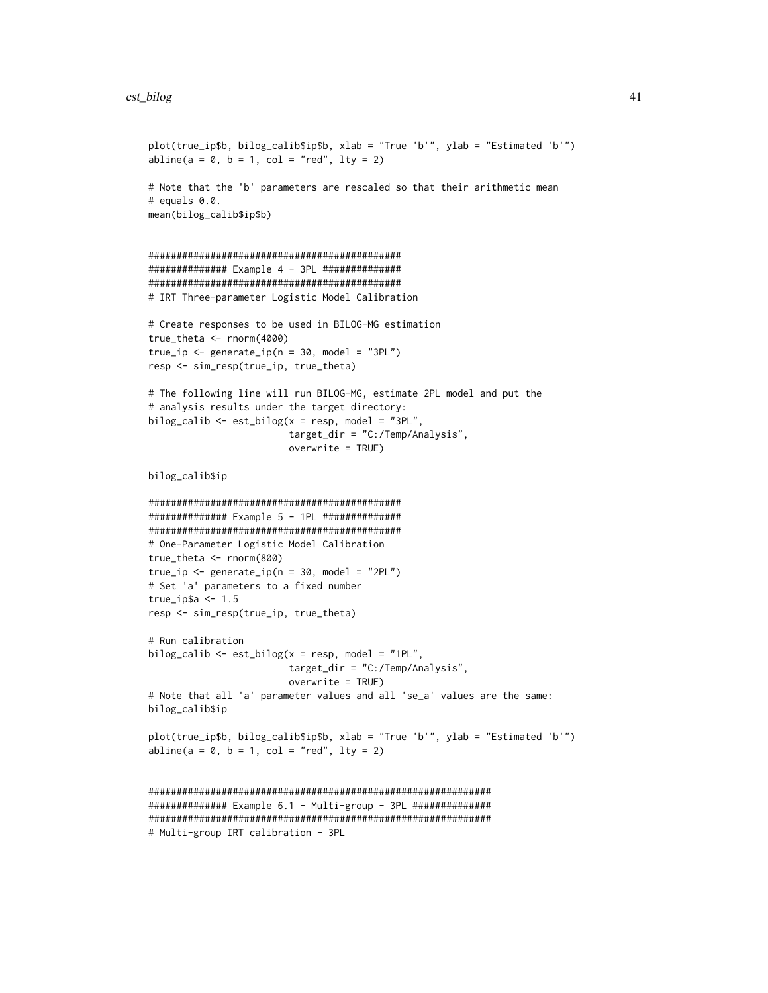```
plot(true_ip$b, bilog_calib$ip$b, xlab = "True 'b'", ylab = "Estimated 'b'")
abline(a = 0, b = 1, col = "red", lty = 2)# Note that the 'b' parameters are rescaled so that their arithmetic mean
# equals 0.0.
mean(bilog_calib$ip$b)
#############################################
############## Example 4 - 3PL ##############
#############################################
# IRT Three-parameter Logistic Model Calibration
# Create responses to be used in BILOG-MG estimation
true_theta <- rnorm(4000)
true_ip <- generate_ip(n = 30, model = "3PL")
resp <- sim_resp(true_ip, true_theta)
# The following line will run BILOG-MG, estimate 2PL model and put the
# analysis results under the target directory:
bilog_calib \leq est_bilog(x = resp, model = "3PL",
                        target_dir = "C:/Temp/Analysis",
                        overwrite = TRUE)
bilog_calib$ip
#############################################
############## Example 5 - 1PL ##############
#############################################
# One-Parameter Logistic Model Calibration
true_theta <- rnorm(800)
true_i <- generate_ip(n = 30, model = "2PL")
# Set 'a' parameters to a fixed number
true_ip$a <- 1.5
resp <- sim_resp(true_ip, true_theta)
# Run calibration
bilog_calib <- est_bilog(x = resp, model = "1PL",
                         target_dir = "C:/Temp/Analysis",
                         overwrite = TRUE)
# Note that all 'a' parameter values and all 'se_a' values are the same:
bilog_calib$ip
plot(true_ip$b, bilog_calib$ip$b, xlab = "True 'b'", ylab = "Estimated 'b'")
abline(a = 0, b = 1, col = "red", lty = 2)#############################################################
############### Example 6.1 - Multi-group - 3PL ###############
#############################################################
# Multi-group IRT calibration - 3PL
```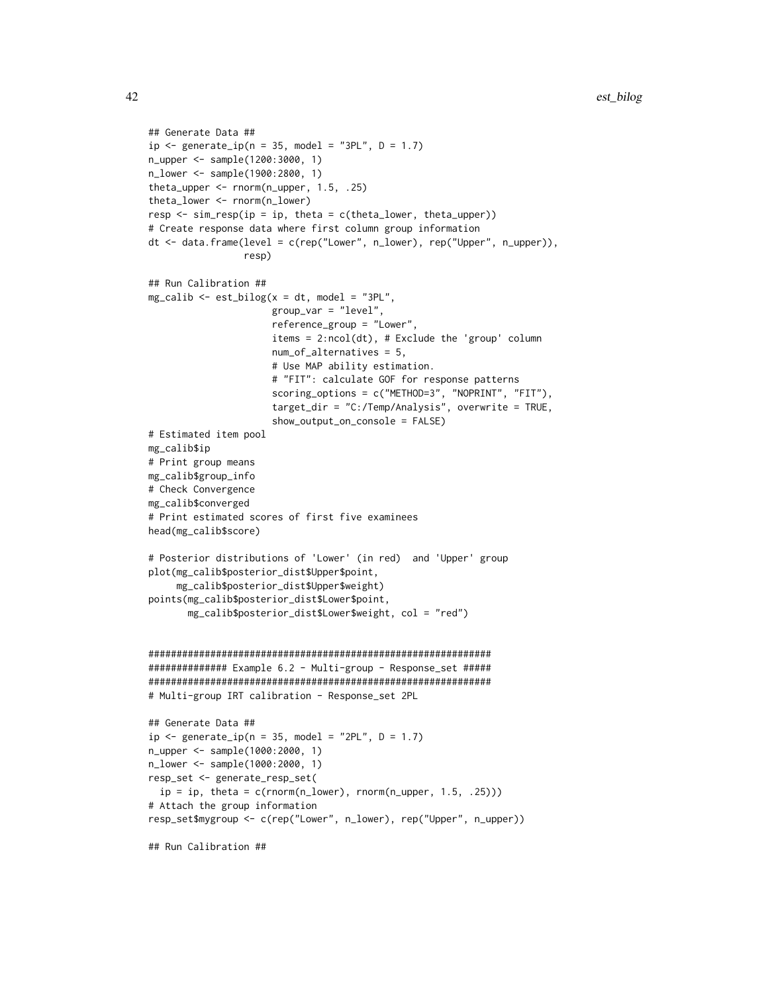```
## Generate Data ##
ip \leftarrow generate_ip(n = 35, model = "3PL", D = 1.7)
n_upper <- sample(1200:3000, 1)
n_lower <- sample(1900:2800, 1)
theta_upper <- rnorm(n_upper, 1.5, .25)
theta_lower <- rnorm(n_lower)
resp \leq sim_resp(ip = ip, theta = c(theta_lower, theta_upper))
# Create response data where first column group information
dt <- data.frame(level = c(rep("Lower", n_lower), rep("Upper", n_upper)),
                 resp)
## Run Calibration ##
mg\_calib \leftarrow est\_bilog(x = dt, model = "3PL",group_var = "level",
                      reference_group = "Lower",
                      items = 2:ncol(dt), # Exclude the 'group' column
                      num_of_alternatives = 5,
                      # Use MAP ability estimation.
                      # "FIT": calculate GOF for response patterns
                      scoring_options = c("METHOD=3", "NOPRINT", "FIT"),
                      target_dir = "C:/Temp/Analysis", overwrite = TRUE,
                      show_output_on_console = FALSE)
# Estimated item pool
mg_calib$ip
# Print group means
mg_calib$group_info
# Check Convergence
mg_calib$converged
# Print estimated scores of first five examinees
head(mg_calib$score)
# Posterior distributions of 'Lower' (in red) and 'Upper' group
plot(mg_calib$posterior_dist$Upper$point,
     mg_calib$posterior_dist$Upper$weight)
points(mg_calib$posterior_dist$Lower$point,
       mg_calib$posterior_dist$Lower$weight, col = "red")
#############################################################
############## Example 6.2 - Multi-group - Response_set #####
#############################################################
# Multi-group IRT calibration - Response_set 2PL
## Generate Data ##
ip \leq generate_ip(n = 35, model = "2PL", D = 1.7)
n_upper <- sample(1000:2000, 1)
n_lower <- sample(1000:2000, 1)
resp_set <- generate_resp_set(
  ip = ip, theta = c(rnorm(n_lower), rnorm(n_upper, 1.5, .25)))
# Attach the group information
resp_set$mygroup <- c(rep("Lower", n_lower), rep("Upper", n_upper))
## Run Calibration ##
```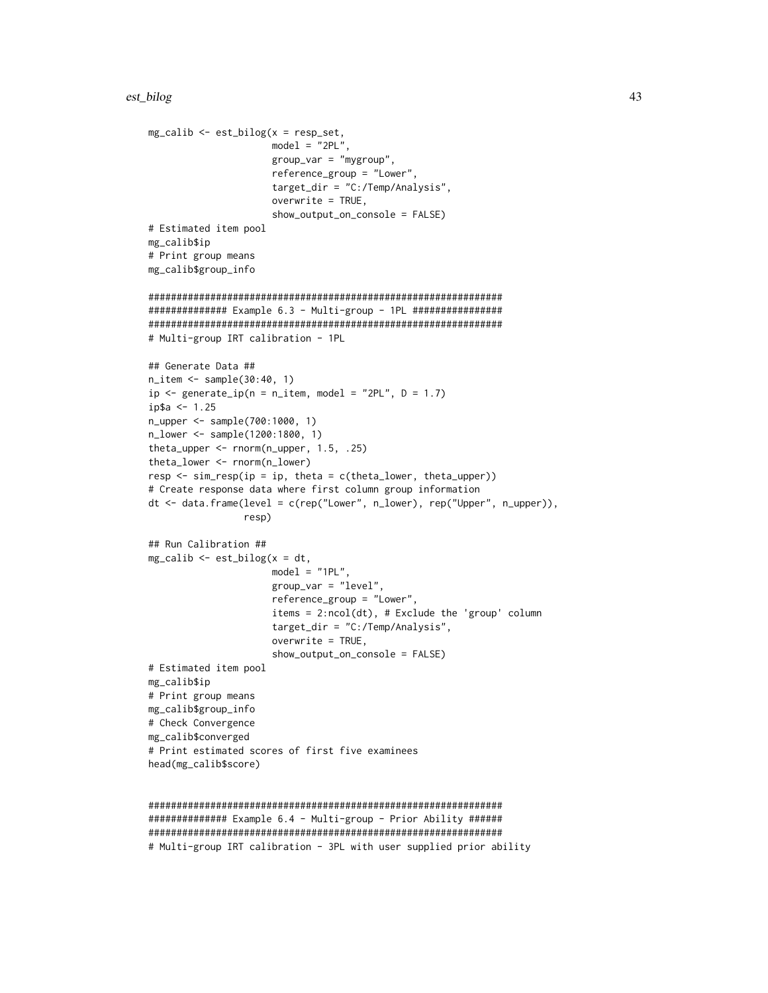```
mg\_calib \leq -est\_bilog(x = resp\_set,model = "2PL",group_var = "mygroup",
                      reference_group = "Lower",
                      target_dir = "C:/Temp/Analysis",
                      overwrite = TRUE,
                      show_output_on_console = FALSE)
# Estimated item pool
mg_calib$ip
# Print group means
mg_calib$group_info
###############################################################
############## Example 6.3 - Multi-group - 1PL ################
###############################################################
# Multi-group IRT calibration - 1PL
## Generate Data ##
n_item <- sample(30:40, 1)
ip \leq generate_ip(n = n_item, model = "2PL", D = 1.7)
ip$a <- 1.25
n_upper <- sample(700:1000, 1)
n_lower <- sample(1200:1800, 1)
theta_upper <- rnorm(n_upper, 1.5, .25)
theta_lower <- rnorm(n_lower)
resp \leq sim_resp(ip = ip, theta = c(theta_lower, theta_upper))
# Create response data where first column group information
dt <- data.frame(level = c(rep("Lower", n_lower), rep("Upper", n_upper)),
                 resp)
## Run Calibration ##
mg\_calib \leq -est\_bilog(x = dt,model = "1PL",group_var = "level",
                      reference_group = "Lower",
                      items = 2:ncol(dt), # Exclude the 'group' column
                      target_dir = "C:/Temp/Analysis",
                      overwrite = TRUE,
                      show_output_on_console = FALSE)
# Estimated item pool
mg_calib$ip
# Print group means
mg_calib$group_info
# Check Convergence
mg_calib$converged
# Print estimated scores of first five examinees
head(mg_calib$score)
```

```
###############################################################
############### Example 6.4 - Multi-group - Prior Ability ######
###############################################################
# Multi-group IRT calibration - 3PL with user supplied prior ability
```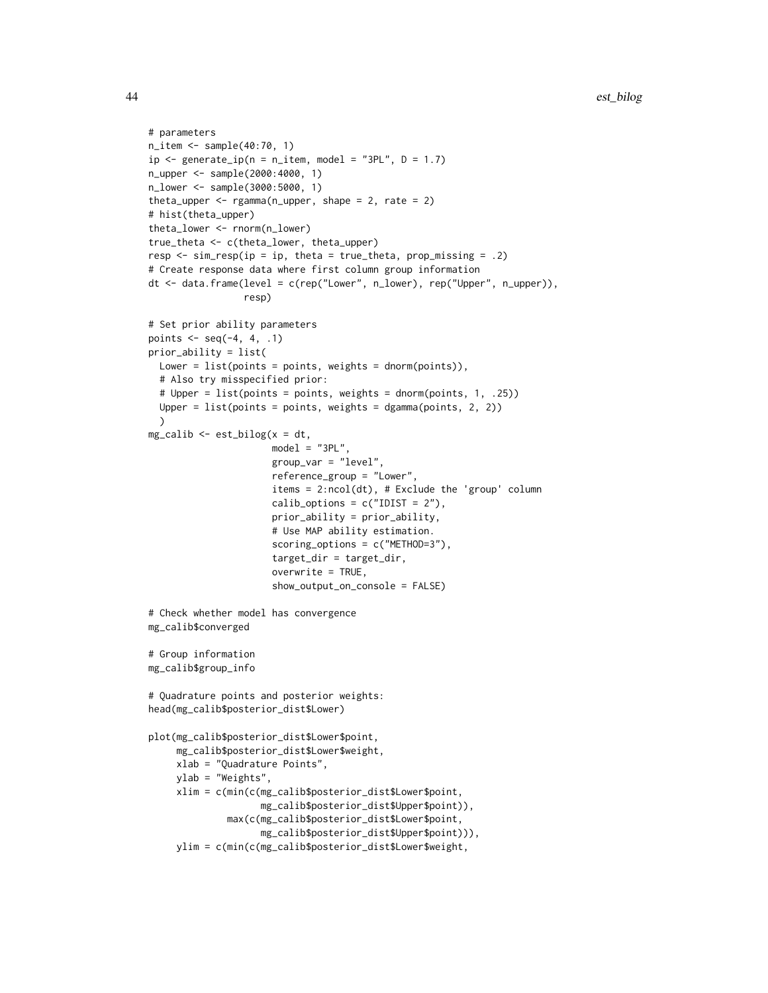```
# parameters
n_item <- sample(40:70, 1)
ip \leftarrow generate\_ip(n = n\_item, model = "3PL", D = 1.7)n_upper <- sample(2000:4000, 1)
n_lower <- sample(3000:5000, 1)
theta_upper \leq rgamma(n_upper, shape = 2, rate = 2)
# hist(theta_upper)
theta_lower <- rnorm(n_lower)
true_theta <- c(theta_lower, theta_upper)
resp \leq sim_resp(ip = ip, theta = true_theta, prop_missing = .2)
# Create response data where first column group information
dt <- data.frame(level = c(rep("Lower", n_lower), rep("Upper", n_upper)),
                 resp)
# Set prior ability parameters
points \leq seq(-4, 4, .1)
prior_ability = list(
  Lower = list(points = points, weights = dnorm(points)),
  # Also try misspecified prior:
  # Upper = list(points = points, weights = dnorm(points, 1, .25))
  Upper = list(points = points, weights = dgamma(points, 2, 2))
  \lambdamg_calib <- est_bilog(x = dt,
                      model = "3PL",group_var = "level",
                      reference_group = "Lower",
                      items = 2:ncol(dt), # Exclude the 'group' column
                      calib_options = c("IDIST = 2"),
                      prior_ability = prior_ability,
                      # Use MAP ability estimation.
                      scoring_options = c("METHOD=3"),
                      target_dir = target_dir,
                      overwrite = TRUE,
                      show_output_on_console = FALSE)
# Check whether model has convergence
mg_calib$converged
# Group information
mg_calib$group_info
# Quadrature points and posterior weights:
head(mg_calib$posterior_dist$Lower)
plot(mg_calib$posterior_dist$Lower$point,
     mg_calib$posterior_dist$Lower$weight,
     xlab = "Quadrature Points",
     ylab = "Weights",
     xlim = c(min(c(mg_calib$posterior_dist$Lower$point,
                    mg_calib$posterior_dist$Upper$point)),
              max(c(mg_calib$posterior_dist$Lower$point,
                    mg_calib$posterior_dist$Upper$point))),
     ylim = c(min(c(mg_calib$posterior_dist$Lower$weight,
```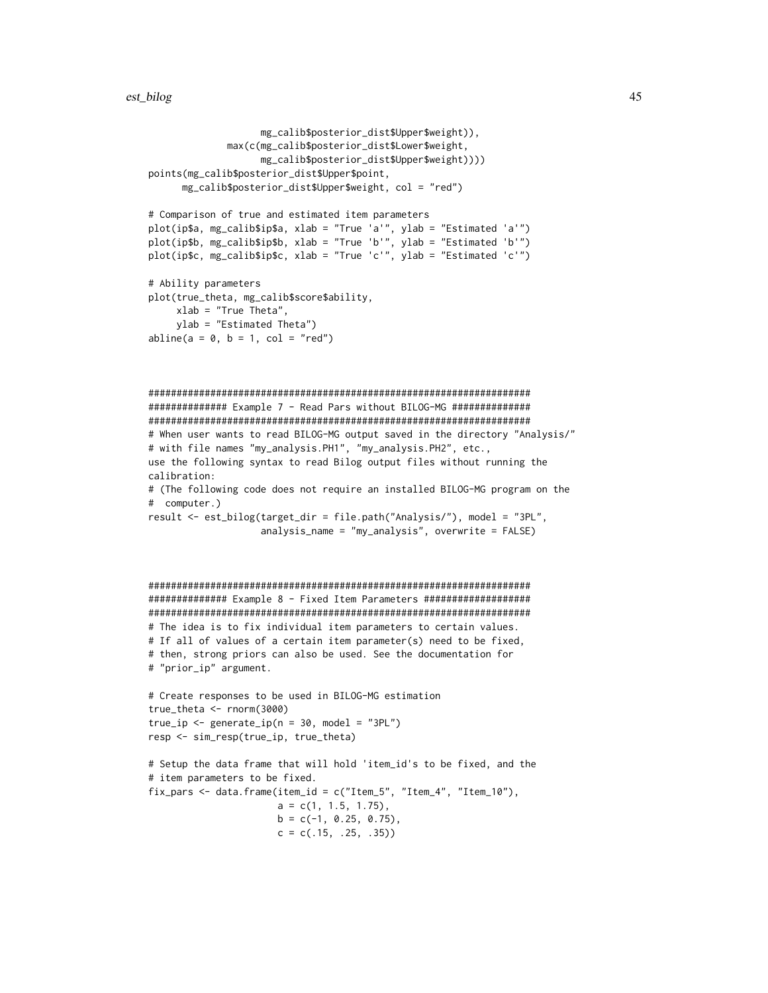```
mg_calib$posterior_dist$Upper$weight)),
              max(c(mg_calib$posterior_dist$Lower$weight,
                   mg_calib$posterior_dist$Upper$weight))))
points(mg_calib$posterior_dist$Upper$point,
     mg_calib$posterior_dist$Upper$weight, col = "red")
# Comparison of true and estimated item parameters
plot(ip$a, mg_calib$ip$a, xlab = "True 'a'", ylab = "Estimated 'a'")
plot(ip$b, mg_calib$ip$b, xlab = "True 'b'", ylab = "Estimated 'b'")
plot(ip$c, mg_calib$ip$c, xlab = "True 'c'", ylab = "Estimated 'c'")
# Ability parameters
plot(true_theta, mg_calib$score$ability,
     xlab = "True Theta",
     ylab = "Estimated Theta")
abline(a = 0, b = 1, col = "red")####################################################################
############## Example 7 - Read Pars without BILOG-MG ##############
####################################################################
# When user wants to read BILOG-MG output saved in the directory "Analysis/"
# with file names "my_analysis.PH1", "my_analysis.PH2", etc.,
use the following syntax to read Bilog output files without running the
calibration:
# (The following code does not require an installed BILOG-MG program on the
# computer.)
result <- est_bilog(target_dir = file.path("Analysis/"), model = "3PL",
                    analysis_name = "my_analysis", overwrite = FALSE)
####################################################################
############## Example 8 - Fixed Item Parameters ###################
####################################################################
# The idea is to fix individual item parameters to certain values.
# If all of values of a certain item parameter(s) need to be fixed,
# then, strong priors can also be used. See the documentation for
# "prior_ip" argument.
# Create responses to be used in BILOG-MG estimation
true_theta <- rnorm(3000)
true_i <- generate_ip(n = 30, model = "3PL")
resp <- sim_resp(true_ip, true_theta)
# Setup the data frame that will hold 'item_id's to be fixed, and the
# item parameters to be fixed.
fix_pars <- data.frame(item_id = c("Item_5", "Item_4", "Item_10"),a = c(1, 1.5, 1.75),
                       b = c(-1, 0.25, 0.75),
                       c = c(.15, .25, .35))
```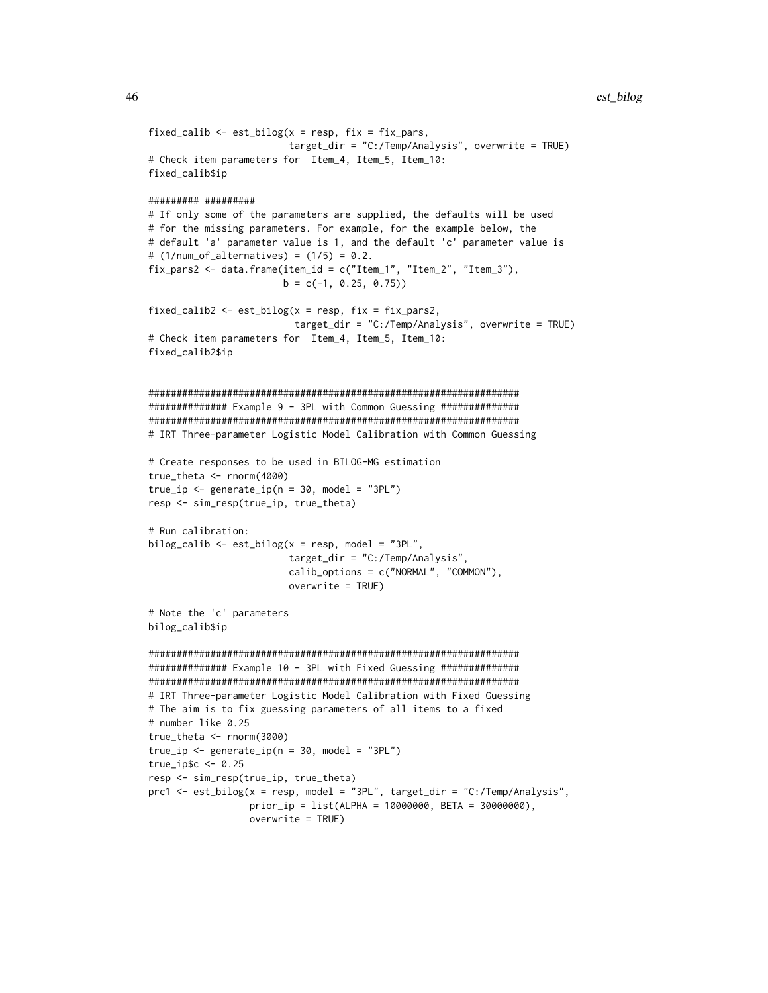```
fixed_calib \leq est_bilog(x = resp, fix = fix_pars,
                        target_dir = "C:/Temp/Analysis", overwrite = TRUE)
# Check item parameters for Item_4, Item_5, Item_10:
fixed_calib$ip
######### #########
# If only some of the parameters are supplied, the defaults will be used
# for the missing parameters. For example, for the example below, the
# default 'a' parameter value is 1, and the default 'c' parameter value is
# (1/num_of_alternative) = (1/5) = 0.2.
fix_pars2 <- data.frame(item_id = c("Item_1", "Item_2", "Item_3"),
                        b = c(-1, 0.25, 0.75)fixed_calib2 <- est_bilog(x = resp, fix = fix_pars2,
                          target_dir = "C:/Temp/Analysis", overwrite = TRUE)
# Check item parameters for Item_4, Item_5, Item_10:
fixed_calib2$ip
##################################################################
############## Example 9 - 3PL with Common Guessing ##############
##################################################################
# IRT Three-parameter Logistic Model Calibration with Common Guessing
# Create responses to be used in BILOG-MG estimation
true_theta <- rnorm(4000)
true_i <- generate_ip(n = 30, model = "3PL")
resp <- sim_resp(true_ip, true_theta)
# Run calibration:
bilog_calib \leq est_bilog(x = resp, model = "3PL",
                         target_dir = "C:/Temp/Analysis",
                         calib_options = c("NORMAL", "COMMON"),
                         overwrite = TRUE)
# Note the 'c' parameters
bilog_calib$ip
##################################################################
############## Example 10 - 3PL with Fixed Guessing ##############
##################################################################
# IRT Three-parameter Logistic Model Calibration with Fixed Guessing
# The aim is to fix guessing parameters of all items to a fixed
# number like 0.25
true_theta <- rnorm(3000)
true_i <- generate_ip(n = 30, model = "3PL")
true_ip$c <- 0.25
resp <- sim_resp(true_ip, true_theta)
prc1 <- est_bilog(x = resp, model = "3PL", target_dir = "C:/Temp/Analysis",
                 prior_ip = list(ALPHA = 10000000, BETA = 30000000),
                  overwrite = TRUE)
```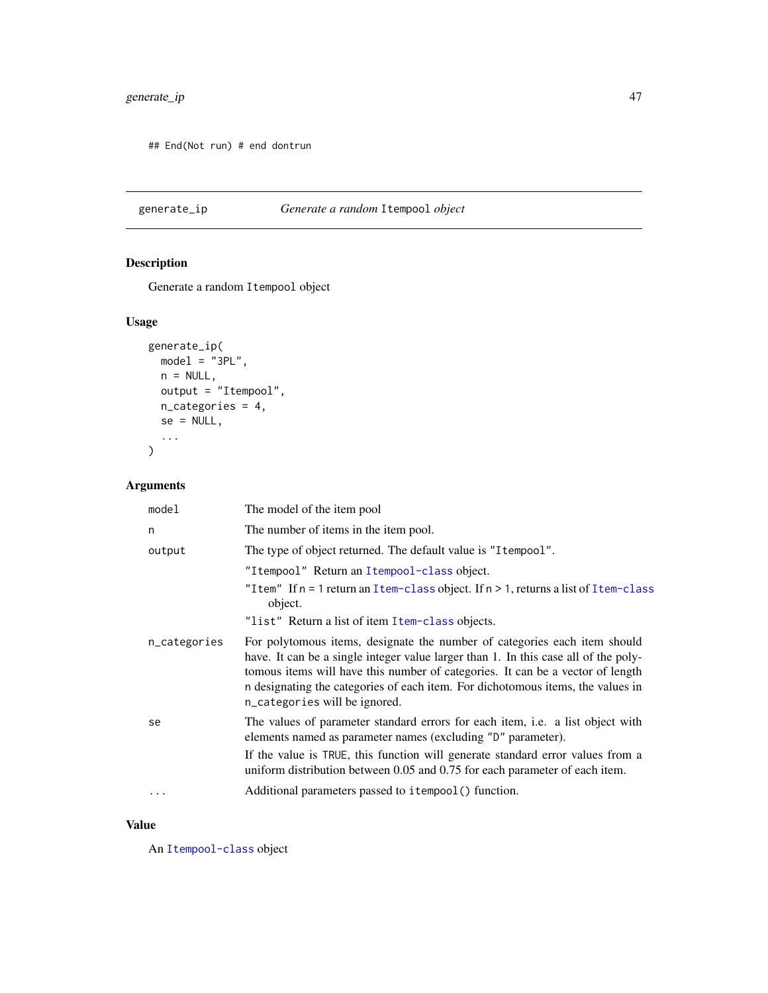## End(Not run) # end dontrun

generate\_ip *Generate a random* Itempool *object*

## Description

Generate a random Itempool object

## Usage

```
generate_ip(
 model = "3PL",n = NULL,output = "Itempool",
 n_categories = 4,
 se = NULL,
  ...
)
```
## Arguments

| model        | The model of the item pool                                                                                                                                                                                                                                                                                                                                             |
|--------------|------------------------------------------------------------------------------------------------------------------------------------------------------------------------------------------------------------------------------------------------------------------------------------------------------------------------------------------------------------------------|
| n            | The number of items in the item pool.                                                                                                                                                                                                                                                                                                                                  |
| output       | The type of object returned. The default value is "I tempool".                                                                                                                                                                                                                                                                                                         |
|              | "Itempool" Return an Itempool-class object.<br>"Item" If $n = 1$ return an Item-class object. If $n > 1$ , returns a list of Item-class<br>object.<br>"list" Return a list of item Item-class objects.                                                                                                                                                                 |
| n_categories | For polytomous items, designate the number of categories each item should<br>have. It can be a single integer value larger than 1. In this case all of the poly-<br>tomous items will have this number of categories. It can be a vector of length<br>n designating the categories of each item. For dichotomous items, the values in<br>n_categories will be ignored. |
| se           | The values of parameter standard errors for each item, i.e. a list object with<br>elements named as parameter names (excluding "D" parameter).<br>If the value is TRUE, this function will generate standard error values from a                                                                                                                                       |
|              | uniform distribution between 0.05 and 0.75 for each parameter of each item.                                                                                                                                                                                                                                                                                            |
| $\cdots$     | Additional parameters passed to itempool () function.                                                                                                                                                                                                                                                                                                                  |

### Value

An [Itempool-class](#page-68-0) object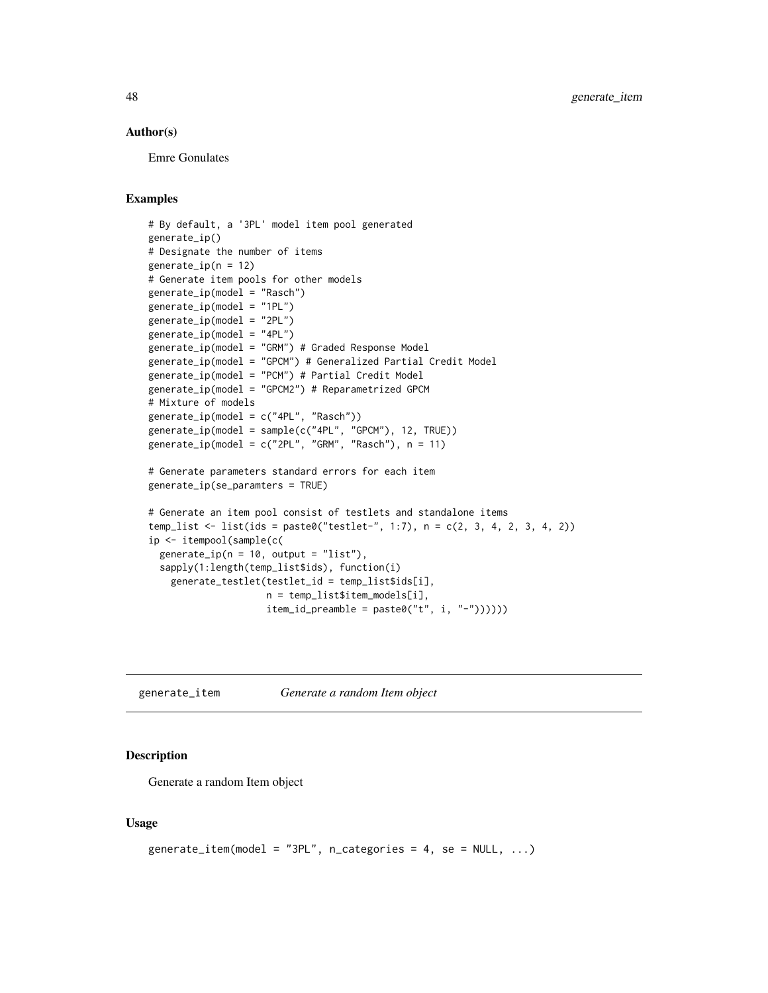### Author(s)

Emre Gonulates

## Examples

```
# By default, a '3PL' model item pool generated
generate_ip()
# Designate the number of items
generate_ip(n = 12)# Generate item pools for other models
generate_ip(model = "Rasch")
generate_ip(model = "1PL")
generate_ip(model = "2PL")
generate_ip(model = "4PL")
generate_ip(model = "GRM") # Graded Response Model
generate_ip(model = "GPCM") # Generalized Partial Credit Model
generate_ip(model = "PCM") # Partial Credit Model
generate_ip(model = "GPCM2") # Reparametrized GPCM
# Mixture of models
generate_ip(model = c("4PL", "Rasch"))
generate_ip(model = sample(c("4PL", "GPCM"), 12, TRUE))
generate_ip(model = c("2PL", "GRM", "Rasch"), n = 11)
# Generate parameters standard errors for each item
generate_ip(se_paramters = TRUE)
# Generate an item pool consist of testlets and standalone items
temp_list <- list(ids = paste0("testlet-", 1:7), n = c(2, 3, 4, 2, 3, 4, 2))
ip <- itempool(sample(c(
  generate_ip(n = 10, output = "list"),sapply(1:length(temp_list$ids), function(i)
    generate_testlet(testlet_id = temp_list$ids[i],
                     n = temp_list$item_models[i],
                     item_id\_preamble = paste@("t", i, "-"))))
```
generate\_item *Generate a random Item object*

#### Description

Generate a random Item object

#### Usage

```
generate_item(model = "3PL", n_categories = 4, se = NULL, \ldots)
```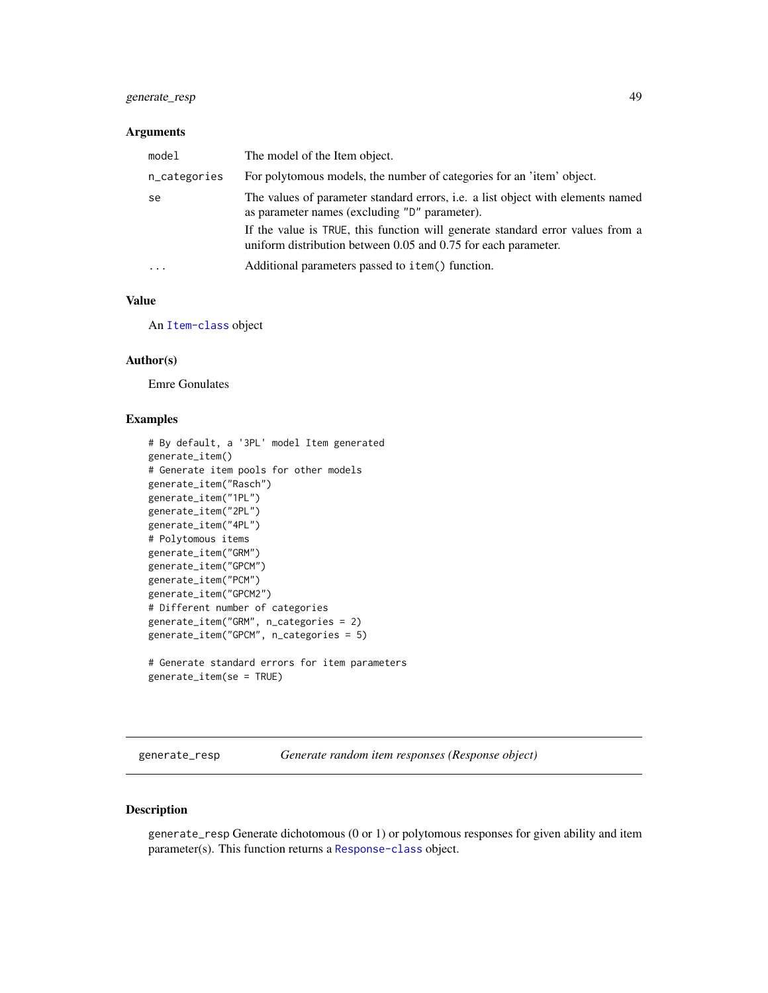## generate\_resp 49

### Arguments

| model        | The model of the Item object.                                                                                                                    |
|--------------|--------------------------------------------------------------------------------------------------------------------------------------------------|
| n_categories | For polytomous models, the number of categories for an 'item' object.                                                                            |
| se           | The values of parameter standard errors, i.e. a list object with elements named<br>as parameter names (excluding "D" parameter).                 |
|              | If the value is TRUE, this function will generate standard error values from a<br>uniform distribution between 0.05 and 0.75 for each parameter. |
| $\cdot$      | Additional parameters passed to item() function.                                                                                                 |

## Value

An [Item-class](#page-64-0) object

#### Author(s)

Emre Gonulates

#### Examples

```
# By default, a '3PL' model Item generated
generate_item()
# Generate item pools for other models
generate_item("Rasch")
generate_item("1PL")
generate_item("2PL")
generate_item("4PL")
# Polytomous items
generate_item("GRM")
generate_item("GPCM")
generate_item("PCM")
generate_item("GPCM2")
# Different number of categories
generate_item("GRM", n_categories = 2)
generate_item("GPCM", n_categories = 5)
# Generate standard errors for item parameters
```

```
generate_item(se = TRUE)
```
generate\_resp *Generate random item responses (Response object)*

#### Description

generate\_resp Generate dichotomous (0 or 1) or polytomous responses for given ability and item parameter(s). This function returns a [Response-class](#page-102-0) object.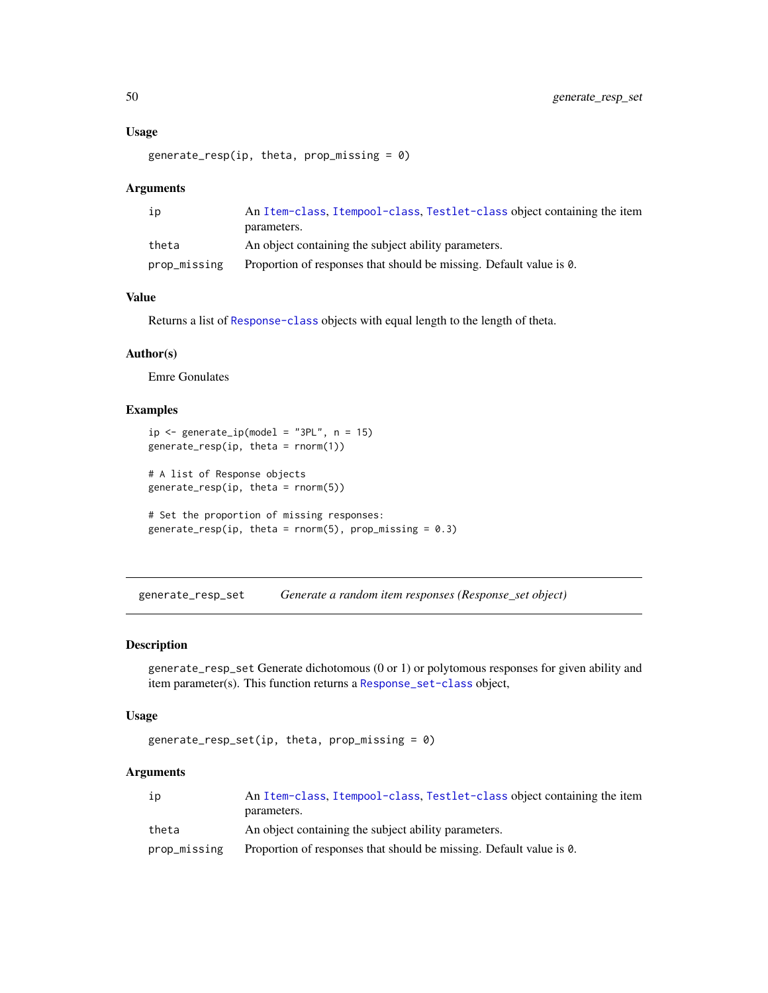### Usage

```
generate_resp(ip, theta, prop\_missing = 0)
```
#### Arguments

| ip           | An Item-class, Itempool-class, Testlet-class object containing the item |
|--------------|-------------------------------------------------------------------------|
|              | parameters.                                                             |
| theta        | An object containing the subject ability parameters.                    |
| prop_missing | Proportion of responses that should be missing. Default value is 0.     |

## Value

Returns a list of [Response-class](#page-102-0) objects with equal length to the length of theta.

### Author(s)

Emre Gonulates

## Examples

```
ip \leftarrow generate_ip(model = "3PL", n = 15)
generate_resp(ip, theta = rnorm(1))
# A list of Response objects
generate_resp(ip, theta = rnorm(5))# Set the proportion of missing responses:
generate_resp(ip, theta = rnorm(5), prop_missing = 0.3)
```
generate\_resp\_set *Generate a random item responses (Response\_set object)*

### Description

generate\_resp\_set Generate dichotomous (0 or 1) or polytomous responses for given ability and item parameter(s). This function returns a [Response\\_set-class](#page-106-0) object,

### Usage

```
generate_resp_set(ip, theta, prop\_missing = 0)
```
## Arguments

| ıp           | An Item-class, Itempool-class, Testlet-class object containing the item |
|--------------|-------------------------------------------------------------------------|
|              | parameters.                                                             |
| theta        | An object containing the subject ability parameters.                    |
| prop_missing | Proportion of responses that should be missing. Default value is 0.     |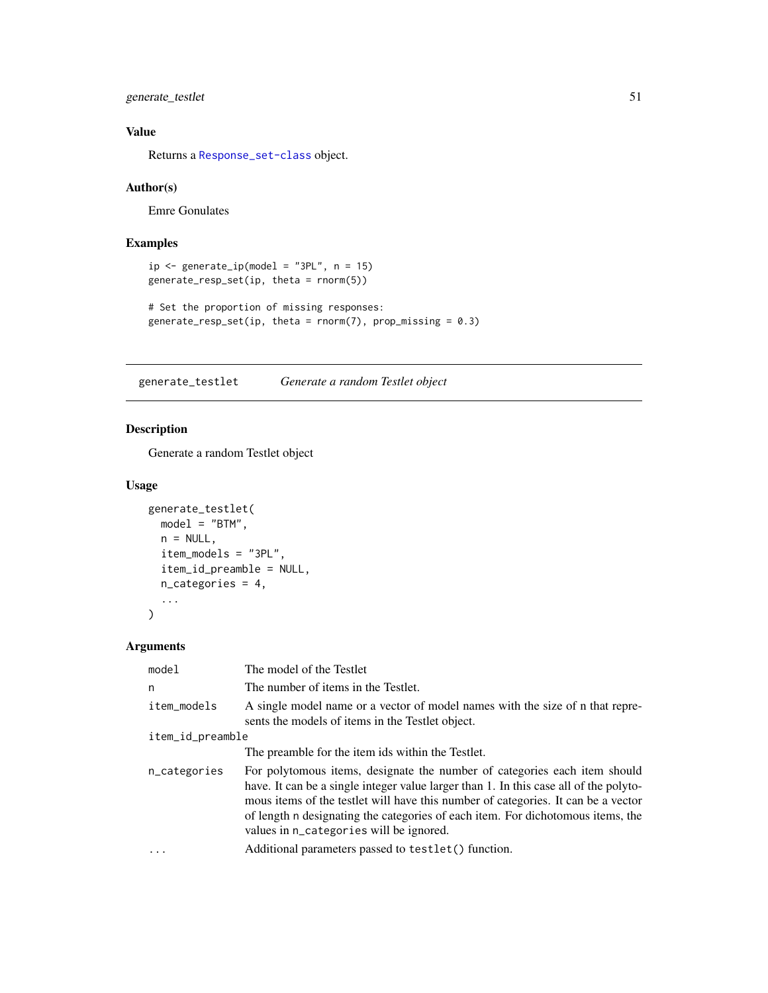generate\_testlet 51

## Value

Returns a [Response\\_set-class](#page-106-0) object.

## Author(s)

Emre Gonulates

## Examples

```
ip \leftarrow generate_ip(model = "3PL", n = 15)
generate_resp_set(ip, theta = rnorm(5))
```

```
# Set the proportion of missing responses:
generate_resp_set(ip, theta = rnorm(7), prop_missing = 0.3)
```
generate\_testlet *Generate a random Testlet object*

### Description

Generate a random Testlet object

### Usage

```
generate_testlet(
 model = "BTM",
 n = NULL,item_models = "3PL",
  item_id_preamble = NULL,
 n_categories = 4,
  ...
\mathcal{L}
```
## Arguments

| model            | The model of the Testlet                                                                                                                                                                                                                                                                                                                                                              |  |
|------------------|---------------------------------------------------------------------------------------------------------------------------------------------------------------------------------------------------------------------------------------------------------------------------------------------------------------------------------------------------------------------------------------|--|
| n                | The number of items in the Testlet.                                                                                                                                                                                                                                                                                                                                                   |  |
| item_models      | A single model name or a vector of model names with the size of n that repre-<br>sents the models of items in the Testlet object.                                                                                                                                                                                                                                                     |  |
| item_id_preamble |                                                                                                                                                                                                                                                                                                                                                                                       |  |
|                  | The preamble for the item ids within the Testlet.                                                                                                                                                                                                                                                                                                                                     |  |
| n_categories     | For polytomous items, designate the number of categories each item should<br>have. It can be a single integer value larger than 1. In this case all of the polyto-<br>mous items of the testlet will have this number of categories. It can be a vector<br>of length n designating the categories of each item. For dichotomous items, the<br>values in n_categories will be ignored. |  |
|                  | Additional parameters passed to testlet () function.                                                                                                                                                                                                                                                                                                                                  |  |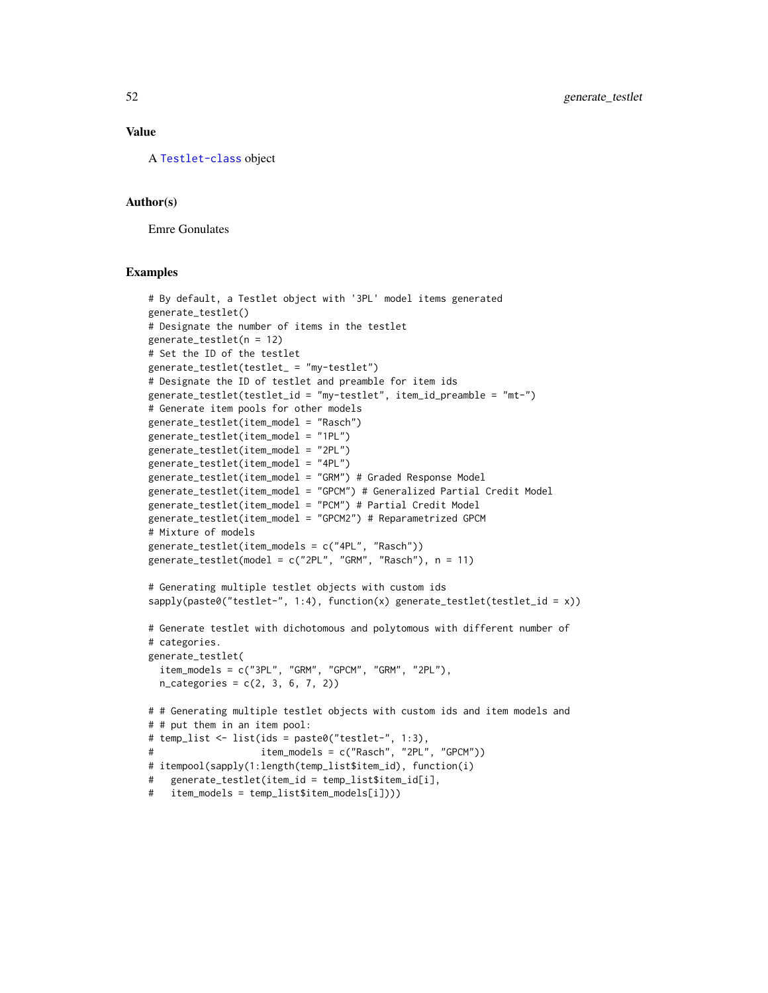#### Value

A [Testlet-class](#page-115-0) object

#### Author(s)

Emre Gonulates

```
# By default, a Testlet object with '3PL' model items generated
generate_testlet()
# Designate the number of items in the testlet
generate_testlet(n = 12)
# Set the ID of the testlet
generate_testlet(testlet_ = "my-testlet")
# Designate the ID of testlet and preamble for item ids
generate_testlet(testlet_id = "my-testlet", item_id_preamble = "mt-")
# Generate item pools for other models
generate_testlet(item_model = "Rasch")
generate_testlet(item_model = "1PL")
generate_testlet(item_model = "2PL")
generate_testlet(item_model = "4PL")
generate_testlet(item_model = "GRM") # Graded Response Model
generate_testlet(item_model = "GPCM") # Generalized Partial Credit Model
generate_testlet(item_model = "PCM") # Partial Credit Model
generate_testlet(item_model = "GPCM2") # Reparametrized GPCM
# Mixture of models
generate_testlet(item_models = c("4PL", "Rasch"))
generate_testlet(model = c("2PL", "GRM", "Rasch"), n = 11)
# Generating multiple testlet objects with custom ids
sapply(paste0("testlet-", 1:4), function(x) generate_testlet(testlet_id = x))# Generate testlet with dichotomous and polytomous with different number of
# categories.
generate_testlet(
  item_models = c("3PL", "GRM", "GPCM", "GRM", "GRM", "2PL"),n_categories = c(2, 3, 6, 7, 2))
# # Generating multiple testlet objects with custom ids and item models and
# # put them in an item pool:
# temp_list <- list(ids = paste0("testlet-", 1:3),
# item_models = c("Rasch", "2PL", "GPCM"))
# itempool(sapply(1:length(temp_list$item_id), function(i)
# generate_testlet(item_id = temp_list$item_id[i],
# item_models = temp_list$item_models[i])))
```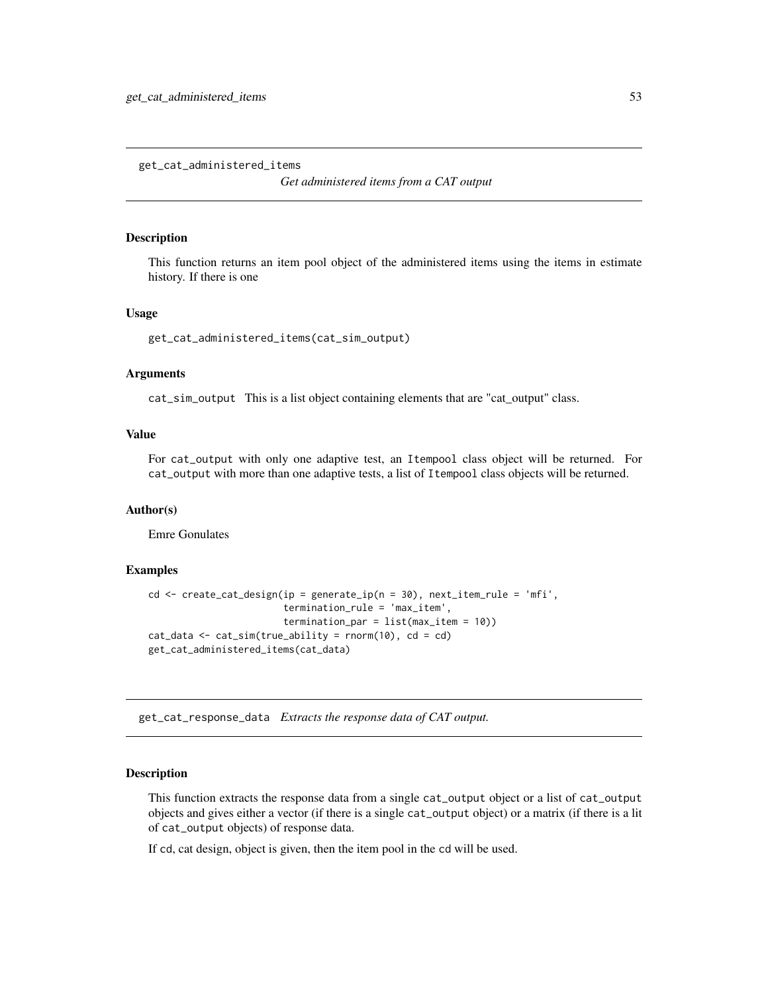get\_cat\_administered\_items

*Get administered items from a CAT output*

#### **Description**

This function returns an item pool object of the administered items using the items in estimate history. If there is one

#### Usage

```
get_cat_administered_items(cat_sim_output)
```
#### Arguments

cat\_sim\_output This is a list object containing elements that are "cat\_output" class.

### Value

For cat\_output with only one adaptive test, an Itempool class object will be returned. For cat\_output with more than one adaptive tests, a list of Itempool class objects will be returned.

## Author(s)

Emre Gonulates

#### Examples

```
cd \le create_cat_design(ip = generate_ip(n = 30), next_item_rule = 'mfi',
                        termination_rule = 'max_item',
                        termination_par = list(max_item = 10))
cat_data \leq cat\_sim(true\_ability = rnorm(10), cd = cd)get_cat_administered_items(cat_data)
```
get\_cat\_response\_data *Extracts the response data of CAT output.*

#### **Description**

This function extracts the response data from a single cat\_output object or a list of cat\_output objects and gives either a vector (if there is a single cat\_output object) or a matrix (if there is a lit of cat\_output objects) of response data.

If cd, cat design, object is given, then the item pool in the cd will be used.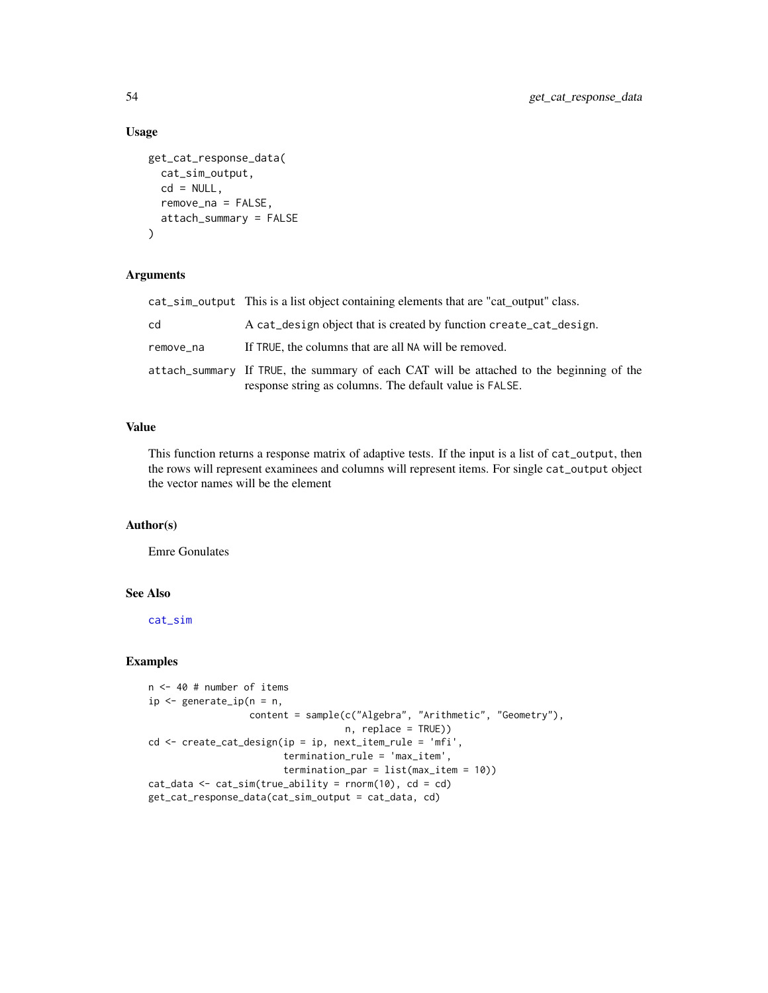### Usage

```
get_cat_response_data(
 cat_sim_output,
 cd = NULL,remove_na = FALSE,
 attach_summary = FALSE
)
```
## Arguments

|           | cat_sim_output This is a list object containing elements that are "cat output" class.                                                               |
|-----------|-----------------------------------------------------------------------------------------------------------------------------------------------------|
| cd        | A cat design object that is created by function create cat design.                                                                                  |
| remove na | If TRUE, the columns that are all NA will be removed.                                                                                               |
|           | attach_summary If TRUE, the summary of each CAT will be attached to the beginning of the<br>response string as columns. The default value is FALSE. |

## Value

This function returns a response matrix of adaptive tests. If the input is a list of cat\_output, then the rows will represent examinees and columns will represent items. For single cat\_output object the vector names will be the element

## Author(s)

Emre Gonulates

## See Also

[cat\\_sim](#page-18-0)

```
n <- 40 # number of items
ip \leq generate_ip(n = n,
                  content = sample(c("Algebra", "Arithmetic", "Geometry"),
                                   n, replace = TRUE))
cd <- create_cat_design(ip = ip, next_item_rule = 'mfi',
                        termination_rule = 'max_item',
                        termination_par = list(max_item = 10))
cat_data \leq cat\_sim(true\_ability = rnorm(10), cd = cd)get_cat_response_data(cat_sim_output = cat_data, cd)
```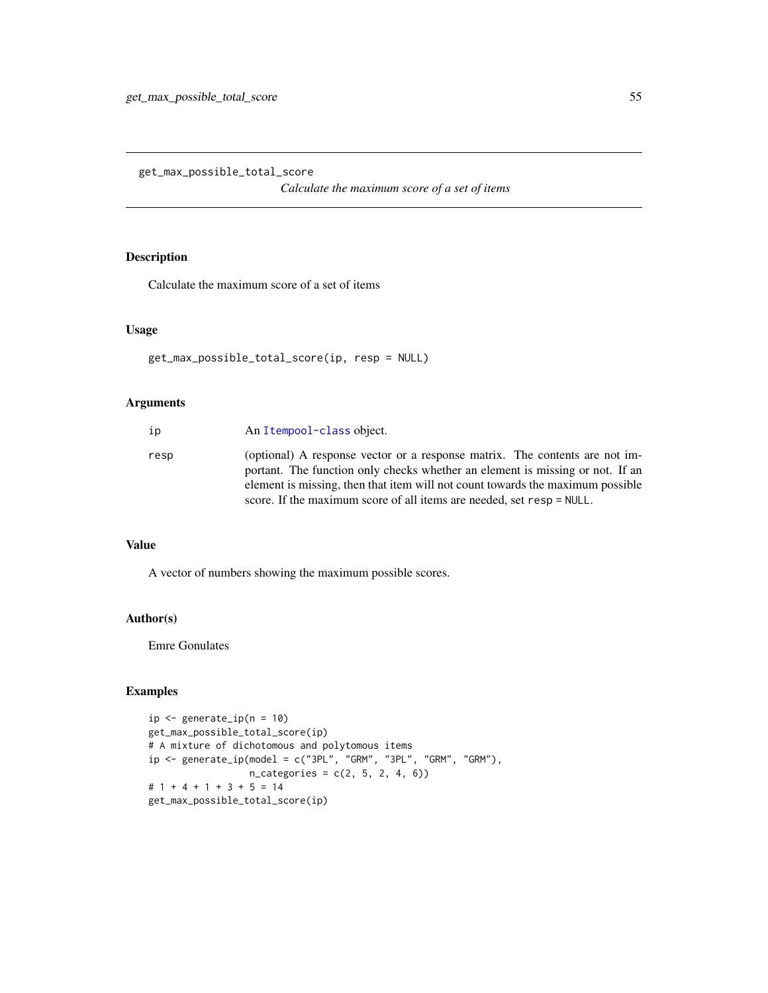get\_max\_possible\_total\_score

*Calculate the maximum score of a set of items*

## Description

Calculate the maximum score of a set of items

### Usage

```
get_max_possible_total_score(ip, resp = NULL)
```
### Arguments

| ip   | An Itempool-class object.                                                                                                                                                                                                                                                                                               |
|------|-------------------------------------------------------------------------------------------------------------------------------------------------------------------------------------------------------------------------------------------------------------------------------------------------------------------------|
| resp | (optional) A response vector or a response matrix. The contents are not im-<br>portant. The function only checks whether an element is missing or not. If an<br>element is missing, then that item will not count towards the maximum possible<br>score. If the maximum score of all items are needed, set resp = NULL. |
|      |                                                                                                                                                                                                                                                                                                                         |

## Value

A vector of numbers showing the maximum possible scores.

### Author(s)

Emre Gonulates

```
ip \leftarrow generate_ip(n = 10)get_max_possible_total_score(ip)
# A mixture of dichotomous and polytomous items
ip \leq - generate_ip(model = c("3PL", "GRM", "3PL", "GRM", "GRM"),
                   n_{\text{categories}} = c(2, 5, 2, 4, 6)# 1 + 4 + 1 + 3 + 5 = 14
get_max_possible_total_score(ip)
```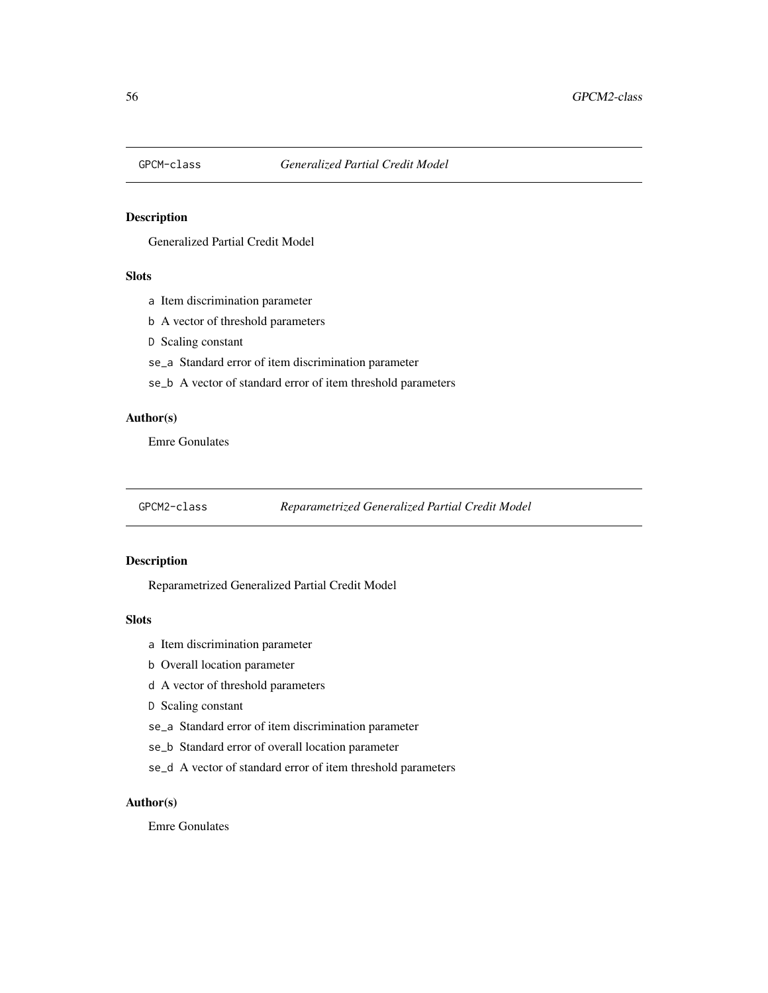## Description

Generalized Partial Credit Model

## Slots

- a Item discrimination parameter
- b A vector of threshold parameters
- D Scaling constant
- se\_a Standard error of item discrimination parameter
- se\_b A vector of standard error of item threshold parameters

## Author(s)

Emre Gonulates

GPCM2-class *Reparametrized Generalized Partial Credit Model*

### Description

Reparametrized Generalized Partial Credit Model

## Slots

- a Item discrimination parameter
- b Overall location parameter
- d A vector of threshold parameters
- D Scaling constant
- se\_a Standard error of item discrimination parameter
- se\_b Standard error of overall location parameter
- se\_d A vector of standard error of item threshold parameters

### Author(s)

Emre Gonulates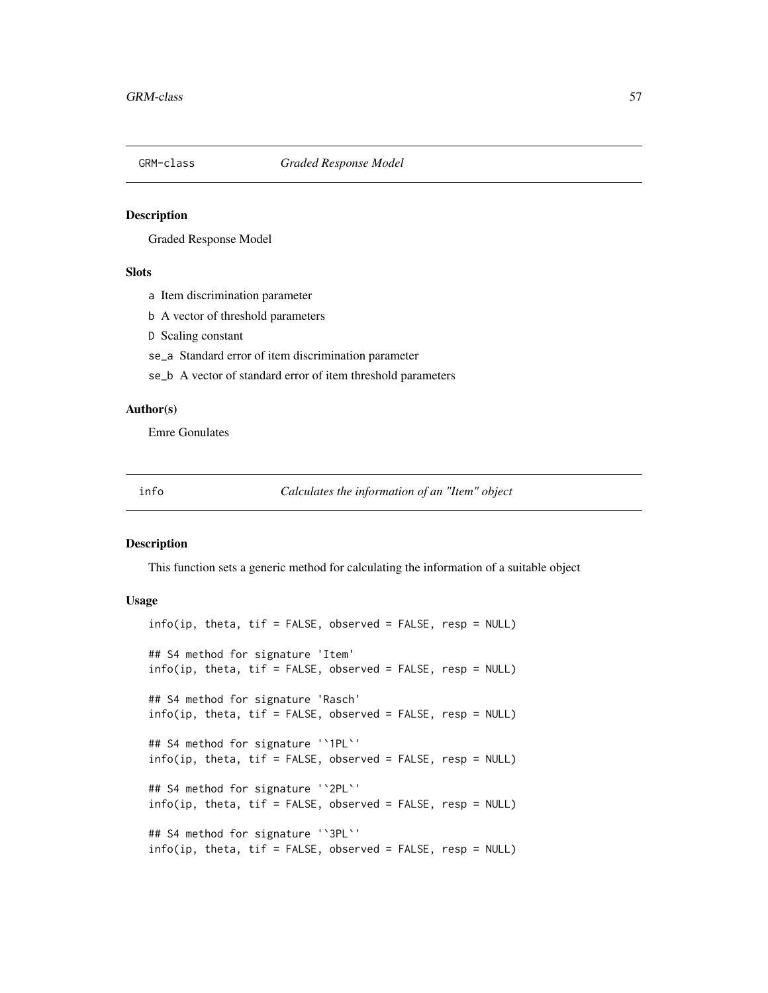#### Description

Graded Response Model

### **Slots**

- a Item discrimination parameter
- b A vector of threshold parameters
- D Scaling constant
- se\_a Standard error of item discrimination parameter
- se\_b A vector of standard error of item threshold parameters

## Author(s)

Emre Gonulates

info *Calculates the information of an "Item" object*

### Description

This function sets a generic method for calculating the information of a suitable object

#### Usage

```
info(ip, theta, tif = FALSE, observed = FALSE, resp = NULL)## S4 method for signature 'Item'
info(ip, theta, tif = FALSE, observed = FALSE, resp = NULL)## S4 method for signature 'Rasch'
info(ip, theta, tif = FALSE, observed = FALSE, resp = NULL)## S4 method for signature '`1PL`'
info(ip, theta, tif = FALSE, observed = FALSE, resp = NULL)## S4 method for signature '`2PL`'
info(ip, theta, tif = FALSE, observed = FALSE, resp = NULL)## S4 method for signature '`3PL`'
info(ip, theta, tif = FALSE, observed = FALSE, resp = NULL)
```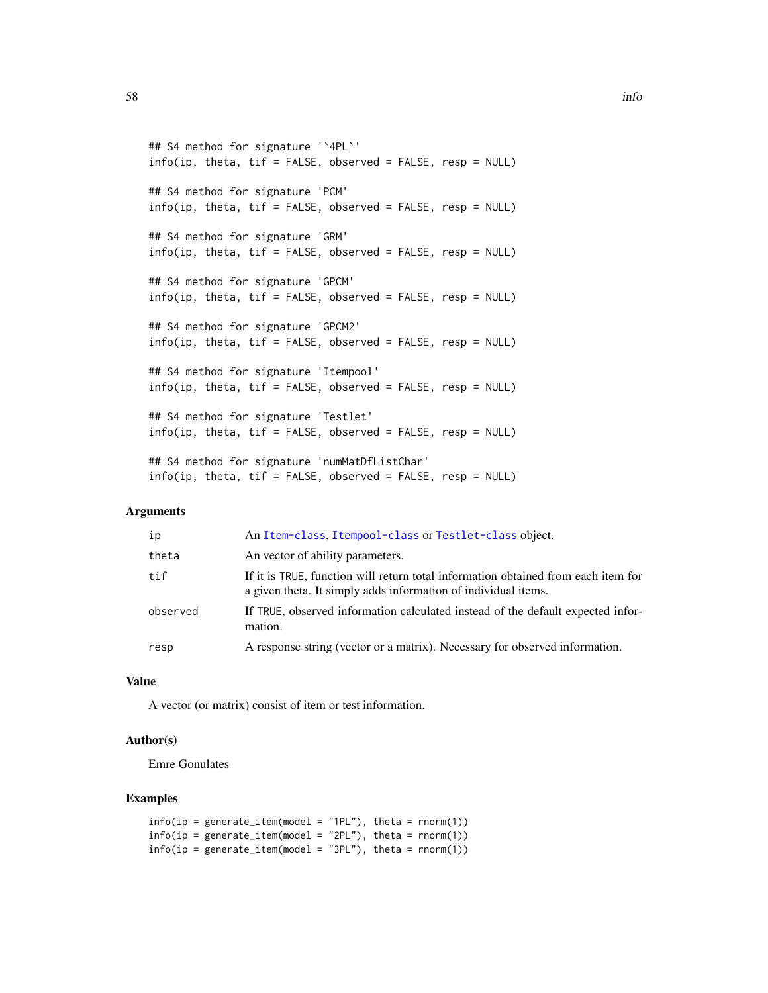```
## S4 method for signature '`4PL`'
info(ip, theta, tif = FALSE, observed = FALSE, resp = NULL)## S4 method for signature 'PCM'
info(ip, theta, tif = FALSE, observed = FALSE, resp = NULL)## S4 method for signature 'GRM'
info(ip, theta, tif = FALSE, observed = FALSE, resp = NULL)## S4 method for signature 'GPCM'
info(ip, theta, tif = FALSE, observed = FALSE, resp = NULL)## S4 method for signature 'GPCM2'
info(ip, theta, tif = FALSE, observed = FALSE, resp = NULL)## S4 method for signature 'Itempool'
info(ip, theta, tif = FALSE, observed = FALSE, resp = NULL)## S4 method for signature 'Testlet'
info(ip, theta, tif = FALSE, observed = FALSE, resp = NULL)## S4 method for signature 'numMatDfListChar'
```
 $info(ip, theta, tif = FALSE, observed = FALSE, resp = NULL)$ 

#### Arguments

| ip       | An Item-class, Itempool-class or Testlet-class object.                                                                                              |
|----------|-----------------------------------------------------------------------------------------------------------------------------------------------------|
| theta    | An vector of ability parameters.                                                                                                                    |
| tif      | If it is TRUE, function will return total information obtained from each item for<br>a given theta. It simply adds information of individual items. |
| observed | If TRUE, observed information calculated instead of the default expected infor-<br>mation.                                                          |
| resp     | A response string (vector or a matrix). Necessary for observed information.                                                                         |

### Value

A vector (or matrix) consist of item or test information.

### Author(s)

Emre Gonulates

```
info(ip = generate\_item(model = "1PL"), theta = rnorm(1))info(ip = generate\_item(model = "2PL"), theta = rnorm(1))
info(ip = generate\_item(model = "3PL"), theta = rnorm(1)
```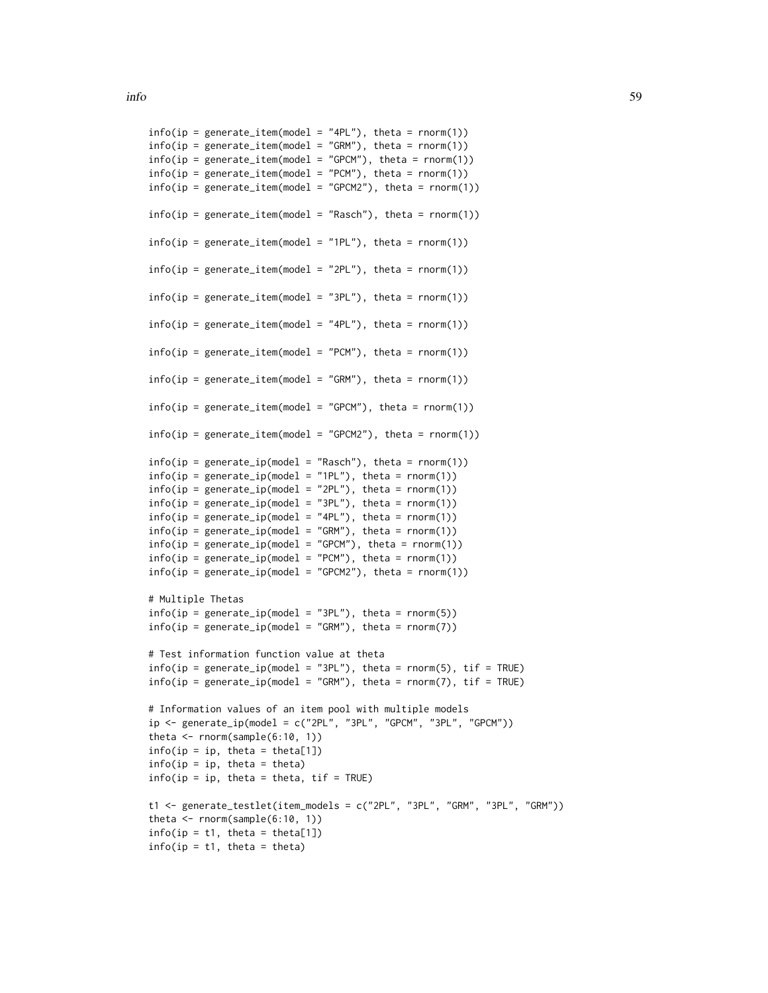```
info(ip = generate\_item(model = "4PL"), theta = rnorm(1)info(ip = generate\_item(model = "GRM"), theta = rnorm(1)info(ip = generate_item(model = "GPCM"), theta = rnorm(1))
info(ip = generate\_item(model = "PCM"), theta = rnorm(1)info(ip = generate\_item(model = "GPCM2"), theta = rnorm(1)info(ip = generate\_item(model = "Rasch"), theta = rnorm(1))info(ip = generate\_item(model = "1PL"), theta = rnorm(1))info(ip = generate\_item(model = "2PL"), theta = rnorm(1)info(ip = generate\_item(model = "3PL"), theta = rnorm(1)info(ip = generate\_item(model = "4PL"), theta = rnorm(1))info(ip = generate\_item(model = "PCM"), theta = rnorm(1)info(ip = generate\_item(model = "GRM"), theta = rnorm(1)info(ip = generate\_item(model = "GPCM"), theta = rnorm(1)info(ip = generate\_item(model = "GPCM2"), theta = rnorm(1)info(ip = generate_ip(model = "Rasch"), theta = rnonm(1)info(ip = generate_ip(model = "1PL"), theta = rnorm(1)info(ip = generate_ip(model = "2PL"), theta = rnorm(1)info(ip = generate_ip(model = "3PL"), theta = rnorm(1)info(ip = generate_ip(model = "4PL"), theta = rnorm(1)info(ip = generate_ip(model = "GRM"), theta = rnorm(1)info(ip = generate_ip(model = "GPCM"), theta = rnorm(1)info(ip = generate_ip(model = "PCM"), theta = rnorm(1)info(ip = generate_ip(model = "GPCM2"), theta = rnorm(1)# Multiple Thetas
info(ip = generate_ip(model = "3PL"), theta = rnorm(5)info(ip = generate_ip(model = "GRM"), theta = rnorm(7)# Test information function value at theta
info(ip = generate_ip(model = "3PL"), theta = rnorm(5), tif = TRUE)
info(ip = generate_ip(model = "GRM"), theta = rnorm(7), tif = TRUE)
# Information values of an item pool with multiple models
ip \leftarrow generate_ip(\text{model} = c("2PL", "3PL", "GPCM", "3PL", "GPCM")theta \leq rnorm(sample(6:10, 1))
info(ip = ip, theta = theta[1])info(ip = ip, theta = theta)info(ip = ip, theta = theta, tif = TRUE)t1 <- generate_testlet(item_models = c("2PL", "3PL", "GRM", "3PL", "GRM"))
theta \leq rnorm(sample(6:10, 1))
info(ip = t1, theta = theta[1])info(ip = t1, theta = theta)
```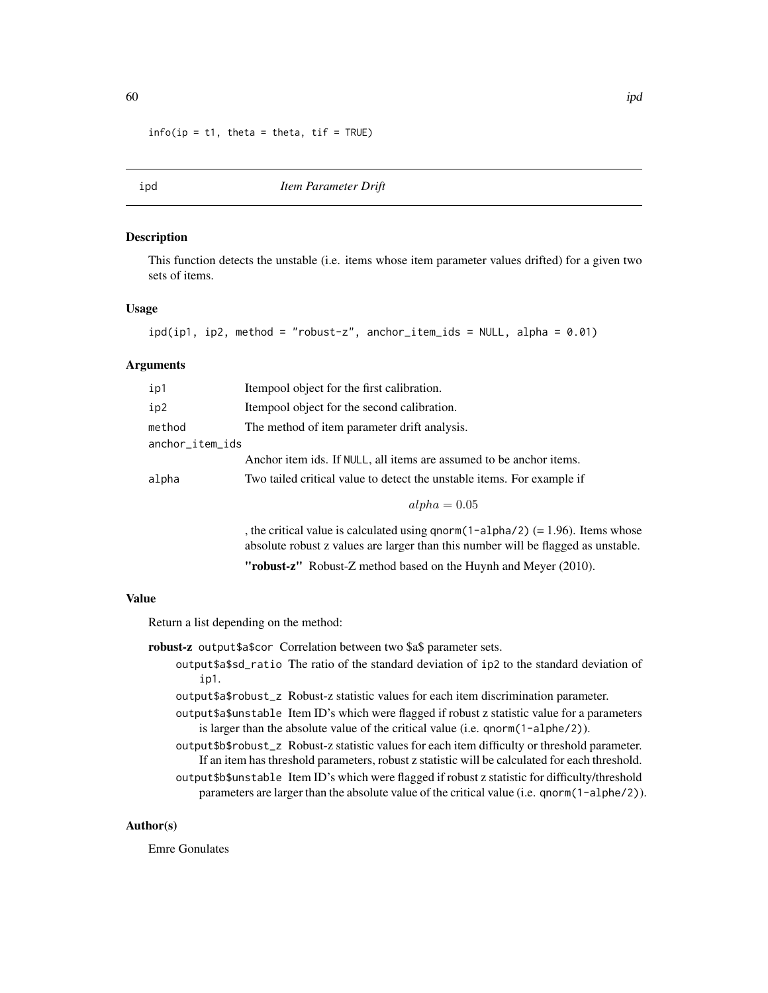```
info(ip = t1, theta = theta, tif = TRUE)
```
ipd *Item Parameter Drift*

#### Description

This function detects the unstable (i.e. items whose item parameter values drifted) for a given two sets of items.

### Usage

```
ipd(ip1, ip2, method = "robust-z", anchor\_item\_ids = NULL, alpha = 0.01)
```
## **Arguments**

| ip1             | Itempool object for the first calibration.                             |  |
|-----------------|------------------------------------------------------------------------|--|
| ip2             | Itempool object for the second calibration.                            |  |
| method          | The method of item parameter drift analysis.                           |  |
| anchor_item_ids |                                                                        |  |
|                 | Anchor item ids. If NULL, all items are assumed to be anchor items.    |  |
| alpha           | Two tailed critical value to detect the unstable items. For example if |  |
|                 | $alpha = 0.05$                                                         |  |

, the critical value is calculated using qnorm(1-alpha/2)  $(= 1.96)$ . Items whose absolute robust z values are larger than this number will be flagged as unstable. "robust-z" Robust-Z method based on the Huynh and Meyer (2010).

#### Value

Return a list depending on the method:

- robust-z output\$a\$cor Correlation between two \$a\$ parameter sets.
	- output\$a\$sd\_ratio The ratio of the standard deviation of ip2 to the standard deviation of ip1.
		- output\$a\$robust\_z Robust-z statistic values for each item discrimination parameter.
		- output\$a\$unstable Item ID's which were flagged if robust z statistic value for a parameters is larger than the absolute value of the critical value (i.e. qnorm(1-alphe/2)).
		- output\$b\$robust\_z Robust-z statistic values for each item difficulty or threshold parameter. If an item has threshold parameters, robust z statistic will be calculated for each threshold. output\$b\$unstable Item ID's which were flagged if robust z statistic for difficulty/threshold parameters are larger than the absolute value of the critical value (i.e. qnorm(1-alphe/2)).

### Author(s)

Emre Gonulates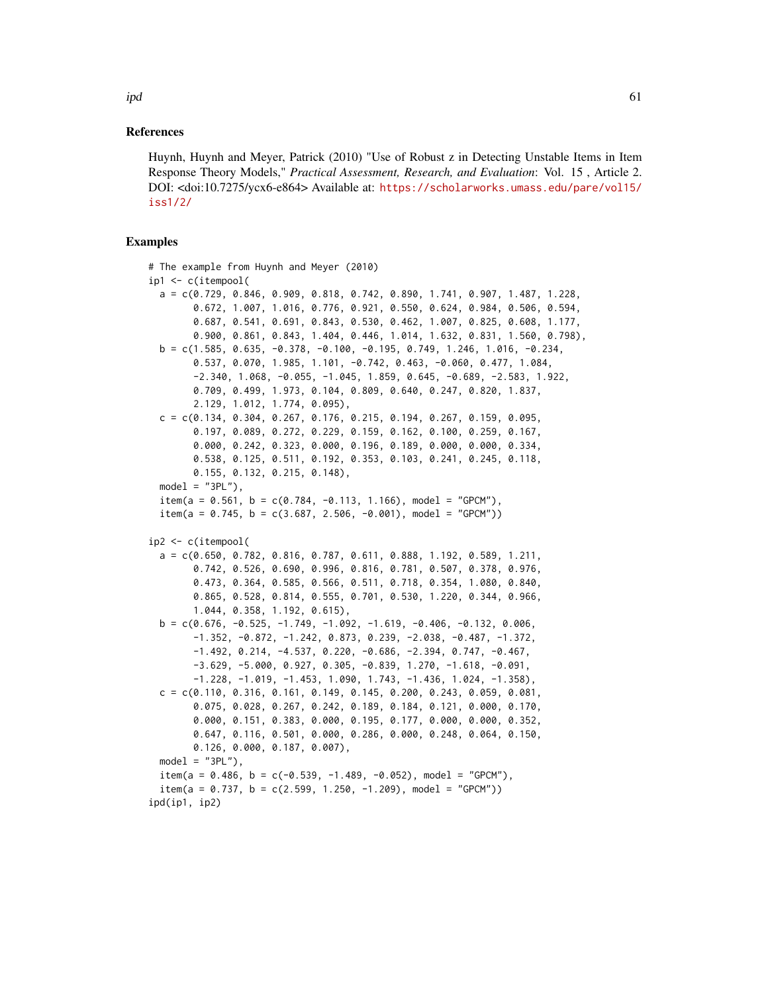#### References

Huynh, Huynh and Meyer, Patrick (2010) "Use of Robust z in Detecting Unstable Items in Item Response Theory Models," *Practical Assessment, Research, and Evaluation*: Vol. 15 , Article 2. DOI: <doi:10.7275/ycx6-e864> Available at: [https://scholarworks.umass.edu/pare/vol15/](https://scholarworks.umass.edu/pare/vol15/iss1/2/) [iss1/2/](https://scholarworks.umass.edu/pare/vol15/iss1/2/)

```
# The example from Huynh and Meyer (2010)
ip1 <- c(itempool(
 a = c(0.729, 0.846, 0.909, 0.818, 0.742, 0.890, 1.741, 0.907, 1.487, 1.228,0.672, 1.007, 1.016, 0.776, 0.921, 0.550, 0.624, 0.984, 0.506, 0.594,
       0.687, 0.541, 0.691, 0.843, 0.530, 0.462, 1.007, 0.825, 0.608, 1.177,
       0.900, 0.861, 0.843, 1.404, 0.446, 1.014, 1.632, 0.831, 1.560, 0.798),
 b = c(1.585, 0.635, -0.378, -0.100, -0.195, 0.749, 1.246, 1.016, -0.234,0.537, 0.070, 1.985, 1.101, -0.742, 0.463, -0.060, 0.477, 1.084,
        -2.340, 1.068, -0.055, -1.045, 1.859, 0.645, -0.689, -2.583, 1.922,
       0.709, 0.499, 1.973, 0.104, 0.809, 0.640, 0.247, 0.820, 1.837,
       2.129, 1.012, 1.774, 0.095),
 c = c(0.134, 0.304, 0.267, 0.176, 0.215, 0.194, 0.267, 0.159, 0.095,0.197, 0.089, 0.272, 0.229, 0.159, 0.162, 0.100, 0.259, 0.167,
       0.000, 0.242, 0.323, 0.000, 0.196, 0.189, 0.000, 0.000, 0.334,
       0.538, 0.125, 0.511, 0.192, 0.353, 0.103, 0.241, 0.245, 0.118,
       0.155, 0.132, 0.215, 0.148),
 model = "3PL"),
 item(a = 0.561, b = c(0.784, -0.113, 1.166), model = "GPCM"),
 item(a = 0.745, b = c(3.687, 2.506, -0.001), model = "GPCM")ip2 <- c(itempool(
  a = c(0.650, 0.782, 0.816, 0.787, 0.611, 0.888, 1.192, 0.589, 1.211,0.742, 0.526, 0.690, 0.996, 0.816, 0.781, 0.507, 0.378, 0.976,
        0.473, 0.364, 0.585, 0.566, 0.511, 0.718, 0.354, 1.080, 0.840,
       0.865, 0.528, 0.814, 0.555, 0.701, 0.530, 1.220, 0.344, 0.966,
       1.044, 0.358, 1.192, 0.615),
 b = c(0.676, -0.525, -1.749, -1.092, -1.619, -0.406, -0.132, 0.006,-1.352, -0.872, -1.242, 0.873, 0.239, -2.038, -0.487, -1.372,-1.492, 0.214, -4.537, 0.220, -0.686, -2.394, 0.747, -0.467,
       -3.629, -5.000, 0.927, 0.305, -0.839, 1.270, -1.618, -0.091,
       -1.228, -1.019, -1.453, 1.090, 1.743, -1.436, 1.024, -1.358),
 c = c(0.110, 0.316, 0.161, 0.149, 0.145, 0.200, 0.243, 0.059, 0.081,0.075, 0.028, 0.267, 0.242, 0.189, 0.184, 0.121, 0.000, 0.170,
       0.000, 0.151, 0.383, 0.000, 0.195, 0.177, 0.000, 0.000, 0.352,
       0.647, 0.116, 0.501, 0.000, 0.286, 0.000, 0.248, 0.064, 0.150,
       0.126, 0.000, 0.187, 0.007),
 model = "3PL"),
 item(a = 0.486, b = c(-0.539, -1.489, -0.052), model = "GPCM"),
  item(a = 0.737, b = c(2.599, 1.250, -1.209), model = "GPCM"))
ipd(ip1, ip2)
```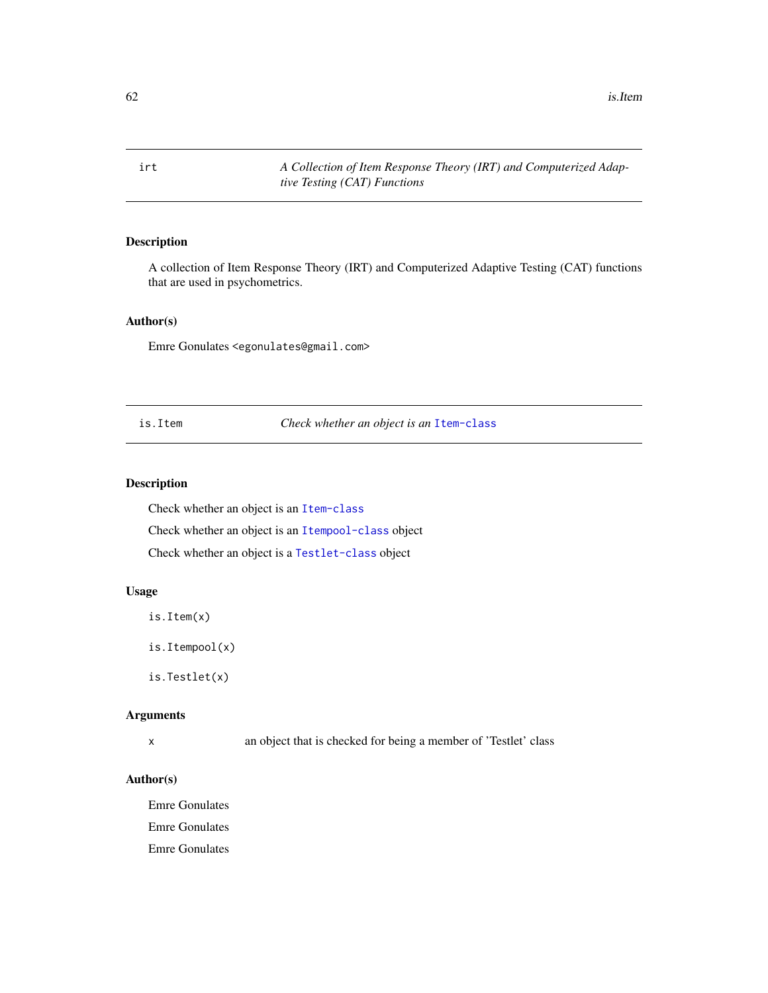62 is.Item

irt *A Collection of Item Response Theory (IRT) and Computerized Adaptive Testing (CAT) Functions*

## Description

A collection of Item Response Theory (IRT) and Computerized Adaptive Testing (CAT) functions that are used in psychometrics.

#### Author(s)

Emre Gonulates <egonulates@gmail.com>

is.Item *Check whether an object is an* [Item-class](#page-64-0)

### Description

Check whether an object is an [Item-class](#page-64-0)

Check whether an object is an [Itempool-class](#page-68-0) object

Check whether an object is a [Testlet-class](#page-115-0) object

## Usage

is.Item(x)

is.Itempool(x)

is.Testlet(x)

### Arguments

x an object that is checked for being a member of 'Testlet' class

### Author(s)

Emre Gonulates Emre Gonulates Emre Gonulates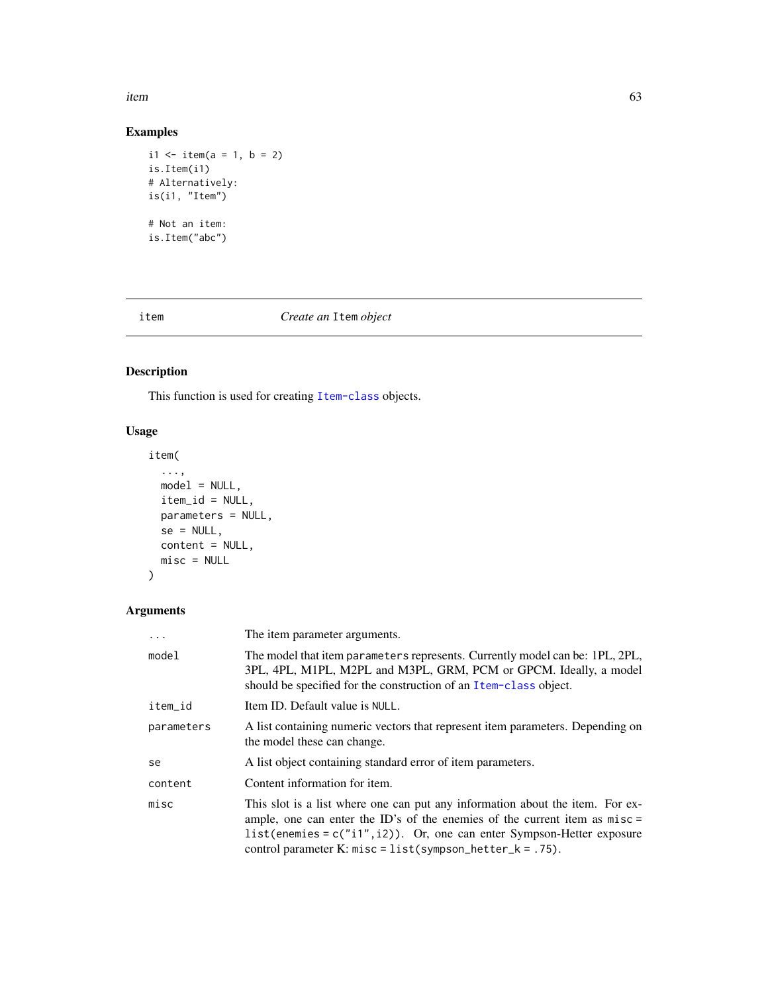item 63 and 53 and 63 and 63 and 63 and 63 and 63 and 63 and 63 and 63 and 63 and 63 and 63 and 63 and 63 and 63

## Examples

```
i1 <- item(a = 1, b = 2)
is.Item(i1)
# Alternatively:
is(i1, "Item")
# Not an item:
is.Item("abc")
```
## item *Create an* Item *object*

## Description

This function is used for creating [Item-class](#page-64-0) objects.

## Usage

```
item(
  ...,
 model = NULL,item_id = NULL,
 parameters = NULL,
 se = NULL,content = NULL,
 misc = NULL
)
```
## Arguments

| $\cdots$   | The item parameter arguments.                                                                                                                                                                                                                                                                               |
|------------|-------------------------------------------------------------------------------------------------------------------------------------------------------------------------------------------------------------------------------------------------------------------------------------------------------------|
| model      | The model that item parameters represents. Currently model can be: 1PL, 2PL,<br>3PL, 4PL, M1PL, M2PL and M3PL, GRM, PCM or GPCM. Ideally, a model<br>should be specified for the construction of an Item-class object.                                                                                      |
| item_id    | Item ID. Default value is NULL.                                                                                                                                                                                                                                                                             |
| parameters | A list containing numeric vectors that represent item parameters. Depending on<br>the model these can change.                                                                                                                                                                                               |
| se         | A list object containing standard error of item parameters.                                                                                                                                                                                                                                                 |
| content    | Content information for item.                                                                                                                                                                                                                                                                               |
| misc       | This slot is a list where one can put any information about the item. For ex-<br>ample, one can enter the ID's of the enemies of the current item as $misc =$<br>$list$ (enemies = c("i1", i2)). Or, one can enter Sympson-Hetter exposure<br>control parameter K: $misc = list(sympson_{letter_k = .75}).$ |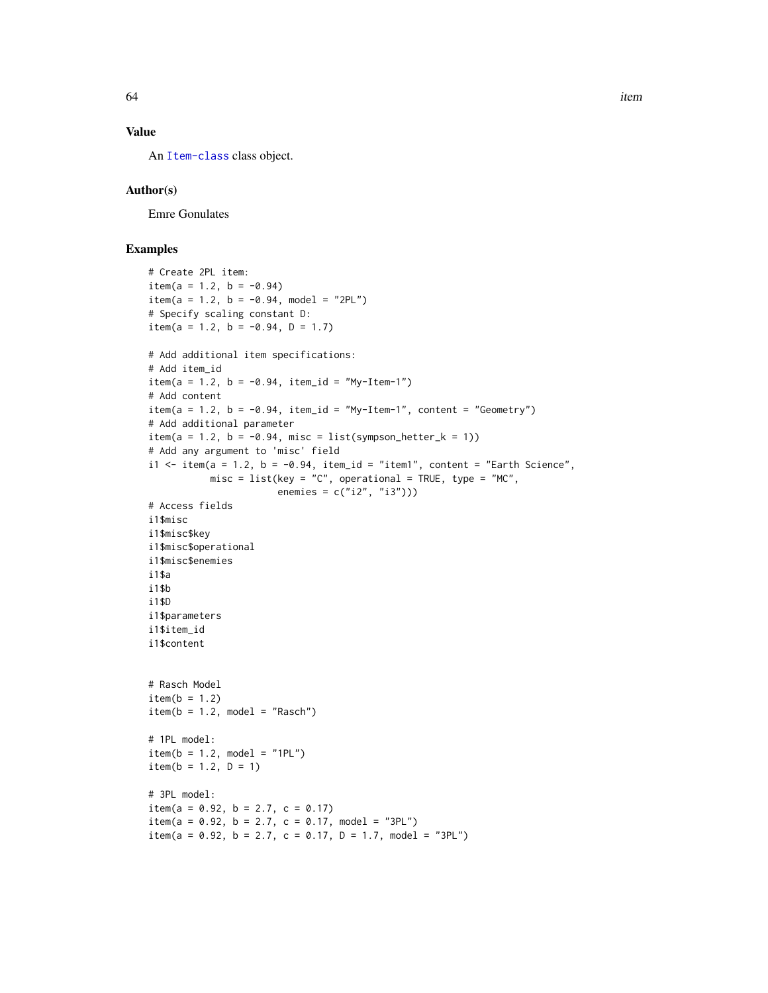## Value

An [Item-class](#page-64-0) class object.

## Author(s)

Emre Gonulates

## Examples

```
# Create 2PL item:
item(a = 1.2, b = -0.94)item(a = 1.2, b = -0.94, model = "2PL")# Specify scaling constant D:
item(a = 1.2, b = -0.94, D = 1.7)
# Add additional item specifications:
# Add item_id
item(a = 1.2, b = -0.94, item_id = "My-Item-1")
# Add content
item(a = 1.2, b = -0.94, item_id = "My-Item-1", content = "Geometry")# Add additional parameter
item(a = 1.2, b = -0.94, misc = list(sympson_hetter_k = 1))
# Add any argument to 'misc' field
i1 <- item(a = 1.2, b = -0.94, item_id = "item1", content = "Earth Science",
          misc = list(key = "C", operational = TRUE, type = "MC",enemies = c("i2", "i3")))
# Access fields
i1$misc
i1$misc$key
i1$misc$operational
i1$misc$enemies
i1$a
i1$b
i1$D
i1$parameters
i1$item_id
i1$content
# Rasch Model
item(b = 1.2)item(b = 1.2, model = "Rasch")# 1PL model:
item(b = 1.2, model = "1PL")item(b = 1.2, D = 1)# 3PL model:
item(a = 0.92, b = 2.7, c = 0.17)
item(a = 0.92, b = 2.7, c = 0.17, model = "3PL")
item(a = 0.92, b = 2.7, c = 0.17, D = 1.7, model = "3PL")
```
64 item in the set of the set of the set of the set of the set of the set of the set of the set of the set of the set of the set of the set of the set of the set of the set of the set of the set of the set of the set of th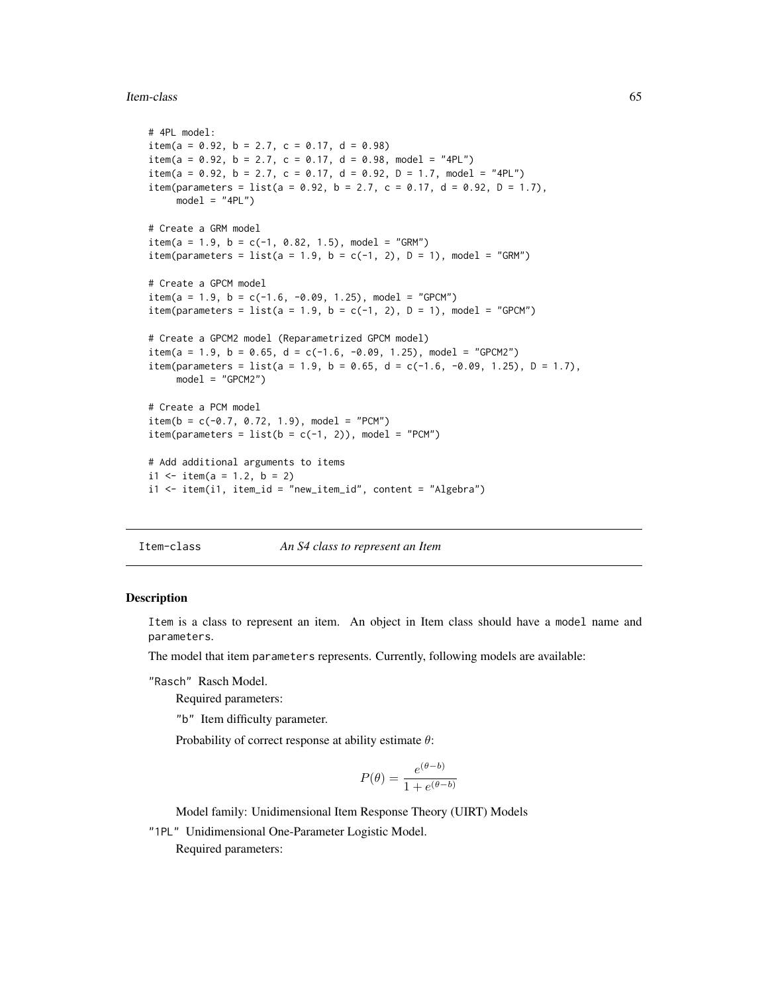#### Item-class 65

```
# 4PL model:
item(a = 0.92, b = 2.7, c = 0.17, d = 0.98)
item(a = 0.92, b = 2.7, c = 0.17, d = 0.98, model = "4PL")
item(a = 0.92, b = 2.7, c = 0.17, d = 0.92, D = 1.7, model = "4PL")
item(parameters = list(a = 0.92, b = 2.7, c = 0.17, d = 0.92, D = 1.7),
    model = "4PL")# Create a GRM model
item(a = 1.9, b = c(-1, 0.82, 1.5), model = "GRM")item(parameters = list(a = 1.9, b = c(-1, 2), D = 1), model = "GRM")
# Create a GPCM model
item(a = 1.9, b = c(-1.6, -0.09, 1.25), model = "GPCM")item(parameters = list(a = 1.9, b = c(-1, 2), D = 1), model = "GPCM")
# Create a GPCM2 model (Reparametrized GPCM model)
item(a = 1.9, b = 0.65, d = c(-1.6, -0.09, 1.25), model = "GPCM2")item(parameters = list(a = 1.9, b = 0.65, d = c(-1.6, -0.09, 1.25), D = 1.7),
    model = "GPCM2")# Create a PCM model
item(b = c(-0.7, 0.72, 1.9), model = "PCM")item(parameters = list(b = c(-1, 2)), model = "PCM")# Add additional arguments to items
i1 <- item(a = 1.2, b = 2)
i1 \le -i item(i1, item_id = "new_item_id", content = "Algebra")
```
<span id="page-64-0"></span>Item-class *An S4 class to represent an Item*

#### Description

Item is a class to represent an item. An object in Item class should have a model name and parameters.

The model that item parameters represents. Currently, following models are available:

"Rasch" Rasch Model.

Required parameters:

"b" Item difficulty parameter.

Probability of correct response at ability estimate  $\theta$ :

$$
P(\theta) = \frac{e^{(\theta - b)}}{1 + e^{(\theta - b)}}
$$

Model family: Unidimensional Item Response Theory (UIRT) Models

"1PL" Unidimensional One-Parameter Logistic Model.

Required parameters: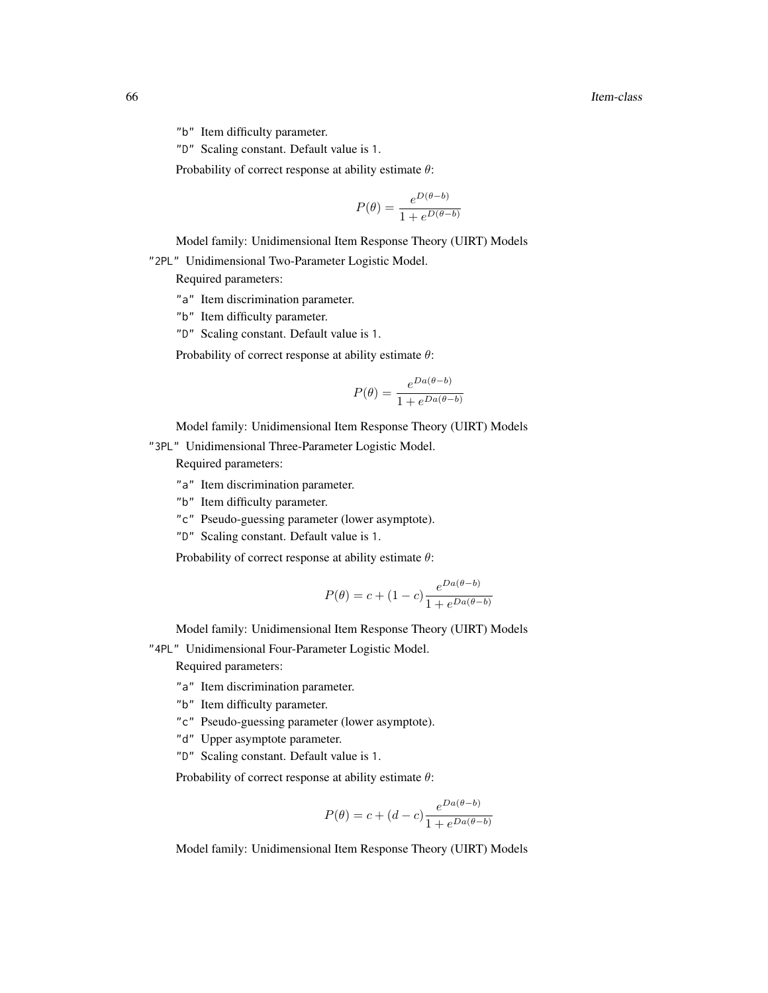"b" Item difficulty parameter.

"D" Scaling constant. Default value is 1.

Probability of correct response at ability estimate  $\theta$ :

$$
P(\theta) = \frac{e^{D(\theta - b)}}{1 + e^{D(\theta - b)}}
$$

Model family: Unidimensional Item Response Theory (UIRT) Models

"2PL" Unidimensional Two-Parameter Logistic Model.

Required parameters:

- "a" Item discrimination parameter.
- "b" Item difficulty parameter.
- "D" Scaling constant. Default value is 1.

Probability of correct response at ability estimate  $\theta$ :

$$
P(\theta) = \frac{e^{Da(\theta - b)}}{1 + e^{Da(\theta - b)}}
$$

Model family: Unidimensional Item Response Theory (UIRT) Models

"3PL" Unidimensional Three-Parameter Logistic Model.

Required parameters:

- "a" Item discrimination parameter.
- "b" Item difficulty parameter.
- "c" Pseudo-guessing parameter (lower asymptote).
- "D" Scaling constant. Default value is 1.

Probability of correct response at ability estimate  $\theta$ :

$$
P(\theta) = c + (1 - c) \frac{e^{Da(\theta - b)}}{1 + e^{Da(\theta - b)}}
$$

Model family: Unidimensional Item Response Theory (UIRT) Models

"4PL" Unidimensional Four-Parameter Logistic Model.

Required parameters:

- "a" Item discrimination parameter.
- "b" Item difficulty parameter.
- "c" Pseudo-guessing parameter (lower asymptote).
- "d" Upper asymptote parameter.
- "D" Scaling constant. Default value is 1.

Probability of correct response at ability estimate  $\theta$ :

$$
P(\theta) = c + (d - c) \frac{e^{Da(\theta - b)}}{1 + e^{Da(\theta - b)}}
$$

Model family: Unidimensional Item Response Theory (UIRT) Models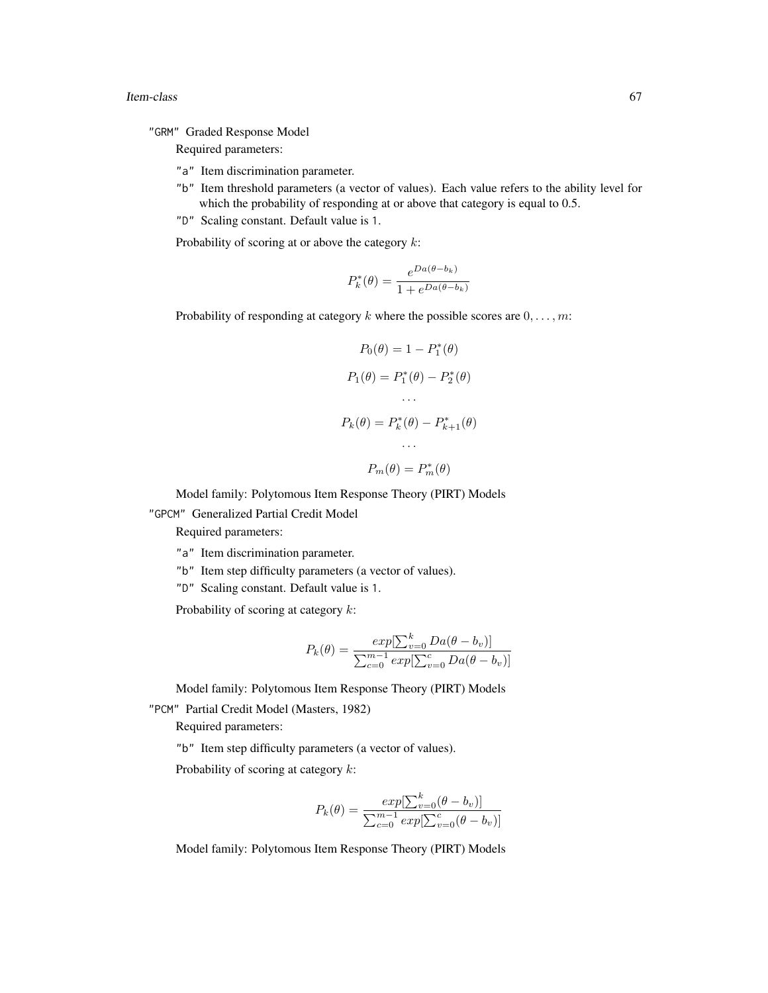#### Item-class 67

"GRM" Graded Response Model

Required parameters:

- "a" Item discrimination parameter.
- "b" Item threshold parameters (a vector of values). Each value refers to the ability level for which the probability of responding at or above that category is equal to 0.5.
- "D" Scaling constant. Default value is 1.

Probability of scoring at or above the category  $k$ :

$$
P_k^*(\theta) = \frac{e^{Da(\theta - b_k)}}{1 + e^{Da(\theta - b_k)}}
$$

Probability of responding at category k where the possible scores are  $0, \ldots, m$ :

$$
P_0(\theta) = 1 - P_1^*(\theta)
$$
  
\n
$$
P_1(\theta) = P_1^*(\theta) - P_2^*(\theta)
$$
  
\n...  
\n
$$
P_k(\theta) = P_k^*(\theta) - P_{k+1}^*(\theta)
$$
  
\n...  
\n
$$
P_m(\theta) = P_m^*(\theta)
$$

Model family: Polytomous Item Response Theory (PIRT) Models

"GPCM" Generalized Partial Credit Model

Required parameters:

"a" Item discrimination parameter.

"b" Item step difficulty parameters (a vector of values).

"D" Scaling constant. Default value is 1.

Probability of scoring at category  $k$ :

$$
P_k(\theta) = \frac{exp[\sum_{v=0}^{k} Da(\theta - b_v)]}{\sum_{c=0}^{m-1} exp[\sum_{v=0}^{c} Da(\theta - b_v)]}
$$

Model family: Polytomous Item Response Theory (PIRT) Models "PCM" Partial Credit Model (Masters, 1982)

Required parameters:

"b" Item step difficulty parameters (a vector of values).

Probability of scoring at category  $k$ :

$$
P_k(\theta) = \frac{exp[\sum_{v=0}^k (\theta - b_v)]}{\sum_{c=0}^{m-1} exp[\sum_{v=0}^c (\theta - b_v)]}
$$

Model family: Polytomous Item Response Theory (PIRT) Models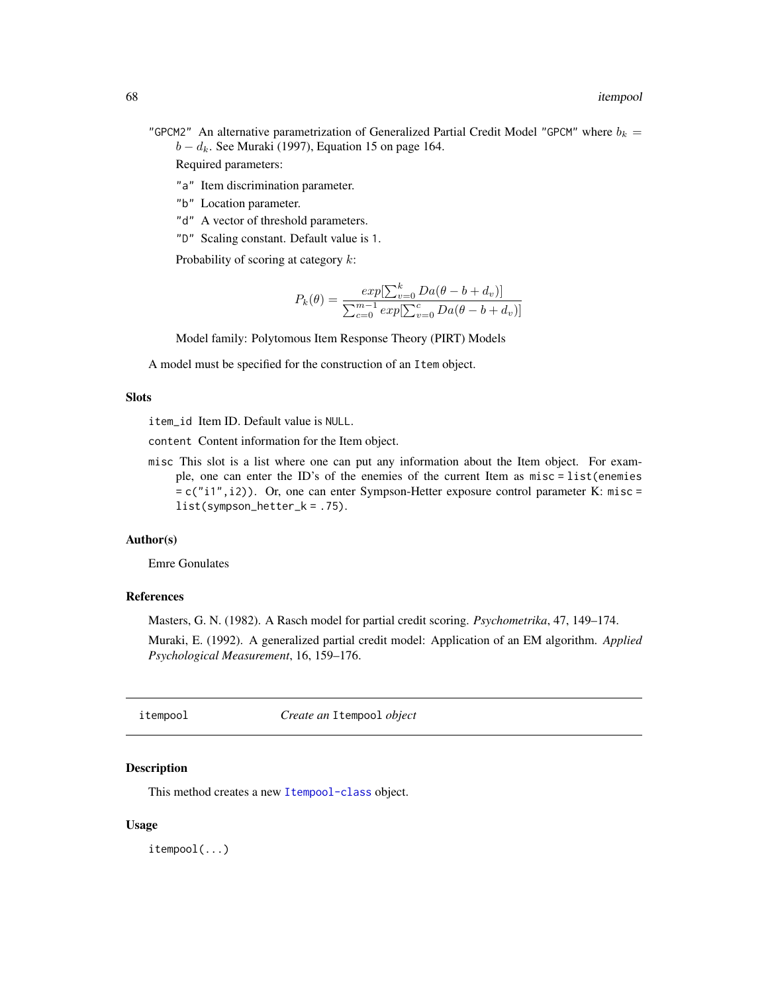"GPCM2" An alternative parametrization of Generalized Partial Credit Model "GPCM" where  $b_k =$  $b - d_k$ . See Muraki (1997), Equation 15 on page 164.

Required parameters:

- "a" Item discrimination parameter.
- "b" Location parameter.
- "d" A vector of threshold parameters.
- "D" Scaling constant. Default value is 1.

Probability of scoring at category  $k$ :

$$
P_k(\theta) = \frac{exp[\sum_{v=0}^{k} Da(\theta - b + d_v)]}{\sum_{c=0}^{m-1} exp[\sum_{v=0}^{c} Da(\theta - b + d_v)]}
$$

Model family: Polytomous Item Response Theory (PIRT) Models

A model must be specified for the construction of an Item object.

### **Slots**

item\_id Item ID. Default value is NULL.

content Content information for the Item object.

misc This slot is a list where one can put any information about the Item object. For example, one can enter the ID's of the enemies of the current Item as misc = list(enemies = c("i1",i2)). Or, one can enter Sympson-Hetter exposure control parameter K: misc = list(sympson\_hetter\_k = .75).

#### Author(s)

Emre Gonulates

### References

Masters, G. N. (1982). A Rasch model for partial credit scoring. *Psychometrika*, 47, 149–174.

Muraki, E. (1992). A generalized partial credit model: Application of an EM algorithm. *Applied Psychological Measurement*, 16, 159–176.

itempool *Create an* Itempool *object*

### Description

This method creates a new [Itempool-class](#page-68-0) object.

#### Usage

itempool(...)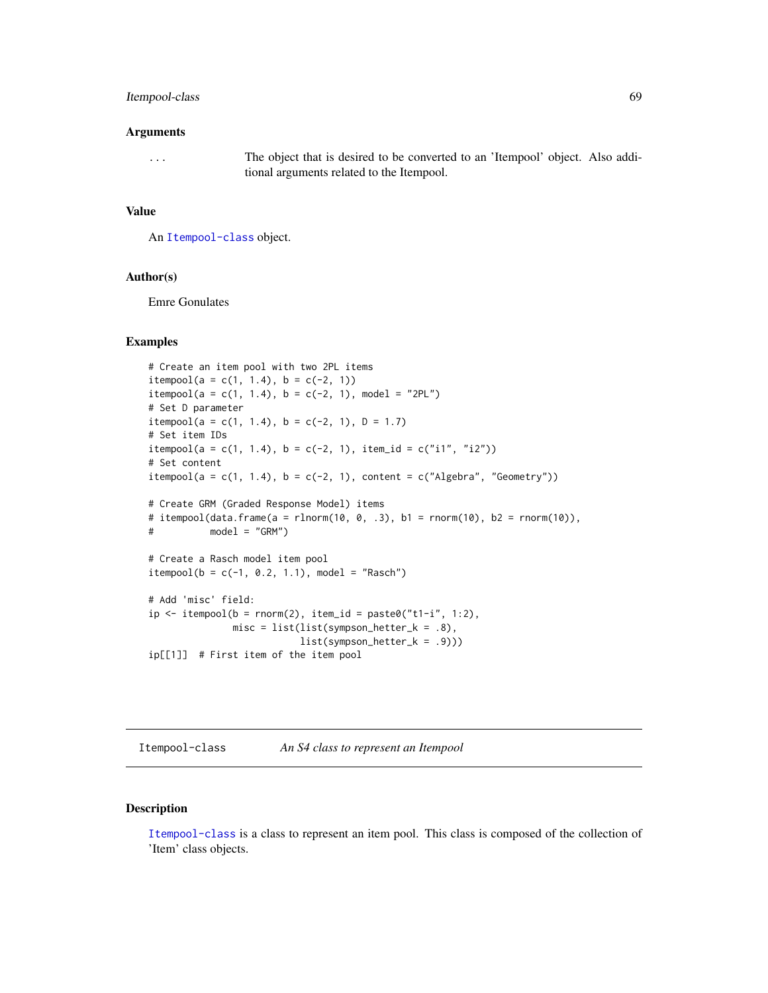### Itempool-class 69

#### Arguments

... The object that is desired to be converted to an 'Itempool' object. Also additional arguments related to the Itempool.

#### Value

An [Itempool-class](#page-68-0) object.

#### Author(s)

Emre Gonulates

### Examples

```
# Create an item pool with two 2PL items
itempool(a = c(1, 1.4), b = c(-2, 1))
itempool(a = c(1, 1.4), b = c(-2, 1), model = "2PL")# Set D parameter
itempool(a = c(1, 1.4), b = c(-2, 1), D = 1.7)
# Set item IDs
itempool(a = c(1, 1.4), b = c(-2, 1), item_id = c("i1", "i2"))# Set content
itempool(a = c(1, 1.4), b = c(-2, 1), content = c("Algebra", "Geometry"))# Create GRM (Graded Response Model) items
# itempool(data.frame(a = rlnorm(10, 0, .3), b1 = rnorm(10), b2 = rnorm(10)),
# model = "GRM")
# Create a Rasch model item pool
itempool(b = c(-1, 0.2, 1.1), model = "Rasch")# Add 'misc' field:
ip \leftarrow \text{itempool}(b = \text{norm}(2), \text{item_id} = \text{past} \cdot \theta("t1-i", 1:2),misc = list(list(sympson_hetter_k = .8),list(sympson_hetter_k = .9)))
ip[[1]] # First item of the item pool
```
<span id="page-68-0"></span>Itempool-class *An S4 class to represent an Itempool*

## Description

[Itempool-class](#page-68-0) is a class to represent an item pool. This class is composed of the collection of 'Item' class objects.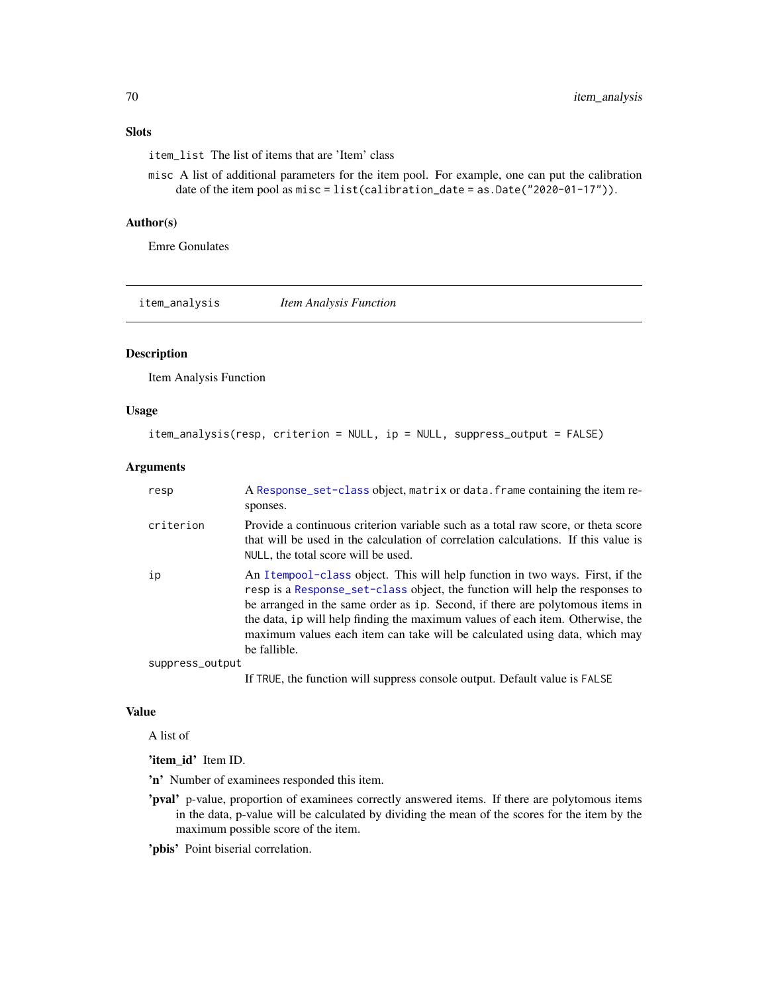# Slots

item\_list The list of items that are 'Item' class

misc A list of additional parameters for the item pool. For example, one can put the calibration date of the item pool as misc = list(calibration\_date = as.Date("2020-01-17")).

## Author(s)

Emre Gonulates

item\_analysis *Item Analysis Function*

#### Description

Item Analysis Function

#### Usage

```
item_analysis(resp, criterion = NULL, ip = NULL, suppress_output = FALSE)
```
#### Arguments

| resp            | A Response_set-class object, matrix or data. frame containing the item re-<br>sponses.                                                                                                                                                                                                                                                                                                                                        |
|-----------------|-------------------------------------------------------------------------------------------------------------------------------------------------------------------------------------------------------------------------------------------------------------------------------------------------------------------------------------------------------------------------------------------------------------------------------|
| criterion       | Provide a continuous criterion variable such as a total raw score, or theta score<br>that will be used in the calculation of correlation calculations. If this value is<br>NULL, the total score will be used.                                                                                                                                                                                                                |
| ip              | An Itempool-class object. This will help function in two ways. First, if the<br>resp is a Response_set-class object, the function will help the responses to<br>be arranged in the same order as ip. Second, if there are polytomous items in<br>the data, ip will help finding the maximum values of each item. Otherwise, the<br>maximum values each item can take will be calculated using data, which may<br>be fallible. |
| suppress_output |                                                                                                                                                                                                                                                                                                                                                                                                                               |
|                 | If TRUE, the function will suppress console output. Default value is FALSE                                                                                                                                                                                                                                                                                                                                                    |

#### Value

A list of

'item\_id' Item ID.

'n' Number of examinees responded this item.

'pval' p-value, proportion of examinees correctly answered items. If there are polytomous items in the data, p-value will be calculated by dividing the mean of the scores for the item by the maximum possible score of the item.

'pbis' Point biserial correlation.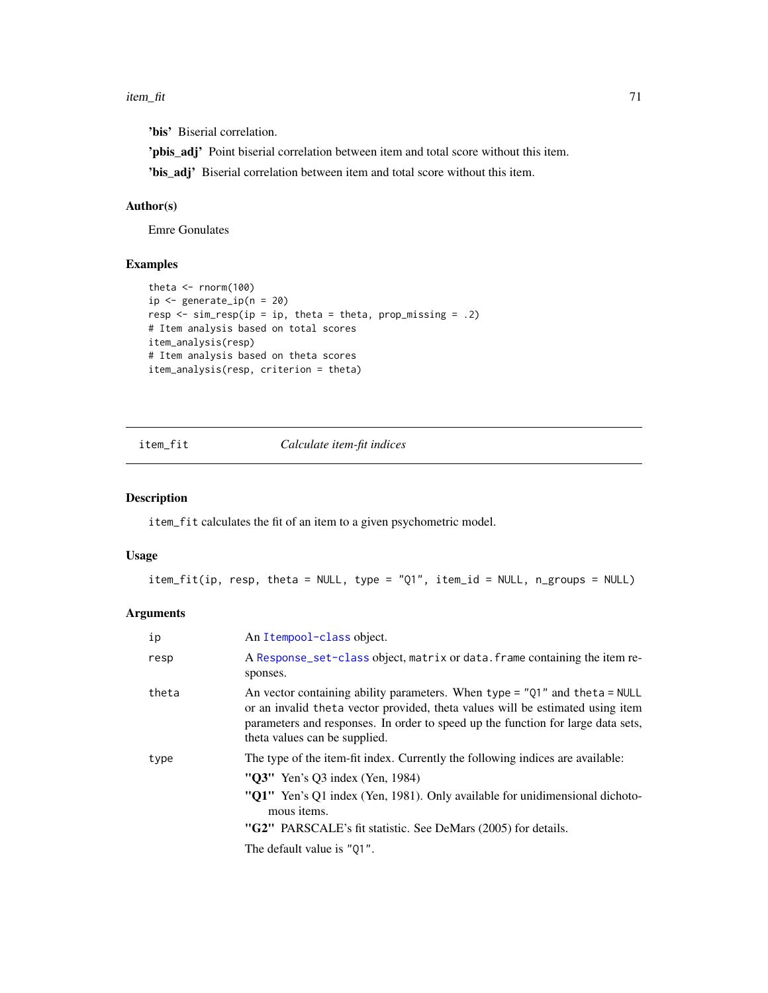#### item\_fit 71

'bis' Biserial correlation.

'pbis\_adj' Point biserial correlation between item and total score without this item.

'bis\_adj' Biserial correlation between item and total score without this item.

## Author(s)

Emre Gonulates

## Examples

```
theta <- rnorm(100)
ip \leq generate_ip(n = 20)
resp \leq sim_resp(ip = ip, theta = theta, prop_missing = .2)
# Item analysis based on total scores
item_analysis(resp)
# Item analysis based on theta scores
item_analysis(resp, criterion = theta)
```
### item\_fit *Calculate item-fit indices*

### Description

item\_fit calculates the fit of an item to a given psychometric model.

#### Usage

item\_fit(ip, resp, theta = NULL, type = "Q1", item\_id = NULL, n\_groups = NULL)

## Arguments

| ip    | An Itempool-class object.                                                                                                                                                                                                                                                                    |
|-------|----------------------------------------------------------------------------------------------------------------------------------------------------------------------------------------------------------------------------------------------------------------------------------------------|
| resp  | A Response_set-class object, matrix or data. frame containing the item re-<br>sponses.                                                                                                                                                                                                       |
| theta | An vector containing ability parameters. When type = $"Q1"$ and theta = NULL<br>or an invalid theta vector provided, theta values will be estimated using item<br>parameters and responses. In order to speed up the function for large data sets,<br>theta values can be supplied.          |
| type  | The type of the item-fit index. Currently the following indices are available:<br>" $O3$ " Yen's O3 index (Yen, 1984)<br>"Q1" Yen's Q1 index (Yen, 1981). Only available for unidimensional dichoto-<br>mous <i>items</i> .<br>"G2" PARSCALE's fit statistic. See DeMars (2005) for details. |
|       | The default value is "Q1".                                                                                                                                                                                                                                                                   |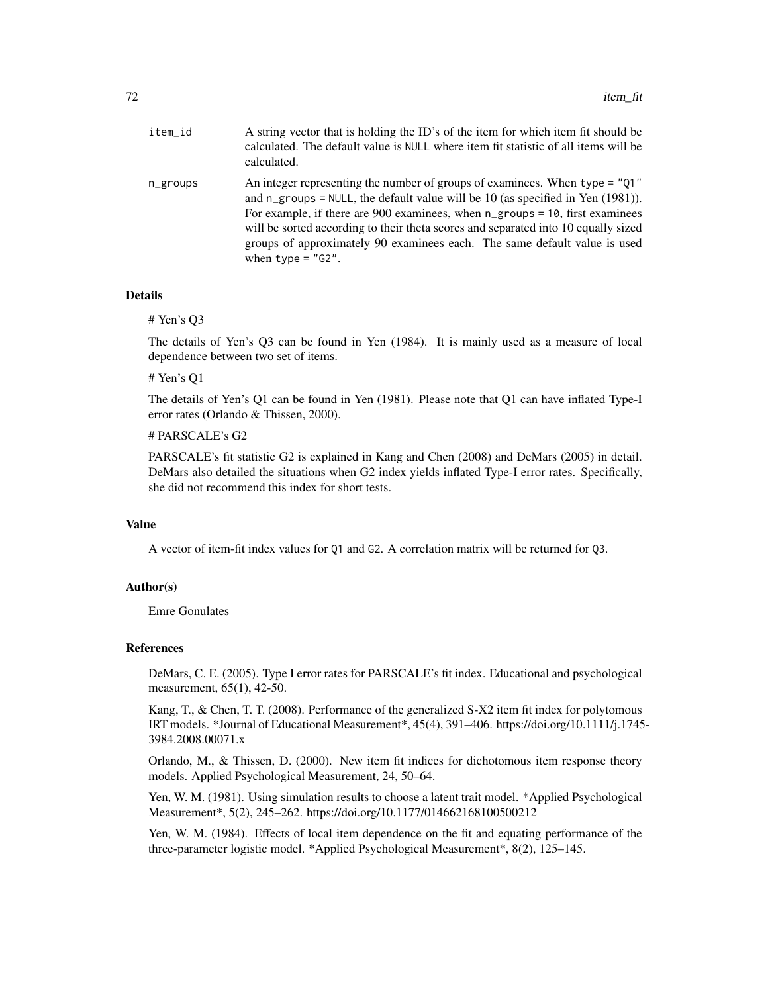| item_id  | A string vector that is holding the ID's of the item for which item fit should be<br>calculated. The default value is NULL where item fit statistic of all items will be<br>calculated.                                                                                                                                                                                                                                                                           |
|----------|-------------------------------------------------------------------------------------------------------------------------------------------------------------------------------------------------------------------------------------------------------------------------------------------------------------------------------------------------------------------------------------------------------------------------------------------------------------------|
| n_groups | An integer representing the number of groups of examinees. When $type = "01"$<br>and $n_{\text{g}}$ roups = NULL, the default value will be 10 (as specified in Yen (1981)).<br>For example, if there are 900 examinees, when $n_{\text{g}$ roups = 10, first examinees<br>will be sorted according to their theta scores and separated into 10 equally sized<br>groups of approximately 90 examinees each. The same default value is used<br>when type = $"G2".$ |

#### Details

# Yen's Q3

The details of Yen's Q3 can be found in Yen (1984). It is mainly used as a measure of local dependence between two set of items.

# Yen's Q1

The details of Yen's Q1 can be found in Yen (1981). Please note that Q1 can have inflated Type-I error rates (Orlando & Thissen, 2000).

# PARSCALE's G2

PARSCALE's fit statistic G2 is explained in Kang and Chen (2008) and DeMars (2005) in detail. DeMars also detailed the situations when G2 index yields inflated Type-I error rates. Specifically, she did not recommend this index for short tests.

## Value

A vector of item-fit index values for Q1 and G2. A correlation matrix will be returned for Q3.

### Author(s)

Emre Gonulates

### References

DeMars, C. E. (2005). Type I error rates for PARSCALE's fit index. Educational and psychological measurement, 65(1), 42-50.

Kang, T., & Chen, T. T. (2008). Performance of the generalized S-X2 item fit index for polytomous IRT models. \*Journal of Educational Measurement\*, 45(4), 391–406. https://doi.org/10.1111/j.1745- 3984.2008.00071.x

Orlando, M., & Thissen, D. (2000). New item fit indices for dichotomous item response theory models. Applied Psychological Measurement, 24, 50–64.

Yen, W. M. (1981). Using simulation results to choose a latent trait model. \*Applied Psychological Measurement\*, 5(2), 245–262. https://doi.org/10.1177/014662168100500212

Yen, W. M. (1984). Effects of local item dependence on the fit and equating performance of the three-parameter logistic model. \*Applied Psychological Measurement\*, 8(2), 125–145.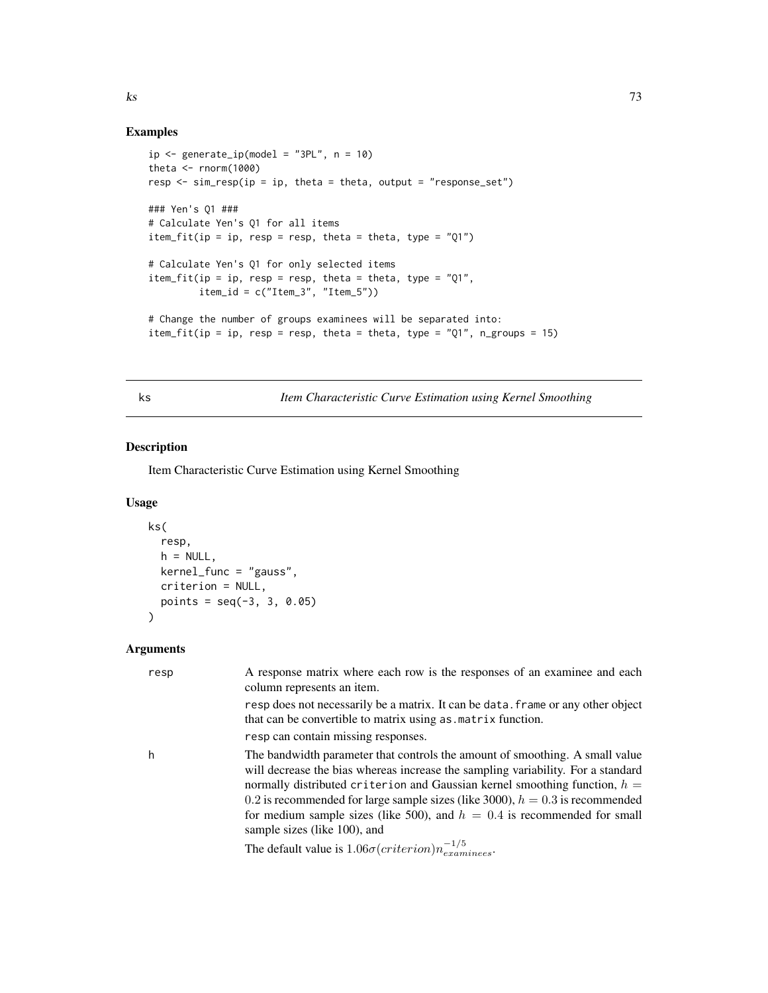## Examples

```
ip \leftarrow generate\_ip(model = "3PL", n = 10)theta \leq rnorm(1000)
resp <- sim_resp(ip = ip, theta = theta, output = "response_set")
### Yen's Q1 ###
# Calculate Yen's Q1 for all items
item_fit(ip = ip, resp = resp, theta = theta, type = "Q1")
# Calculate Yen's Q1 for only selected items
item_fit(ip = ip, resp = resp, theta = theta, type = "Q1",item_id = c("Item_3", "Item_5"))
# Change the number of groups examinees will be separated into:
item_fit(ip = ip, resp = resp, theta = theta, type = "Q1", n_groups = 15)
```
ks *Item Characteristic Curve Estimation using Kernel Smoothing*

#### Description

Item Characteristic Curve Estimation using Kernel Smoothing

## Usage

```
ks(
  resp,
 h = NULL,kernel_func = "gauss",
 criterion = NULL,
 points = seq(-3, 3, 0.05))
```

| resp | A response matrix where each row is the responses of an examinee and each<br>column represents an item.                                                                                                                                                                                                                                                                                                                                           |
|------|---------------------------------------------------------------------------------------------------------------------------------------------------------------------------------------------------------------------------------------------------------------------------------------------------------------------------------------------------------------------------------------------------------------------------------------------------|
|      | resp does not necessarily be a matrix. It can be data. frame or any other object<br>that can be convertible to matrix using as matrix function.                                                                                                                                                                                                                                                                                                   |
|      | resp can contain missing responses.                                                                                                                                                                                                                                                                                                                                                                                                               |
| h    | The bandwidth parameter that controls the amount of smoothing. A small value<br>will decrease the bias whereas increase the sampling variability. For a standard<br>normally distributed criterion and Gaussian kernel smoothing function, $h =$<br>0.2 is recommended for large sample sizes (like 3000), $h = 0.3$ is recommended<br>for medium sample sizes (like 500), and $h = 0.4$ is recommended for small<br>sample sizes (like 100), and |
|      | The default value is $1.06\sigma(criterion)n_{examples}^{-1/5}$ .                                                                                                                                                                                                                                                                                                                                                                                 |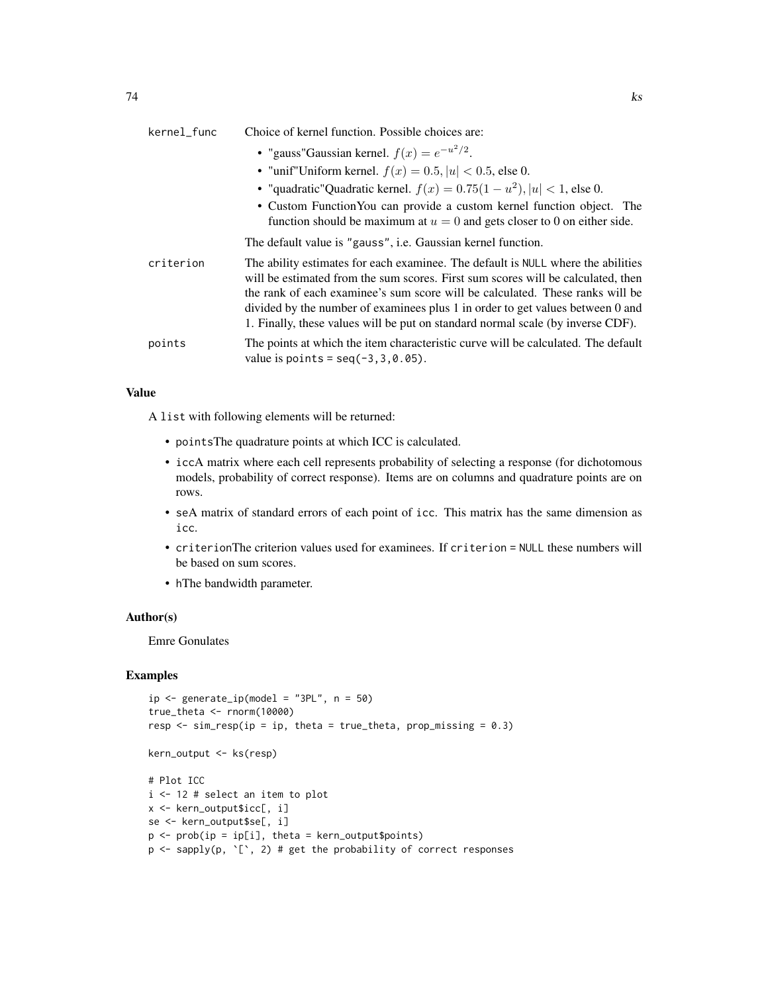| kernel_func | Choice of kernel function. Possible choices are:                                                                                                                                                                                                                                                                                                                                                                           |
|-------------|----------------------------------------------------------------------------------------------------------------------------------------------------------------------------------------------------------------------------------------------------------------------------------------------------------------------------------------------------------------------------------------------------------------------------|
|             | • "gauss" Gaussian kernel. $f(x) = e^{-u^2/2}$ .                                                                                                                                                                                                                                                                                                                                                                           |
|             | • "unif"Uniform kernel. $f(x) = 0.5$ , $ u  < 0.5$ , else 0.                                                                                                                                                                                                                                                                                                                                                               |
|             | • "quadratic"Quadratic kernel. $f(x) = 0.75(1 - u^2),  u  < 1$ , else 0.                                                                                                                                                                                                                                                                                                                                                   |
|             | • Custom Function You can provide a custom kernel function object. The<br>function should be maximum at $u = 0$ and gets closer to 0 on either side.                                                                                                                                                                                                                                                                       |
|             | The default value is "gauss", i.e. Gaussian kernel function.                                                                                                                                                                                                                                                                                                                                                               |
| criterion   | The ability estimates for each examinee. The default is NULL where the abilities<br>will be estimated from the sum scores. First sum scores will be calculated, then<br>the rank of each examinee's sum score will be calculated. These ranks will be<br>divided by the number of examinees plus 1 in order to get values between 0 and<br>1. Finally, these values will be put on standard normal scale (by inverse CDF). |
| points      | The points at which the item characteristic curve will be calculated. The default<br>value is points = $seq(-3, 3, 0.05)$ .                                                                                                                                                                                                                                                                                                |

A list with following elements will be returned:

- pointsThe quadrature points at which ICC is calculated.
- iccA matrix where each cell represents probability of selecting a response (for dichotomous models, probability of correct response). Items are on columns and quadrature points are on rows.
- seA matrix of standard errors of each point of icc. This matrix has the same dimension as icc.
- criterionThe criterion values used for examinees. If criterion = NULL these numbers will be based on sum scores.
- hThe bandwidth parameter.

## Author(s)

Emre Gonulates

```
ip \leftarrow generate_ip(model = "3PL", n = 50)
true_theta <- rnorm(10000)
resp \le sim_resp(ip = ip, theta = true_theta, prop_missing = 0.3)
kern_output <- ks(resp)
# Plot ICC
i <- 12 # select an item to plot
x <- kern_output$icc[, i]
se <- kern_output$se[, i]
p \leq - \text{prob}(ip = ip[i], \text{theta} = \text{kern\_output\$points})p \leftarrow sapply(p, \lceil \cdot \rceil, 2) # get the probability of correct responses
```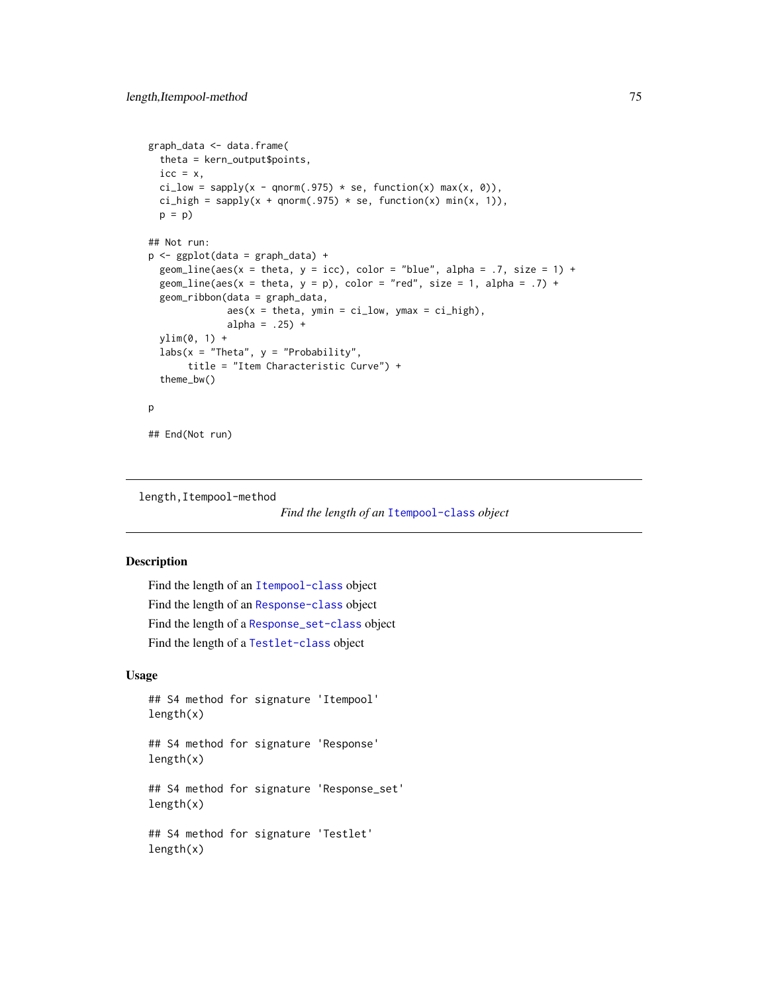```
graph_data <- data.frame(
 theta = kern_output$points,
 \text{icc} = x,
 ci_low = sapply(x - qnorm(.975) * se, function(x) max(x, 0)),ci_high = sapply(x + qnorm(.975) * se, function(x) min(x, 1)),
 p = p## Not run:
p <- ggplot(data = graph_data) +
 geom_line(aes(x = theta, y = icc), color = "blue", alpha = .7, size = 1) +
 geom_line(aes(x = theta, y = p), color = "red", size = 1, alpha = .7) +
 geom_ribbon(data = graph_data,
              aes(x = theta, ymin = ci_low, ymax = ci_high),alpha = .25) +
 ylim(0, 1) +
 labs(x = "Theta", y = "Probability",title = "Item Characteristic Curve") +
 theme_bw()
p
## End(Not run)
```
length,Itempool-method

|  | Find the length of an Itempool-class object |  |
|--|---------------------------------------------|--|
|  |                                             |  |

#### Description

```
Find the length of an Itempool-class object
Find the length of an Response-class object
Find the length of a Response_set-class object
Find the length of a Testlet-class object
```
## Usage

```
## S4 method for signature 'Itempool'
length(x)
```
## S4 method for signature 'Response' length(x)

## S4 method for signature 'Response\_set'  $length(x)$ 

## S4 method for signature 'Testlet' length(x)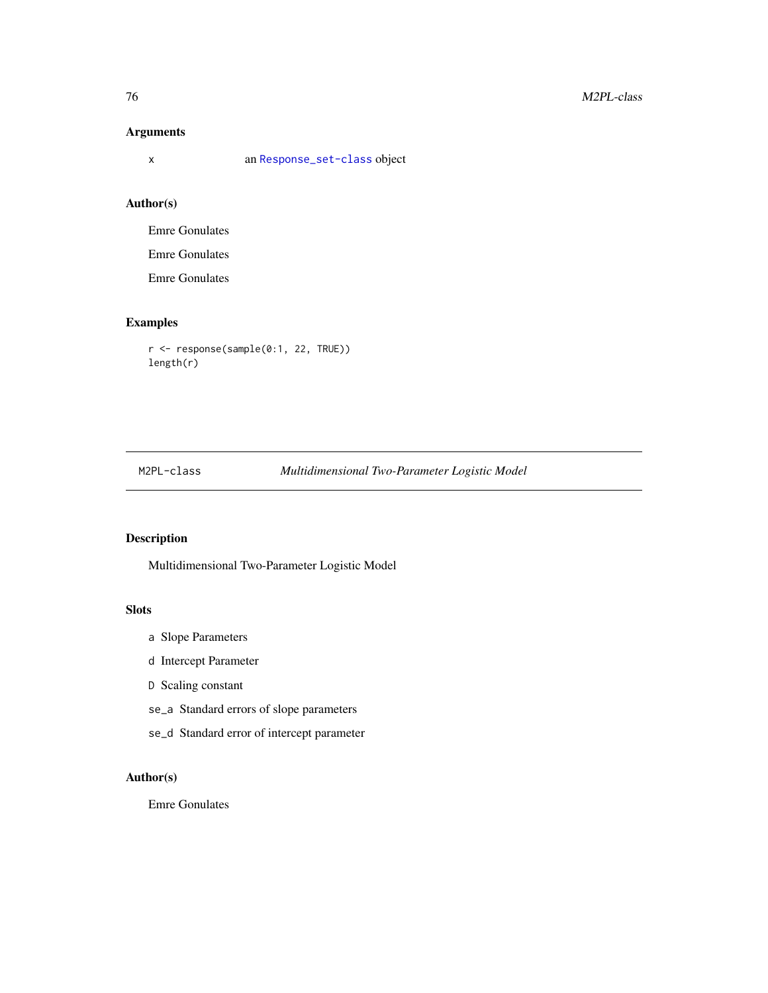## Arguments

x an [Response\\_set-class](#page-106-0) object

## Author(s)

Emre Gonulates

Emre Gonulates

Emre Gonulates

## Examples

r <- response(sample(0:1, 22, TRUE)) length(r)

## M2PL-class *Multidimensional Two-Parameter Logistic Model*

## Description

Multidimensional Two-Parameter Logistic Model

## **Slots**

- a Slope Parameters
- d Intercept Parameter
- D Scaling constant
- se\_a Standard errors of slope parameters
- se\_d Standard error of intercept parameter

## Author(s)

Emre Gonulates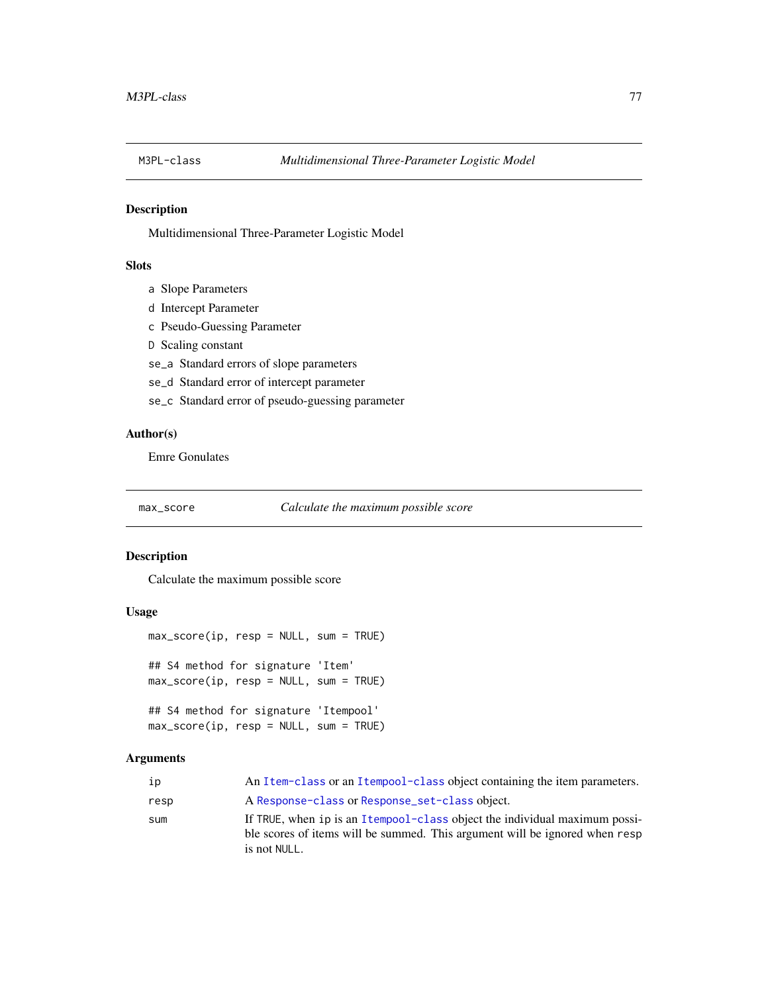## Description

Multidimensional Three-Parameter Logistic Model

## **Slots**

- a Slope Parameters
- d Intercept Parameter
- c Pseudo-Guessing Parameter
- D Scaling constant
- se\_a Standard errors of slope parameters
- se\_d Standard error of intercept parameter
- se\_c Standard error of pseudo-guessing parameter

## Author(s)

Emre Gonulates

#### max\_score *Calculate the maximum possible score*

#### Description

Calculate the maximum possible score

#### Usage

```
max\_score(ip, resp = NULL, sum = TRUE)## S4 method for signature 'Item'
max_score(ip, resp = NULL, sum = TRUE)
## S4 method for signature 'Itempool'
max_score(ip, resp = NULL, sum = TRUE)
```

| ip   | An Item-class or an Itempool-class object containing the item parameters.                                                                                                 |
|------|---------------------------------------------------------------------------------------------------------------------------------------------------------------------------|
| resp | A Response-class or Response_set-class object.                                                                                                                            |
| sum  | If TRUE, when ip is an Itempool-class object the individual maximum possi-<br>ble scores of items will be summed. This argument will be ignored when resp<br>is not NULL. |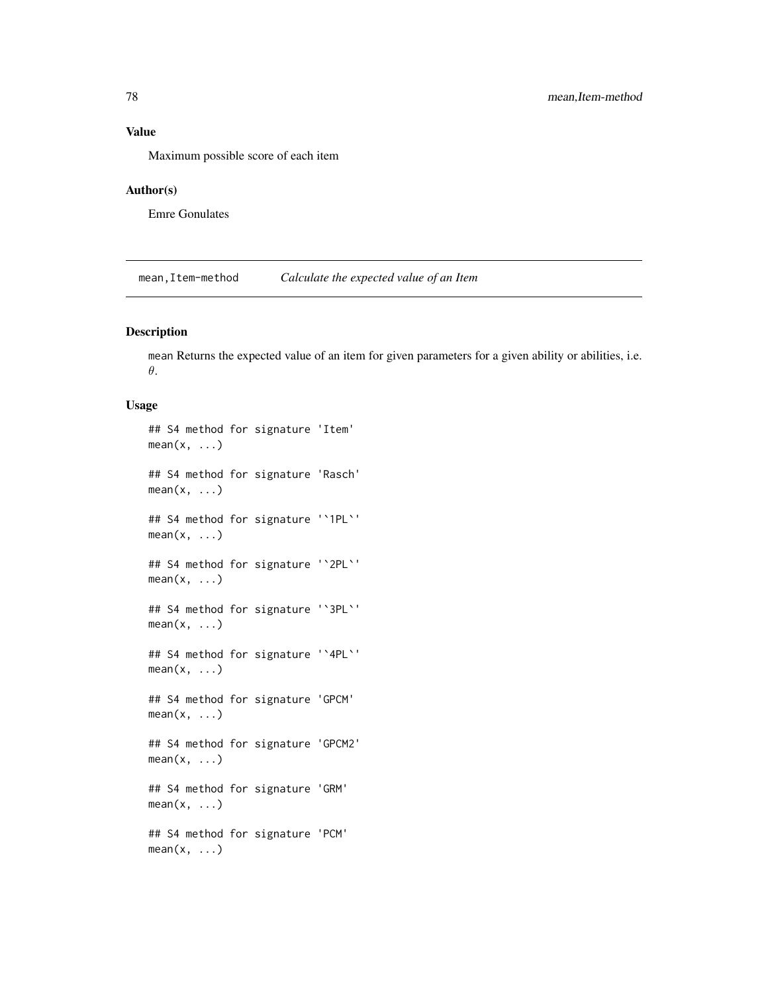Maximum possible score of each item

## Author(s)

Emre Gonulates

mean,Item-method *Calculate the expected value of an Item*

## Description

mean Returns the expected value of an item for given parameters for a given ability or abilities, i.e. θ.

#### Usage

```
## S4 method for signature 'Item'
mean(x, \ldots)## S4 method for signature 'Rasch'
mean(x, \ldots)## S4 method for signature '`1PL`'
mean(x, \ldots)## S4 method for signature '`2PL`'
mean(x, \ldots)## S4 method for signature '`3PL`'
mean(x, \ldots)## S4 method for signature '`4PL`'
mean(x, \ldots)## S4 method for signature 'GPCM'
mean(x, \ldots)## S4 method for signature 'GPCM2'
mean(x, \ldots)## S4 method for signature 'GRM'
mean(x, \ldots)## S4 method for signature 'PCM'
mean(x, \ldots)
```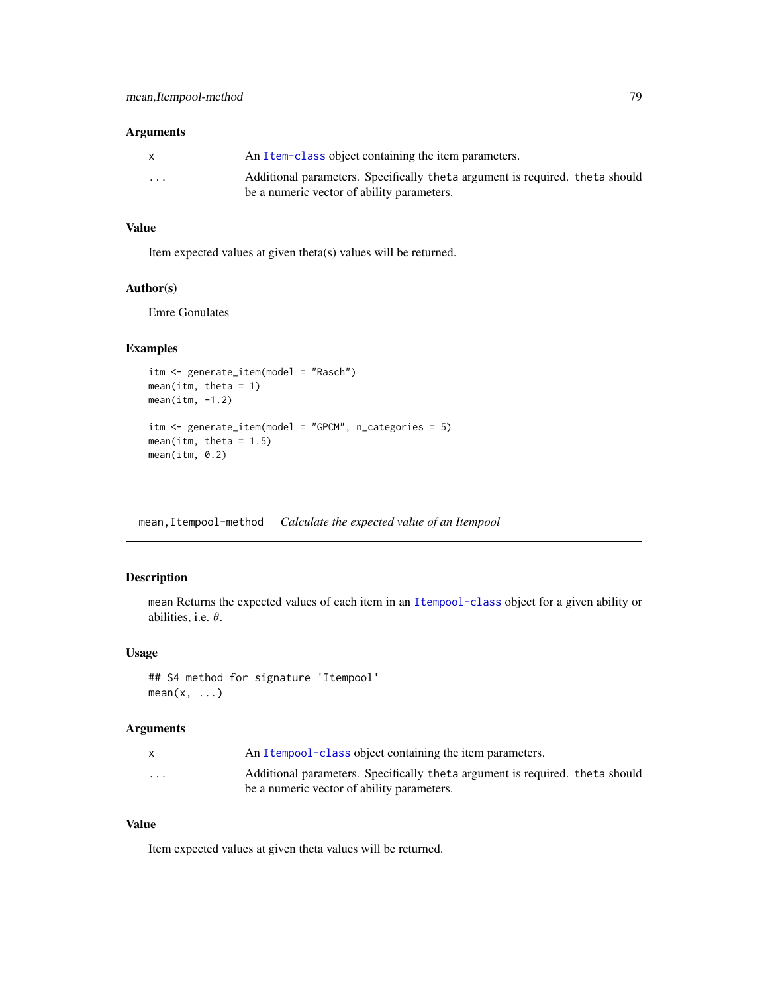#### Arguments

| $\mathsf{x}$ | An Item-class object containing the item parameters.                         |
|--------------|------------------------------------------------------------------------------|
| $\cdots$     | Additional parameters. Specifically theta argument is required. theta should |
|              | be a numeric vector of ability parameters.                                   |

### Value

Item expected values at given theta(s) values will be returned.

#### Author(s)

Emre Gonulates

## Examples

```
itm <- generate_item(model = "Rasch")
mean(itm, theta = 1)
mean(intm, -1.2)itm <- generate_item(model = "GPCM", n_categories = 5)
mean(itm, theta = 1.5)
mean(itm, 0.2)
```
mean,Itempool-method *Calculate the expected value of an Itempool*

## Description

mean Returns the expected values of each item in an [Itempool-class](#page-68-0) object for a given ability or abilities, i.e.  $\theta$ .

#### Usage

## S4 method for signature 'Itempool'  $mean(x, \ldots)$ 

#### Arguments

|          | An Itempool-class object containing the item parameters.                                                                   |
|----------|----------------------------------------------------------------------------------------------------------------------------|
| $\cdots$ | Additional parameters. Specifically theta argument is required, theta should<br>be a numeric vector of ability parameters. |

#### Value

Item expected values at given theta values will be returned.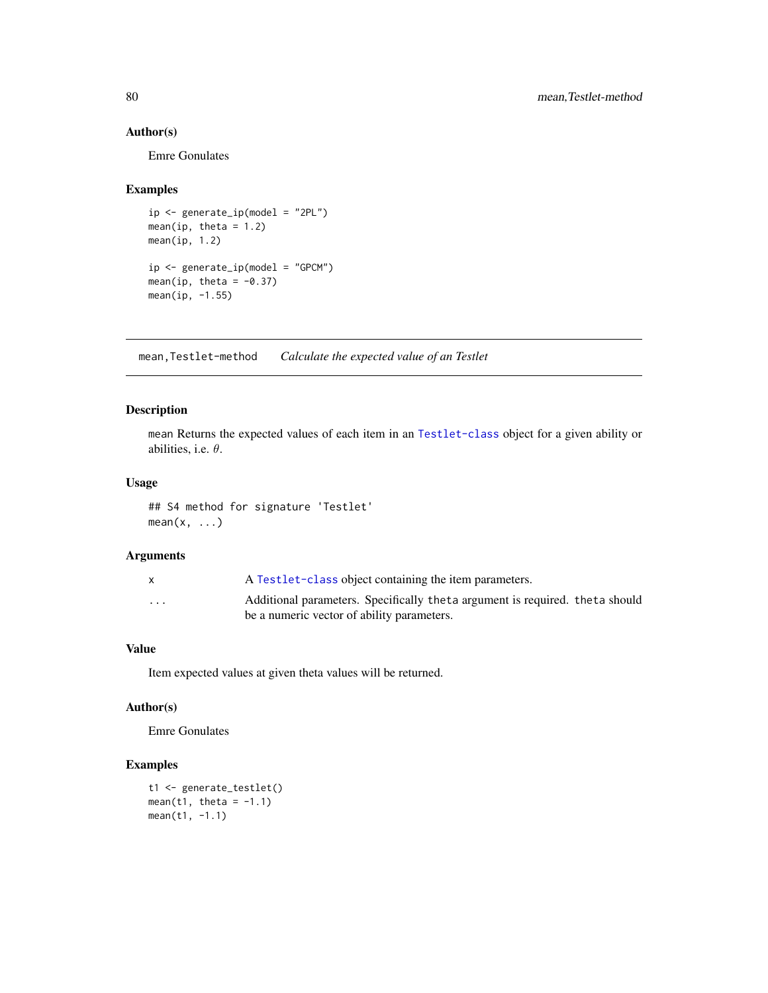## Author(s)

Emre Gonulates

## Examples

```
ip <- generate_ip(model = "2PL")
mean(ip, theta = 1.2)mean(ip, 1.2)
ip <- generate_ip(model = "GPCM")
mean(ip, theta = -0.37)
mean(ip, -1.55)
```
mean,Testlet-method *Calculate the expected value of an Testlet*

## Description

mean Returns the expected values of each item in an [Testlet-class](#page-115-0) object for a given ability or abilities, i.e.  $\theta$ .

## Usage

## S4 method for signature 'Testlet'  $mean(x, \ldots)$ 

#### Arguments

|                         | A Test let-class object containing the item parameters.                                                                    |
|-------------------------|----------------------------------------------------------------------------------------------------------------------------|
| $\cdot$ $\cdot$ $\cdot$ | Additional parameters. Specifically theta argument is required. theta should<br>be a numeric vector of ability parameters. |
|                         |                                                                                                                            |

## Value

Item expected values at given theta values will be returned.

## Author(s)

Emre Gonulates

```
t1 <- generate_testlet()
mean(t1, theta = -1.1)
mean(t1, -1.1)
```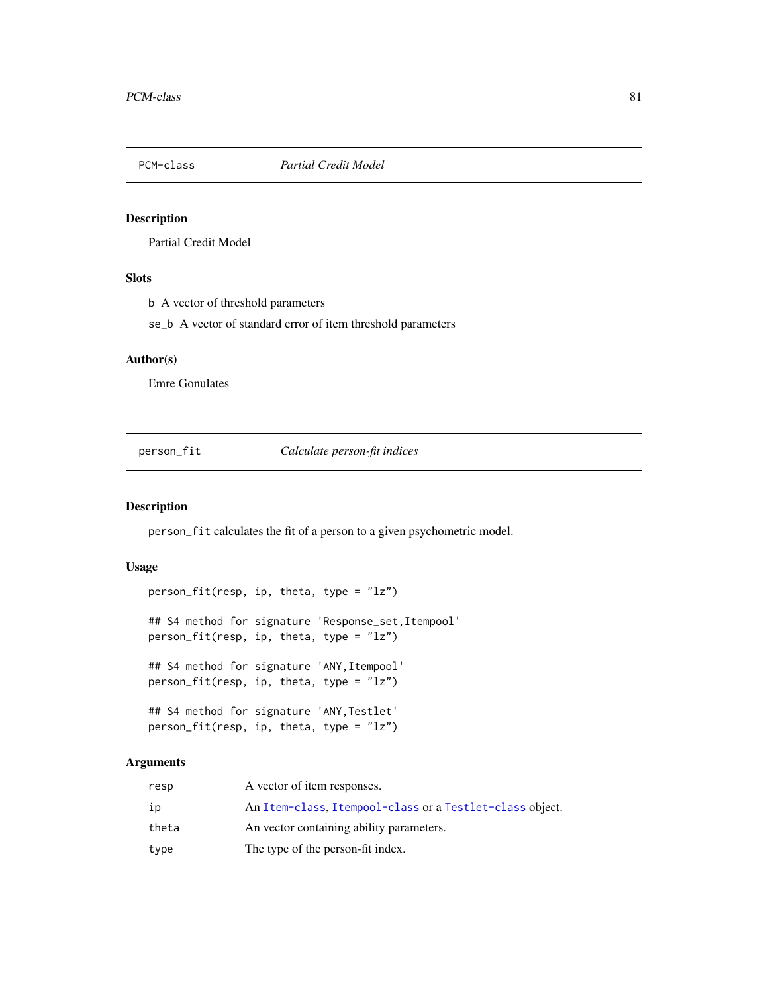## Description

Partial Credit Model

## Slots

b A vector of threshold parameters

se\_b A vector of standard error of item threshold parameters

## Author(s)

Emre Gonulates

person\_fit *Calculate person-fit indices*

#### Description

person\_fit calculates the fit of a person to a given psychometric model.

## Usage

```
person_fit(resp, ip, theta, type = "lz")
## S4 method for signature 'Response_set, Itempool'
person_fit(resp, ip, theta, type = "lz")
## S4 method for signature 'ANY, Itempool'
person_fit(resp, ip, theta, type = "lz")
## S4 method for signature 'ANY,Testlet'
person_fit(resp, ip, theta, type = "lz")
```

| resp  | A vector of item responses.                              |
|-------|----------------------------------------------------------|
| ip    | An Item-class, Itempool-class or a Testlet-class object. |
| theta | An vector containing ability parameters.                 |
| type  | The type of the person-fit index.                        |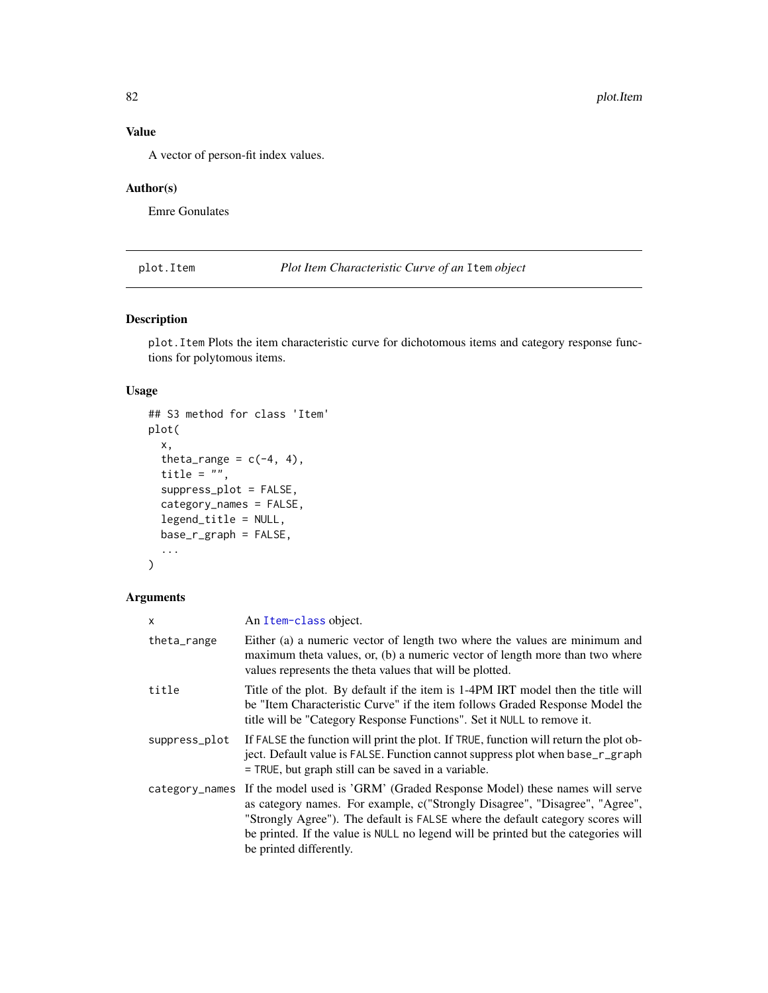A vector of person-fit index values.

## Author(s)

Emre Gonulates

plot.Item *Plot Item Characteristic Curve of an* Item *object*

## Description

plot.Item Plots the item characteristic curve for dichotomous items and category response functions for polytomous items.

#### Usage

```
## S3 method for class 'Item'
plot(
 x,
  theta_range = c(-4, 4),
 title = "",
  suppress_plot = FALSE,
  category_names = FALSE,
  legend_title = NULL,
 base_r_graph = FALSE,
  ...
)
```

| x             | An Item-class object.                                                                                                                                                                                                                                                                                                                                                      |
|---------------|----------------------------------------------------------------------------------------------------------------------------------------------------------------------------------------------------------------------------------------------------------------------------------------------------------------------------------------------------------------------------|
| theta_range   | Either (a) a numeric vector of length two where the values are minimum and<br>maximum theta values, or, (b) a numeric vector of length more than two where<br>values represents the theta values that will be plotted.                                                                                                                                                     |
| title         | Title of the plot. By default if the item is 1-4PM IRT model then the title will<br>be "Item Characteristic Curve" if the item follows Graded Response Model the<br>title will be "Category Response Functions". Set it NULL to remove it.                                                                                                                                 |
| suppress_plot | If FALSE the function will print the plot. If TRUE, function will return the plot ob-<br>ject. Default value is FALSE. Function cannot suppress plot when base_r_graph<br>$=$ TRUE, but graph still can be saved in a variable.                                                                                                                                            |
|               | category_names If the model used is 'GRM' (Graded Response Model) these names will serve<br>as category names. For example, c("Strongly Disagree", "Disagree", "Agree",<br>"Strongly Agree"). The default is FALSE where the default category scores will<br>be printed. If the value is NULL no legend will be printed but the categories will<br>be printed differently. |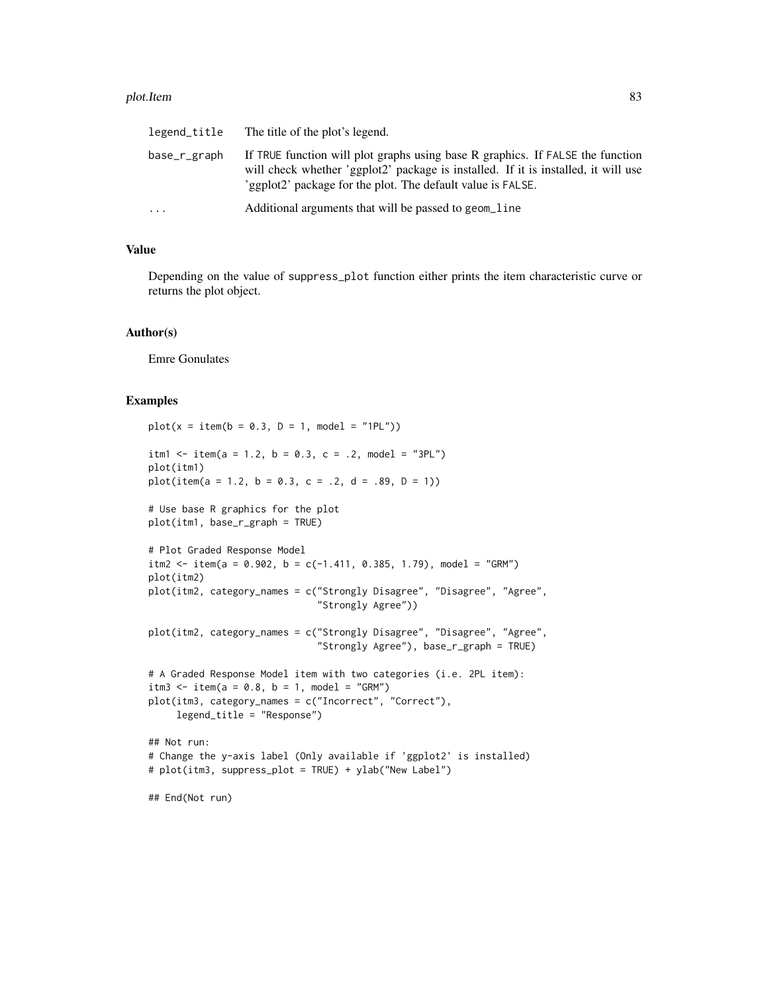#### plot.Item 83

| legend_title | The title of the plot's legend.                                                                                                                                                                                                     |
|--------------|-------------------------------------------------------------------------------------------------------------------------------------------------------------------------------------------------------------------------------------|
| base_r_graph | If TRUE function will plot graphs using base R graphics. If FALSE the function<br>will check whether 'ggplot2' package is installed. If it is installed, it will use<br>'ggplot2' package for the plot. The default value is FALSE. |
| $\cdots$     | Additional arguments that will be passed to geom_line                                                                                                                                                                               |

## Value

Depending on the value of suppress\_plot function either prints the item characteristic curve or returns the plot object.

## Author(s)

Emre Gonulates

```
plot(x = item(b = 0.3, D = 1, model = "1PL"))itm1 <- item(a = 1.2, b = 0.3, c = .2, model = "3PL")
plot(itm1)
plot(item(a = 1.2, b = 0.3, c = .2, d = .89, D = 1))# Use base R graphics for the plot
plot(itm1, base_r_graph = TRUE)
# Plot Graded Response Model
itm2 <- item(a = 0.902, b = c(-1.411, 0.385, 1.79), model = "GRM")
plot(itm2)
plot(itm2, category_names = c("Strongly Disagree", "Disagree", "Agree",
                              "Strongly Agree"))
plot(itm2, category_names = c("Strongly Disagree", "Disagree", "Agree",
                              "Strongly Agree"), base_r_graph = TRUE)
# A Graded Response Model item with two categories (i.e. 2PL item):
itm3 <- item(a = 0.8, b = 1, model = "GRM")
plot(itm3, category_names = c("Incorrect", "Correct"),
     legend_title = "Response")
## Not run:
# Change the y-axis label (Only available if 'ggplot2' is installed)
# plot(itm3, suppress_plot = TRUE) + ylab("New Label")
## End(Not run)
```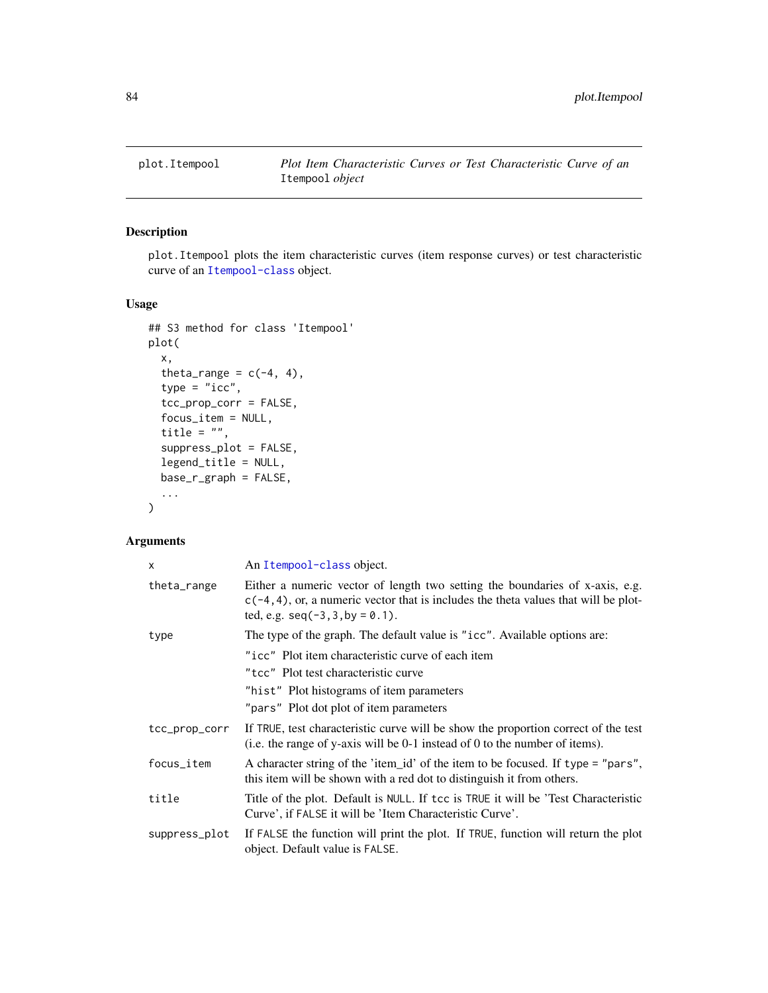## Description

plot.Itempool plots the item characteristic curves (item response curves) or test characteristic curve of an [Itempool-class](#page-68-0) object.

## Usage

```
## S3 method for class 'Itempool'
plot(
 x,
  theta_range = c(-4, 4),
  type = "icc",
  tcc_prop_corr = FALSE,
  focus_item = NULL,
  title = ",
  suppress_plot = FALSE,
  legend_title = NULL,
 base_r_graph = FALSE,
  ...
)
```

| $\mathsf{x}$  | An Itempool-class object.                                                                                                                                                                                    |
|---------------|--------------------------------------------------------------------------------------------------------------------------------------------------------------------------------------------------------------|
| theta_range   | Either a numeric vector of length two setting the boundaries of x-axis, e.g.<br>$c(-4, 4)$ , or, a numeric vector that is includes the theta values that will be plot-<br>ted, e.g. $seq(-3, 3, by = 0.1)$ . |
| type          | The type of the graph. The default value is "icc". Available options are:                                                                                                                                    |
|               | "icc" Plot item characteristic curve of each item                                                                                                                                                            |
|               | "tcc" Plot test characteristic curve                                                                                                                                                                         |
|               | "hist" Plot histograms of item parameters                                                                                                                                                                    |
|               | "pars" Plot dot plot of item parameters                                                                                                                                                                      |
| tcc_prop_corr | If TRUE, test characteristic curve will be show the proportion correct of the test<br>(i.e. the range of y-axis will be $0-1$ instead of 0 to the number of items).                                          |
| focus_item    | A character string of the 'item_id' of the item to be focused. If type = "pars",<br>this item will be shown with a red dot to distinguish it from others.                                                    |
| title         | Title of the plot. Default is NULL. If tcc is TRUE it will be 'Test Characteristic<br>Curve', if FALSE it will be 'Item Characteristic Curve'.                                                               |
| suppress_plot | If FALSE the function will print the plot. If TRUE, function will return the plot<br>object. Default value is FALSE.                                                                                         |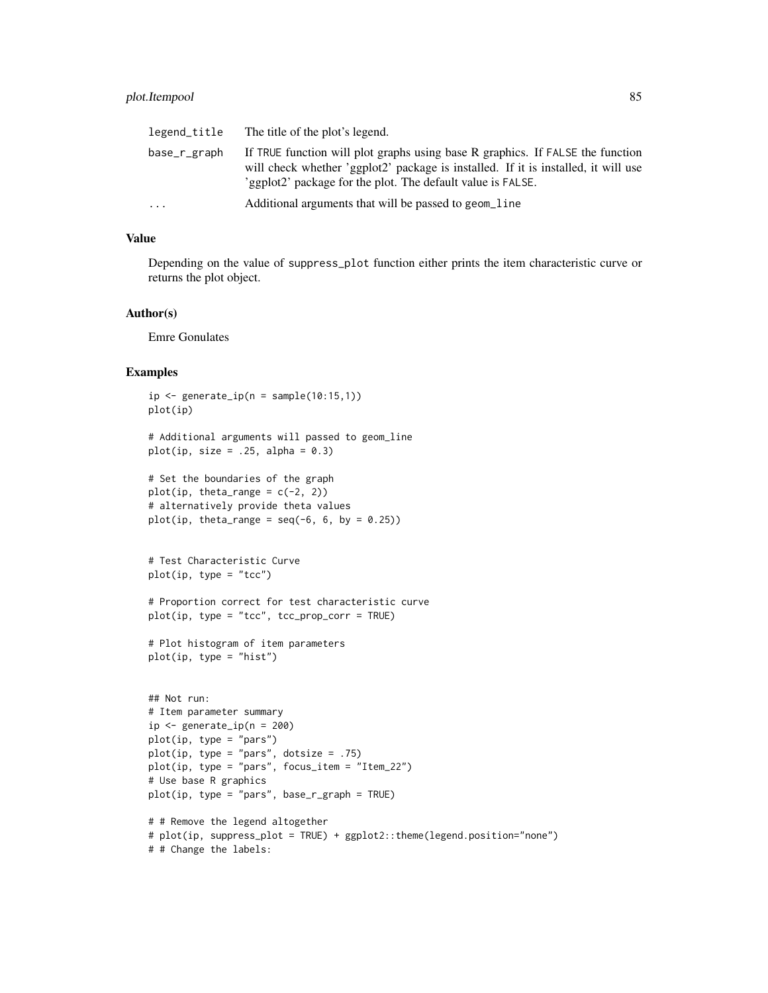| legend_title | The title of the plot's legend.                                                                                                                                                                                                     |
|--------------|-------------------------------------------------------------------------------------------------------------------------------------------------------------------------------------------------------------------------------------|
| base_r_graph | If TRUE function will plot graphs using base R graphics. If FALSE the function<br>will check whether 'ggplot2' package is installed. If it is installed, it will use<br>'ggplot2' package for the plot. The default value is FALSE. |
| $\ddotsc$    | Additional arguments that will be passed to geom_line                                                                                                                                                                               |

Depending on the value of suppress\_plot function either prints the item characteristic curve or returns the plot object.

#### Author(s)

Emre Gonulates

```
ip \leftarrow generate\_ip(n = sample(10:15,1))plot(ip)
# Additional arguments will passed to geom_line
plot(ip, size = .25, alpha = 0.3)
# Set the boundaries of the graph
plot(ip, theta_range = c(-2, 2))
# alternatively provide theta values
plot(ip, theta_range = seq(-6, 6, by = 0.25))
# Test Characteristic Curve
plot(ip, type = "tcc")
# Proportion correct for test characteristic curve
plot(ip, type = "tcc", tcc_prop_corr = TRUE)
# Plot histogram of item parameters
plot(ip, type = "hist")
## Not run:
# Item parameter summary
ip \leftarrow generate_ip(n = 200)plot(ip, type = "pars")
plot(ip, type = "pars", dotsize = .75)
plot(ip, type = "pars", focus_item = "Item_22")
# Use base R graphics
plot(ip, type = "pars", base_r_graph = TRUE)
# # Remove the legend altogether
# plot(ip, suppress_plot = TRUE) + ggplot2::theme(legend.position="none")
```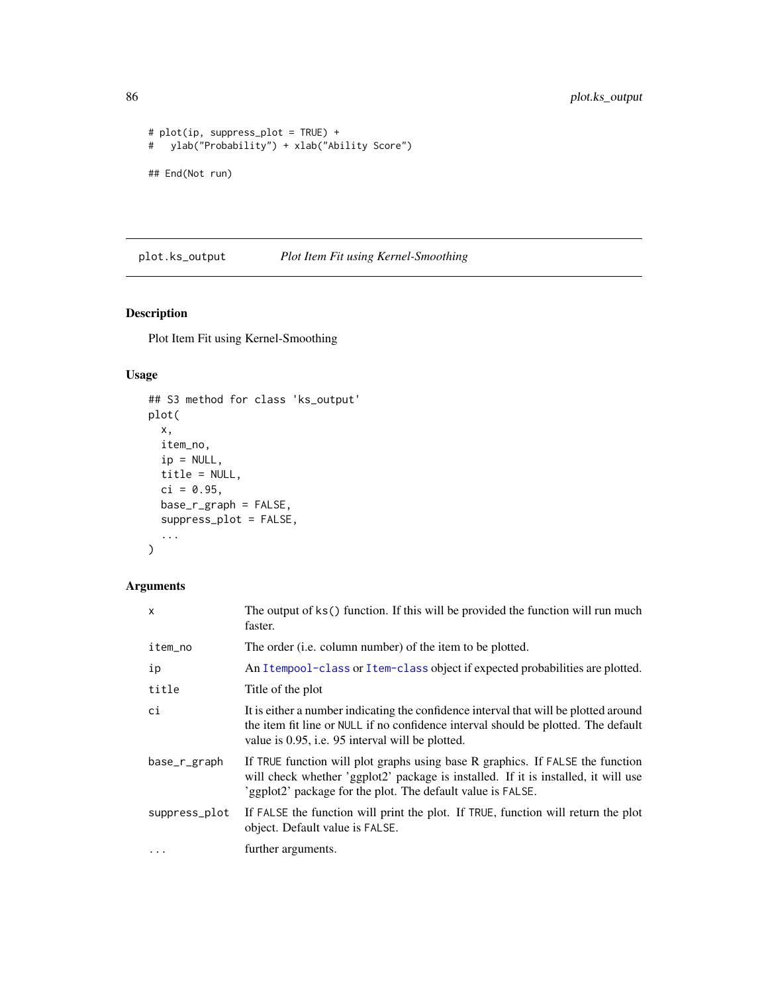```
# plot(ip, suppress_plot = TRUE) +
# ylab("Probability") + xlab("Ability Score")
## End(Not run)
```
plot.ks\_output *Plot Item Fit using Kernel-Smoothing*

## Description

Plot Item Fit using Kernel-Smoothing

## Usage

```
## S3 method for class 'ks_output'
plot(
 x,
 item_no,
 ip = NULL,title = NULL,
 ci = 0.95,base_r_graph = FALSE,
 suppress_plot = FALSE,
  ...
\mathcal{L}
```

| $\mathsf{x}$  | The output of ks() function. If this will be provided the function will run much<br>faster.                                                                                                                                         |
|---------------|-------------------------------------------------------------------------------------------------------------------------------------------------------------------------------------------------------------------------------------|
| item_no       | The order ( <i>i.e.</i> column number) of the item to be plotted.                                                                                                                                                                   |
| ip            | An Itempool-class or Item-class object if expected probabilities are plotted.                                                                                                                                                       |
| title         | Title of the plot                                                                                                                                                                                                                   |
| ci            | It is either a number indicating the confidence interval that will be plotted around<br>the item fit line or NULL if no confidence interval should be plotted. The default<br>value is 0.95, i.e. 95 interval will be plotted.      |
| base_r_graph  | If TRUE function will plot graphs using base R graphics. If FALSE the function<br>will check whether 'ggplot2' package is installed. If it is installed, it will use<br>'ggplot2' package for the plot. The default value is FALSE. |
| suppress_plot | If FALSE the function will print the plot. If TRUE, function will return the plot<br>object. Default value is FALSE.                                                                                                                |
| $\cdots$      | further arguments.                                                                                                                                                                                                                  |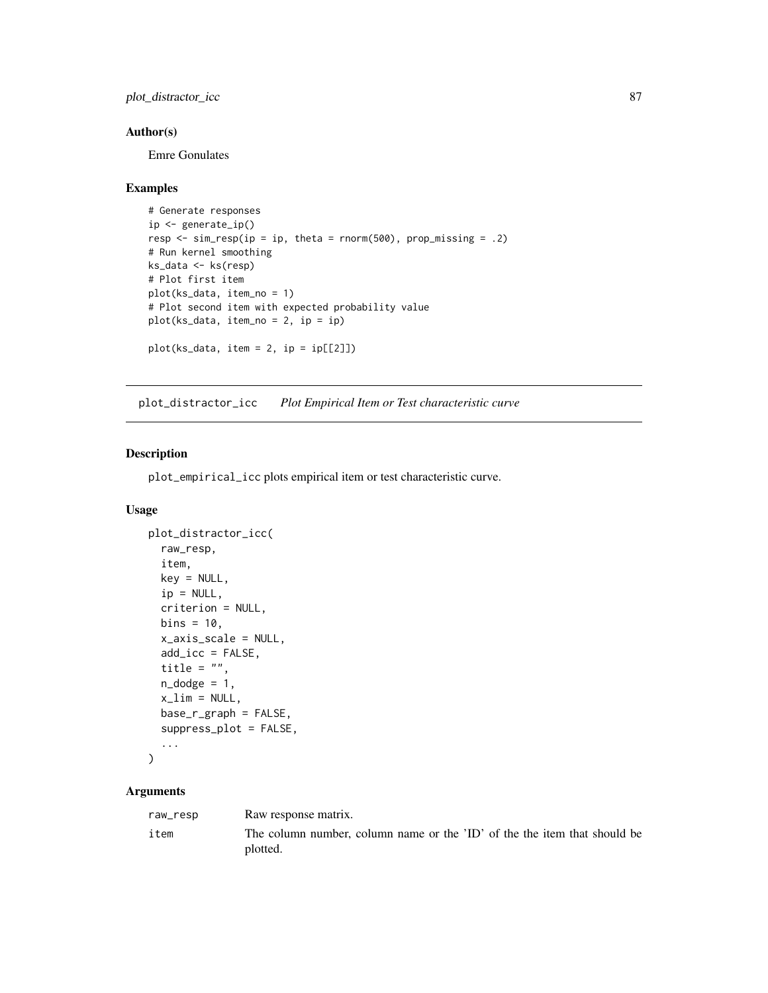plot\_distractor\_icc 87

## Author(s)

Emre Gonulates

## Examples

```
# Generate responses
ip <- generate_ip()
resp \le sim_resp(ip = ip, theta = rnorm(500), prop_missing = .2)
# Run kernel smoothing
ks_data <- ks(resp)
# Plot first item
plot(ks_data, item_no = 1)
# Plot second item with expected probability value
plot(ks_data, item.no = 2, ip = ip)plot(ks_data, item = 2, ip = ip[[2]])
```
plot\_distractor\_icc *Plot Empirical Item or Test characteristic curve*

## Description

plot\_empirical\_icc plots empirical item or test characteristic curve.

## Usage

```
plot_distractor_icc(
  raw_resp,
  item,
  key = NULL,
  ip = NULL,criterion = NULL,
  bins = 10,
  x_axis_scale = NULL,
  add\_icc = FALSE,title = ",
  n\_dodge = 1,
  x<sup>-</sup>lim = NULL,
  base_r_graph = FALSE,
  suppress_plot = FALSE,
  ...
\mathcal{L}
```

| raw_resp | Raw response matrix.                                                      |
|----------|---------------------------------------------------------------------------|
| item     | The column number, column name or the 'ID' of the the item that should be |
|          | plotted.                                                                  |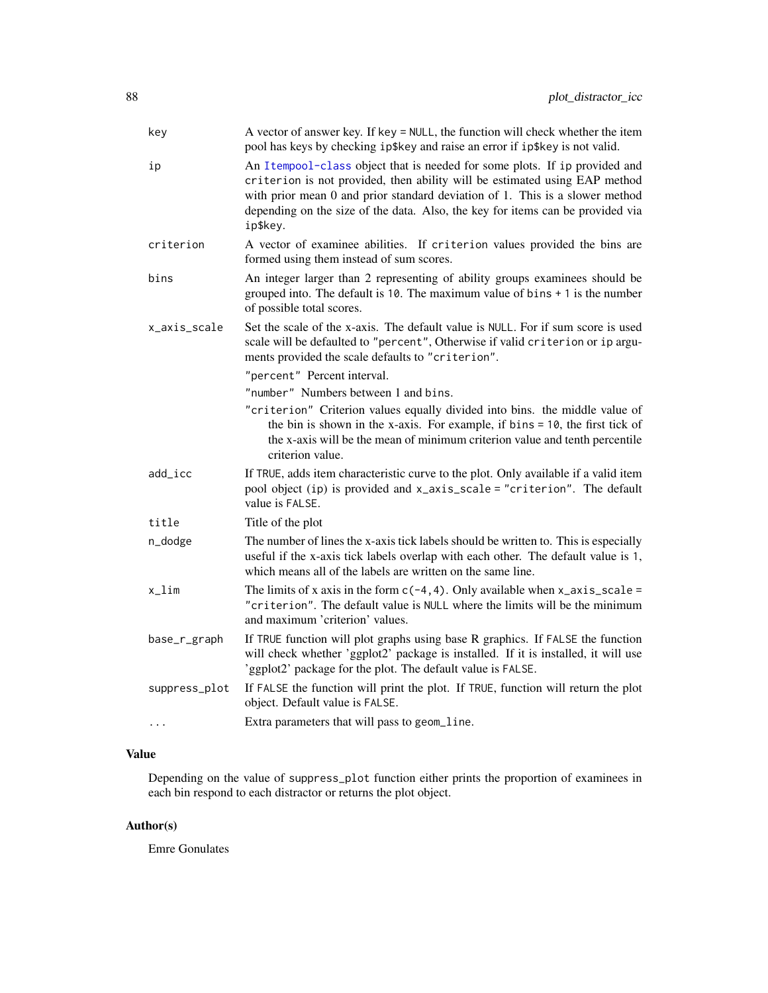| key           | A vector of answer key. If key = NULL, the function will check whether the item<br>pool has keys by checking ip\$key and raise an error if ip\$key is not valid.                                                                                                                                                                       |
|---------------|----------------------------------------------------------------------------------------------------------------------------------------------------------------------------------------------------------------------------------------------------------------------------------------------------------------------------------------|
| ip            | An Itempool-class object that is needed for some plots. If ip provided and<br>criterion is not provided, then ability will be estimated using EAP method<br>with prior mean 0 and prior standard deviation of 1. This is a slower method<br>depending on the size of the data. Also, the key for items can be provided via<br>ip\$key. |
| criterion     | A vector of examinee abilities. If criterion values provided the bins are<br>formed using them instead of sum scores.                                                                                                                                                                                                                  |
| bins          | An integer larger than 2 representing of ability groups examinees should be<br>grouped into. The default is 10. The maximum value of bins $+1$ is the number<br>of possible total scores.                                                                                                                                              |
| x_axis_scale  | Set the scale of the x-axis. The default value is NULL. For if sum score is used<br>scale will be defaulted to "percent", Otherwise if valid criterion or ip argu-<br>ments provided the scale defaults to "criterion".                                                                                                                |
|               | "percent" Percent interval.                                                                                                                                                                                                                                                                                                            |
|               | "number" Numbers between 1 and bins.                                                                                                                                                                                                                                                                                                   |
|               | "criterion" Criterion values equally divided into bins. the middle value of<br>the bin is shown in the x-axis. For example, if $bins = 10$ , the first tick of<br>the x-axis will be the mean of minimum criterion value and tenth percentile<br>criterion value.                                                                      |
| add_icc       | If TRUE, adds item characteristic curve to the plot. Only available if a valid item<br>pool object (ip) is provided and x_axis_scale = "criterion". The default<br>value is FALSE.                                                                                                                                                     |
| title         | Title of the plot                                                                                                                                                                                                                                                                                                                      |
| n_dodge       | The number of lines the x-axis tick labels should be written to. This is especially<br>useful if the x-axis tick labels overlap with each other. The default value is 1,<br>which means all of the labels are written on the same line.                                                                                                |
| x_lim         | The limits of x axis in the form $c(-4, 4)$ . Only available when x_axis_scale =<br>"criterion". The default value is NULL where the limits will be the minimum<br>and maximum 'criterion' values.                                                                                                                                     |
| base_r_graph  | If TRUE function will plot graphs using base R graphics. If FALSE the function<br>will check whether 'ggplot2' package is installed. If it is installed, it will use<br>'ggplot2' package for the plot. The default value is FALSE.                                                                                                    |
| suppress_plot | If FALSE the function will print the plot. If TRUE, function will return the plot<br>object. Default value is FALSE.                                                                                                                                                                                                                   |
| $\cdots$      | Extra parameters that will pass to geom_line.                                                                                                                                                                                                                                                                                          |

Depending on the value of suppress\_plot function either prints the proportion of examinees in each bin respond to each distractor or returns the plot object.

## Author(s)

Emre Gonulates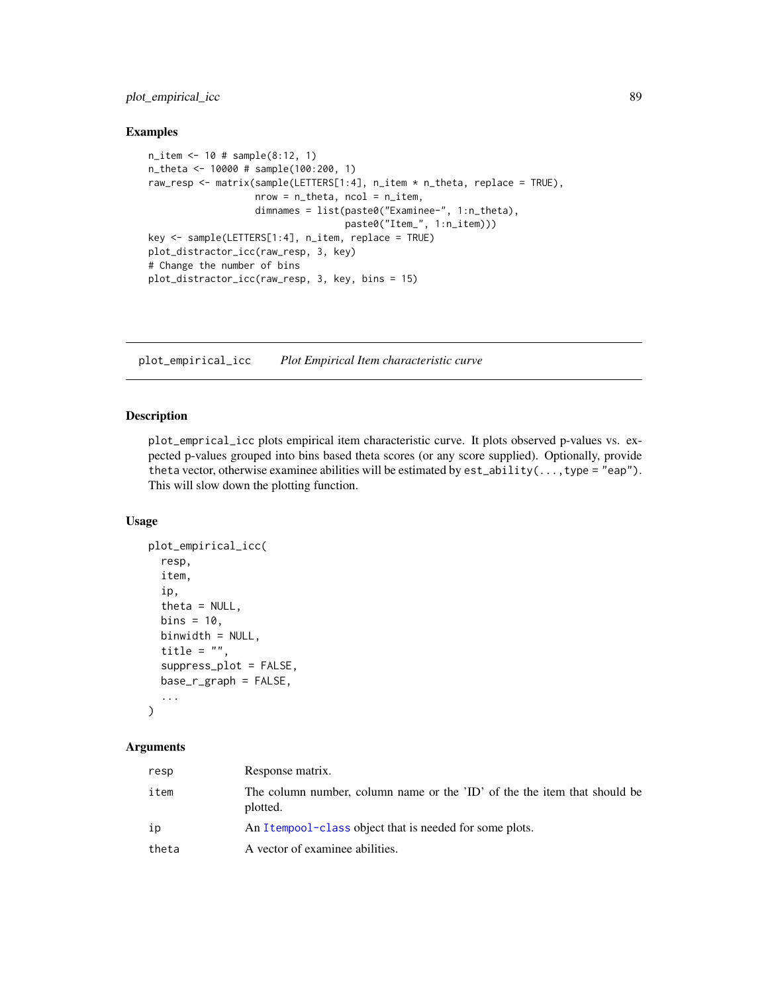plot\_empirical\_icc 89

#### Examples

```
n_item <- 10 # sample(8:12, 1)
n_theta <- 10000 # sample(100:200, 1)
raw_resp <- matrix(sample(LETTERS[1:4], n_item * n_theta, replace = TRUE),
                   nrow = n_{theta}, ncol = n_{th}dimnames = list(paste0("Examinee-", 1:n_theta),
                                   paste0("Item_", 1:n_item)))
key <- sample(LETTERS[1:4], n_item, replace = TRUE)
plot_distractor_icc(raw_resp, 3, key)
# Change the number of bins
plot_distractor_icc(raw_resp, 3, key, bins = 15)
```
plot\_empirical\_icc *Plot Empirical Item characteristic curve*

#### Description

plot\_emprical\_icc plots empirical item characteristic curve. It plots observed p-values vs. expected p-values grouped into bins based theta scores (or any score supplied). Optionally, provide theta vector, otherwise examinee abilities will be estimated by  $est\_ability(...,type = "eap").$ This will slow down the plotting function.

#### Usage

```
plot_empirical_icc(
  resp,
  item,
  ip,
  theta = NULL,
 bins = 10,
  binwidth = NULL,
  title = "".
  suppress_plot = FALSE,
  base_r_graph = FALSE,
  ...
)
```

| resp  | Response matrix.                                                                      |
|-------|---------------------------------------------------------------------------------------|
| item  | The column number, column name or the 'ID' of the the item that should be<br>plotted. |
| ip    | An Itempool-class object that is needed for some plots.                               |
| theta | A vector of examinee abilities.                                                       |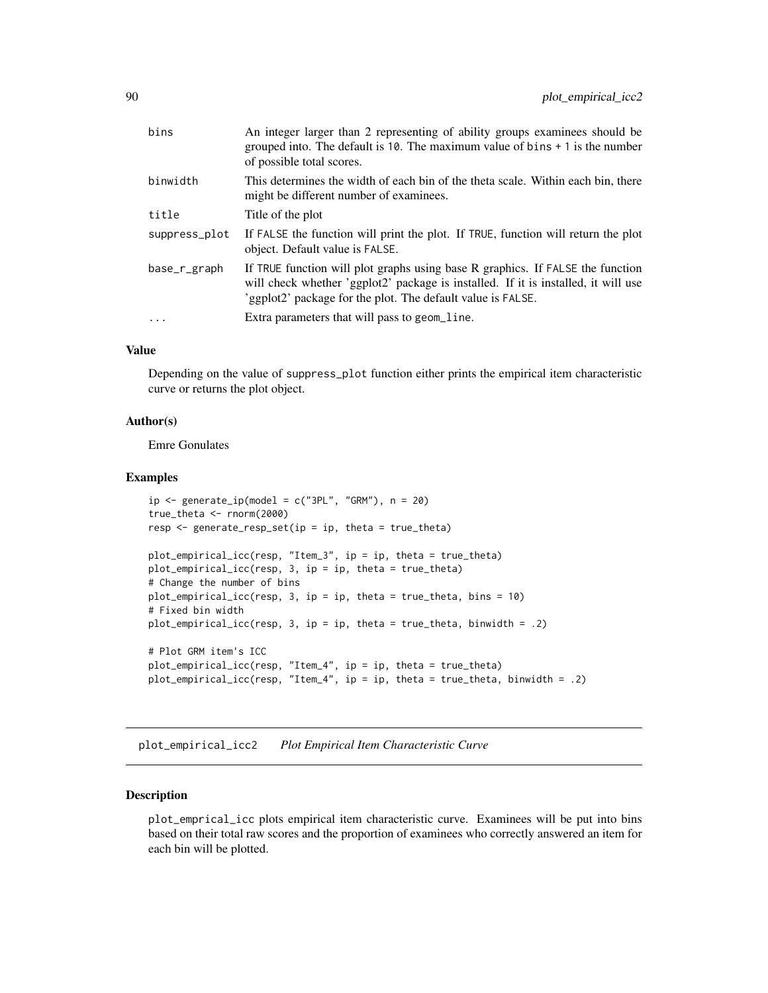| bins          | An integer larger than 2 representing of ability groups examinees should be<br>grouped into. The default is 10. The maximum value of bins $+1$ is the number<br>of possible total scores.                                           |
|---------------|-------------------------------------------------------------------------------------------------------------------------------------------------------------------------------------------------------------------------------------|
| binwidth      | This determines the width of each bin of the theta scale. Within each bin, there<br>might be different number of examinees.                                                                                                         |
| title         | Title of the plot                                                                                                                                                                                                                   |
| suppress_plot | If FALSE the function will print the plot. If TRUE, function will return the plot<br>object. Default value is FALSE.                                                                                                                |
| base_r_graph  | If TRUE function will plot graphs using base R graphics. If FALSE the function<br>will check whether 'ggplot2' package is installed. If it is installed, it will use<br>'ggplot2' package for the plot. The default value is FALSE. |
|               | Extra parameters that will pass to geom_line.                                                                                                                                                                                       |

Depending on the value of suppress\_plot function either prints the empirical item characteristic curve or returns the plot object.

## Author(s)

Emre Gonulates

## Examples

```
ip \leftarrow generate_ip(\text{model} = c("3PL", "GRM"), n = 20)true_theta <- rnorm(2000)
resp \leq generate_resp_set(ip = ip, theta = true_theta)
plot_empirical_icc(resp, "Item_3", ip = ip, theta = true_theta)
plot_empirical_icc(resp, 3, ip = ip, theta = true_theta)
# Change the number of bins
plot_empirical_icc(resp, 3, ip = ip, theta = true_theta, bins = 10)
# Fixed bin width
plot_empirical_icc(resp, 3, ip = ip, theta = true_theta, binwidth = .2)
# Plot GRM item's ICC
plot_empirical_icc(resp, "Item_4", ip = ip, theta = true_theta)
plot_empirical_icc(resp, "Item_4", ip = ip, theta = true_theta, binwidth = .2)
```
plot\_empirical\_icc2 *Plot Empirical Item Characteristic Curve*

## Description

plot\_emprical\_icc plots empirical item characteristic curve. Examinees will be put into bins based on their total raw scores and the proportion of examinees who correctly answered an item for each bin will be plotted.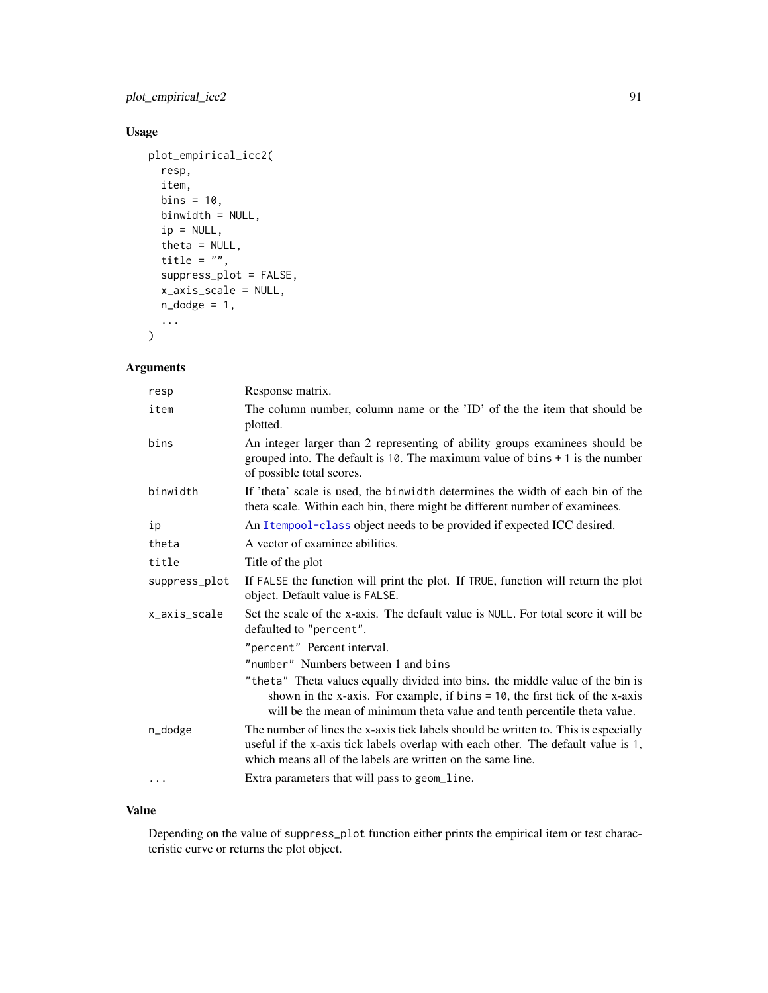plot\_empirical\_icc2 91

## Usage

```
plot_empirical_icc2(
  resp,
  item,
  bins = 10,
  binwidth = NULL,
  ip = NULL,theta = NULL,
  title = ",
  suppress_plot = FALSE,
  x_axis_scale = NULL,
  n\_dodge = 1,
  ...
\mathcal{L}
```
## Arguments

| resp          | Response matrix.                                                                                                                                                                                                                               |
|---------------|------------------------------------------------------------------------------------------------------------------------------------------------------------------------------------------------------------------------------------------------|
| item          | The column number, column name or the 'ID' of the the item that should be<br>plotted.                                                                                                                                                          |
| bins          | An integer larger than 2 representing of ability groups examinees should be<br>grouped into. The default is 10. The maximum value of bins $+1$ is the number<br>of possible total scores.                                                      |
| binwidth      | If 'theta' scale is used, the binwidth determines the width of each bin of the<br>theta scale. Within each bin, there might be different number of examinees.                                                                                  |
| ip            | An Itempool-class object needs to be provided if expected ICC desired.                                                                                                                                                                         |
| theta         | A vector of examinee abilities.                                                                                                                                                                                                                |
| title         | Title of the plot                                                                                                                                                                                                                              |
| suppress_plot | If FALSE the function will print the plot. If TRUE, function will return the plot<br>object. Default value is FALSE.                                                                                                                           |
| x_axis_scale  | Set the scale of the x-axis. The default value is NULL. For total score it will be<br>defaulted to "percent".                                                                                                                                  |
|               | "percent" Percent interval.                                                                                                                                                                                                                    |
|               | "number" Numbers between 1 and bins                                                                                                                                                                                                            |
|               | "theta" Theta values equally divided into bins. the middle value of the bin is<br>shown in the x-axis. For example, if $bins = 10$ , the first tick of the x-axis<br>will be the mean of minimum theta value and tenth percentile theta value. |
| n_dodge       | The number of lines the x-axis tick labels should be written to. This is especially<br>useful if the x-axis tick labels overlap with each other. The default value is 1,<br>which means all of the labels are written on the same line.        |
| $\cdots$      | Extra parameters that will pass to geom_line.                                                                                                                                                                                                  |

## Value

Depending on the value of suppress\_plot function either prints the empirical item or test characteristic curve or returns the plot object.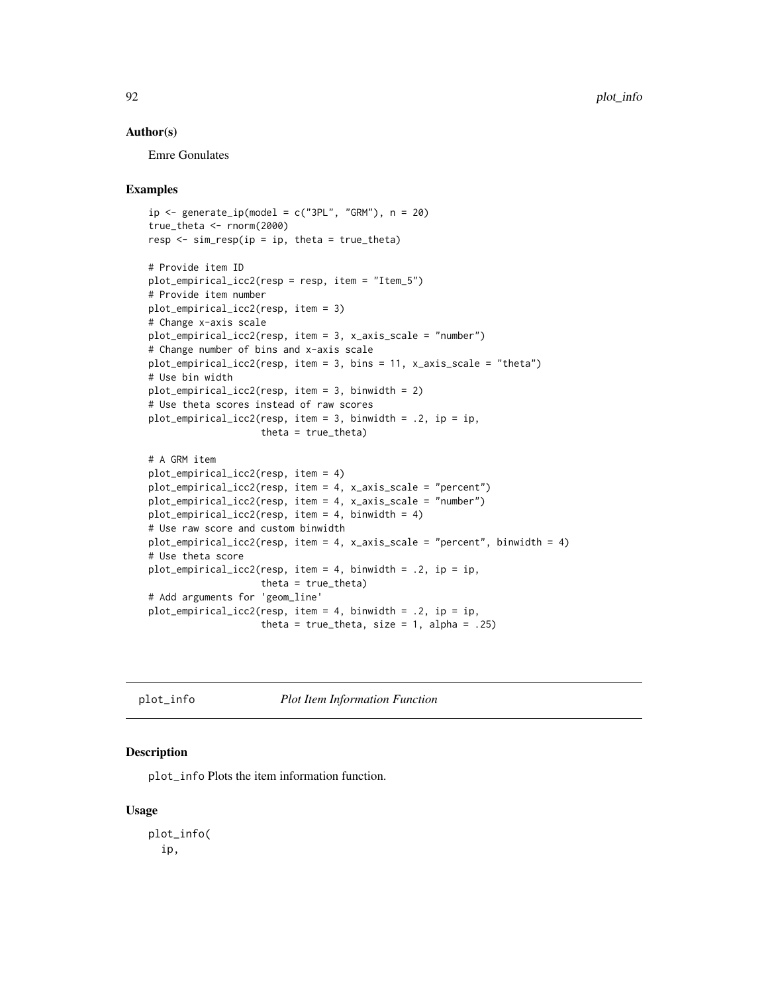#### Author(s)

Emre Gonulates

#### Examples

```
ip \leftarrow generate_ip(\text{model} = c("3PL", "GRM"), n = 20)true_theta <- rnorm(2000)
resp \le sim_resp(ip = ip, theta = true_theta)
# Provide item ID
plot_empirical_icc2(resp = resp, item = "Item_5")
# Provide item number
plot_empirical_icc2(resp, item = 3)
# Change x-axis scale
plot_empirical_icc2(resp, item = 3, x_axis_scale = "number")
# Change number of bins and x-axis scale
plot_empirical_icc2(resp, item = 3, bins = 11, x_axis_scale = "theta")
# Use bin width
plot_empirical_icc2(resp, item = 3, binwidth = 2)
# Use theta scores instead of raw scores
plot_empirical_icc2(resp, item = 3, binwidth = .2, ip = ip,
                    theta = true_theta)
# A GRM item
plot_empirical_icc2(resp, item = 4)
plot_empirical_icc2(resp, item = 4, x_axis_scale = "percent")
plot_empirical_icc2(resp, item = 4, x_axis_scale = "number")
plot_empirical_icc2(resp, item = 4, binwidth = 4)
# Use raw score and custom binwidth
plot_empirical_icc2(resp, item = 4, x_axis_scale = "percent", binwidth = 4)
# Use theta score
plot_empirical_icc2(resp, item = 4, binwidth = .2, ip = ip,
                    theta = true_theta)
# Add arguments for 'geom_line'
plot_empirical_icc2(resp, item = 4, binwidth = .2, ip = ip,
                    theta = true_theta, size = 1, alpha = .25)
```
plot\_info *Plot Item Information Function*

#### Description

plot\_info Plots the item information function.

#### Usage

plot\_info( ip,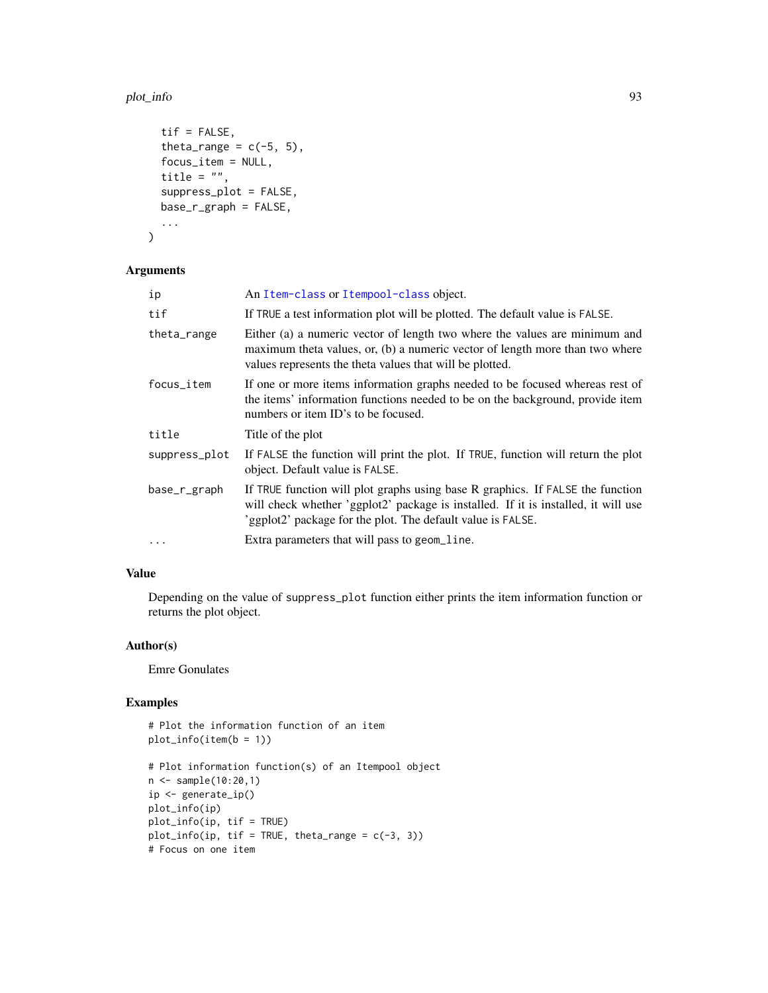#### plot\_info 93

```
\mathsf{tif} = FALSE,
  theta_range = c(-5, 5),
  focus_item = NULL,
  title = ",
  suppress_plot = FALSE,
  base_r_graph = FALSE,
  ...
\mathcal{L}
```
# Arguments

| ip            | An Item-class or Itempool-class object.                                                                                                                                                                                             |
|---------------|-------------------------------------------------------------------------------------------------------------------------------------------------------------------------------------------------------------------------------------|
| tif           | If TRUE a test information plot will be plotted. The default value is FALSE.                                                                                                                                                        |
| theta_range   | Either (a) a numeric vector of length two where the values are minimum and<br>maximum theta values, or, (b) a numeric vector of length more than two where<br>values represents the theta values that will be plotted.              |
| focus_item    | If one or more items information graphs needed to be focused whereas rest of<br>the items' information functions needed to be on the background, provide item<br>numbers or item ID's to be focused.                                |
| title         | Title of the plot                                                                                                                                                                                                                   |
| suppress_plot | If FALSE the function will print the plot. If TRUE, function will return the plot<br>object. Default value is FALSE.                                                                                                                |
| base_r_graph  | If TRUE function will plot graphs using base R graphics. If FALSE the function<br>will check whether 'ggplot2' package is installed. If it is installed, it will use<br>'ggplot2' package for the plot. The default value is FALSE. |
| $\cdots$      | Extra parameters that will pass to geom_line.                                                                                                                                                                                       |

## Value

Depending on the value of suppress\_plot function either prints the item information function or returns the plot object.

## Author(s)

Emre Gonulates

```
# Plot the information function of an item
plot_info(item(b = 1))
# Plot information function(s) of an Itempool object
n <- sample(10:20,1)
ip <- generate_ip()
plot_info(ip)
plot_info(ip, tif = TRUE)
plot_info(ip, tif = TRUE, theta_range = c(-3, 3))# Focus on one item
```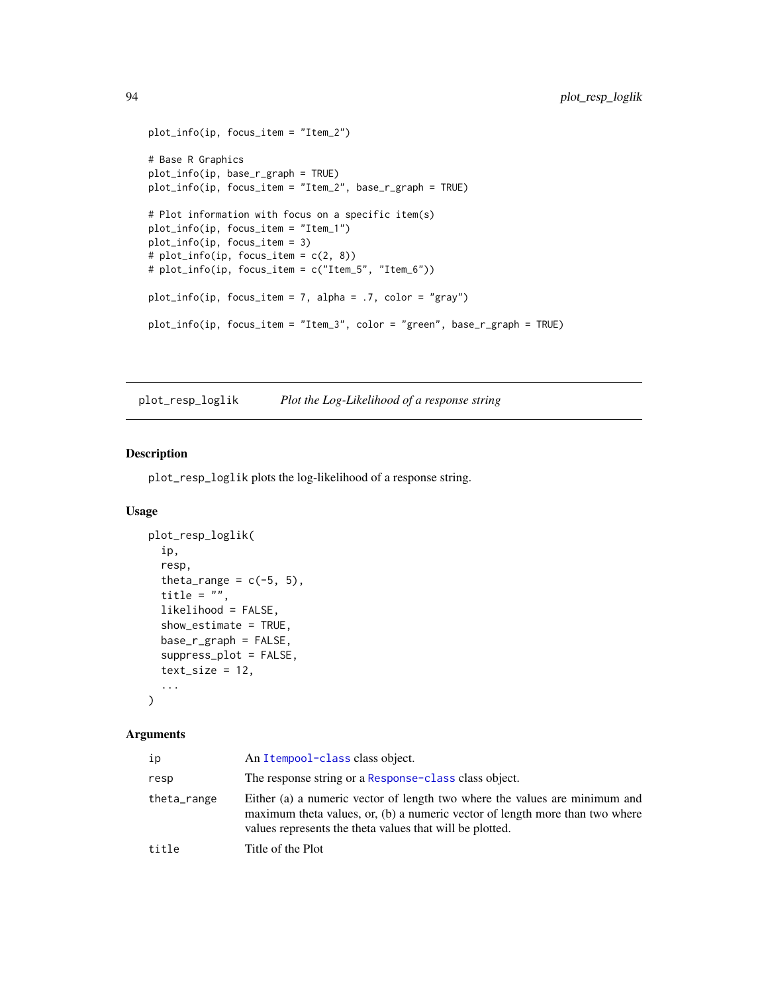```
plot_info(ip, focus_item = "Item_2")
# Base R Graphics
plot_info(ip, base_r_graph = TRUE)
plot_info(ip, focus_item = "Item_2", base_r_graph = TRUE)
# Plot information with focus on a specific item(s)
plot_info(ip, focus_item = "Item_1")
plot_info(ip, focus_item = 3)
# plot_info(ip, focus_item = c(2, 8))
# plot_info(ip, focus_item = c("Item_5", "Item_6"))
plot_info(ip, focus_item = 7, alpha = .7, color = "gray")
plot_info(ip, focus_item = "Item_3", color = "green", base_r_graph = TRUE)
```
plot\_resp\_loglik *Plot the Log-Likelihood of a response string*

## Description

plot\_resp\_loglik plots the log-likelihood of a response string.

## Usage

```
plot_resp_loglik(
  ip,
  resp,
  theta_range = c(-5, 5),
  title = "",
  likelihood = FALSE,
  show_estimate = TRUE,
 base_r_graph = FALSE,
  suppress_plot = FALSE,
  text_size = 12,...
)
```

| ip          | An Itempool-class class object.                                                                                                                                                                                        |
|-------------|------------------------------------------------------------------------------------------------------------------------------------------------------------------------------------------------------------------------|
| resp        | The response string or a Response-class class object.                                                                                                                                                                  |
| theta_range | Either (a) a numeric vector of length two where the values are minimum and<br>maximum theta values, or, (b) a numeric vector of length more than two where<br>values represents the theta values that will be plotted. |
| title       | Title of the Plot                                                                                                                                                                                                      |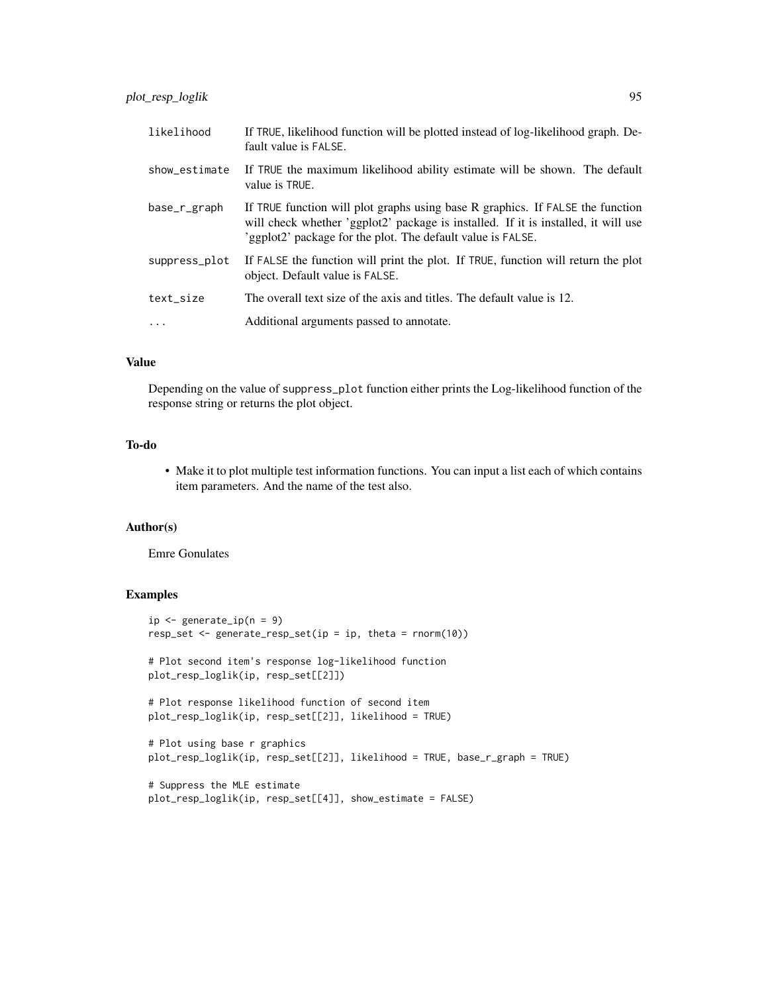| likelihood    | If TRUE, likelihood function will be plotted instead of log-likelihood graph. De-<br>fault value is FALSE.                                                                                                                          |
|---------------|-------------------------------------------------------------------------------------------------------------------------------------------------------------------------------------------------------------------------------------|
| show estimate | If TRUE the maximum likelihood ability estimate will be shown. The default<br>value is TRUE.                                                                                                                                        |
| base_r_graph  | If TRUE function will plot graphs using base R graphics. If FALSE the function<br>will check whether 'ggplot2' package is installed. If it is installed, it will use<br>'ggplot2' package for the plot. The default value is FALSE. |
| suppress_plot | If FALSE the function will print the plot. If TRUE, function will return the plot<br>object. Default value is FALSE.                                                                                                                |
| text size     | The overall text size of the axis and titles. The default value is 12.                                                                                                                                                              |
| $\cdots$      | Additional arguments passed to annotate.                                                                                                                                                                                            |

Depending on the value of suppress\_plot function either prints the Log-likelihood function of the response string or returns the plot object.

## To-do

• Make it to plot multiple test information functions. You can input a list each of which contains item parameters. And the name of the test also.

## Author(s)

Emre Gonulates

```
ip \leq generate_ip(n = 9)
resp_set <- generate_resp_set(ip = ip, theta = rnorm(10))
# Plot second item's response log-likelihood function
plot_resp_loglik(ip, resp_set[[2]])
# Plot response likelihood function of second item
plot_resp_loglik(ip, resp_set[[2]], likelihood = TRUE)
# Plot using base r graphics
plot_resp_loglik(ip, resp_set[[2]], likelihood = TRUE, base_r_graph = TRUE)
# Suppress the MLE estimate
plot_resp_loglik(ip, resp_set[[4]], show_estimate = FALSE)
```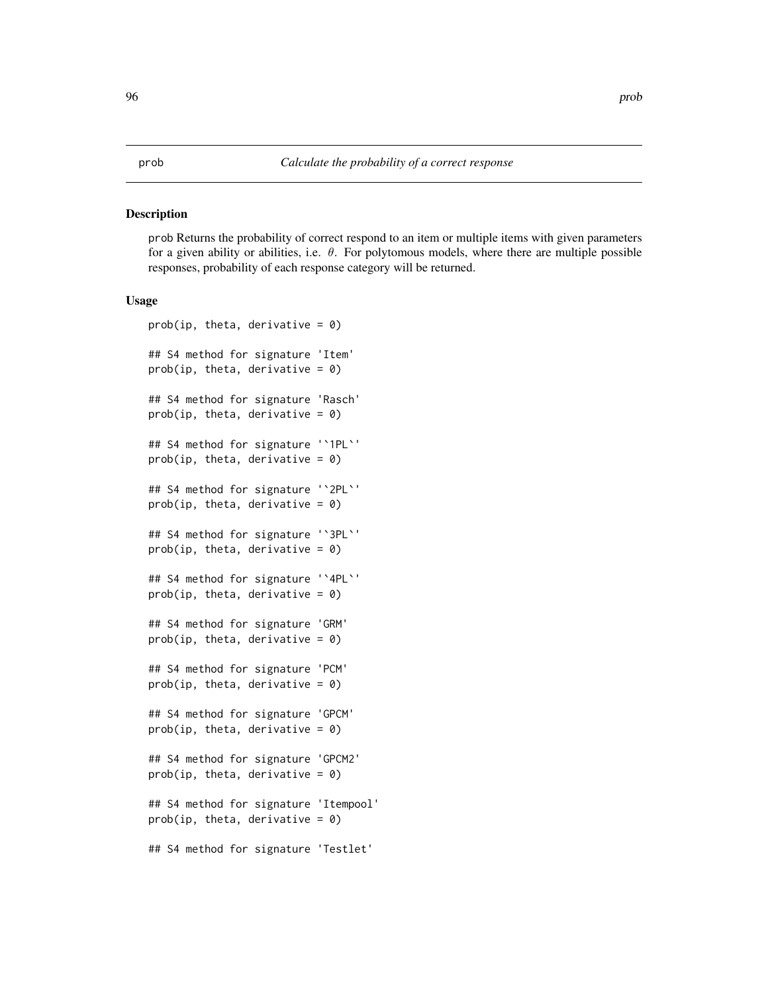#### Description

prob Returns the probability of correct respond to an item or multiple items with given parameters for a given ability or abilities, i.e.  $\theta$ . For polytomous models, where there are multiple possible responses, probability of each response category will be returned.

#### Usage

```
prob(ip, theta, derivative = 0)
## S4 method for signature 'Item'
prob(ip, theta, derivative = \theta)
## S4 method for signature 'Rasch'
prob(ip, theta, derivative = \theta)
## S4 method for signature '`1PL`'
prob(ip, theta, derivative = \theta)
## S4 method for signature '`2PL`'
prob(ip, theta, derivative = \theta)
## S4 method for signature '`3PL`'
prob(ip, theta, derivative = \theta)
## S4 method for signature '`4PL`'
prob(ip, theta, derivative = \theta)
## S4 method for signature 'GRM'
prob(ip, theta, derivative = \theta)
## S4 method for signature 'PCM'
prob(ip, theta, derivative = \theta)
## S4 method for signature 'GPCM'
prob(ip, theta, derivative = \theta)
## S4 method for signature 'GPCM2'
prob(ip, theta, derivative = \theta)
## S4 method for signature 'Itempool'
prob(ip, theta, derivative = \theta)
## S4 method for signature 'Testlet'
```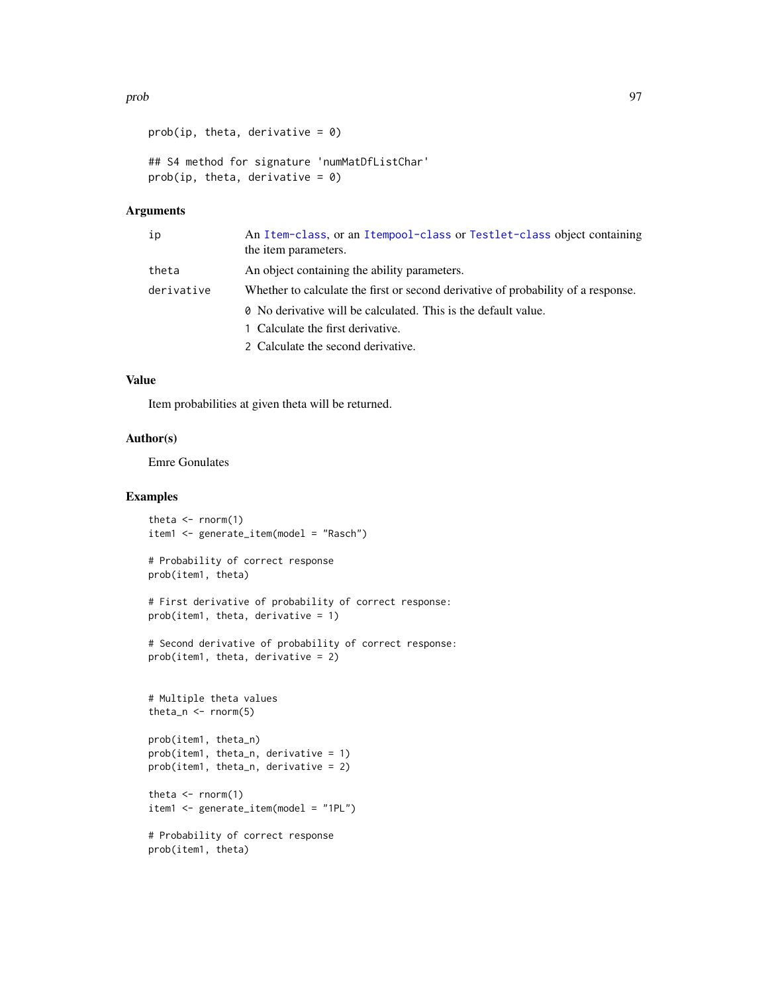```
prob(ip, theta, derivative = \theta)
## S4 method for signature 'numMatDfListChar'
prob(ip, theta, derivative = \theta)
```
## Arguments

| ip         | An Item-class, or an Itempool-class or Testlet-class object containing<br>the item parameters. |
|------------|------------------------------------------------------------------------------------------------|
| theta      | An object containing the ability parameters.                                                   |
| derivative | Whether to calculate the first or second derivative of probability of a response.              |
|            | <b><math>\theta</math></b> No derivative will be calculated. This is the default value.        |
|            | 1 Calculate the first derivative.                                                              |
|            | 2 Calculate the second derivative.                                                             |

## Value

Item probabilities at given theta will be returned.

## Author(s)

Emre Gonulates

```
theta \leq rnorm(1)
item1 <- generate_item(model = "Rasch")
# Probability of correct response
prob(item1, theta)
# First derivative of probability of correct response:
prob(item1, theta, derivative = 1)
# Second derivative of probability of correct response:
prob(item1, theta, derivative = 2)
# Multiple theta values
theta_n \leq rnorm(5)
prob(item1, theta_n)
prob(item1, theta_n, derivative = 1)
prob(item1, theta_n, derivative = 2)
theta \leq rnorm(1)
item1 <- generate_item(model = "1PL")
# Probability of correct response
prob(item1, theta)
```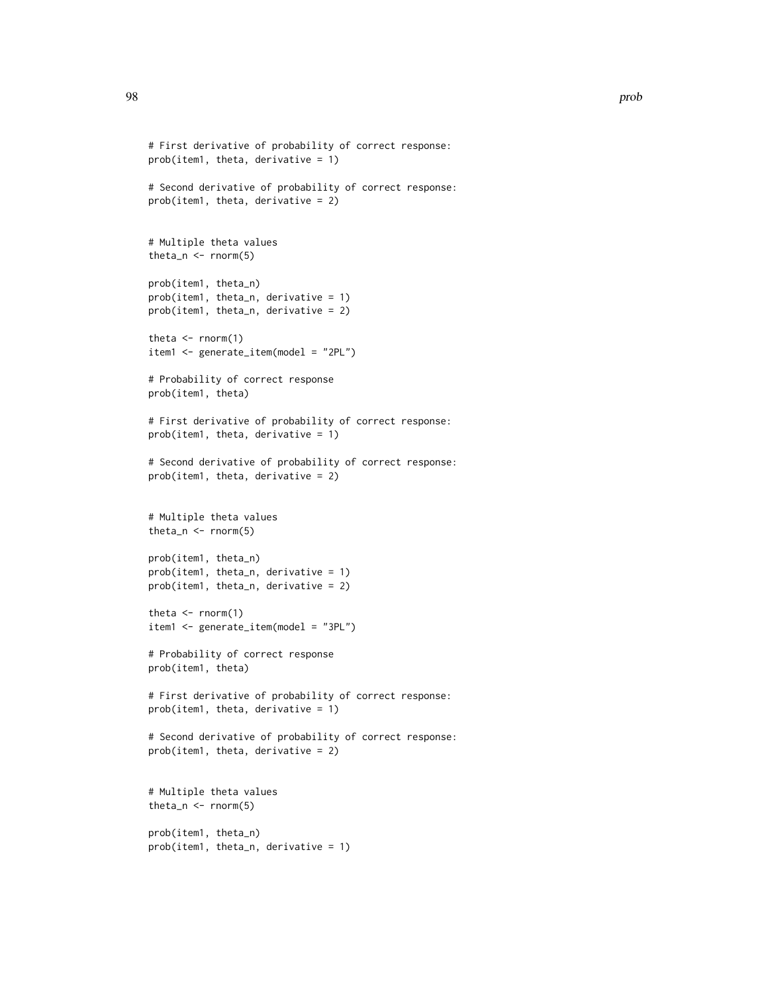```
# First derivative of probability of correct response:
prob(item1, theta, derivative = 1)
# Second derivative of probability of correct response:
prob(item1, theta, derivative = 2)
# Multiple theta values
theta_n \leq rnorm(5)
prob(item1, theta_n)
prob(item1, theta_n, derivative = 1)
prob(item1, theta_n, derivative = 2)
theta \leq rnorm(1)
item1 <- generate_item(model = "2PL")
# Probability of correct response
prob(item1, theta)
# First derivative of probability of correct response:
prob(item1, theta, derivative = 1)
# Second derivative of probability of correct response:
prob(item1, theta, derivative = 2)
# Multiple theta values
theta_n <- rnorm(5)
prob(item1, theta_n)
prob(item1, theta_n, derivative = 1)
prob(item1, theta_n, derivative = 2)
theta \leq rnorm(1)
item1 <- generate_item(model = "3PL")
# Probability of correct response
prob(item1, theta)
# First derivative of probability of correct response:
prob(item1, theta, derivative = 1)
# Second derivative of probability of correct response:
prob(item1, theta, derivative = 2)
# Multiple theta values
theta_n \leq- rnorm(5)
prob(item1, theta_n)
prob(item1, theta_n, derivative = 1)
```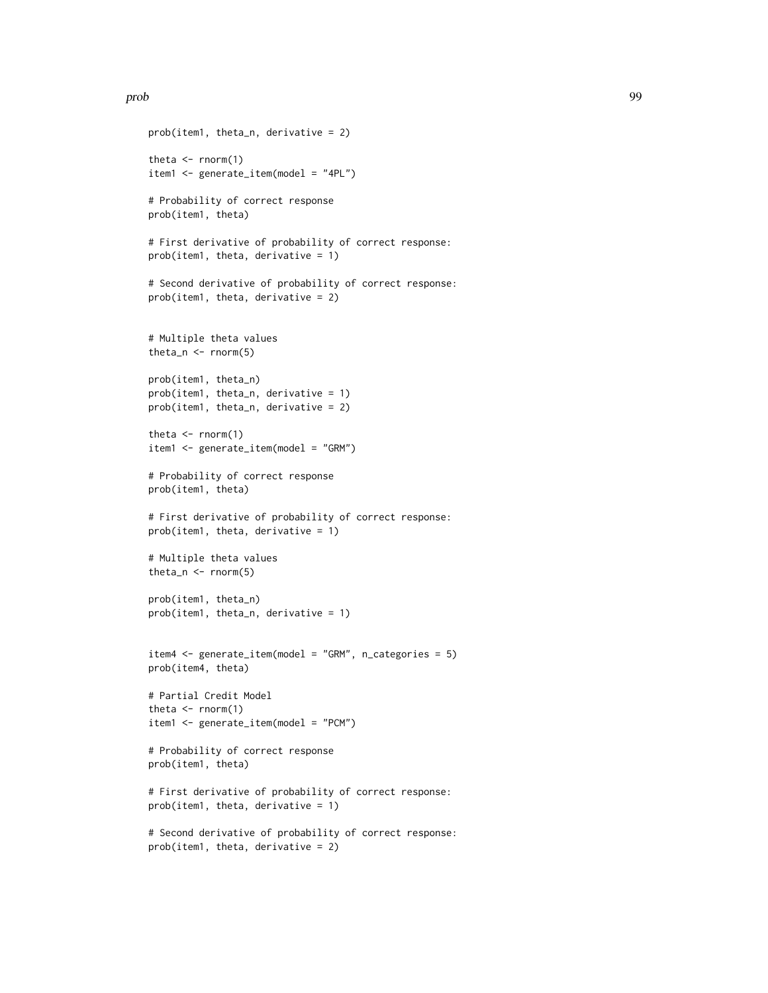```
prob(item1, theta_n, derivative = 2)
theta \leq rnorm(1)
item1 <- generate_item(model = "4PL")
# Probability of correct response
prob(item1, theta)
# First derivative of probability of correct response:
prob(item1, theta, derivative = 1)
# Second derivative of probability of correct response:
prob(item1, theta, derivative = 2)
# Multiple theta values
theta_n \leq rnorm(5)
prob(item1, theta_n)
prob(item1, theta_n, derivative = 1)
prob(item1, theta_n, derivative = 2)
theta \leq rnorm(1)
item1 <- generate_item(model = "GRM")
# Probability of correct response
prob(item1, theta)
# First derivative of probability of correct response:
prob(item1, theta, derivative = 1)
# Multiple theta values
theta_n <- rnorm(5)
prob(item1, theta_n)
prob(item1, theta_n, derivative = 1)
item4 <- generate_item(model = "GRM", n_categories = 5)
prob(item4, theta)
# Partial Credit Model
theta \leq rnorm(1)
item1 <- generate_item(model = "PCM")
# Probability of correct response
prob(item1, theta)
# First derivative of probability of correct response:
prob(item1, theta, derivative = 1)
# Second derivative of probability of correct response:
prob(item1, theta, derivative = 2)
```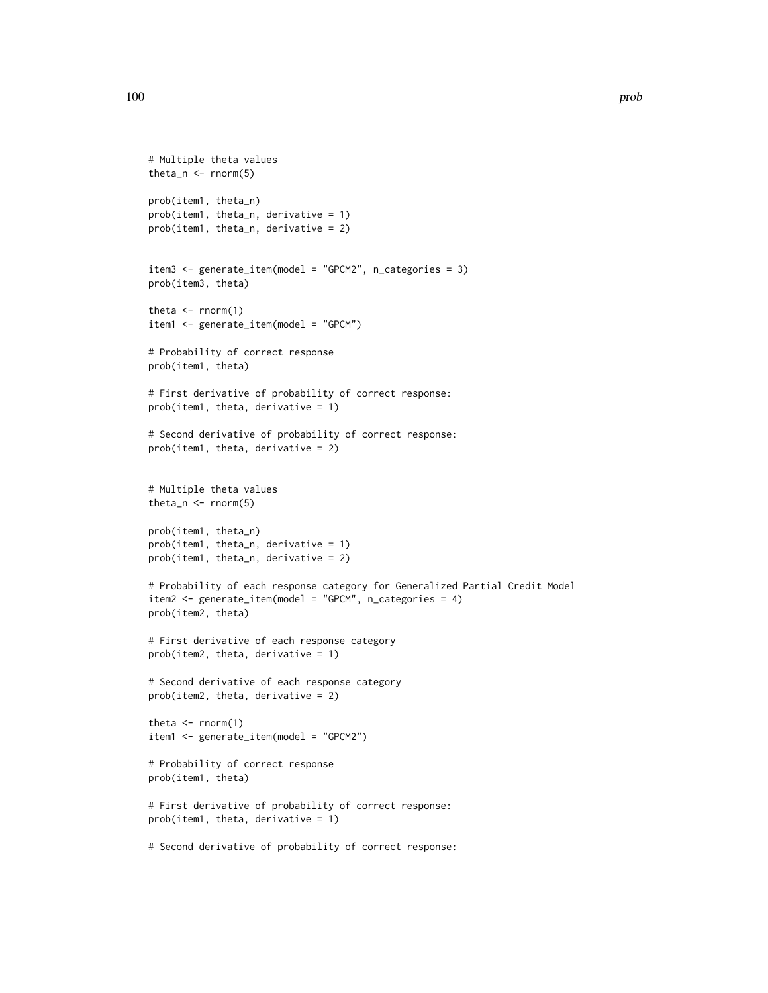```
# Multiple theta values
theta_n <- rnorm(5)
prob(item1, theta_n)
prob(item1, theta_n, derivative = 1)
prob(item1, theta_n, derivative = 2)
item3 <- generate_item(model = "GPCM2", n_categories = 3)
prob(item3, theta)
theta \leq rnorm(1)
item1 <- generate_item(model = "GPCM")
# Probability of correct response
prob(item1, theta)
# First derivative of probability of correct response:
prob(item1, theta, derivative = 1)
# Second derivative of probability of correct response:
prob(item1, theta, derivative = 2)
# Multiple theta values
theta_n \leq rnorm(5)
prob(item1, theta_n)
prob(item1, theta_n, derivative = 1)
prob(item1, theta_n, derivative = 2)
# Probability of each response category for Generalized Partial Credit Model
item2 <- generate_item(model = "GPCM", n_categories = 4)
prob(item2, theta)
# First derivative of each response category
prob(item2, theta, derivative = 1)
# Second derivative of each response category
prob(item2, theta, derivative = 2)
theta \leq rnorm(1)
item1 <- generate_item(model = "GPCM2")
# Probability of correct response
prob(item1, theta)
# First derivative of probability of correct response:
prob(item1, theta, derivative = 1)
# Second derivative of probability of correct response:
```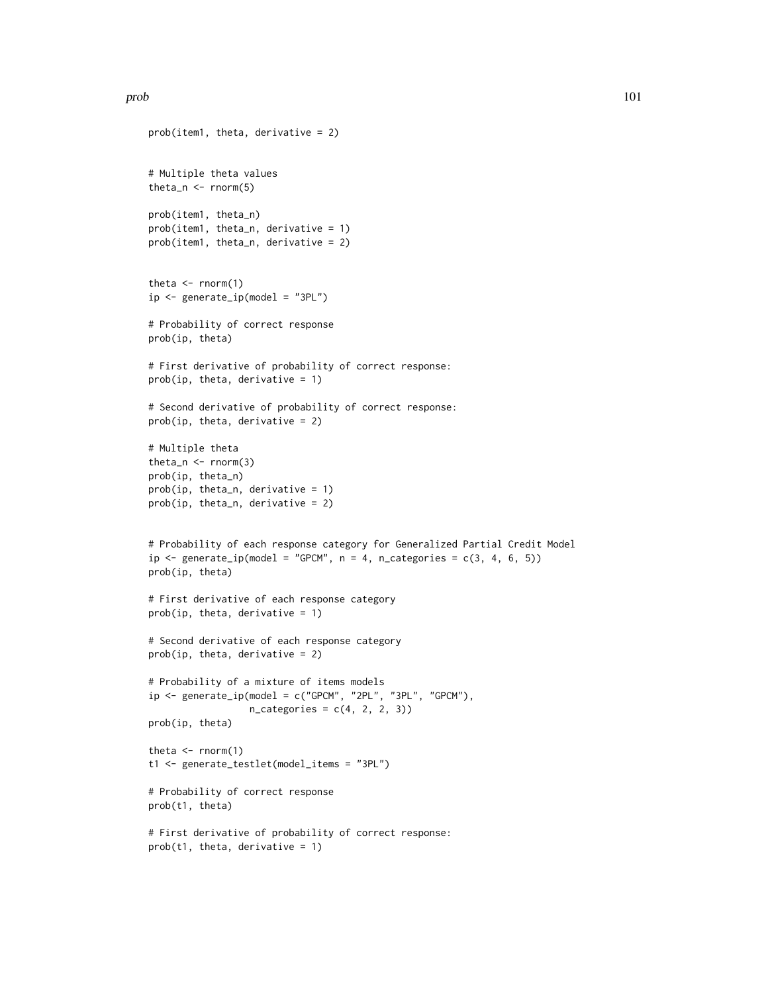#### prob the contract of the contract of the contract of the contract of the contract of the contract of the contract of the contract of the contract of the contract of the contract of the contract of the contract of the contr

```
prob(item1, theta, derivative = 2)
# Multiple theta values
theta_n <- rnorm(5)
prob(item1, theta_n)
prob(item1, theta_n, derivative = 1)
prob(item1, theta_n, derivative = 2)
theta \leq rnorm(1)
ip \leftarrow generate_ip(model = "3PL")
# Probability of correct response
prob(ip, theta)
# First derivative of probability of correct response:
prob(ip, theta, derivative = 1)
# Second derivative of probability of correct response:
prob(ip, theta, derivative = 2)
# Multiple theta
theta_n \leq rnorm(3)
prob(ip, theta_n)
prob(ip, theta_n, derivative = 1)prob(ip, theta_n, derivative = 2)
# Probability of each response category for Generalized Partial Credit Model
ip \leftarrow generate_ip(model = "GPCM", n = 4, n_categories = c(3, 4, 6, 5))
prob(ip, theta)
# First derivative of each response category
prob(ip, theta, derivative = 1)# Second derivative of each response category
prob(ip, theta, derivative = 2)# Probability of a mixture of items models
ip <- generate_ip(model = c("GPCM", "2PL", "3PL", "GPCM"),
                  n_{\text{categories}} = c(4, 2, 2, 3)prob(ip, theta)
theta \leq rnorm(1)
t1 <- generate_testlet(model_items = "3PL")
# Probability of correct response
prob(t1, theta)
# First derivative of probability of correct response:
prob(t1, theta, derivative = 1)
```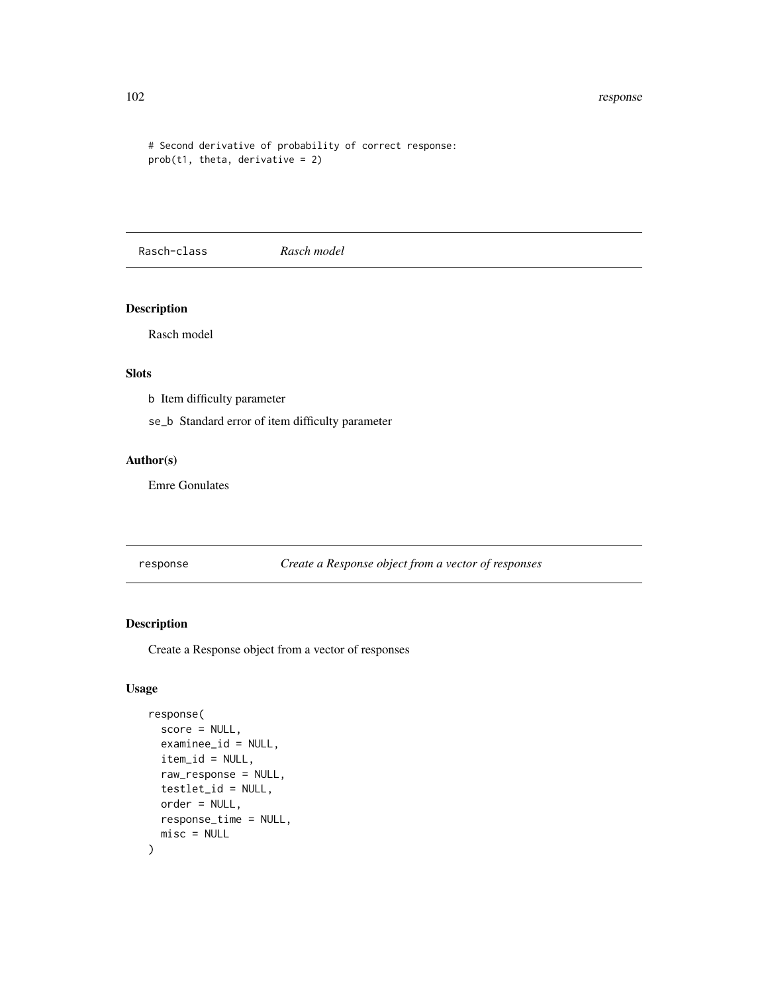```
# Second derivative of probability of correct response:
prob(t1, theta, derivative = 2)
```
Rasch-class *Rasch model*

## Description

Rasch model

## Slots

b Item difficulty parameter

se\_b Standard error of item difficulty parameter

## Author(s)

Emre Gonulates

response *Create a Response object from a vector of responses*

## Description

Create a Response object from a vector of responses

## Usage

```
response(
  score = NULL,
  examinee_id = NULL,
  item_id = NULL,
  raw_response = NULL,
  testlet_id = NULL,
 order = NULL,
  response_time = NULL,
 misc = NULL
)
```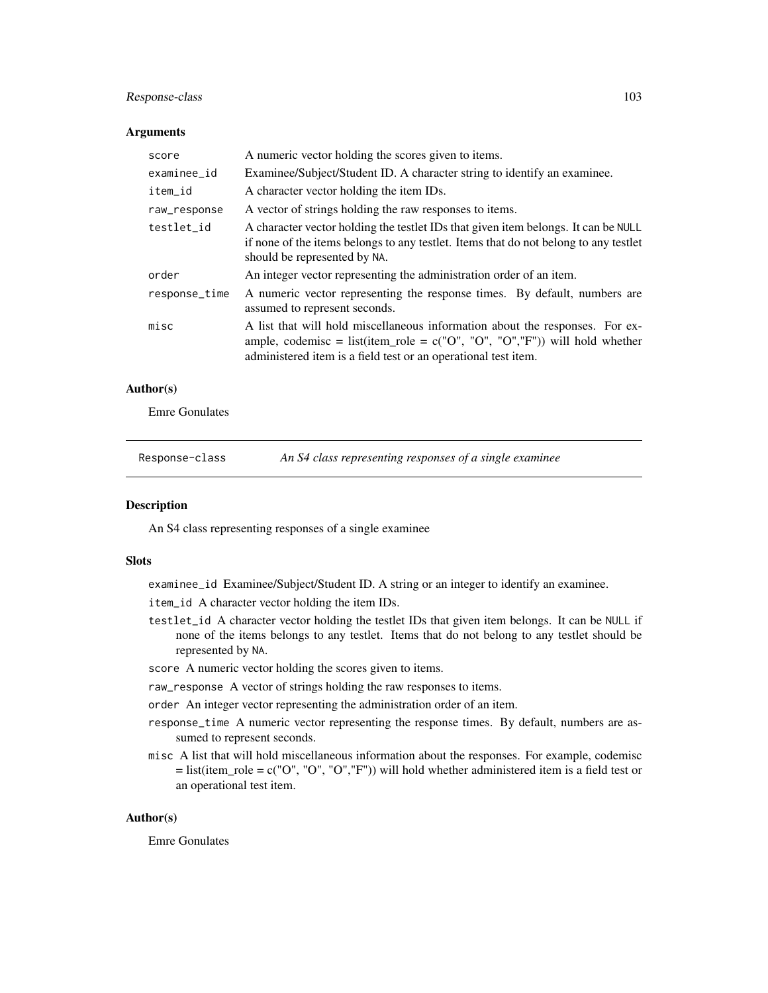## Response-class 103

#### **Arguments**

| score         | A numeric vector holding the scores given to items.                                                                                                                                                                               |
|---------------|-----------------------------------------------------------------------------------------------------------------------------------------------------------------------------------------------------------------------------------|
| examinee_id   | Examinee/Subject/Student ID. A character string to identify an examinee.                                                                                                                                                          |
| item_id       | A character vector holding the item IDs.                                                                                                                                                                                          |
| raw_response  | A vector of strings holding the raw responses to items.                                                                                                                                                                           |
| testlet id    | A character vector holding the testlet IDs that given item belongs. It can be NULL<br>if none of the items belongs to any testlet. Items that do not belong to any testlet<br>should be represented by NA.                        |
| order         | An integer vector representing the administration order of an item.                                                                                                                                                               |
| response_time | A numeric vector representing the response times. By default, numbers are<br>assumed to represent seconds.                                                                                                                        |
| misc          | A list that will hold miscellaneous information about the responses. For ex-<br>ample, codemisc = list(item_role = $c("O", "O", "O", "F"))$ ) will hold whether<br>administered item is a field test or an operational test item. |

#### Author(s)

Emre Gonulates

<span id="page-102-0"></span>Response-class *An S4 class representing responses of a single examinee*

#### Description

An S4 class representing responses of a single examinee

## Slots

examinee\_id Examinee/Subject/Student ID. A string or an integer to identify an examinee.

item\_id A character vector holding the item IDs.

- testlet\_id A character vector holding the testlet IDs that given item belongs. It can be NULL if none of the items belongs to any testlet. Items that do not belong to any testlet should be represented by NA.
- score A numeric vector holding the scores given to items.

raw\_response A vector of strings holding the raw responses to items.

order An integer vector representing the administration order of an item.

- response\_time A numeric vector representing the response times. By default, numbers are assumed to represent seconds.
- misc A list that will hold miscellaneous information about the responses. For example, codemisc  $=$  list(item\_role = c("O", "O", "O","F")) will hold whether administered item is a field test or an operational test item.

## Author(s)

Emre Gonulates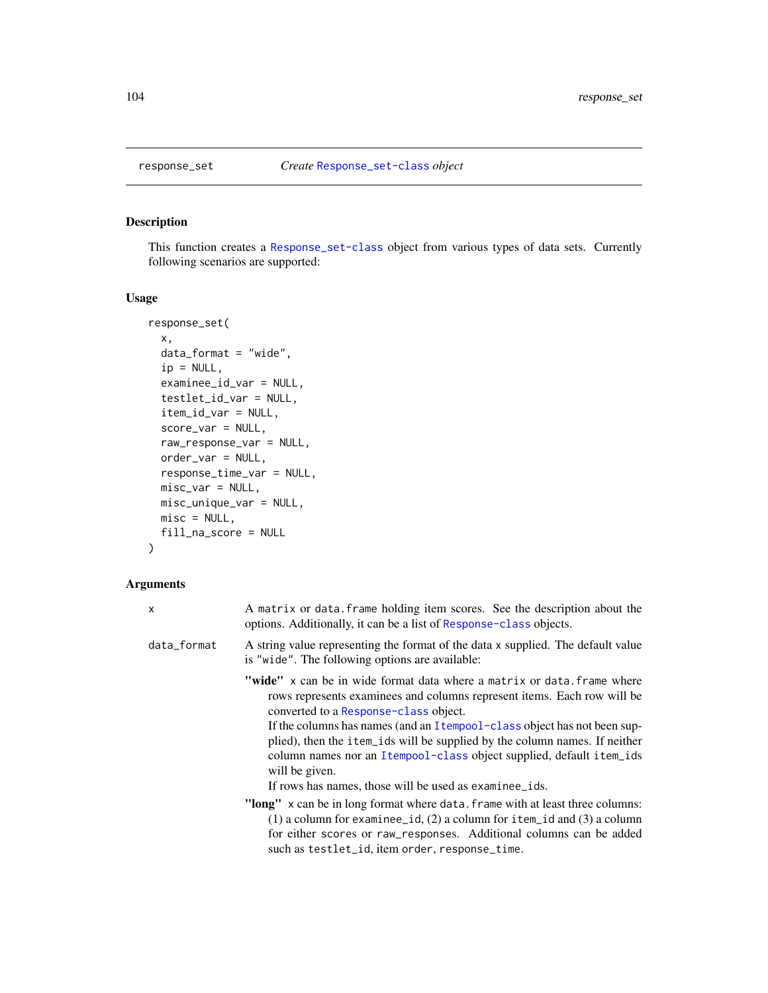## Description

This function creates a [Response\\_set-class](#page-106-0) object from various types of data sets. Currently following scenarios are supported:

## Usage

```
response_set(
 x,
 data_format = "wide",
 ip = NULL,examinee_id_var = NULL,
  testlet_id_var = NULL,
  item_id_var = NULL,
  score_var = NULL,
  raw_response_var = NULL,
 order_var = NULL,
 response_time_var = NULL,
 misc_var = NULL,
 misc_unique_var = NULL,
 misc = NULL,
 fill_na_score = NULL
)
```

| $\mathsf{x}$ | A matrix or data. frame holding item scores. See the description about the<br>options. Additionally, it can be a list of Response-class objects.                                                                                                                                                                                                                                                                                                                                                                 |
|--------------|------------------------------------------------------------------------------------------------------------------------------------------------------------------------------------------------------------------------------------------------------------------------------------------------------------------------------------------------------------------------------------------------------------------------------------------------------------------------------------------------------------------|
| data_format  | A string value representing the format of the data x supplied. The default value<br>is "wide". The following options are available:                                                                                                                                                                                                                                                                                                                                                                              |
|              | <b>"wide"</b> x can be in wide format data where a matrix or data. frame where<br>rows represents examinees and columns represent items. Each row will be<br>converted to a Response-class object.<br>If the columns has names (and an Itempool-class object has not been sup-<br>plied), then the item_ids will be supplied by the column names. If neither<br>column names nor an Itempool-class object supplied, default item_ids<br>will be given.<br>If rows has names, those will be used as examinee_ids. |
|              | "long" x can be in long format where data. frame with at least three columns:<br>$(1)$ a column for examinee_id, $(2)$ a column for item_id and $(3)$ a column<br>for either scores or raw_responses. Additional columns can be added<br>such as testlet_id, item order, response_time.                                                                                                                                                                                                                          |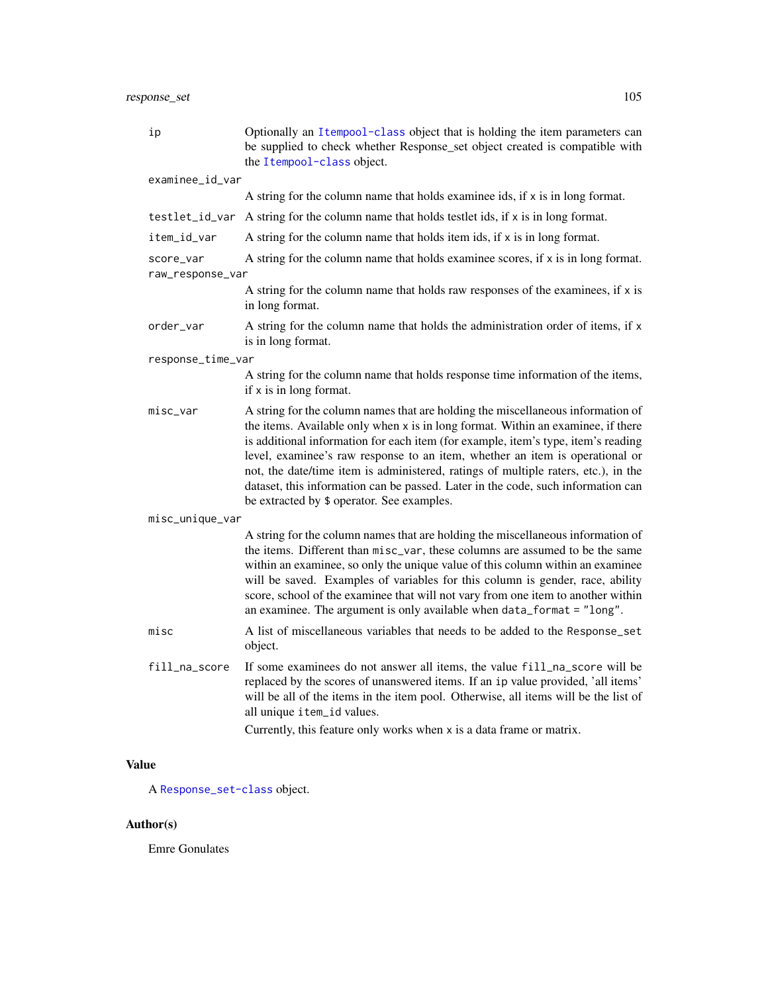| ip                                                                                                                | Optionally an Itempool-class object that is holding the item parameters can<br>be supplied to check whether Response_set object created is compatible with<br>the Itempool-class object.                                                                                                                                                                                                                                                                                                                                                                         |  |
|-------------------------------------------------------------------------------------------------------------------|------------------------------------------------------------------------------------------------------------------------------------------------------------------------------------------------------------------------------------------------------------------------------------------------------------------------------------------------------------------------------------------------------------------------------------------------------------------------------------------------------------------------------------------------------------------|--|
| examinee_id_var                                                                                                   |                                                                                                                                                                                                                                                                                                                                                                                                                                                                                                                                                                  |  |
|                                                                                                                   | A string for the column name that holds examinee ids, if x is in long format.                                                                                                                                                                                                                                                                                                                                                                                                                                                                                    |  |
|                                                                                                                   | testlet_id_var A string for the column name that holds testlet ids, if x is in long format.                                                                                                                                                                                                                                                                                                                                                                                                                                                                      |  |
| item_id_var                                                                                                       | A string for the column name that holds item ids, if x is in long format.                                                                                                                                                                                                                                                                                                                                                                                                                                                                                        |  |
| A string for the column name that holds examinee scores, if x is in long format.<br>score_var<br>raw_response_var |                                                                                                                                                                                                                                                                                                                                                                                                                                                                                                                                                                  |  |
|                                                                                                                   | A string for the column name that holds raw responses of the examinees, if x is<br>in long format.                                                                                                                                                                                                                                                                                                                                                                                                                                                               |  |
| order_var                                                                                                         | A string for the column name that holds the administration order of items, if x<br>is in long format.                                                                                                                                                                                                                                                                                                                                                                                                                                                            |  |
| response_time_var                                                                                                 |                                                                                                                                                                                                                                                                                                                                                                                                                                                                                                                                                                  |  |
|                                                                                                                   | A string for the column name that holds response time information of the items,<br>if $x$ is in long format.                                                                                                                                                                                                                                                                                                                                                                                                                                                     |  |
| misc_var                                                                                                          | A string for the column names that are holding the miscellaneous information of<br>the items. Available only when x is in long format. Within an examinee, if there<br>is additional information for each item (for example, item's type, item's reading<br>level, examinee's raw response to an item, whether an item is operational or<br>not, the date/time item is administered, ratings of multiple raters, etc.), in the<br>dataset, this information can be passed. Later in the code, such information can<br>be extracted by \$ operator. See examples. |  |
| misc_unique_var                                                                                                   |                                                                                                                                                                                                                                                                                                                                                                                                                                                                                                                                                                  |  |
|                                                                                                                   | A string for the column names that are holding the miscellaneous information of<br>the items. Different than misc_var, these columns are assumed to be the same<br>within an examinee, so only the unique value of this column within an examinee<br>will be saved. Examples of variables for this column is gender, race, ability<br>score, school of the examinee that will not vary from one item to another within<br>an examinee. The argument is only available when data_format = "long".                                                                 |  |
| misc                                                                                                              | A list of miscellaneous variables that needs to be added to the Response_set<br>object.                                                                                                                                                                                                                                                                                                                                                                                                                                                                          |  |
| fill_na_score                                                                                                     | If some examinees do not answer all items, the value fill_na_score will be<br>replaced by the scores of unanswered items. If an ip value provided, 'all items'<br>will be all of the items in the item pool. Otherwise, all items will be the list of<br>all unique item_id values.<br>Currently, this feature only works when x is a data frame or matrix.                                                                                                                                                                                                      |  |

A [Response\\_set-class](#page-106-0) object.

## Author(s)

Emre Gonulates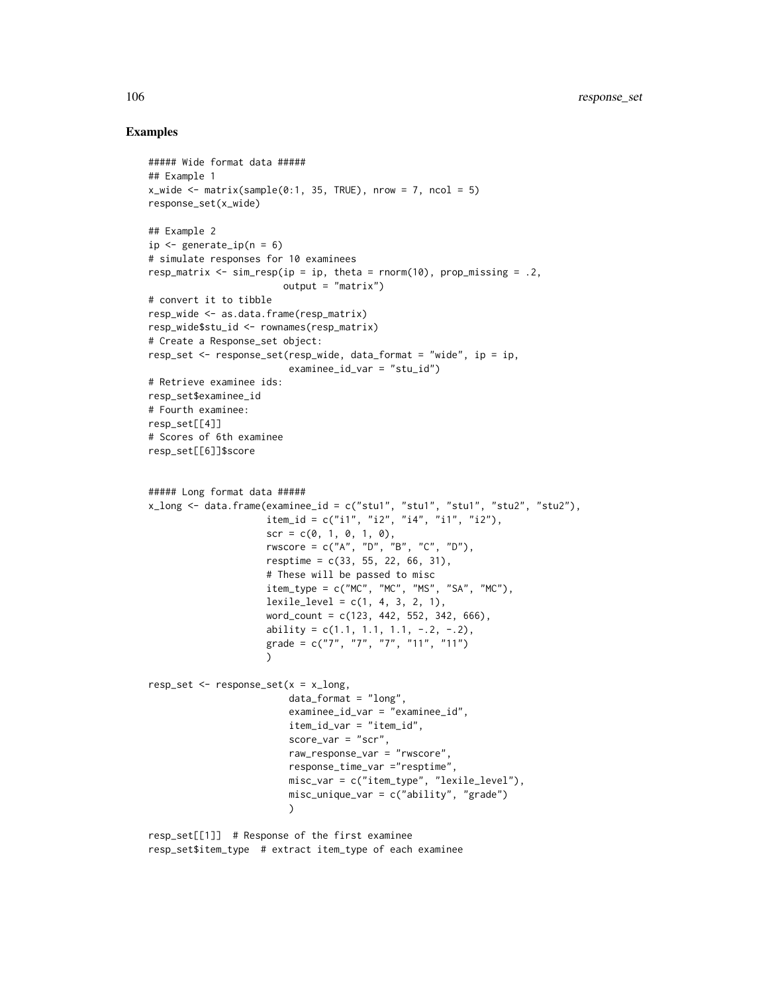```
##### Wide format data #####
## Example 1
x_wide <- matrix(sample(0:1, 35, TRUE), nrow = 7, ncol = 5)
response_set(x_wide)
## Example 2
ip \leq generate_ip(n = 6)
# simulate responses for 10 examinees
resp_matrix \leq sim_resp(ip = ip, theta = rnorm(10), prop_missing = .2,
                        output = "matrix")
# convert it to tibble
resp_wide <- as.data.frame(resp_matrix)
resp_wide$stu_id <- rownames(resp_matrix)
# Create a Response_set object:
resp_set <- response_set(resp_wide, data_format = "wide", ip = ip,
                         examinee_id_var = "stu_id")
# Retrieve examinee ids:
resp_set$examinee_id
# Fourth examinee:
resp_set[[4]]
# Scores of 6th examinee
resp_set[[6]]$score
##### Long format data #####
x_{\text{long}} <- data.frame(examinee_id = c("stu1", "stu1", "stu1", "stu2", "stu2"),
                     item_id = c("i1", "i2", "i4", "i1", "i2").scr = c(0, 1, 0, 1, 0),
                     rwscore = c("A", "D", "B", "C", "D"),
                     resptime = c(33, 55, 22, 66, 31),# These will be passed to misc
                     item_type = c("MC", "MC", "MS", "SA", "MC"),lexile\_level = c(1, 4, 3, 2, 1),word_count = c(123, 442, 552, 342, 666),
                     ability = c(1.1, 1.1, 1.1, -.2, -.2),
                     grade = c("7", "7", "7", "11", "11")\lambdaresp_set \leq response_set(x = x_long,
                         data_format = "long",
                         examinee_id_var = "examinee_id",
                         item_id_var = "item_id",
                         score_var = "scr",
                         raw_response_var = "rwscore",
                         response_time_var ="resptime",
                         misc_var = c("item_type", "lexile_level"),
                         misc_unique_var = c("ability", "grade")
                         \lambdaresp_set[[1]] # Response of the first examinee
resp_set$item_type # extract item_type of each examinee
```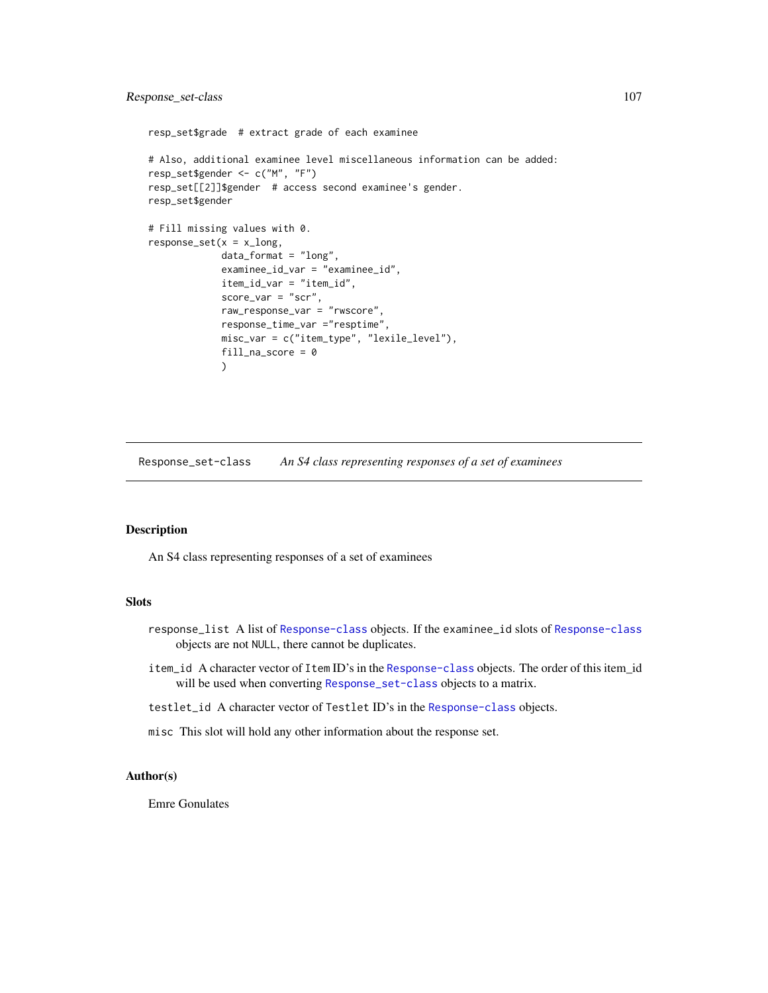## Response\_set-class 107

```
resp_set$grade # extract grade of each examinee
# Also, additional examinee level miscellaneous information can be added:
resp_set$gender <- c("M", "F")
resp_set[[2]]$gender # access second examinee's gender.
resp_set$gender
# Fill missing values with 0.
response_set(x = x_llong,data_format = "long",
             examinee_id_var = "examinee_id",
             item_id_var = "item_id",
             score_var = "scr",
             raw_response_var = "rwscore",
             response_time_var ="resptime",
             misc_var = c("item_type", "lexile_level"),
             fill_na_score = 0
             )
```
<span id="page-106-0"></span>Response\_set-class *An S4 class representing responses of a set of examinees*

## Description

An S4 class representing responses of a set of examinees

## Slots

- response\_list A list of [Response-class](#page-102-0) objects. If the examinee\_id slots of [Response-class](#page-102-0) objects are not NULL, there cannot be duplicates.
- item\_id A character vector of Item ID's in the [Response-class](#page-102-0) objects. The order of this item\_id will be used when converting [Response\\_set-class](#page-106-0) objects to a matrix.
- testlet\_id A character vector of Testlet ID's in the [Response-class](#page-102-0) objects.
- misc This slot will hold any other information about the response set.

#### Author(s)

Emre Gonulates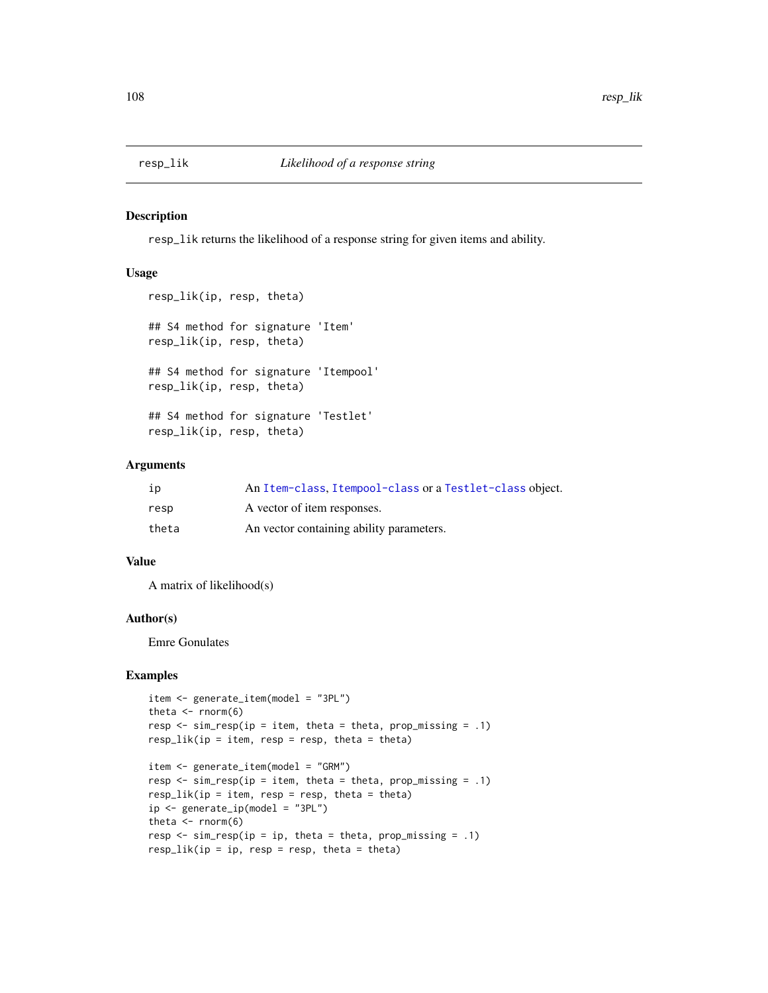#### Description

resp\_lik returns the likelihood of a response string for given items and ability.

## Usage

```
resp_lik(ip, resp, theta)
## S4 method for signature 'Item'
resp_lik(ip, resp, theta)
## S4 method for signature 'Itempool'
resp_lik(ip, resp, theta)
## S4 method for signature 'Testlet'
resp_lik(ip, resp, theta)
```
#### Arguments

| ip    | An Item-class, Itempool-class or a Testlet-class object. |
|-------|----------------------------------------------------------|
| resp  | A vector of item responses.                              |
| theta | An vector containing ability parameters.                 |

#### Value

A matrix of likelihood(s)

#### Author(s)

Emre Gonulates

```
item <- generate_item(model = "3PL")
theta \leq rnorm(6)
resp \le sim_resp(ip = item, theta = theta, prop_missing = .1)
resp\_lik(ip = item, resp = resp, theta = theta)item <- generate_item(model = "GRM")
resp \leq sim_resp(ip = item, theta = theta, prop_missing = .1)
resp\_lik(ip = item, resp = resp, theta = theta)ip \leftarrow generate_ip(model = "3PL")
theta \leq rnorm(6)
resp \leq sim_resp(ip = ip, theta = theta, prop_missing = .1)
resp\_lik(ip = ip, resp = resp, theta = theta)
```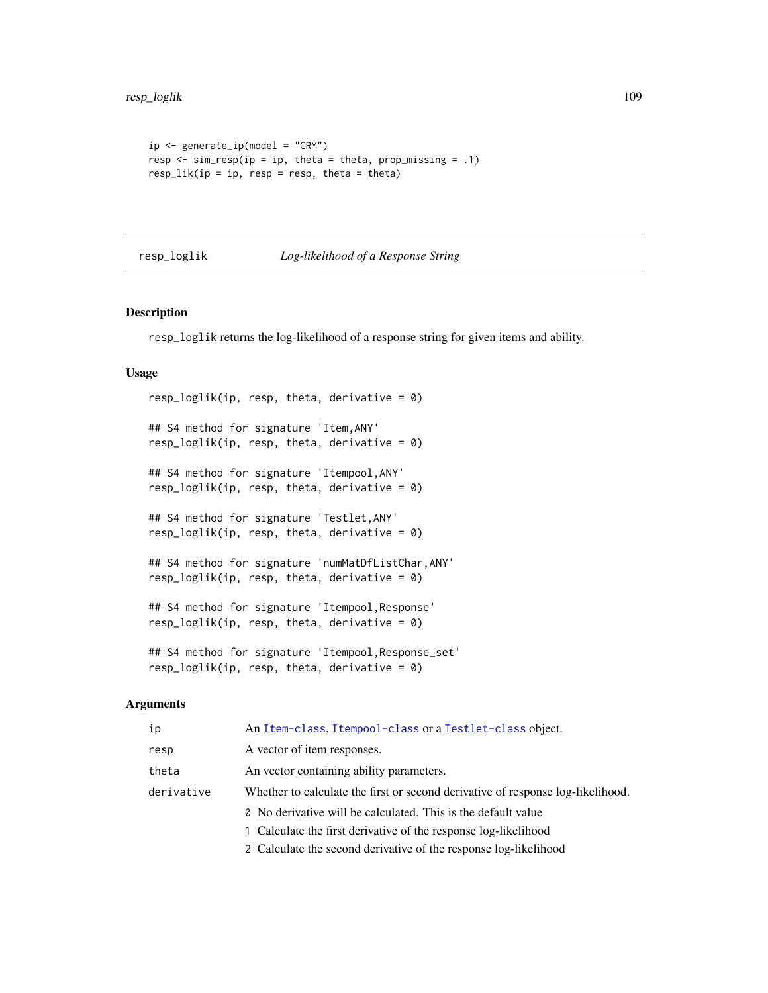```
ip <- generate_ip(model = "GRM")
resp \le sim_resp(ip = ip, theta = theta, prop_missing = .1)
resp\_lik(ip = ip, resp = resp, theta = theta)
```
### resp\_loglik *Log-likelihood of a Response String*

#### Description

resp\_loglik returns the log-likelihood of a response string for given items and ability.

#### Usage

```
resp_loglik(ip, resp, theta, derivative = 0)
## S4 method for signature 'Item,ANY'
resp\_loglik(ip, resp, theta, derivative = 0)## S4 method for signature 'Itempool,ANY'
resp\_loglik(ip, resp, theta, derivative = 0)## S4 method for signature 'Testlet,ANY'
resp\_loglik(ip, resp, theta, derivative = 0)## S4 method for signature 'numMatDfListChar,ANY'
resp\_loglik(ip, resp, theta, derivative = 0)## S4 method for signature 'Itempool,Response'
resp\_loglik(ip, resp, theta, derivative = 0)## S4 method for signature 'Itempool,Response_set'
resp\_loglik(ip, resp, theta, derivative = 0)
```

| ip         | An Item-class, Itempool-class or a Testlet-class object.                               |
|------------|----------------------------------------------------------------------------------------|
| resp       | A vector of item responses.                                                            |
| theta      | An vector containing ability parameters.                                               |
| derivative | Whether to calculate the first or second derivative of response log-likelihood.        |
|            | <b><math>\theta</math></b> No derivative will be calculated. This is the default value |
|            | 1 Calculate the first derivative of the response log-likelihood                        |
|            | 2 Calculate the second derivative of the response log-likelihood                       |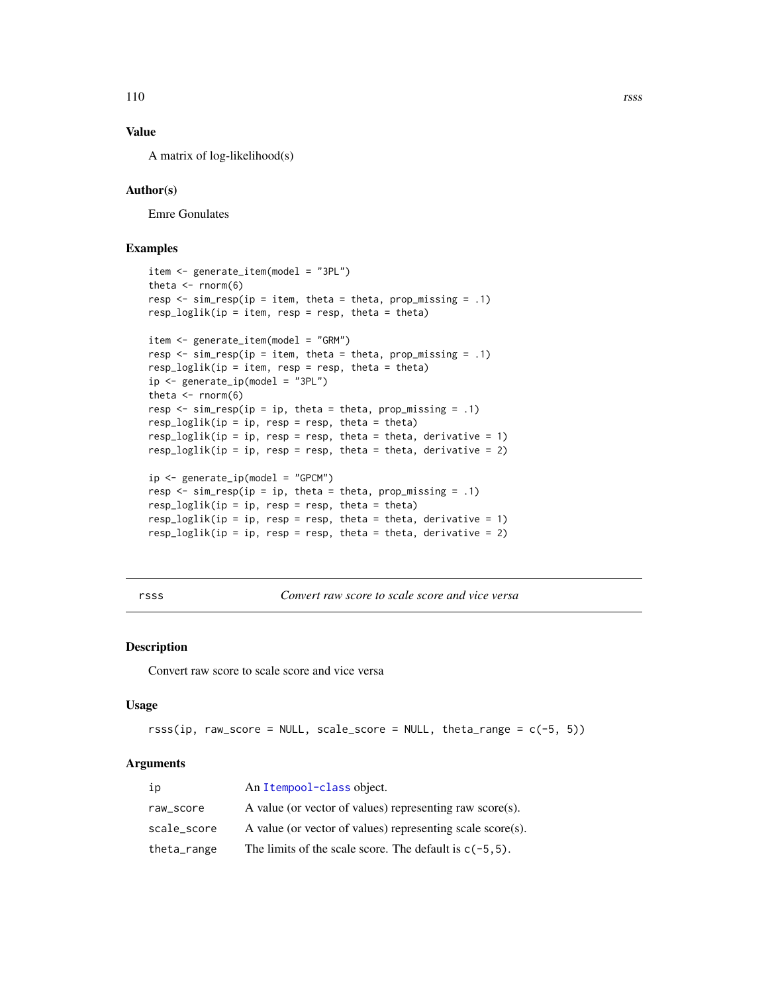### <span id="page-109-0"></span>Value

A matrix of log-likelihood(s)

### Author(s)

Emre Gonulates

### Examples

```
item <- generate_item(model = "3PL")
theta \leq rnorm(6)
resp \leq sim_resp(ip = item, theta = theta, prop_missing = .1)
resp\_loglik(ip = item, resp = resp, theta = theta)item <- generate_item(model = "GRM")
resp \leq sim_resp(ip = item, theta = theta, prop_missing = .1)
resp\_loglik(ip = item, resp = resp, theta = theta)ip <- generate_ip(model = "3PL")
theta \leq rnorm(6)
resp \le sim_resp(ip = ip, theta = theta, prop_missing = .1)
resp\_loglik(ip = ip, resp = resp, theta = theta)resp_loglik(ip = ip, resp = resp, theta = theta, derivative = 1)
resp_loglik(ip = ip, resp = resp, theta = theta, derivative = 2)
ip \leftarrow generate_ip(model = "GPCM")
resp \le sim_resp(ip = ip, theta = theta, prop_missing = .1)
resp\_loglik(ip = ip, resp = resp, theta = theta)resp_loglik(ip = ip, resp = resp, theta = theta, derivative = 1)
resp_loglik(ip = ip, resp = resp, theta = theta, derivative = 2)
```
rsss *Convert raw score to scale score and vice versa*

#### Description

Convert raw score to scale score and vice versa

#### Usage

```
rss(ip, raw_score = NULL, scale_score = NULL, theta_range = c(-5, 5))
```

| ip          | An Itempool-class object.                                  |
|-------------|------------------------------------------------------------|
| raw score   | A value (or vector of values) representing raw score(s).   |
| scale_score | A value (or vector of values) representing scale score(s). |
| theta_range | The limits of the scale score. The default is $c(-5, 5)$ . |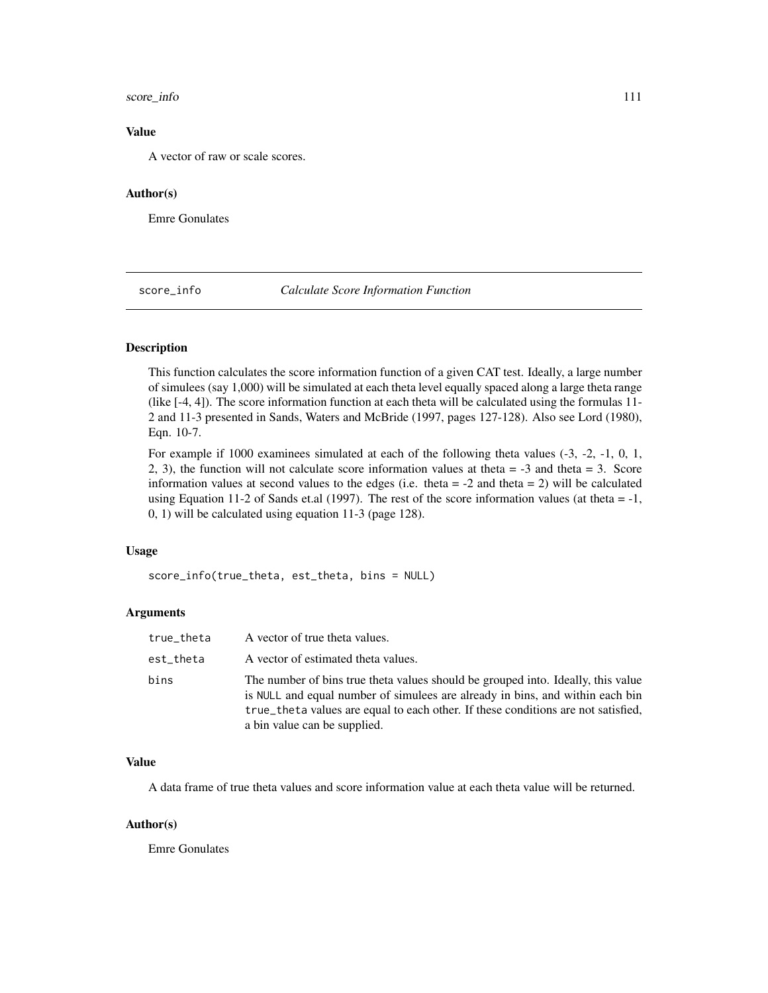### <span id="page-110-0"></span>score\_info 111

### Value

A vector of raw or scale scores.

### Author(s)

Emre Gonulates

score\_info *Calculate Score Information Function*

#### Description

This function calculates the score information function of a given CAT test. Ideally, a large number of simulees (say 1,000) will be simulated at each theta level equally spaced along a large theta range (like [-4, 4]). The score information function at each theta will be calculated using the formulas 11- 2 and 11-3 presented in Sands, Waters and McBride (1997, pages 127-128). Also see Lord (1980), Eqn. 10-7.

For example if 1000 examinees simulated at each of the following theta values (-3, -2, -1, 0, 1, 2, 3), the function will not calculate score information values at theta = -3 and theta = 3. Score information values at second values to the edges (i.e. theta  $= -2$  and theta  $= 2$ ) will be calculated using Equation 11-2 of Sands et.al (1997). The rest of the score information values (at theta  $= -1$ , 0, 1) will be calculated using equation 11-3 (page 128).

#### Usage

score\_info(true\_theta, est\_theta, bins = NULL)

### Arguments

| true_theta | A vector of true theta values.                                                                                                                                                                                                                                                         |
|------------|----------------------------------------------------------------------------------------------------------------------------------------------------------------------------------------------------------------------------------------------------------------------------------------|
| est_theta  | A vector of estimated theta values.                                                                                                                                                                                                                                                    |
| bins       | The number of bins true theta values should be grouped into. Ideally, this value<br>is NULL and equal number of simulees are already in bins, and within each bin<br>true_theta values are equal to each other. If these conditions are not satisfied,<br>a bin value can be supplied. |

#### Value

A data frame of true theta values and score information value at each theta value will be returned.

#### Author(s)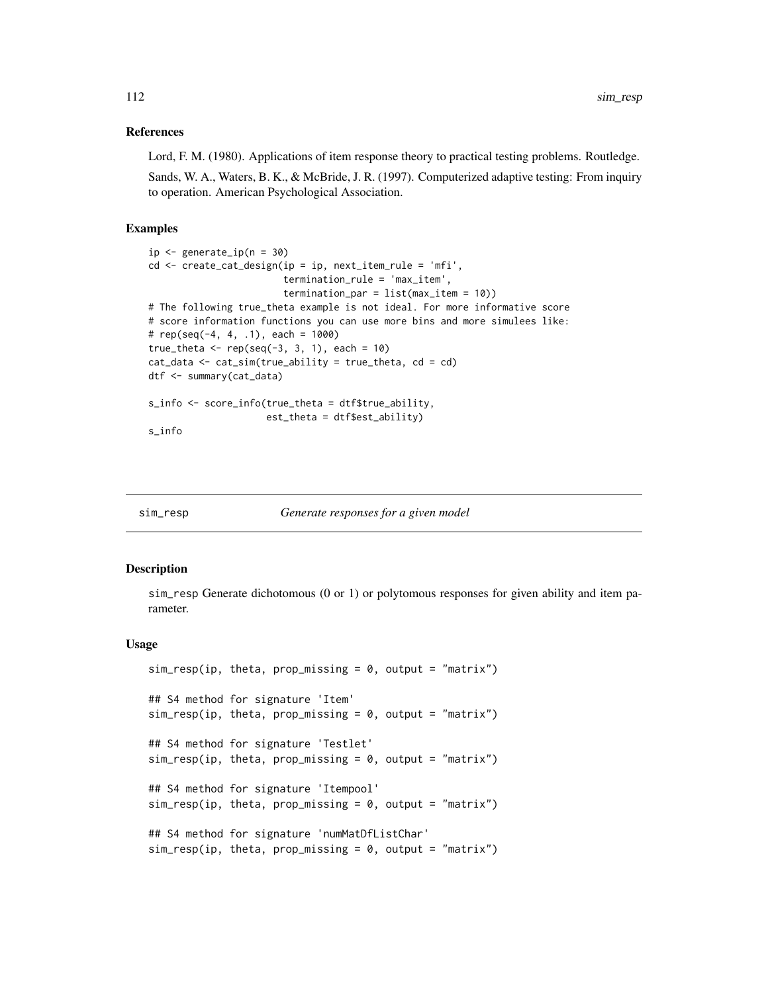#### <span id="page-111-0"></span>References

Lord, F. M. (1980). Applications of item response theory to practical testing problems. Routledge.

Sands, W. A., Waters, B. K., & McBride, J. R. (1997). Computerized adaptive testing: From inquiry to operation. American Psychological Association.

#### Examples

```
ip \leftarrow generate_ip(n = 30)cd <- create_cat_design(ip = ip, next_item_rule = 'mfi',
                        termination_rule = 'max_item',
                        termination_par = list(max_item = 10))
# The following true_theta example is not ideal. For more informative score
# score information functions you can use more bins and more simulees like:
# rep(seq(-4, 4, .1), each = 1000)true_theta <- rep(seq(-3, 3, 1), each = 10)cat_data < -cat\_sim(true\_ability = true\_theta, cd = cd)dtf <- summary(cat_data)
s_info <- score_info(true_theta = dtf$true_ability,
                     est_theta = dtf$est_ability)
s_info
```

| sim resp |
|----------|

Generate responses for a given model

#### **Description**

sim\_resp Generate dichotomous (0 or 1) or polytomous responses for given ability and item parameter.

#### Usage

```
sim\_resp(ip, theta, prop\_missing = 0, output = "matrix")## S4 method for signature 'Item'
sim_resp(ip, theta, prop_missing = 0, output = "matrix")
## S4 method for signature 'Testlet'
sim\_resp(ip, theta, prop\_missing = 0, output = "matrix")## S4 method for signature 'Itempool'
sim\_resp(ip, theta, prop\_missing = 0, output = "matrix")## S4 method for signature 'numMatDfListChar'
sim\_resp(ip, theta, prop\_missing = 0, output = "matrix")
```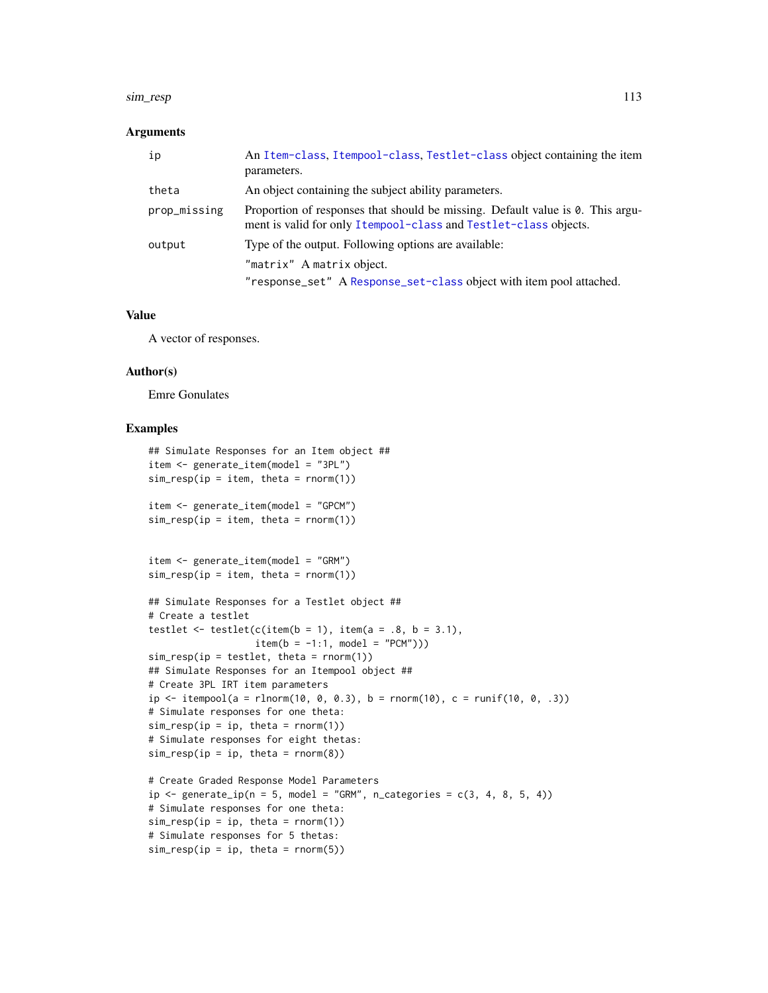#### sim\_resp 113

#### Arguments

| ip           | An Item-class, Itempool-class, Testlet-class object containing the item<br>parameters.                                                             |
|--------------|----------------------------------------------------------------------------------------------------------------------------------------------------|
| theta        | An object containing the subject ability parameters.                                                                                               |
| prop_missing | Proportion of responses that should be missing. Default value is 0. This argu-<br>ment is valid for only Itempool-class and Testlet-class objects. |
| output       | Type of the output. Following options are available:                                                                                               |
|              | "matrix" A matrix object.                                                                                                                          |
|              | "response_set" A Response_set-class object with item pool attached.                                                                                |

#### Value

A vector of responses.

#### Author(s)

Emre Gonulates

### Examples

```
## Simulate Responses for an Item object ##
item <- generate_item(model = "3PL")
sim\_resp(ip = item, theta = rnorm(1))item <- generate_item(model = "GPCM")
sim\_resp(ip = item, theta = rnorm(1))item <- generate_item(model = "GRM")
sim\_resp(ip = item, theta = rnorm(1))## Simulate Responses for a Testlet object ##
# Create a testlet
testlet \le testlet(c(item(b = 1), item(a = .8, b = 3.1),
                   item(b = -1:1, model = "PCM"))
sim\_resp(ip = testlet, theta = rnorm(1))## Simulate Responses for an Itempool object ##
# Create 3PL IRT item parameters
ip \leftarrow itempool(a = rhorm(10, 0, 0.3), b = rnorm(10), c = runif(10, 0, .3))# Simulate responses for one theta:
sim\_resp(ip = ip, theta = rnorm(1))# Simulate responses for eight thetas:
sim\_resp(ip = ip, theta = rnorm(8))# Create Graded Response Model Parameters
ip \leftarrow generate_ip(n = 5, model = "GRM", n_categories = c(3, 4, 8, 5, 4))
# Simulate responses for one theta:
sim\_resp(ip = ip, theta = rnorm(1))# Simulate responses for 5 thetas:
sim\_resp(ip = ip, theta = rnorm(5))
```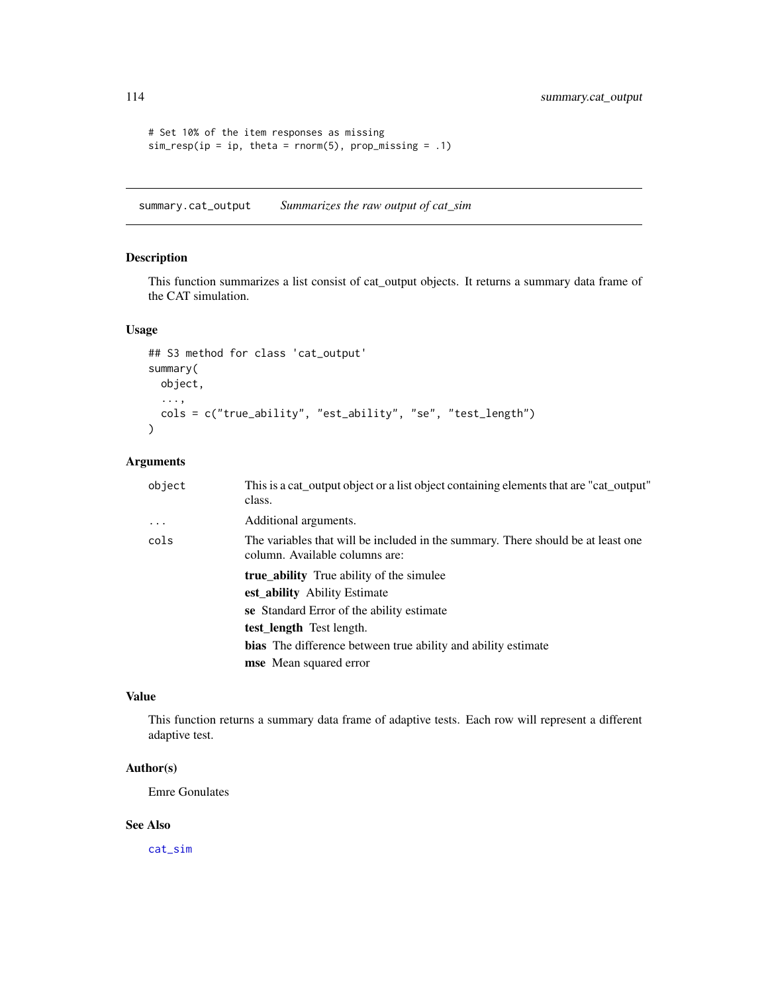```
# Set 10% of the item responses as missing
sim\_resp(ip = ip, theta = rnorm(5), prop\_missing = .1)
```
summary.cat\_output *Summarizes the raw output of cat\_sim*

### Description

This function summarizes a list consist of cat\_output objects. It returns a summary data frame of the CAT simulation.

### Usage

```
## S3 method for class 'cat_output'
summary(
 object,
  ...,
 cols = c("true_ability", "est_ability", "se", "test_length")
)
```
### Arguments

| object   | This is a cat_output object or a list object containing elements that are "cat_output"<br>class.                   |
|----------|--------------------------------------------------------------------------------------------------------------------|
| $\cdots$ | Additional arguments.                                                                                              |
| cols     | The variables that will be included in the summary. There should be at least one<br>column. Available columns are: |
|          | <b>true ability</b> True ability of the simulee                                                                    |
|          | est ability Ability Estimate                                                                                       |
|          | se Standard Error of the ability estimate                                                                          |
|          | test_length Test length.                                                                                           |
|          | <b>bias</b> The difference between true ability and ability estimate                                               |
|          | <b>mse</b> Mean squared error                                                                                      |

### Value

This function returns a summary data frame of adaptive tests. Each row will represent a different adaptive test.

### Author(s)

Emre Gonulates

### See Also

[cat\\_sim](#page-18-0)

<span id="page-113-0"></span>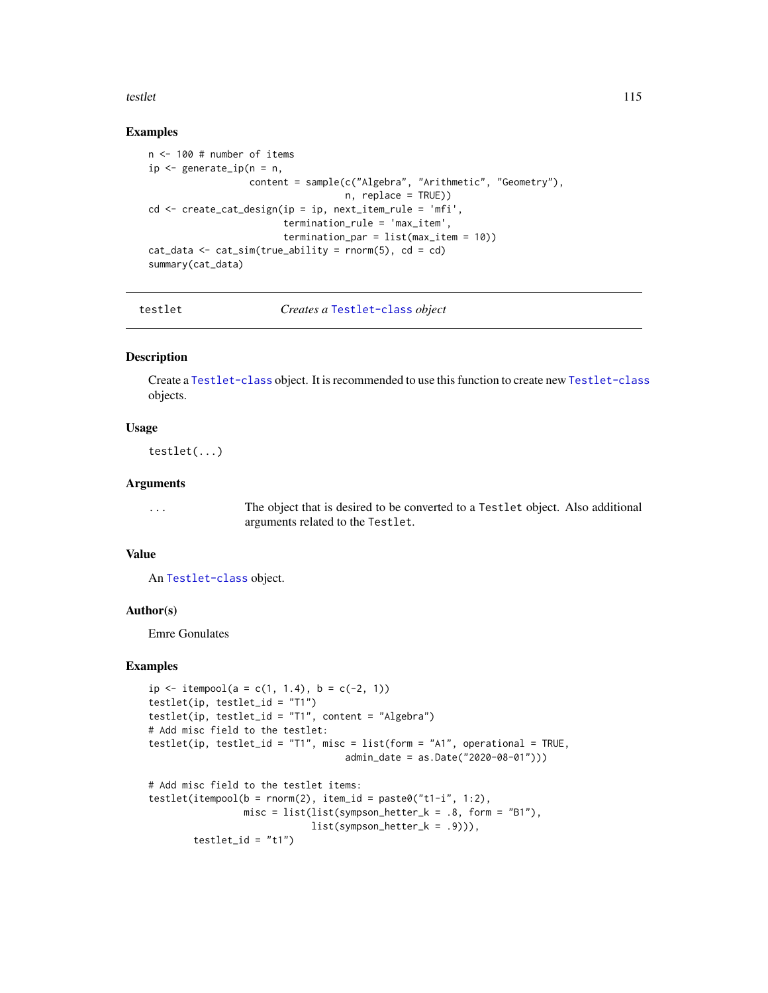<span id="page-114-0"></span>testlet the contract of the contract of the contract of the contract of the contract of the contract of the contract of the contract of the contract of the contract of the contract of the contract of the contract of the co

#### Examples

```
n <- 100 # number of items
ip \leq generate_ip(n = n,
                  content = sample(c("Algebra", "Arithmetic", "Geometry"),
                                   n, replace = TRUE))
cd <- create_cat_design(ip = ip, next_item_rule = 'mfi',
                        termination_rule = 'max_item',
                        termination_par = list(max_item = 10))
cat_data \leq cat\_sim(true\_ability = rnorm(5), cd = cdsummary(cat_data)
```
testlet *Creates a* [Testlet-class](#page-115-0) *object*

#### Description

Create a [Testlet-class](#page-115-0) object. It is recommended to use this function to create new [Testlet-class](#page-115-0) objects.

#### Usage

testlet(...)

#### Arguments

... The object that is desired to be converted to a Testlet object. Also additional arguments related to the Testlet.

### Value

An [Testlet-class](#page-115-0) object.

### Author(s)

Emre Gonulates

#### Examples

```
ip \le itempool(a = c(1, 1.4), b = c(-2, 1))
testlet(ip, testlet_id = "T1")
testlet(ip, testlet_id = "T1", content = "Algebra")
# Add misc field to the testlet:
testlet(ip, testlet_id = "T1", misc = list(form = "A1", operational = TRUE,
                                   admin_date = as.Date("2020-08-01")))
# Add misc field to the testlet items:
testlet(itempool(b = rnorm(2), item_id = paste0("t1-i", 1:2),
                 misc = list(list(sympson_hetter_k = .8, form = "B1"),list(sympson_hetter_k = .9))),
        testlet_id = "t1")
```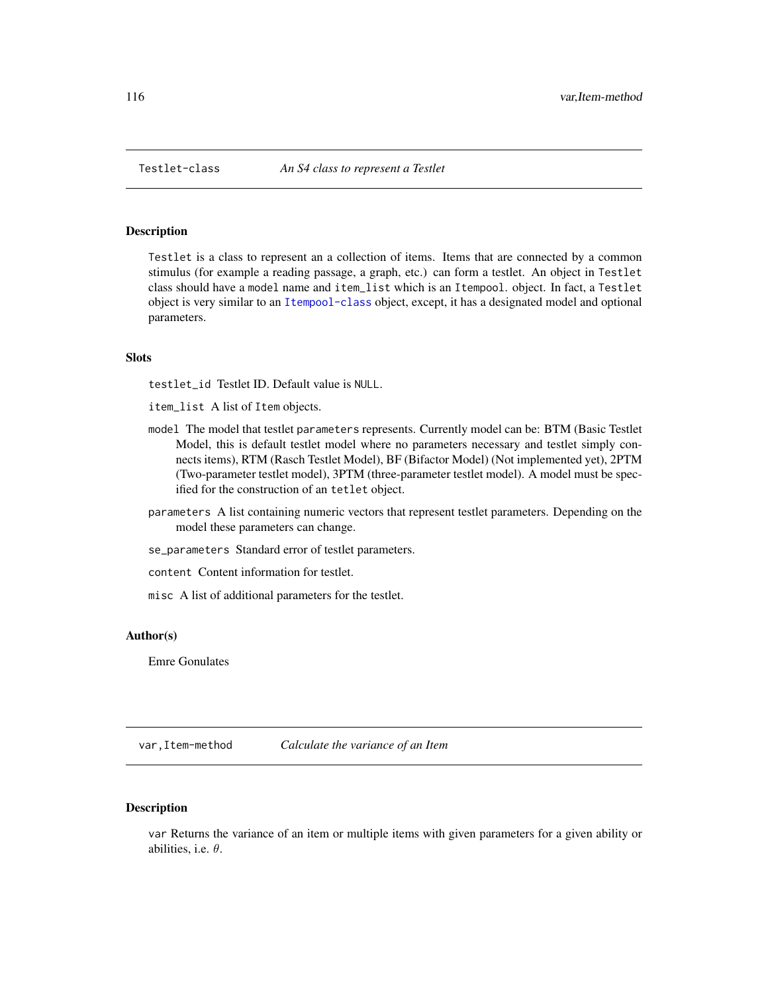<span id="page-115-1"></span><span id="page-115-0"></span>

#### Description

Testlet is a class to represent an a collection of items. Items that are connected by a common stimulus (for example a reading passage, a graph, etc.) can form a testlet. An object in Testlet class should have a model name and item\_list which is an Itempool. object. In fact, a Testlet object is very similar to an [Itempool-class](#page-68-0) object, except, it has a designated model and optional parameters.

### **Slots**

testlet\_id Testlet ID. Default value is NULL.

item\_list A list of Item objects.

- model The model that testlet parameters represents. Currently model can be: BTM (Basic Testlet Model, this is default testlet model where no parameters necessary and testlet simply connects items), RTM (Rasch Testlet Model), BF (Bifactor Model) (Not implemented yet), 2PTM (Two-parameter testlet model), 3PTM (three-parameter testlet model). A model must be specified for the construction of an tetlet object.
- parameters A list containing numeric vectors that represent testlet parameters. Depending on the model these parameters can change.
- se\_parameters Standard error of testlet parameters.
- content Content information for testlet.
- misc A list of additional parameters for the testlet.

#### Author(s)

Emre Gonulates

var,Item-method *Calculate the variance of an Item*

### Description

var Returns the variance of an item or multiple items with given parameters for a given ability or abilities, i.e.  $\theta$ .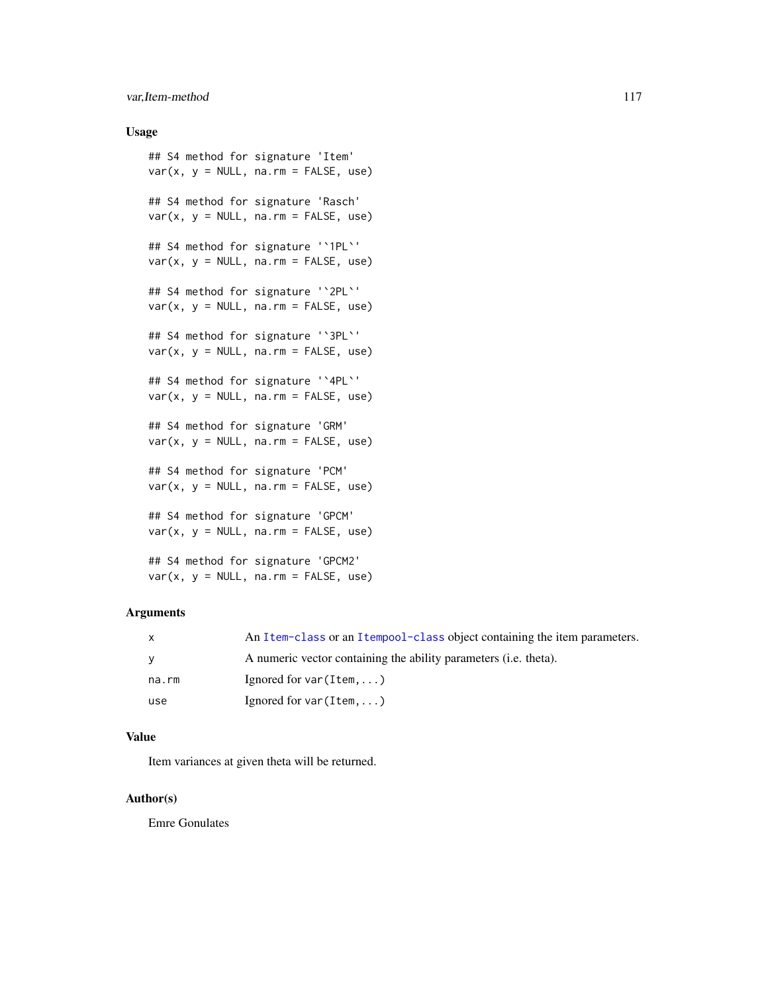### var, Item-method 117

### Usage

```
## S4 method for signature 'Item'
var(x, y = NULL, na.rm = FALSE, use)## S4 method for signature 'Rasch'
var(x, y = NULL, na.rm = FALSE, use)## S4 method for signature '`1PL`'
var(x, y = NULL, na.rm = FALSE, use)## S4 method for signature '`2PL`'
var(x, y = NULL, na.rm = FALSE, use)## S4 method for signature '`3PL`'
var(x, y = NULL, na.rm = FALSE, use)## S4 method for signature '`4PL`'
var(x, y = NULL, na.rm = FALSE, use)## S4 method for signature 'GRM'
var(x, y = NULL, na.rm = FALSE, use)## S4 method for signature 'PCM'
var(x, y = NULL, na.rm = FALSE, use)## S4 method for signature 'GPCM'
var(x, y = NULL, na.rm = FALSE, use)## S4 method for signature 'GPCM2'
var(x, y = NULL, na.rm = FALSE, use)
```
### Arguments

| X     | An Item-class or an Itempool-class object containing the item parameters. |
|-------|---------------------------------------------------------------------------|
| y     | A numeric vector containing the ability parameters (i.e. theta).          |
| na.rm | Ignored for $var(Item, \ldots)$                                           |
| use   | Ignored for $var(Item,)$                                                  |

### Value

Item variances at given theta will be returned.

#### Author(s)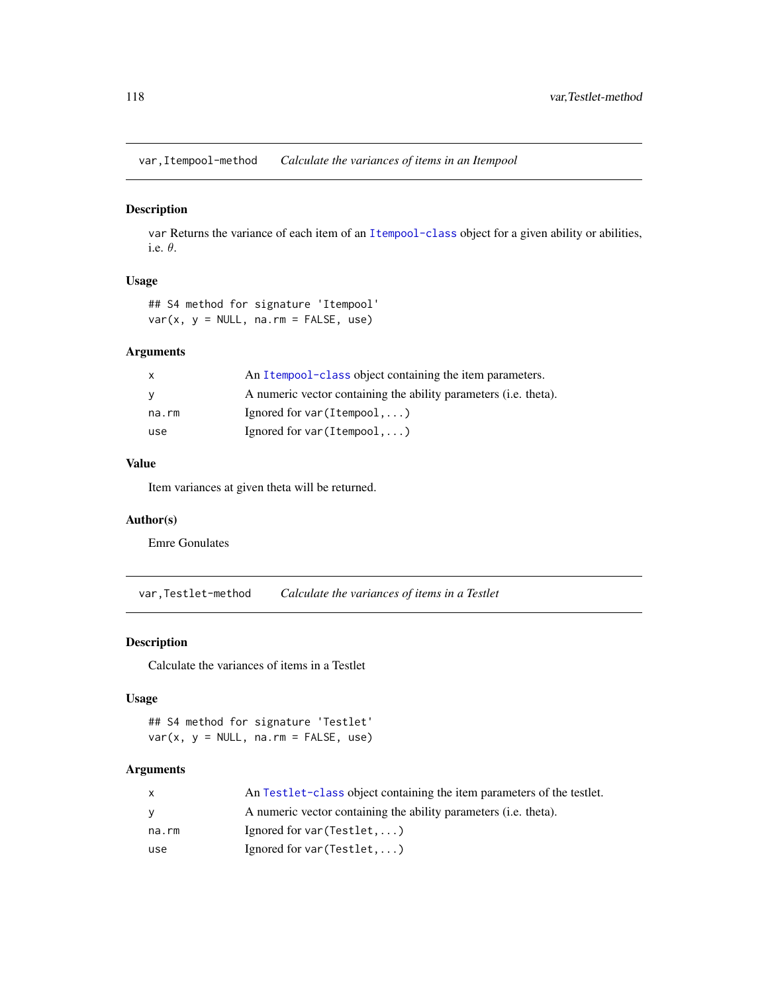<span id="page-117-0"></span>var,Itempool-method *Calculate the variances of items in an Itempool*

#### Description

var Returns the variance of each item of an [Itempool-class](#page-68-0) object for a given ability or abilities, i.e. θ.

#### Usage

## S4 method for signature 'Itempool'  $var(x, y = NULL, na.rm = FALSE, use)$ 

### Arguments

| $\mathsf{x}$ | An Itempool-class object containing the item parameters.         |
|--------------|------------------------------------------------------------------|
| <b>V</b>     | A numeric vector containing the ability parameters (i.e. theta). |
| na.rm        | Ignored for $var(Itempool, \ldots)$                              |
| use          | Ignored for var $(Itempool, \ldots)$                             |

### Value

Item variances at given theta will be returned.

### Author(s)

Emre Gonulates

var,Testlet-method *Calculate the variances of items in a Testlet*

### Description

Calculate the variances of items in a Testlet

### Usage

## S4 method for signature 'Testlet'  $var(x, y = NULL, na.rm = FALSE, use)$ 

| x     | An Testlet-class object containing the item parameters of the testlet.   |
|-------|--------------------------------------------------------------------------|
| V     | A numeric vector containing the ability parameters ( <i>i.e.</i> theta). |
| na.rm | Ignored for $var(Testlet, )$                                             |
| use   | Ignored for $var(Testlet, )$                                             |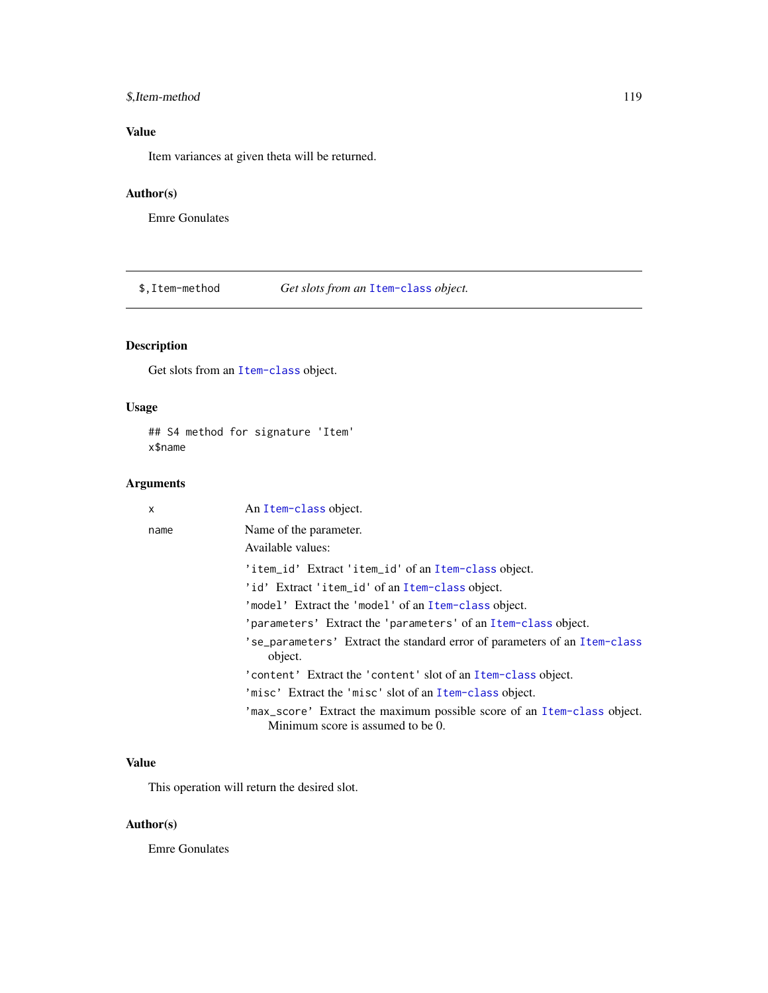### <span id="page-118-0"></span>\$,Item-method 119

### Value

Item variances at given theta will be returned.

### Author(s)

Emre Gonulates

\$,Item-method *Get slots from an* [Item-class](#page-64-0) *object.*

## Description

Get slots from an [Item-class](#page-64-0) object.

### Usage

## S4 method for signature 'Item' x\$name

### Arguments

| X    | An Item-class object.                                                                                        |
|------|--------------------------------------------------------------------------------------------------------------|
| name | Name of the parameter.                                                                                       |
|      | Available values:                                                                                            |
|      | 'item_id' Extract 'item_id' of an Item-class object.                                                         |
|      | 'id' Extract 'item_id' of an Item-class object.                                                              |
|      | 'model' Extract the 'model' of an Item-class object.                                                         |
|      | 'parameters' Extract the 'parameters' of an Item-class object.                                               |
|      | 'se_parameters' Extract the standard error of parameters of an Item-class<br>object.                         |
|      | 'content' Extract the 'content' slot of an Item-class object.                                                |
|      | 'misc' Extract the 'misc' slot of an Item-class object.                                                      |
|      | 'max_score' Extract the maximum possible score of an Item-class object.<br>Minimum score is assumed to be 0. |

### Value

This operation will return the desired slot.

#### Author(s)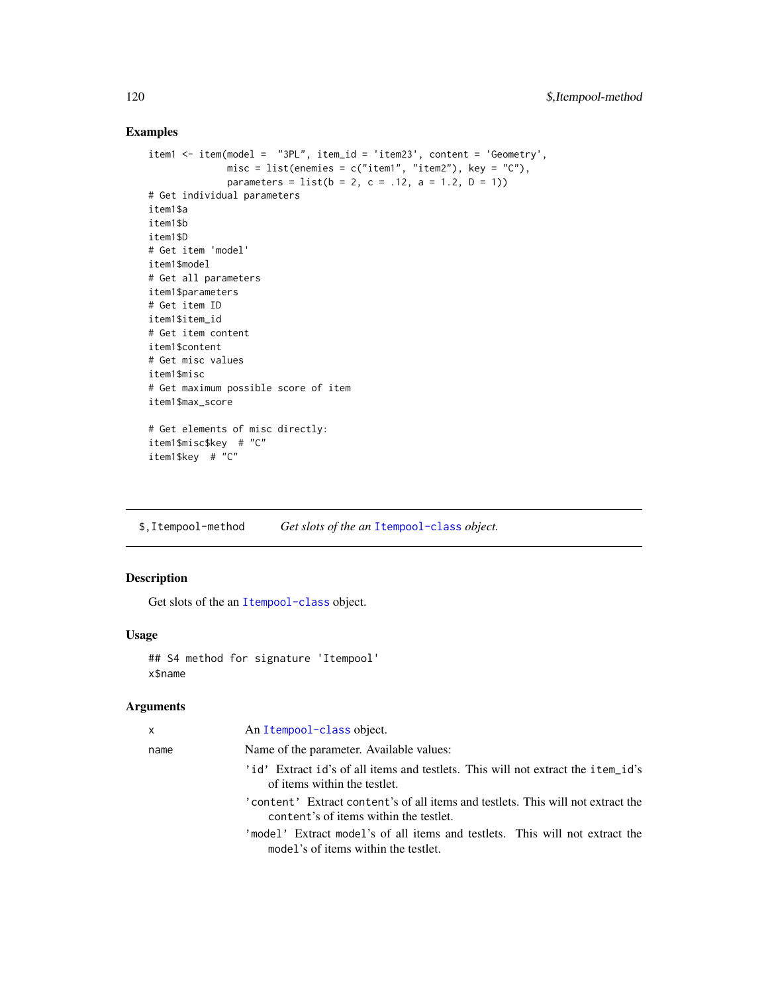### Examples

```
item1 <- item(model = "3PL", item_id = 'item23', content = 'Geometry',
             misc = list(enemies = c("item1", "item2"), key = "C"),
             parameters = list(b = 2, c = .12, a = 1.2, D = 1)# Get individual parameters
item1$a
item1$b
item1$D
# Get item 'model'
item1$model
# Get all parameters
item1$parameters
# Get item ID
item1$item_id
# Get item content
item1$content
# Get misc values
item1$misc
# Get maximum possible score of item
item1$max_score
# Get elements of misc directly:
item1$misc$key # "C"
```

```
item1$key # "C"
```
\$,Itempool-method *Get slots of the an* [Itempool-class](#page-68-0) *object.*

### Description

Get slots of the an [Itempool-class](#page-68-0) object.

#### Usage

```
## S4 method for signature 'Itempool'
x$name
```

| $\mathsf{x}$ | An Itempool-class object.                                                                                                  |
|--------------|----------------------------------------------------------------------------------------------------------------------------|
| name         | Name of the parameter. Available values:                                                                                   |
|              | 'id' Extract id's of all items and testlets. This will not extract the item_id's<br>of items within the testlet.           |
|              | 'content' Extract content's of all items and testlets. This will not extract the<br>content's of items within the testlet. |
|              | 'model' Extract model's of all items and testlets. This will not extract the<br>model's of items within the testlet.       |

<span id="page-119-0"></span>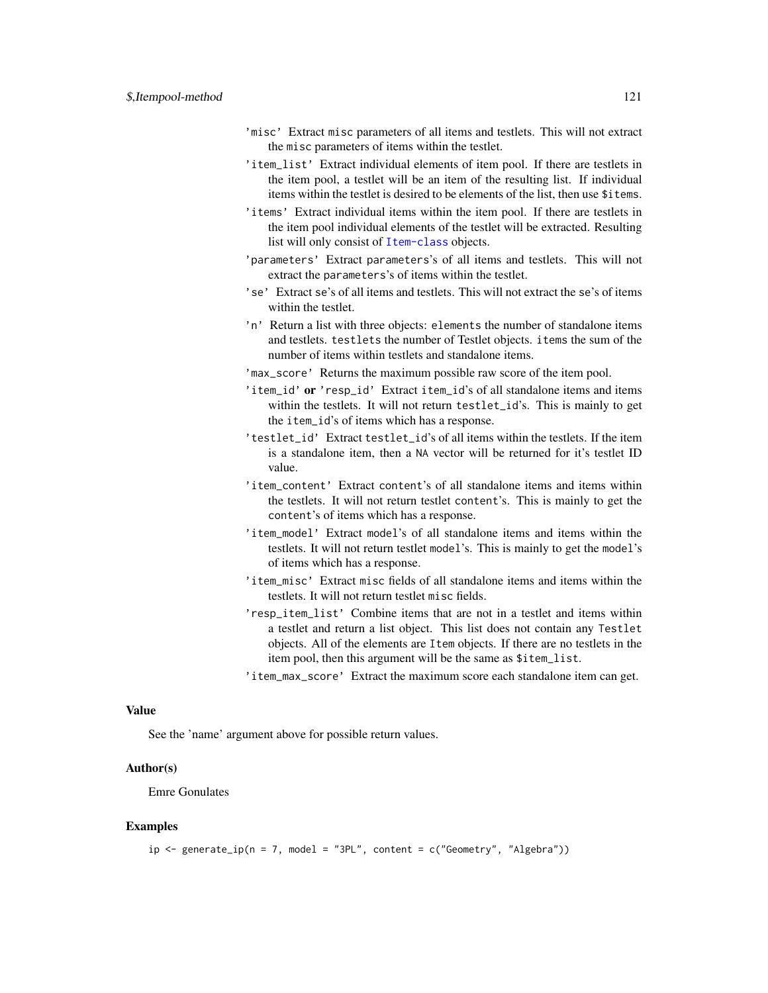- 'misc' Extract misc parameters of all items and testlets. This will not extract the misc parameters of items within the testlet.
- 'item\_list' Extract individual elements of item pool. If there are testlets in the item pool, a testlet will be an item of the resulting list. If individual items within the testlet is desired to be elements of the list, then use \$items.
- 'items' Extract individual items within the item pool. If there are testlets in the item pool individual elements of the testlet will be extracted. Resulting list will only consist of [Item-class](#page-64-0) objects.
- 'parameters' Extract parameters's of all items and testlets. This will not extract the parameters's of items within the testlet.
- 'se' Extract se's of all items and testlets. This will not extract the se's of items within the testlet.
- 'n' Return a list with three objects: elements the number of standalone items and testlets. testlets the number of Testlet objects. items the sum of the number of items within testlets and standalone items.
- 'max\_score' Returns the maximum possible raw score of the item pool.
- 'item\_id' or 'resp\_id' Extract item\_id's of all standalone items and items within the testlets. It will not return testlet\_id's. This is mainly to get the item\_id's of items which has a response.
- 'testlet\_id' Extract testlet\_id's of all items within the testlets. If the item is a standalone item, then a NA vector will be returned for it's testlet ID value.
- 'item\_content' Extract content's of all standalone items and items within the testlets. It will not return testlet content's. This is mainly to get the content's of items which has a response.
- 'item\_model' Extract model's of all standalone items and items within the testlets. It will not return testlet model's. This is mainly to get the model's of items which has a response.
- 'item\_misc' Extract misc fields of all standalone items and items within the testlets. It will not return testlet misc fields.
- 'resp\_item\_list' Combine items that are not in a testlet and items within a testlet and return a list object. This list does not contain any Testlet objects. All of the elements are Item objects. If there are no testlets in the item pool, then this argument will be the same as \$item\_list.
- 'item\_max\_score' Extract the maximum score each standalone item can get.

#### Value

See the 'name' argument above for possible return values.

#### Author(s)

Emre Gonulates

#### Examples

```
ip \leq general(p(n = 7, \text{ model} = "3PL", \text{ content} = c("Geometry", "Algebra"))
```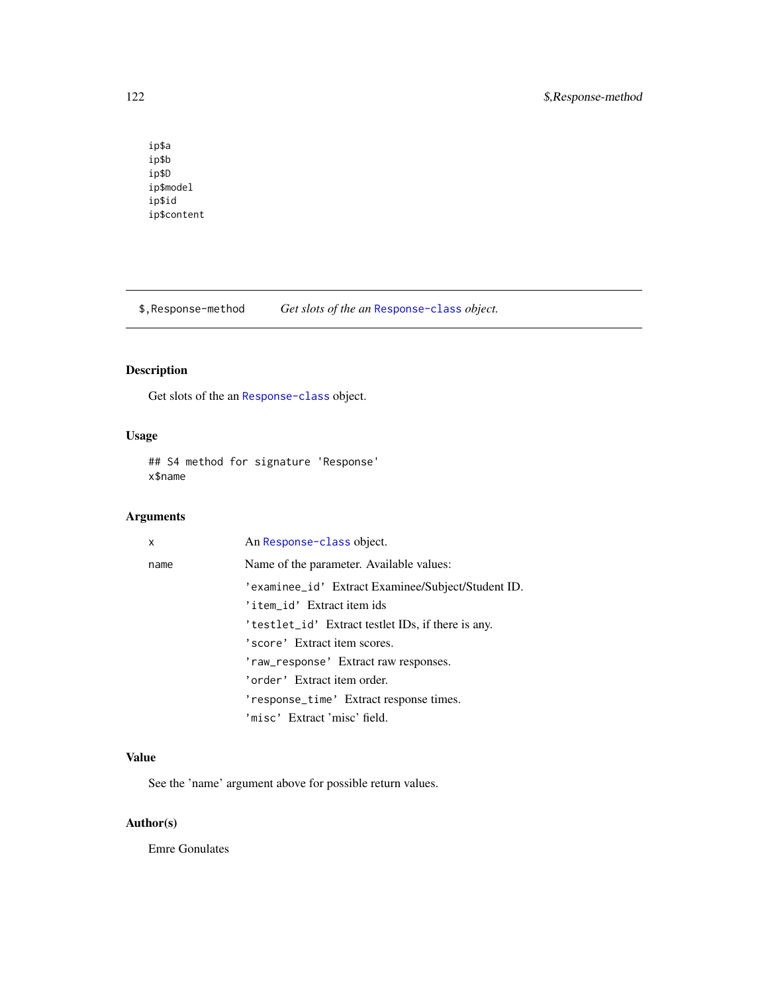ip\$a ip\$b ip\$D ip\$model ip\$id ip\$content

\$,Response-method *Get slots of the an* [Response-class](#page-102-0) *object.*

### Description

Get slots of the an [Response-class](#page-102-0) object.

### Usage

## S4 method for signature 'Response' x\$name

### Arguments

| x    | An Response-class object.                          |
|------|----------------------------------------------------|
| name | Name of the parameter. Available values:           |
|      | 'examinee_id' Extract Examinee/Subject/Student ID. |
|      | 'item_id' Extract item ids                         |
|      | 'testlet_id' Extract testlet IDs, if there is any. |
|      | 'score' Extract item scores.                       |
|      | 'raw_response' Extract raw responses.              |
|      | 'order' Extract item order.                        |
|      | 'response_time' Extract response times.            |
|      | 'misc' Extract 'misc' field.                       |

### Value

See the 'name' argument above for possible return values.

### Author(s)

<span id="page-121-0"></span>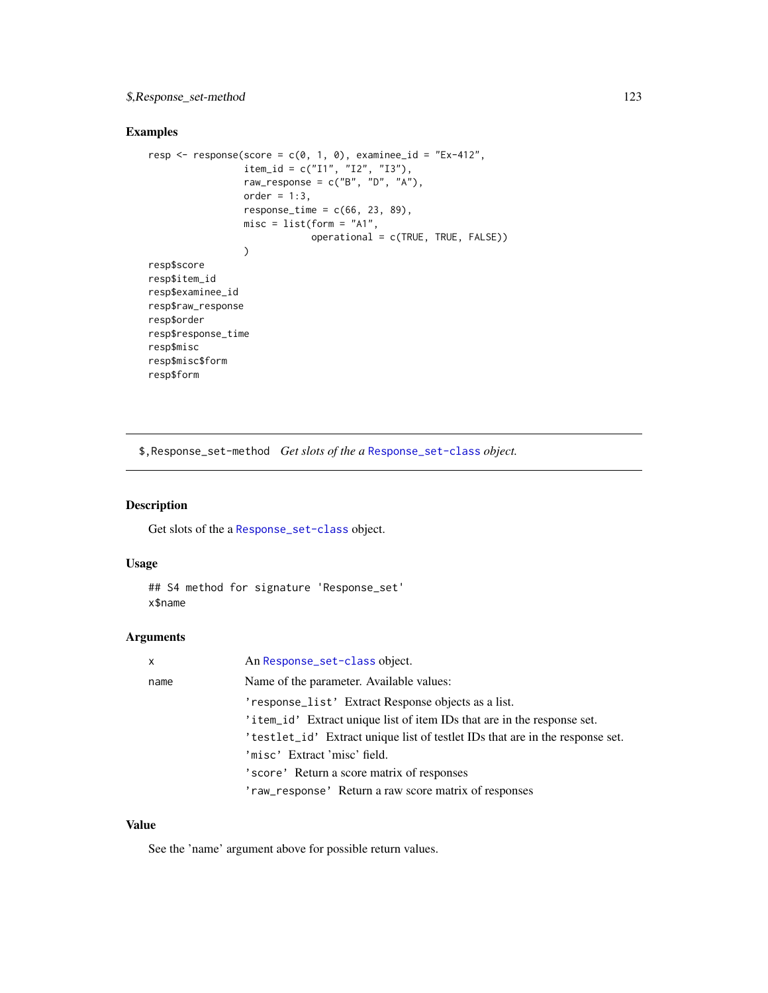### <span id="page-122-0"></span>\$,Response\_set-method 123

### Examples

```
resp \leq response(score = c(0, 1, 0), examinee_id = "Ex-412",
                 item_id = c("I1", "I2", "I3"),
                 raw_response = c("B", "D", "A"),
                 order = 1:3,
                 response_time = c(66, 23, 89),misc = list(form = "A1",
                             operational = c(TRUE, TRUE, FALSE))
                 )
resp$score
resp$item_id
resp$examinee_id
resp$raw_response
resp$order
resp$response_time
resp$misc
resp$misc$form
resp$form
```
\$,Response\_set-method *Get slots of the a* [Response\\_set-class](#page-106-0) *object.*

### Description

Get slots of the a [Response\\_set-class](#page-106-0) object.

#### Usage

```
## S4 method for signature 'Response_set'
x$name
```
### Arguments

| $\mathsf{x}$ | An Response_set-class object.                                                 |
|--------------|-------------------------------------------------------------------------------|
| name         | Name of the parameter. Available values:                                      |
|              | 'response_list' Extract Response objects as a list.                           |
|              | 'item_id' Extract unique list of item IDs that are in the response set.       |
|              | 'testlet_id' Extract unique list of testlet IDs that are in the response set. |
|              | 'misc' Extract 'misc' field.                                                  |
|              | 'score' Return a score matrix of responses                                    |
|              | 'raw_response' Return a raw score matrix of responses                         |

#### Value

See the 'name' argument above for possible return values.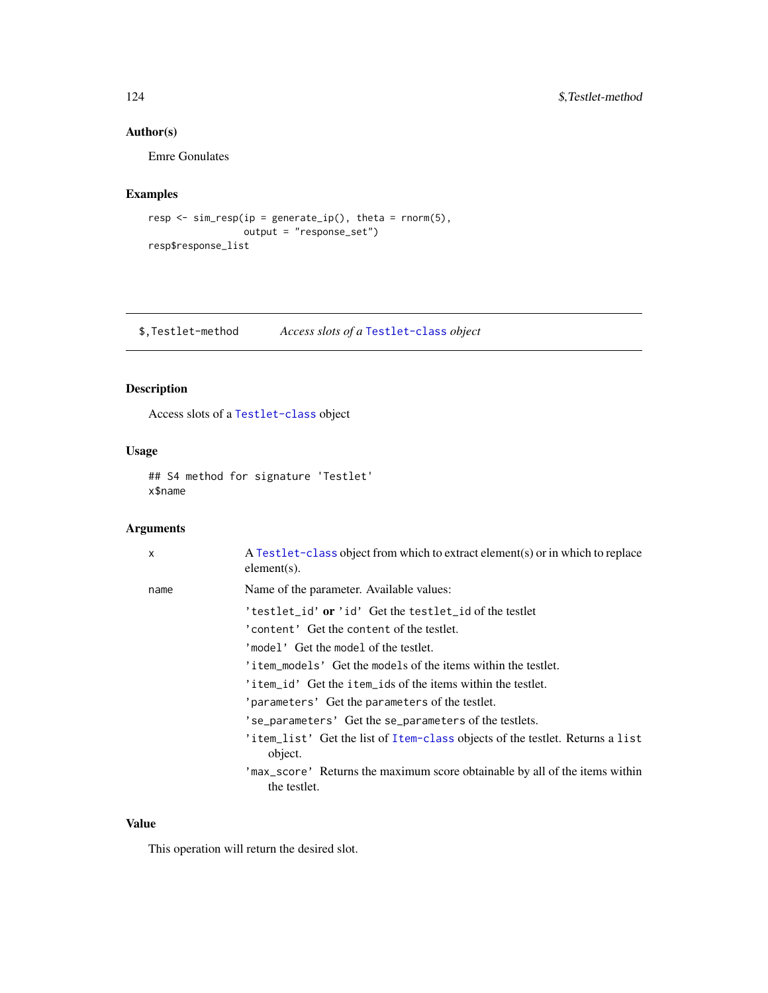### <span id="page-123-0"></span>Author(s)

Emre Gonulates

### Examples

```
resp <- sim_resp(ip = generate_ip(), theta = rnorm(5),
                 output = "response_set")
resp$response_list
```
\$,Testlet-method *Access slots of a* [Testlet-class](#page-115-0) *object*

### Description

Access slots of a [Testlet-class](#page-115-0) object

### Usage

## S4 method for signature 'Testlet' x\$name

### Arguments

| $\mathsf{x}$ | A Testlet-class object from which to extract element(s) or in which to replace<br>$element(s)$ . |
|--------------|--------------------------------------------------------------------------------------------------|
| name         | Name of the parameter. Available values:                                                         |
|              | 'testlet_id' or 'id' Get the testlet_id of the testlet                                           |
|              | 'content' Get the content of the testlet.                                                        |
|              | 'model' Get the model of the testlet.                                                            |
|              | 'item models' Get the models of the items within the testlet.                                    |
|              | 'item id' Get the item ids of the items within the testlet.                                      |
|              | 'parameters' Get the parameters of the testlet.                                                  |
|              | 'se_parameters' Get the se_parameters of the testlets.                                           |
|              | 'item_list' Get the list of Item-class objects of the testlet. Returns a list<br>object.         |
|              | 'max_score' Returns the maximum score obtainable by all of the items within<br>the testlet.      |

#### Value

This operation will return the desired slot.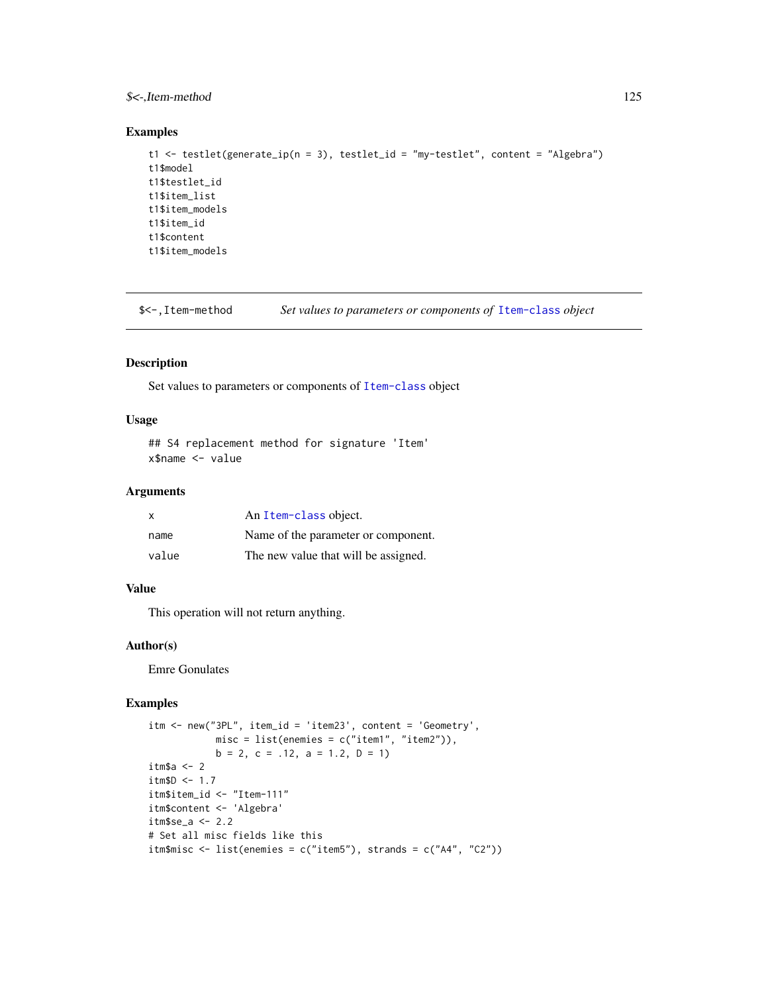### <span id="page-124-0"></span> $\frac{\sqrt{2}}{2}$  S < -, Item-method 125

#### Examples

```
t1 <- testlet(generate_ip(n = 3), testlet_id = "my-testlet", content = "Algebra")
t1$model
t1$testlet_id
t1$item_list
t1$item_models
t1$item_id
t1$content
t1$item_models
```
\$<-,Item-method *Set values to parameters or components of* [Item-class](#page-64-0) *object*

### Description

Set values to parameters or components of [Item-class](#page-64-0) object

#### Usage

```
## S4 replacement method for signature 'Item'
x$name <- value
```
#### Arguments

| $\mathsf{x}$ | An Item-class object.                |
|--------------|--------------------------------------|
| name         | Name of the parameter or component.  |
| value        | The new value that will be assigned. |

#### Value

This operation will not return anything.

#### Author(s)

Emre Gonulates

#### Examples

```
itm <- new("3PL", item_id = 'item23', content = 'Geometry',
           misc = list(enemies = c("item1", "item2")),
            b = 2, c = .12, a = 1.2, D = 1)
itm$a <- 2
itm$D <- 1.7
itm$item_id <- "Item-111"
itm$content <- 'Algebra'
itm$se_a <- 2.2
# Set all misc fields like this
itm$misc <- list(enemies = c("item5"), strands = c("A4", "C2"))
```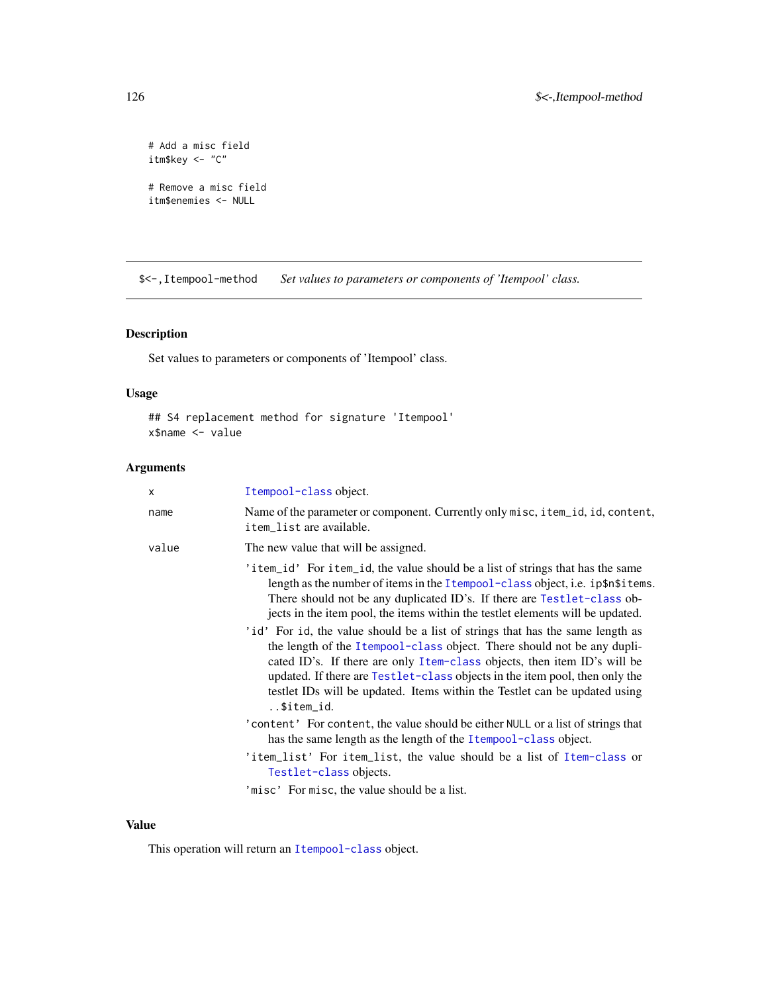```
# Add a misc field
itm$key <- "C"
# Remove a misc field
itm$enemies <- NULL
```
\$<-,Itempool-method *Set values to parameters or components of 'Itempool' class.*

### Description

Set values to parameters or components of 'Itempool' class.

### Usage

```
## S4 replacement method for signature 'Itempool'
x$name <- value
```
### Arguments

| X     | Itempool-class object.                                                                                                                                                                                                                                                                                                                                                                                                                                                                                                                                                                                                                                                                                                                            |
|-------|---------------------------------------------------------------------------------------------------------------------------------------------------------------------------------------------------------------------------------------------------------------------------------------------------------------------------------------------------------------------------------------------------------------------------------------------------------------------------------------------------------------------------------------------------------------------------------------------------------------------------------------------------------------------------------------------------------------------------------------------------|
| name  | Name of the parameter or component. Currently only misc, item_id, id, content,<br>item_list are available.                                                                                                                                                                                                                                                                                                                                                                                                                                                                                                                                                                                                                                        |
| value | The new value that will be assigned.                                                                                                                                                                                                                                                                                                                                                                                                                                                                                                                                                                                                                                                                                                              |
|       | 'item_id' For item_id, the value should be a list of strings that has the same<br>length as the number of items in the Itempool-class object, i.e. ip\$n\$items.<br>There should not be any duplicated ID's. If there are Testlet-class ob-<br>jects in the item pool, the items within the testlet elements will be updated.<br>'id' For id, the value should be a list of strings that has the same length as<br>the length of the Itempool-class object. There should not be any dupli-<br>cated ID's. If there are only Item-class objects, then item ID's will be<br>updated. If there are Testlet-class objects in the item pool, then only the<br>testlet IDs will be updated. Items within the Testlet can be updated using<br>\$item_id. |
|       | 'content' For content, the value should be either NULL or a list of strings that<br>has the same length as the length of the Itempool-class object.                                                                                                                                                                                                                                                                                                                                                                                                                                                                                                                                                                                               |
|       | 'item_list' For item_list, the value should be a list of Item-class or<br>Testlet-class objects.                                                                                                                                                                                                                                                                                                                                                                                                                                                                                                                                                                                                                                                  |
|       | 'misc' For misc, the value should be a list.                                                                                                                                                                                                                                                                                                                                                                                                                                                                                                                                                                                                                                                                                                      |

### Value

This operation will return an [Itempool-class](#page-68-0) object.

<span id="page-125-0"></span>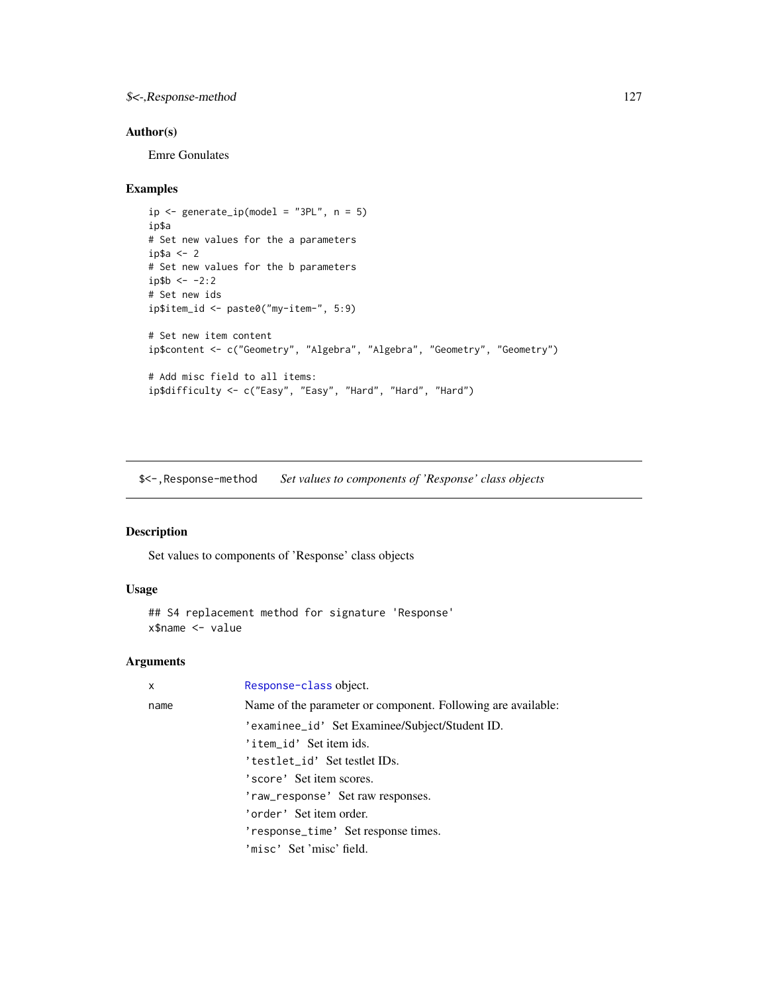### <span id="page-126-0"></span>\$<-,Response-method 127

### Author(s)

Emre Gonulates

### Examples

```
ip \leftarrow generate\_ip(model = "3PL", n = 5)ip$a
# Set new values for the a parameters
ip$a <- 2
# Set new values for the b parameters
ip$b < -2:2# Set new ids
ip$item_id <- paste0("my-item-", 5:9)
# Set new item content
ip$content <- c("Geometry", "Algebra", "Algebra", "Geometry", "Geometry")
# Add misc field to all items:
ip$difficulty <- c("Easy", "Easy", "Hard", "Hard", "Hard")
```
\$<-,Response-method *Set values to components of 'Response' class objects*

#### Description

Set values to components of 'Response' class objects

#### Usage

```
## S4 replacement method for signature 'Response'
x$name <- value
```

| x    | Response-class object.                                       |
|------|--------------------------------------------------------------|
| name | Name of the parameter or component. Following are available: |
|      | 'examinee_id' Set Examinee/Subject/Student ID.               |
|      | 'item_id' Set item ids.                                      |
|      | 'testlet_id' Set testlet IDs.                                |
|      | 'score' Set item scores.                                     |
|      | 'raw_response' Set raw responses.                            |
|      | 'order' Set item order.                                      |
|      | 'response_time' Set response times.                          |
|      | 'misc' Set'misc' field.                                      |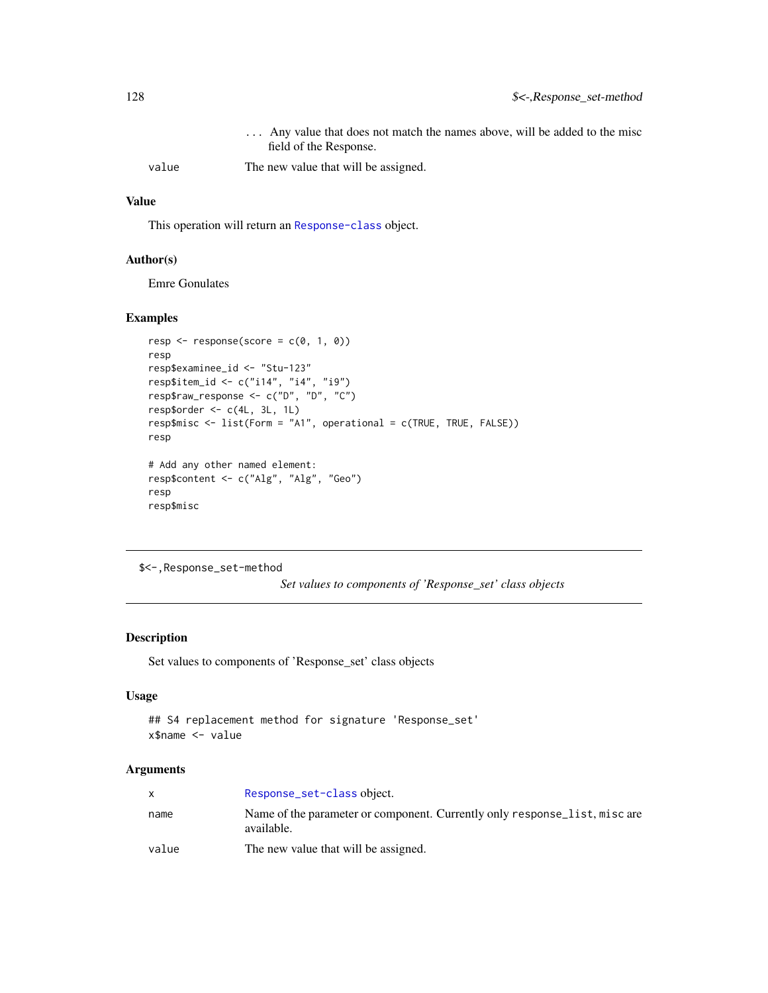<span id="page-127-0"></span>

|       | Any value that does not match the names above, will be added to the misc<br>field of the Response. |
|-------|----------------------------------------------------------------------------------------------------|
| value | The new value that will be assigned.                                                               |

### Value

This operation will return an [Response-class](#page-102-0) object.

#### Author(s)

Emre Gonulates

### Examples

```
resp \leq response(score = c(0, 1, 0))
resp
resp$examinee_id <- "Stu-123"
resp$item_id <- c("i14", "i4", "i9")
resp$raw_response <- c("D", "D", "C")
resp$order \leq c(4L, 3L, 1L)
resp$misc <- list(Form = "A1", operational = c(TRUE, TRUE, FALSE))
resp
# Add any other named element:
resp$content <- c("Alg", "Alg", "Geo")
resp
resp$misc
```

```
$<-,Response_set-method
```
*Set values to components of 'Response\_set' class objects*

#### Description

Set values to components of 'Response\_set' class objects

### Usage

```
## S4 replacement method for signature 'Response_set'
x$name <- value
```

|       | Response_set-class object.                                                               |
|-------|------------------------------------------------------------------------------------------|
| name  | Name of the parameter or component. Currently only response list, misc are<br>available. |
| value | The new value that will be assigned.                                                     |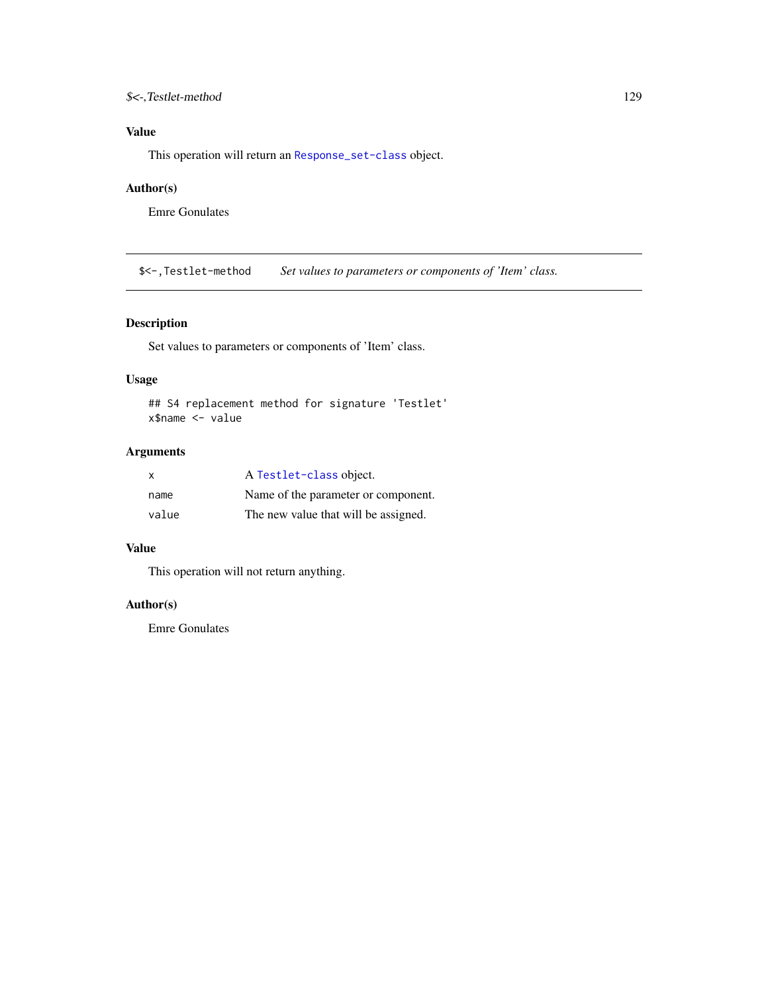### <span id="page-128-0"></span>\$<-,Testlet-method 129

### Value

This operation will return an [Response\\_set-class](#page-106-0) object.

### Author(s)

Emre Gonulates

\$<-,Testlet-method *Set values to parameters or components of 'Item' class.*

### Description

Set values to parameters or components of 'Item' class.

### Usage

```
## S4 replacement method for signature 'Testlet'
x$name <- value
```
### Arguments

| X     | A Testlet-class object.              |
|-------|--------------------------------------|
| name  | Name of the parameter or component.  |
| value | The new value that will be assigned. |

### Value

This operation will not return anything.

#### Author(s)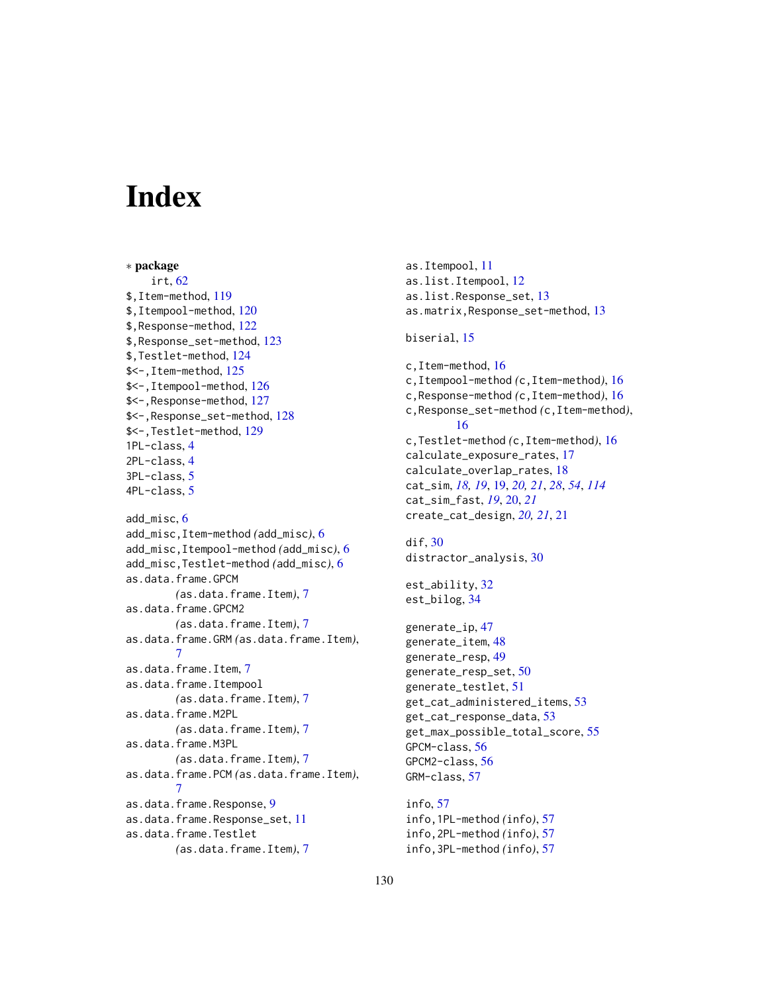# **Index**

∗ package irt, [62](#page-61-0) \$,Item-method, [119](#page-118-0) \$,Itempool-method, [120](#page-119-0) \$,Response-method, [122](#page-121-0) \$,Response\_set-method, [123](#page-122-0) \$,Testlet-method, [124](#page-123-0) \$<-,Item-method, [125](#page-124-0) \$<-,Itempool-method, [126](#page-125-0) \$<-,Response-method, [127](#page-126-0) \$<-,Response\_set-method, [128](#page-127-0) \$<-,Testlet-method, [129](#page-128-0) 1PL-class, [4](#page-3-0) 2PL-class, [4](#page-3-0) 3PL-class, [5](#page-4-0) 4PL-class, [5](#page-4-0) add\_misc, [6](#page-5-0) add\_misc,Item-method *(*add\_misc*)*, [6](#page-5-0) add\_misc,Itempool-method *(*add\_misc*)*, [6](#page-5-0) add\_misc,Testlet-method *(*add\_misc*)*, [6](#page-5-0) as.data.frame.GPCM *(*as.data.frame.Item*)*, [7](#page-6-0) as.data.frame.GPCM2 *(*as.data.frame.Item*)*, [7](#page-6-0) as.data.frame.GRM *(*as.data.frame.Item*)*, [7](#page-6-0) as.data.frame.Item, [7](#page-6-0) as.data.frame.Itempool *(*as.data.frame.Item*)*, [7](#page-6-0) as.data.frame.M2PL *(*as.data.frame.Item*)*, [7](#page-6-0) as.data.frame.M3PL *(*as.data.frame.Item*)*, [7](#page-6-0) as.data.frame.PCM *(*as.data.frame.Item*)*, [7](#page-6-0) as.data.frame.Response, [9](#page-8-0) as.data.frame.Response\_set, [11](#page-10-0) as.data.frame.Testlet *(*as.data.frame.Item*)*, [7](#page-6-0)

as.Itempool, [11](#page-10-0) as.list.Itempool, [12](#page-11-0) as.list.Response\_set, [13](#page-12-0) as.matrix,Response\_set-method, [13](#page-12-0) biserial, [15](#page-14-0) c,Item-method, [16](#page-15-0) c,Itempool-method *(*c,Item-method*)*, [16](#page-15-0) c,Response-method *(*c,Item-method*)*, [16](#page-15-0) c,Response\_set-method *(*c,Item-method*)*, [16](#page-15-0) c,Testlet-method *(*c,Item-method*)*, [16](#page-15-0) calculate\_exposure\_rates, [17](#page-16-0) calculate\_overlap\_rates, [18](#page-17-0) cat\_sim, *[18,](#page-17-0) [19](#page-18-1)*, [19,](#page-18-1) *[20,](#page-19-0) [21](#page-20-0)*, *[28](#page-27-0)*, *[54](#page-53-0)*, *[114](#page-113-0)* cat\_sim\_fast, *[19](#page-18-1)*, [20,](#page-19-0) *[21](#page-20-0)* create\_cat\_design, *[20,](#page-19-0) [21](#page-20-0)*, [21](#page-20-0) dif, [30](#page-29-0) distractor\_analysis, [30](#page-29-0) est\_ability, [32](#page-31-0) est\_bilog, [34](#page-33-0) generate\_ip, [47](#page-46-0) generate\_item, [48](#page-47-0) generate\_resp, [49](#page-48-0) generate\_resp\_set, [50](#page-49-0) generate\_testlet, [51](#page-50-0) get\_cat\_administered\_items, [53](#page-52-0) get\_cat\_response\_data, [53](#page-52-0) get\_max\_possible\_total\_score, [55](#page-54-0) GPCM-class, [56](#page-55-0) GPCM2-class, [56](#page-55-0) GRM-class, [57](#page-56-0) info, [57](#page-56-0) info,1PL-method *(*info*)*, [57](#page-56-0)

info,2PL-method *(*info*)*, [57](#page-56-0) info,3PL-method *(*info*)*, [57](#page-56-0)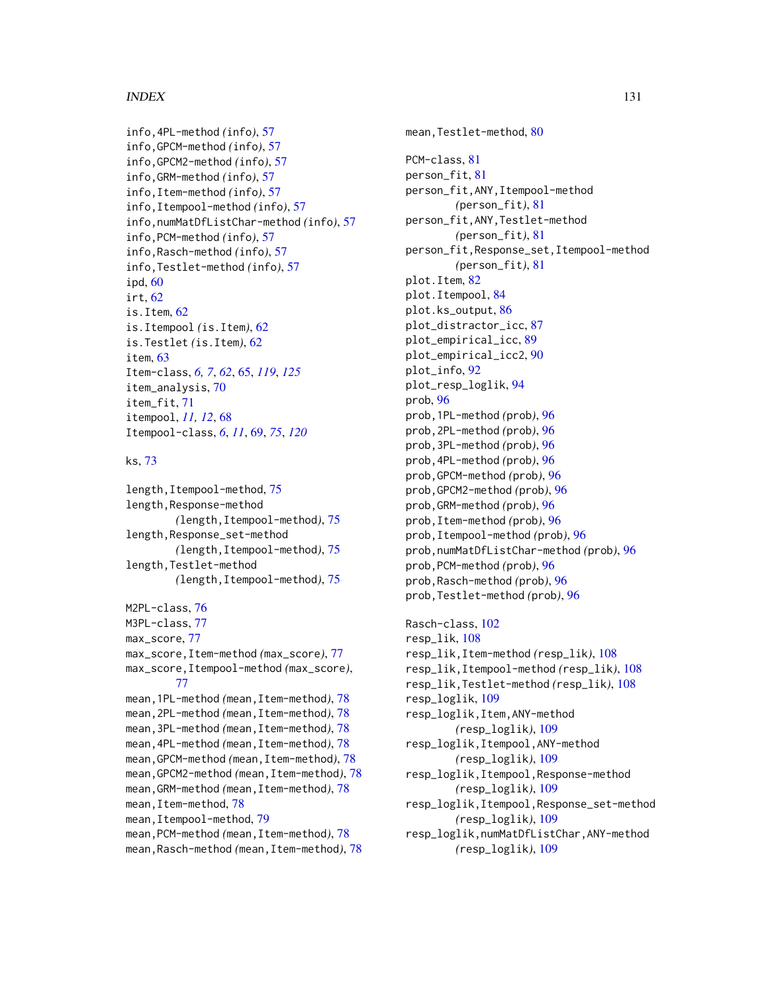#### $I<sub>31</sub>$  is a set of  $I<sub>31</sub>$  is a set of  $I<sub>31</sub>$  is a set of  $I<sub>31</sub>$  is a set of  $I<sub>31</sub>$  is a set of  $I<sub>31</sub>$  is a set of  $I<sub>31</sub>$  is a set of  $I<sub>31</sub>$  is a set of  $I<sub>31</sub>$  is a set of  $I$

```
info,4PL-method (info), 57
info,GPCM-method (info), 57
info,GPCM2-method (info), 57
info,GRM-method (info), 57
info,Item-method (info), 57
info,Itempool-method (info), 57
info,numMatDfListChar-method (info), 57
info,PCM-method (info), 57
info,Rasch-method (info), 57
info,Testlet-method (info), 57
ipd, 60
irt, 62
is.Item, 62
is.Itempool (is.Item), 62
is.Testlet (is.Item), 62
item, 63
Item-class, 6, 7, 62, 65, 119, 125
item_analysis, 70
item_fit, 71
itempool, 11, 12, 68
Itempool-class, 6, 11, 69, 75, 120
```
ks, [73](#page-72-0)

length,Itempool-method, [75](#page-74-0) length,Response-method *(*length,Itempool-method*)*, [75](#page-74-0) length,Response\_set-method *(*length,Itempool-method*)*, [75](#page-74-0) length,Testlet-method *(*length,Itempool-method*)*, [75](#page-74-0) M2PL-class, [76](#page-75-0) M3PL-class, [77](#page-76-0) max\_score, [77](#page-76-0) max\_score,Item-method *(*max\_score*)*, [77](#page-76-0) max\_score,Itempool-method *(*max\_score*)*, [77](#page-76-0) mean,1PL-method *(*mean,Item-method*)*, [78](#page-77-0) mean,2PL-method *(*mean,Item-method*)*, [78](#page-77-0) mean,3PL-method *(*mean,Item-method*)*, [78](#page-77-0) mean,4PL-method *(*mean,Item-method*)*, [78](#page-77-0) mean,GPCM-method *(*mean,Item-method*)*, [78](#page-77-0) mean,GPCM2-method *(*mean,Item-method*)*, [78](#page-77-0) mean,GRM-method *(*mean,Item-method*)*, [78](#page-77-0) mean,Item-method, [78](#page-77-0) mean, Itempool-method, [79](#page-78-0) mean,PCM-method *(*mean,Item-method*)*, [78](#page-77-0) mean,Rasch-method *(*mean,Item-method*)*, [78](#page-77-0)

mean,Testlet-method, [80](#page-79-0) PCM-class, [81](#page-80-0) person\_fit, [81](#page-80-0) person\_fit,ANY,Itempool-method *(*person\_fit*)*, [81](#page-80-0) person\_fit,ANY,Testlet-method *(*person\_fit*)*, [81](#page-80-0) person\_fit,Response\_set,Itempool-method *(*person\_fit*)*, [81](#page-80-0) plot.Item, [82](#page-81-0) plot.Itempool, [84](#page-83-0) plot.ks\_output, [86](#page-85-0) plot\_distractor\_icc, [87](#page-86-0) plot\_empirical\_icc, [89](#page-88-0) plot\_empirical\_icc2, [90](#page-89-0) plot\_info, [92](#page-91-0) plot\_resp\_loglik, [94](#page-93-0) prob, [96](#page-95-0) prob,1PL-method *(*prob*)*, [96](#page-95-0) prob,2PL-method *(*prob*)*, [96](#page-95-0) prob,3PL-method *(*prob*)*, [96](#page-95-0) prob,4PL-method *(*prob*)*, [96](#page-95-0) prob,GPCM-method *(*prob*)*, [96](#page-95-0) prob,GPCM2-method *(*prob*)*, [96](#page-95-0) prob,GRM-method *(*prob*)*, [96](#page-95-0) prob,Item-method *(*prob*)*, [96](#page-95-0) prob,Itempool-method *(*prob*)*, [96](#page-95-0) prob,numMatDfListChar-method *(*prob*)*, [96](#page-95-0) prob,PCM-method *(*prob*)*, [96](#page-95-0) prob,Rasch-method *(*prob*)*, [96](#page-95-0) prob,Testlet-method *(*prob*)*, [96](#page-95-0)

Rasch-class, [102](#page-101-0) resp\_lik, [108](#page-107-0) resp\_lik,Item-method *(*resp\_lik*)*, [108](#page-107-0) resp\_lik,Itempool-method *(*resp\_lik*)*, [108](#page-107-0) resp\_lik,Testlet-method *(*resp\_lik*)*, [108](#page-107-0) resp\_loglik, [109](#page-108-0) resp\_loglik,Item,ANY-method *(*resp\_loglik*)*, [109](#page-108-0) resp\_loglik,Itempool,ANY-method *(*resp\_loglik*)*, [109](#page-108-0) resp\_loglik,Itempool,Response-method *(*resp\_loglik*)*, [109](#page-108-0) resp\_loglik,Itempool,Response\_set-method *(*resp\_loglik*)*, [109](#page-108-0) resp\_loglik,numMatDfListChar,ANY-method *(*resp\_loglik*)*, [109](#page-108-0)